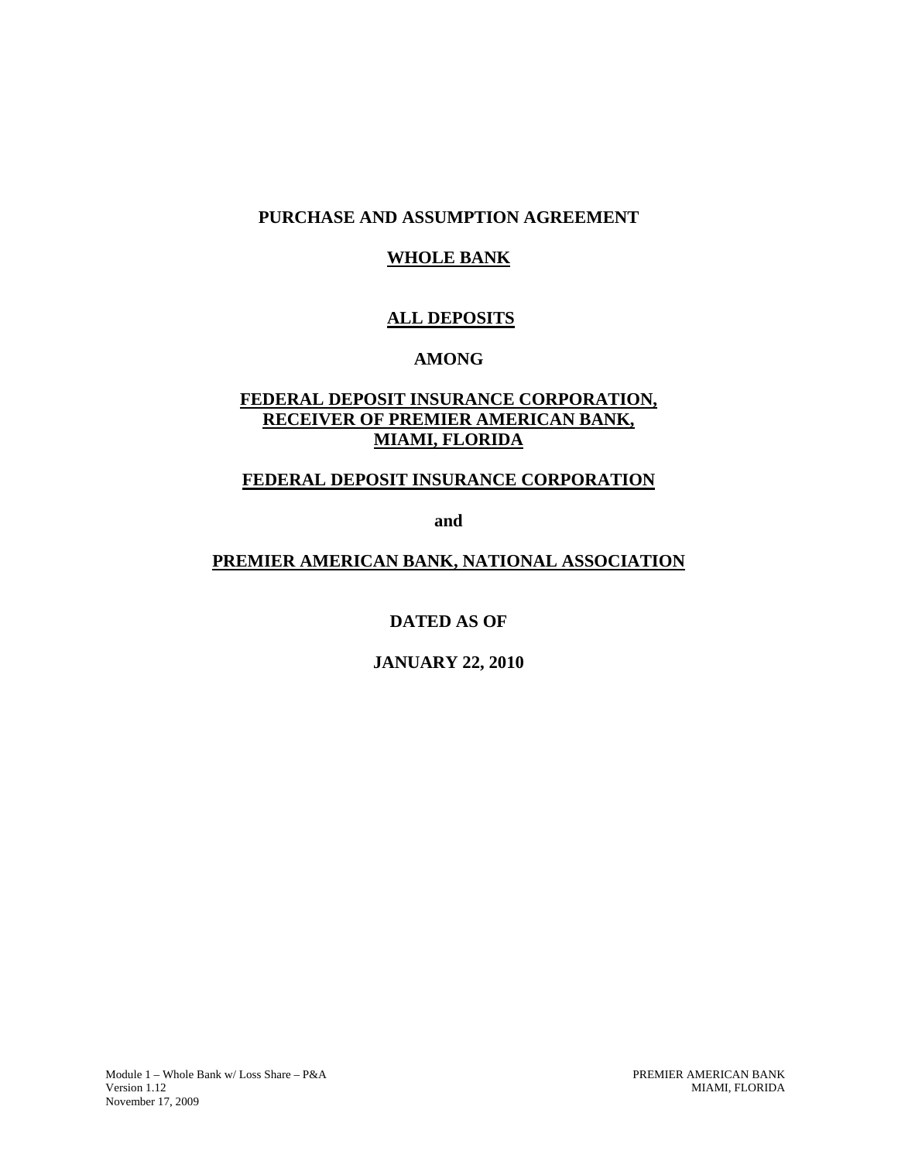### **PURCHASE AND ASSUMPTION AGREEMENT**

### **WHOLE BANK**

### **ALL DEPOSITS**

### **AMONG**

### **FEDERAL DEPOSIT INSURANCE CORPORATION, RECEIVER OF PREMIER AMERICAN BANK, MIAMI, FLORIDA**

### **FEDERAL DEPOSIT INSURANCE CORPORATION**

**and and and** 

### **PREMIER AMERICAN BANK, NATIONAL ASSOCIATION**

**DATED AS OF**

**JANUARY 22, 2010**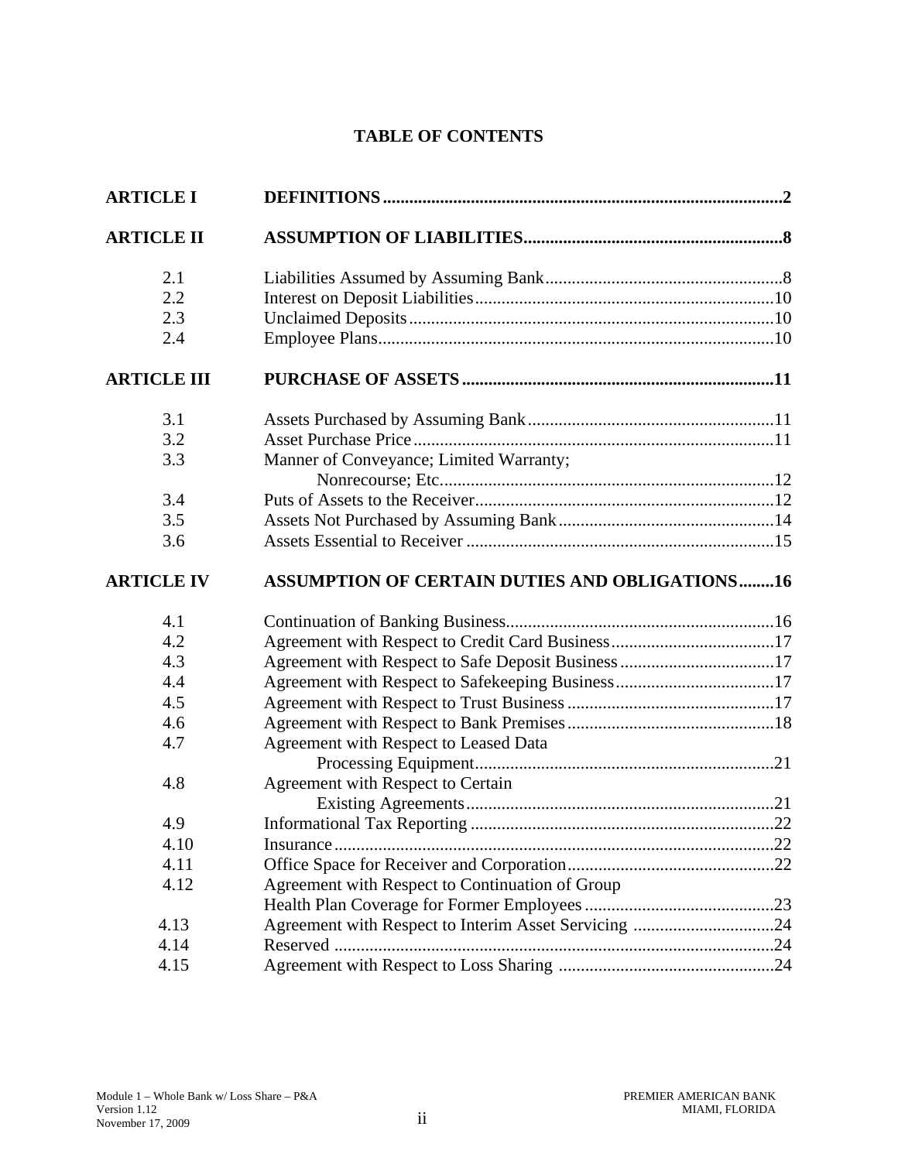# **TABLE OF CONTENTS**

| <b>ARTICLE I</b>   |                                                       |  |
|--------------------|-------------------------------------------------------|--|
| <b>ARTICLE II</b>  |                                                       |  |
| 2.1                |                                                       |  |
| 2.2                |                                                       |  |
| 2.3                |                                                       |  |
| 2.4                |                                                       |  |
| <b>ARTICLE III</b> |                                                       |  |
| 3.1                |                                                       |  |
| 3.2                |                                                       |  |
| 3.3                | Manner of Conveyance; Limited Warranty;               |  |
|                    |                                                       |  |
| 3.4                |                                                       |  |
| 3.5                |                                                       |  |
| 3.6                |                                                       |  |
| <b>ARTICLE IV</b>  | <b>ASSUMPTION OF CERTAIN DUTIES AND OBLIGATIONS16</b> |  |
| 4.1                |                                                       |  |
| 4.2                |                                                       |  |
| 4.3                | Agreement with Respect to Safe Deposit Business 17    |  |
| 4.4                |                                                       |  |
| 4.5                |                                                       |  |
| 4.6                |                                                       |  |
| 4.7                | Agreement with Respect to Leased Data                 |  |
|                    |                                                       |  |
| 4.8                | Agreement with Respect to Certain                     |  |
|                    |                                                       |  |
| 4.9                |                                                       |  |
| 4.10               |                                                       |  |
| 4.11               |                                                       |  |
| 4.12               | Agreement with Respect to Continuation of Group       |  |
|                    |                                                       |  |
| 4.13               | Agreement with Respect to Interim Asset Servicing 24  |  |
| 4.14               |                                                       |  |
| 4.15               |                                                       |  |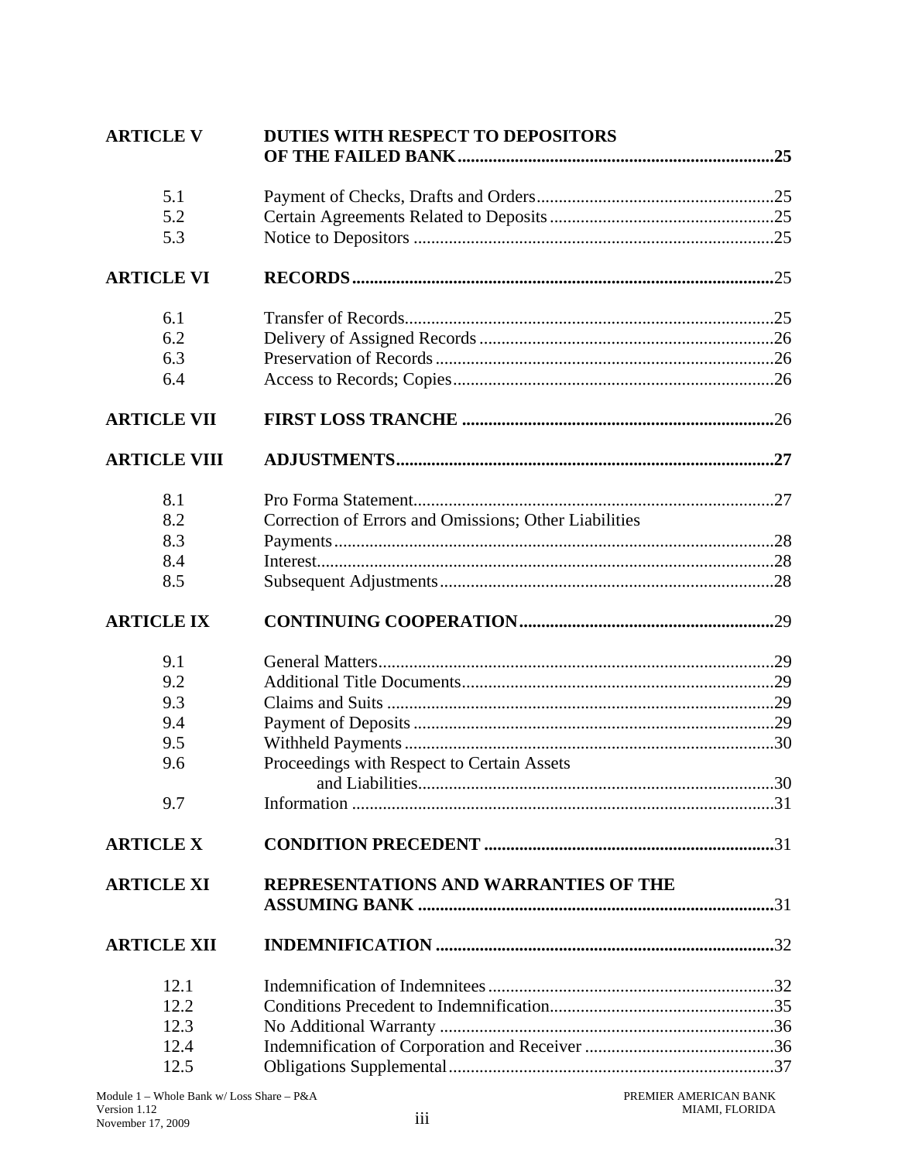| <b>ARTICLE V</b>    | <b>DUTIES WITH RESPECT TO DEPOSITORS</b>              |  |
|---------------------|-------------------------------------------------------|--|
|                     |                                                       |  |
| 5.1                 |                                                       |  |
| 5.2                 |                                                       |  |
| 5.3                 |                                                       |  |
|                     |                                                       |  |
| <b>ARTICLE VI</b>   |                                                       |  |
| 6.1                 |                                                       |  |
| 6.2                 |                                                       |  |
| 6.3                 |                                                       |  |
| 6.4                 |                                                       |  |
| <b>ARTICLE VII</b>  |                                                       |  |
| <b>ARTICLE VIII</b> |                                                       |  |
| 8.1                 |                                                       |  |
| 8.2                 | Correction of Errors and Omissions; Other Liabilities |  |
| 8.3                 |                                                       |  |
| 8.4                 |                                                       |  |
| 8.5                 |                                                       |  |
| <b>ARTICLE IX</b>   |                                                       |  |
| 9.1                 |                                                       |  |
| 9.2                 |                                                       |  |
| 9.3                 |                                                       |  |
| 9.4                 |                                                       |  |
| 9.5                 |                                                       |  |
| 9.6                 | Proceedings with Respect to Certain Assets            |  |
|                     |                                                       |  |
| 9.7                 |                                                       |  |
| <b>ARTICLE X</b>    |                                                       |  |
| <b>ARTICLE XI</b>   | <b>REPRESENTATIONS AND WARRANTIES OF THE</b>          |  |
| <b>ARTICLE XII</b>  |                                                       |  |
| 12.1                |                                                       |  |
| 12.2                |                                                       |  |
|                     |                                                       |  |
| 12.3                |                                                       |  |
| 12.4                |                                                       |  |
| 12.5                |                                                       |  |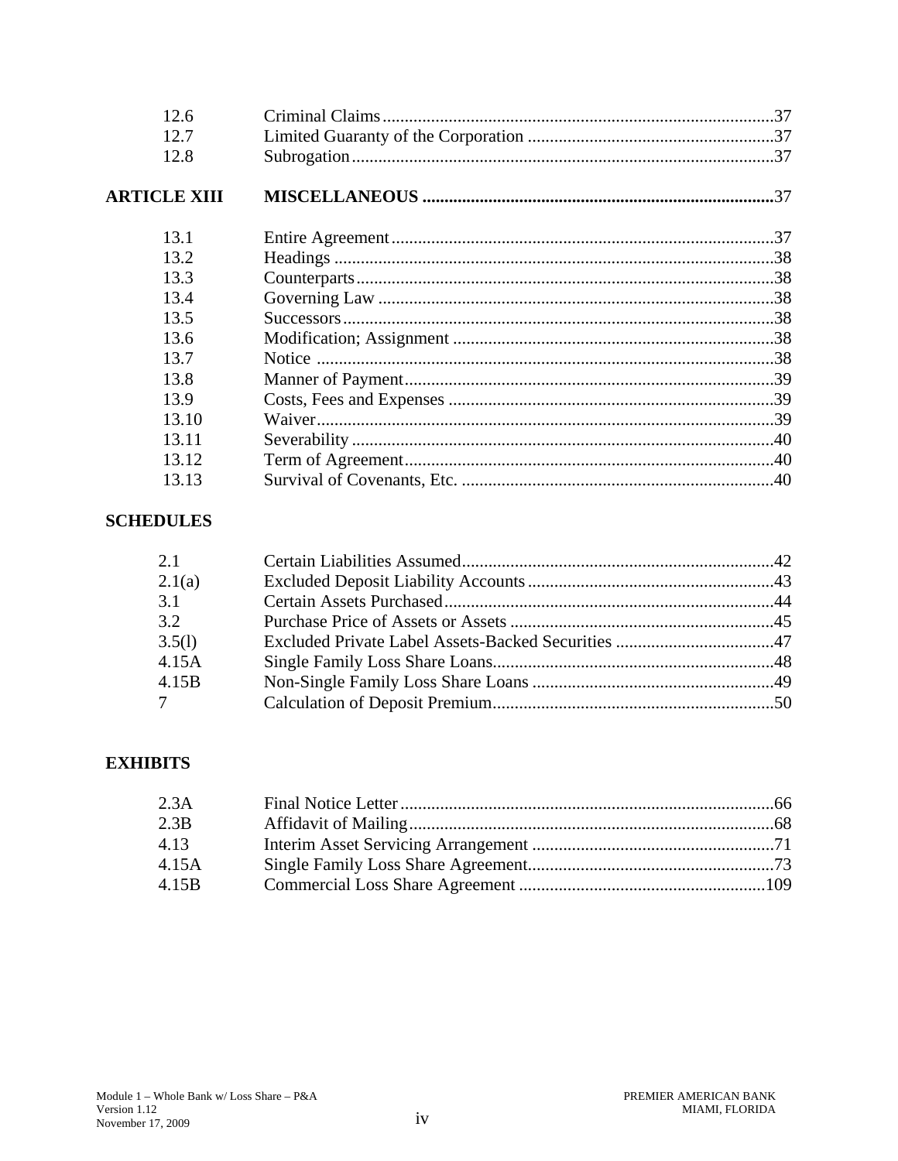| 12.6                |  |
|---------------------|--|
| 12.7                |  |
| 12.8                |  |
| <b>ARTICLE XIII</b> |  |
| 13.1                |  |
| 13.2                |  |
| 13.3                |  |
| 13.4                |  |
| 13.5                |  |
| 13.6                |  |
| 13.7                |  |
| 13.8                |  |
| 13.9                |  |
| 13.10               |  |
| 13.11               |  |
| 13.12               |  |
| 13.13               |  |

### **SCHEDULES**

| 2.1    |  |
|--------|--|
| 2.1(a) |  |
| 3.1    |  |
| 3.2    |  |
| 3.5(l) |  |
| 4.15A  |  |
| 4.15B  |  |
| 7      |  |

# **EXHIBITS**

| 2.3A  |  |
|-------|--|
| 2.3B  |  |
| 4.13  |  |
| 4.15A |  |
| 4.15B |  |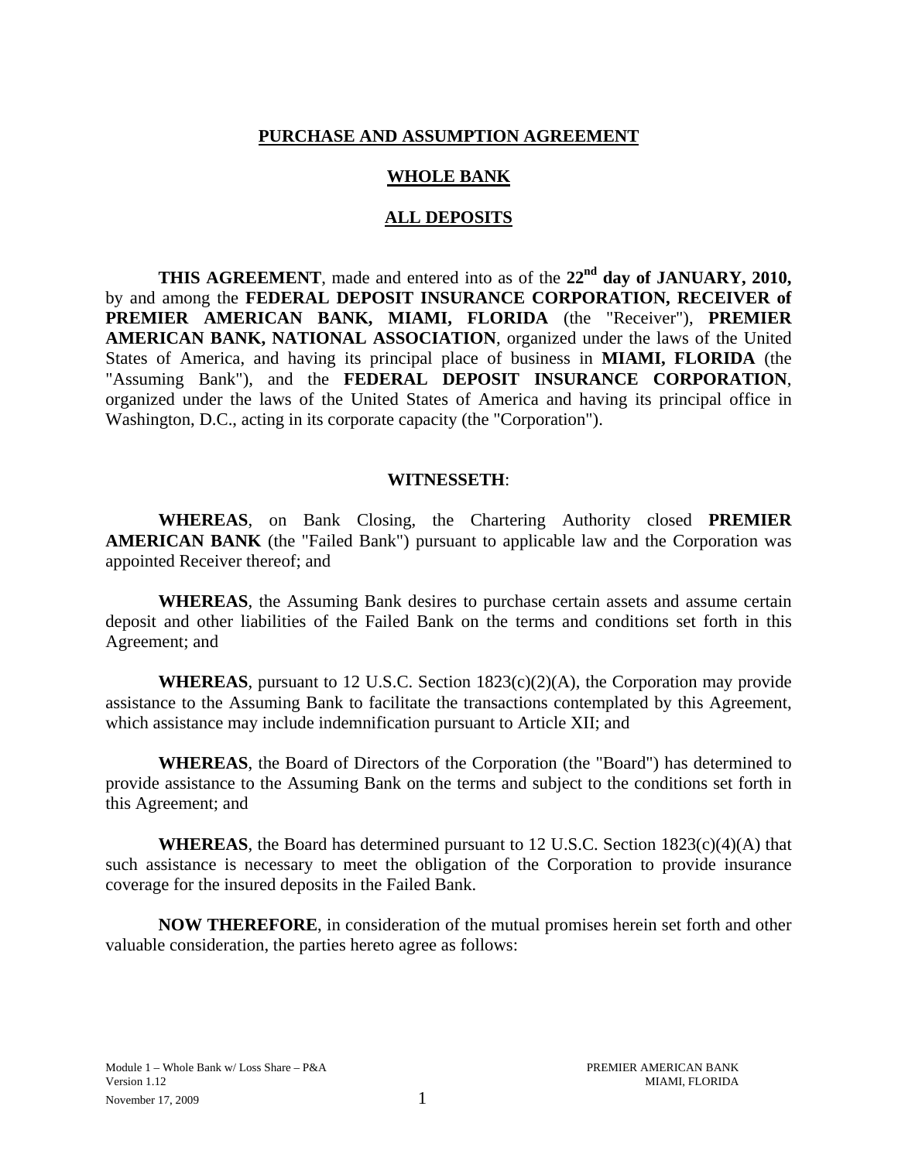### **PURCHASE AND ASSUMPTION AGREEMENT**

### **WHOLE BANK**

#### **ALL DEPOSITS**

 **THIS AGREEMENT**, made and entered into as of the **22nd day of JANUARY, 2010,**  by and among the **FEDERAL DEPOSIT INSURANCE CORPORATION, RECEIVER of PREMIER AMERICAN BANK, MIAMI, FLORIDA** (the "Receiver"), **PREMIER AMERICAN BANK, NATIONAL ASSOCIATION**, organized under the laws of the United States of America, and having its principal place of business in **MIAMI, FLORIDA** (the "Assuming Bank"), and the **FEDERAL DEPOSIT INSURANCE CORPORATION**, organized under the laws of the United States of America and having its principal office in Washington, D.C., acting in its corporate capacity (the "Corporation").

#### **WITNESSETH**:

**WHEREAS**, on Bank Closing, the Chartering Authority closed **PREMIER AMERICAN BANK** (the "Failed Bank") pursuant to applicable law and the Corporation was appointed Receiver thereof; and

**WHEREAS**, the Assuming Bank desires to purchase certain assets and assume certain deposit and other liabilities of the Failed Bank on the terms and conditions set forth in this Agreement; and

**WHEREAS**, pursuant to 12 U.S.C. Section 1823(c)(2)(A), the Corporation may provide assistance to the Assuming Bank to facilitate the transactions contemplated by this Agreement, which assistance may include indemnification pursuant to Article XII; and

**WHEREAS**, the Board of Directors of the Corporation (the "Board") has determined to provide assistance to the Assuming Bank on the terms and subject to the conditions set forth in this Agreement; and

**WHEREAS**, the Board has determined pursuant to 12 U.S.C. Section 1823(c)(4)(A) that such assistance is necessary to meet the obligation of the Corporation to provide insurance coverage for the insured deposits in the Failed Bank.

 **NOW THEREFORE**, in consideration of the mutual promises herein set forth and other valuable consideration, the parties hereto agree as follows: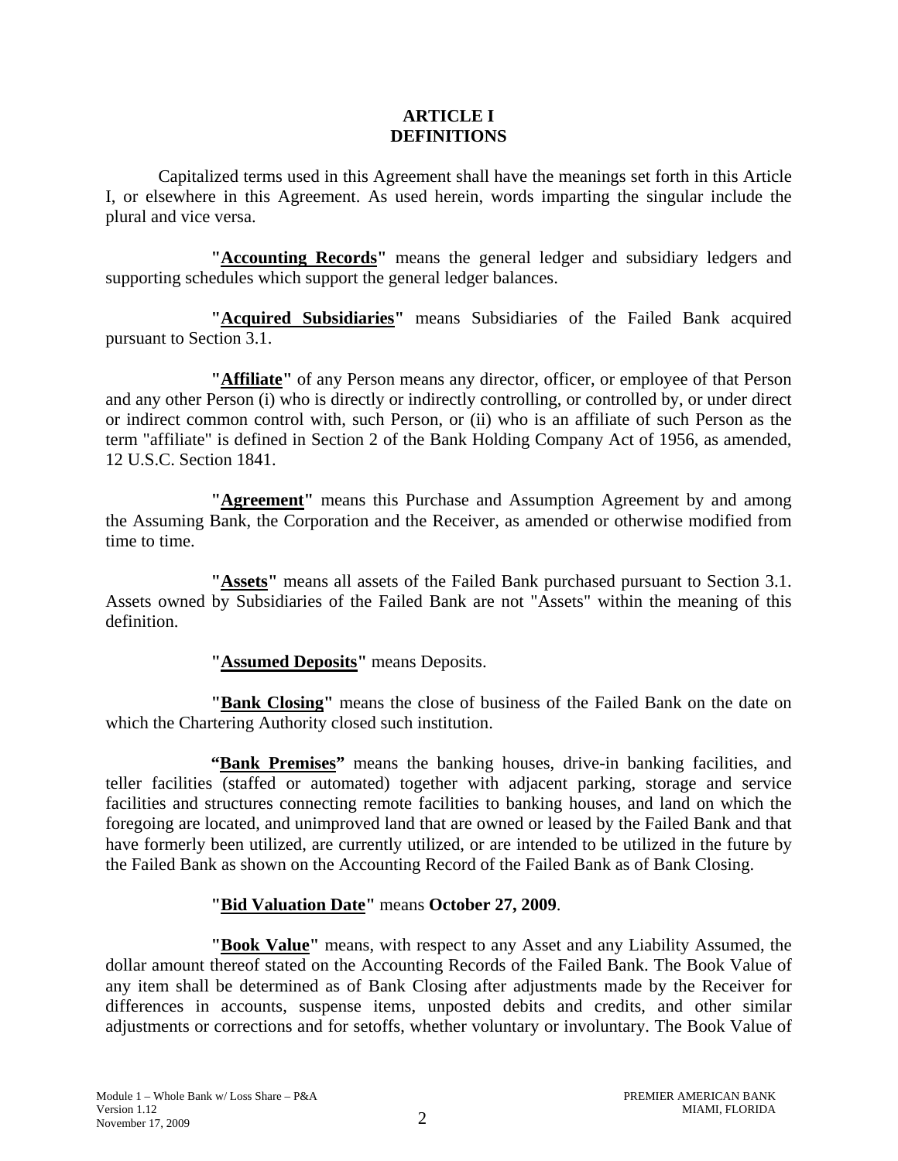### **ARTICLE I DEFINITIONS**

<span id="page-5-0"></span>Capitalized terms used in this Agreement shall have the meanings set forth in this Article I, or elsewhere in this Agreement. As used herein, words imparting the singular include the plural and vice versa.

**"Accounting Records"** means the general ledger and subsidiary ledgers and supporting schedules which support the general ledger balances.

**"Acquired Subsidiaries"** means Subsidiaries of the Failed Bank acquired pursuant to Section 3.1.

**"Affiliate"** of any Person means any director, officer, or employee of that Person and any other Person (i) who is directly or indirectly controlling, or controlled by, or under direct or indirect common control with, such Person, or (ii) who is an affiliate of such Person as the term "affiliate" is defined in Section 2 of the Bank Holding Company Act of 1956, as amended, 12 U.S.C. Section 1841.

**"Agreement"** means this Purchase and Assumption Agreement by and among the Assuming Bank, the Corporation and the Receiver, as amended or otherwise modified from time to time.

**"Assets"** means all assets of the Failed Bank purchased pursuant to Section 3.1. Assets owned by Subsidiaries of the Failed Bank are not "Assets" within the meaning of this definition.

**"Assumed Deposits"** means Deposits.

**"Bank Closing"** means the close of business of the Failed Bank on the date on which the Chartering Authority closed such institution.

**"Bank Premises"** means the banking houses, drive-in banking facilities, and teller facilities (staffed or automated) together with adjacent parking, storage and service facilities and structures connecting remote facilities to banking houses, and land on which the foregoing are located, and unimproved land that are owned or leased by the Failed Bank and that have formerly been utilized, are currently utilized, or are intended to be utilized in the future by the Failed Bank as shown on the Accounting Record of the Failed Bank as of Bank Closing.

# **"Bid Valuation Date"** means **October 27, 2009**.

**"Book Value"** means, with respect to any Asset and any Liability Assumed, the dollar amount thereof stated on the Accounting Records of the Failed Bank. The Book Value of any item shall be determined as of Bank Closing after adjustments made by the Receiver for differences in accounts, suspense items, unposted debits and credits, and other similar adjustments or corrections and for setoffs, whether voluntary or involuntary. The Book Value of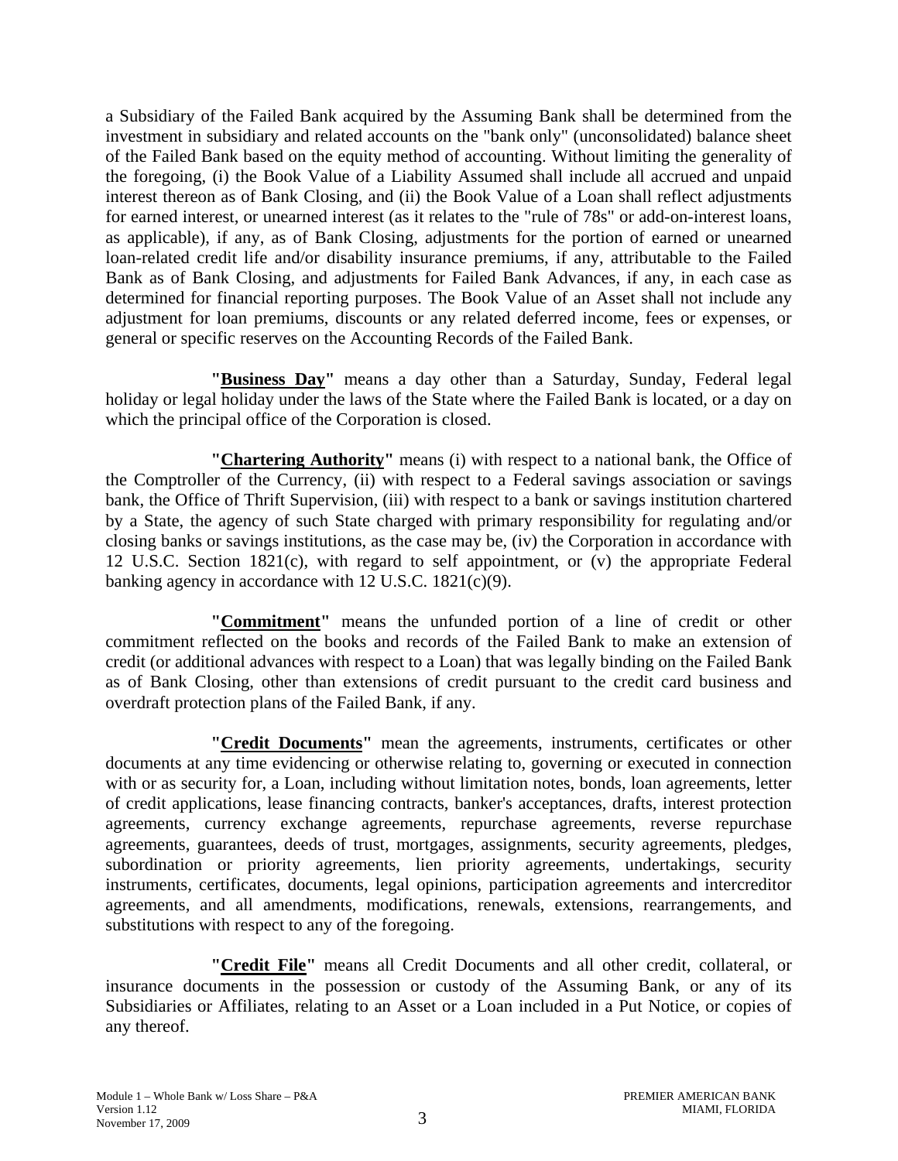<span id="page-6-0"></span>a Subsidiary of the Failed Bank acquired by the Assuming Bank shall be determined from the investment in subsidiary and related accounts on the "bank only" (unconsolidated) balance sheet of the Failed Bank based on the equity method of accounting. Without limiting the generality of the foregoing, (i) the Book Value of a Liability Assumed shall include all accrued and unpaid interest thereon as of Bank Closing, and (ii) the Book Value of a Loan shall reflect adjustments for earned interest, or unearned interest (as it relates to the "rule of 78s" or add-on-interest loans, as applicable), if any, as of Bank Closing, adjustments for the portion of earned or unearned loan-related credit life and/or disability insurance premiums, if any, attributable to the Failed Bank as of Bank Closing, and adjustments for Failed Bank Advances, if any, in each case as determined for financial reporting purposes. The Book Value of an Asset shall not include any adjustment for loan premiums, discounts or any related deferred income, fees or expenses, or general or specific reserves on the Accounting Records of the Failed Bank.

**"Business Day"** means a day other than a Saturday, Sunday, Federal legal holiday or legal holiday under the laws of the State where the Failed Bank is located, or a day on which the principal office of the Corporation is closed.

**"Chartering Authority"** means (i) with respect to a national bank, the Office of the Comptroller of the Currency, (ii) with respect to a Federal savings association or savings bank, the Office of Thrift Supervision, (iii) with respect to a bank or savings institution chartered by a State, the agency of such State charged with primary responsibility for regulating and/or closing banks or savings institutions, as the case may be, (iv) the Corporation in accordance with 12 U.S.C. Section 1821(c), with regard to self appointment, or (v) the appropriate Federal banking agency in accordance with 12 U.S.C. 1821(c)(9).

**"Commitment"** means the unfunded portion of a line of credit or other commitment reflected on the books and records of the Failed Bank to make an extension of credit (or additional advances with respect to a Loan) that was legally binding on the Failed Bank as of Bank Closing, other than extensions of credit pursuant to the credit card business and overdraft protection plans of the Failed Bank, if any.

**"Credit Documents"** mean the agreements, instruments, certificates or other documents at any time evidencing or otherwise relating to, governing or executed in connection with or as security for, a Loan, including without limitation notes, bonds, loan agreements, letter of credit applications, lease financing contracts, banker's acceptances, drafts, interest protection agreements, currency exchange agreements, repurchase agreements, reverse repurchase agreements, guarantees, deeds of trust, mortgages, assignments, security agreements, pledges, subordination or priority agreements, lien priority agreements, undertakings, security instruments, certificates, documents, legal opinions, participation agreements and intercreditor agreements, and all amendments, modifications, renewals, extensions, rearrangements, and substitutions with respect to any of the foregoing.

**"Credit File"** means all Credit Documents and all other credit, collateral, or insurance documents in the possession or custody of the Assuming Bank, or any of its Subsidiaries or Affiliates, relating to an Asset or a Loan included in a Put Notice, or copies of any thereof.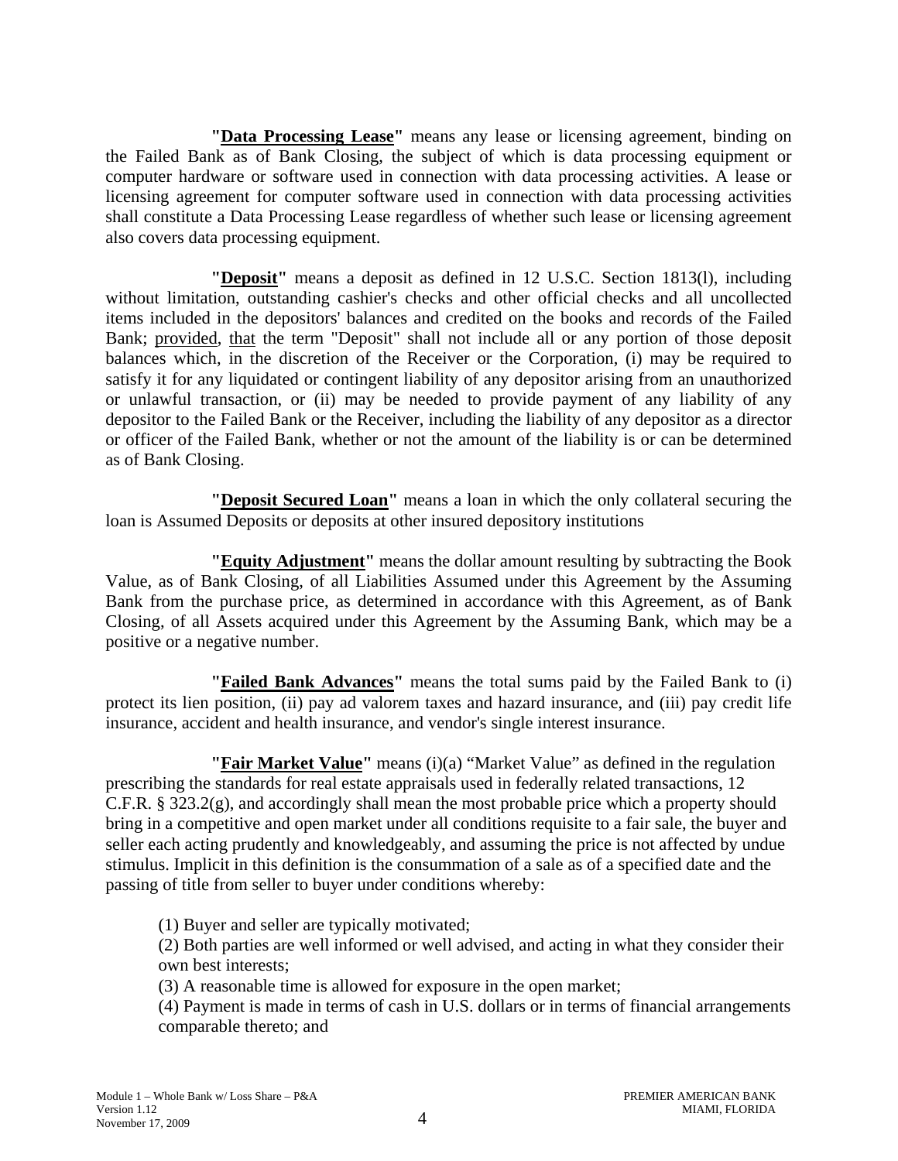<span id="page-7-0"></span> **"Data Processing Lease"** means any lease or licensing agreement, binding on the Failed Bank as of Bank Closing, the subject of which is data processing equipment or computer hardware or software used in connection with data processing activities. A lease or licensing agreement for computer software used in connection with data processing activities shall constitute a Data Processing Lease regardless of whether such lease or licensing agreement also covers data processing equipment.

**"Deposit"** means a deposit as defined in 12 U.S.C. Section 1813(l), including without limitation, outstanding cashier's checks and other official checks and all uncollected items included in the depositors' balances and credited on the books and records of the Failed Bank; provided, that the term "Deposit" shall not include all or any portion of those deposit balances which, in the discretion of the Receiver or the Corporation, (i) may be required to satisfy it for any liquidated or contingent liability of any depositor arising from an unauthorized or unlawful transaction, or (ii) may be needed to provide payment of any liability of any depositor to the Failed Bank or the Receiver, including the liability of any depositor as a director or officer of the Failed Bank, whether or not the amount of the liability is or can be determined as of Bank Closing.

**"Deposit Secured Loan"** means a loan in which the only collateral securing the loan is Assumed Deposits or deposits at other insured depository institutions

**"Equity Adjustment"** means the dollar amount resulting by subtracting the Book Value, as of Bank Closing, of all Liabilities Assumed under this Agreement by the Assuming Bank from the purchase price, as determined in accordance with this Agreement, as of Bank Closing, of all Assets acquired under this Agreement by the Assuming Bank, which may be a positive or a negative number.

**"Failed Bank Advances"** means the total sums paid by the Failed Bank to (i) protect its lien position, (ii) pay ad valorem taxes and hazard insurance, and (iii) pay credit life insurance, accident and health insurance, and vendor's single interest insurance.

**"Fair Market Value"** means (i)(a) "Market Value" as defined in the regulation prescribing the standards for real estate appraisals used in federally related transactions, 12 C.F.R. § 323.2(g), and accordingly shall mean the most probable price which a property should bring in a competitive and open market under all conditions requisite to a fair sale, the buyer and seller each acting prudently and knowledgeably, and assuming the price is not affected by undue stimulus. Implicit in this definition is the consummation of a sale as of a specified date and the passing of title from seller to buyer under conditions whereby:

(1) Buyer and seller are typically motivated;

(2) Both parties are well informed or well advised, and acting in what they consider their own best interests;

(3) A reasonable time is allowed for exposure in the open market;

(4) Payment is made in terms of cash in U.S. dollars or in terms of financial arrangements comparable thereto; and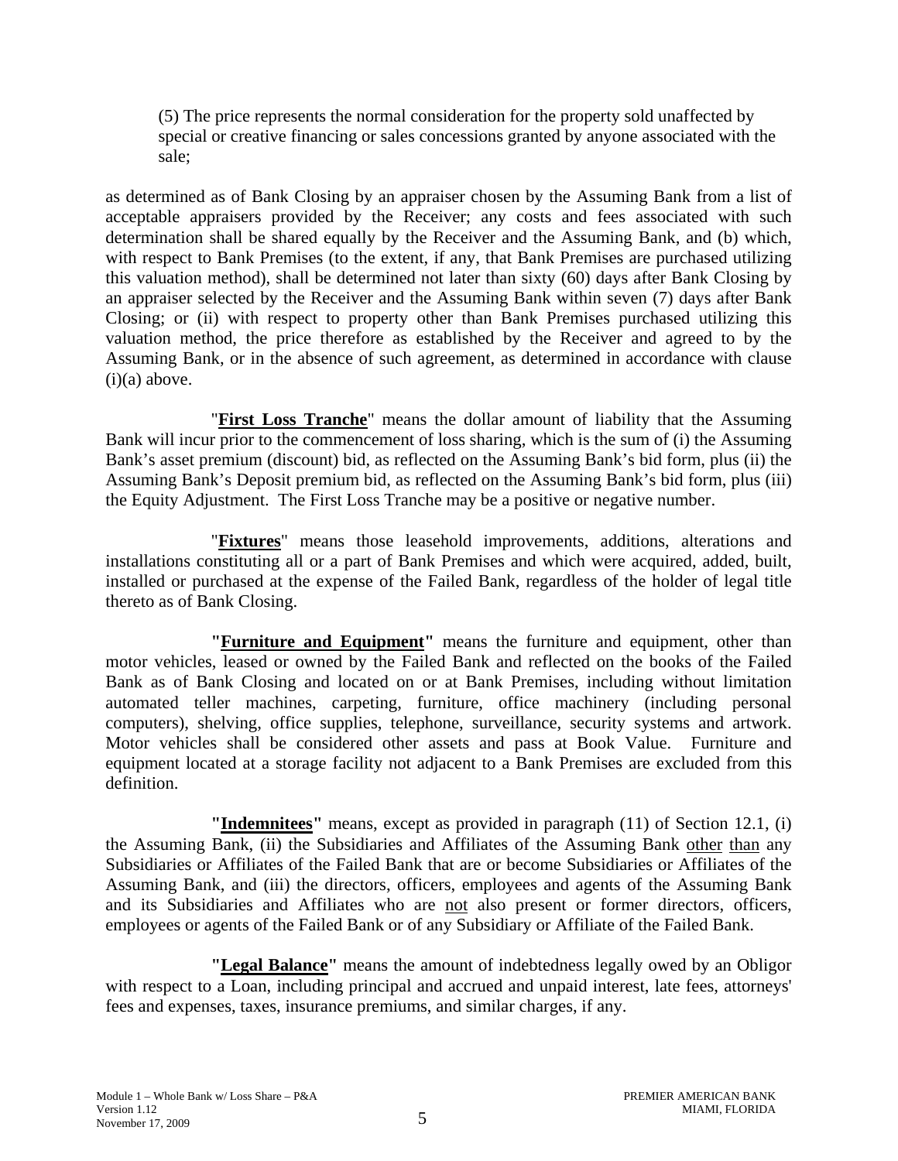(5) The price represents the normal consideration for the property sold unaffected by special or creative financing or sales concessions granted by anyone associated with the sale;

as determined as of Bank Closing by an appraiser chosen by the Assuming Bank from a list of acceptable appraisers provided by the Receiver; any costs and fees associated with such determination shall be shared equally by the Receiver and the Assuming Bank, and (b) which, with respect to Bank Premises (to the extent, if any, that Bank Premises are purchased utilizing this valuation method), shall be determined not later than sixty (60) days after Bank Closing by an appraiser selected by the Receiver and the Assuming Bank within seven (7) days after Bank Closing; or (ii) with respect to property other than Bank Premises purchased utilizing this valuation method, the price therefore as established by the Receiver and agreed to by the Assuming Bank, or in the absence of such agreement, as determined in accordance with clause  $(i)(a)$  above.

"**First Loss Tranche**" means the dollar amount of liability that the Assuming Bank will incur prior to the commencement of loss sharing, which is the sum of (i) the Assuming Bank's asset premium (discount) bid, as reflected on the Assuming Bank's bid form, plus (ii) the Assuming Bank's Deposit premium bid, as reflected on the Assuming Bank's bid form, plus (iii) the Equity Adjustment. The First Loss Tranche may be a positive or negative number.

"**Fixtures**" means those leasehold improvements, additions, alterations and installations constituting all or a part of Bank Premises and which were acquired, added, built, installed or purchased at the expense of the Failed Bank, regardless of the holder of legal title thereto as of Bank Closing.

**"Furniture and Equipment"** means the furniture and equipment, other than motor vehicles, leased or owned by the Failed Bank and reflected on the books of the Failed Bank as of Bank Closing and located on or at Bank Premises, including without limitation automated teller machines, carpeting, furniture, office machinery (including personal computers), shelving, office supplies, telephone, surveillance, security systems and artwork. Motor vehicles shall be considered other assets and pass at Book Value. Furniture and equipment located at a storage facility not adjacent to a Bank Premises are excluded from this definition.

**"Indemnitees"** means, except as provided in paragraph (11) of Section 12.1, (i) the Assuming Bank, (ii) the Subsidiaries and Affiliates of the Assuming Bank other than any Subsidiaries or Affiliates of the Failed Bank that are or become Subsidiaries or Affiliates of the Assuming Bank, and (iii) the directors, officers, employees and agents of the Assuming Bank and its Subsidiaries and Affiliates who are not also present or former directors, officers, employees or agents of the Failed Bank or of any Subsidiary or Affiliate of the Failed Bank.

**"Legal Balance"** means the amount of indebtedness legally owed by an Obligor with respect to a Loan, including principal and accrued and unpaid interest, late fees, attorneys' fees and expenses, taxes, insurance premiums, and similar charges, if any.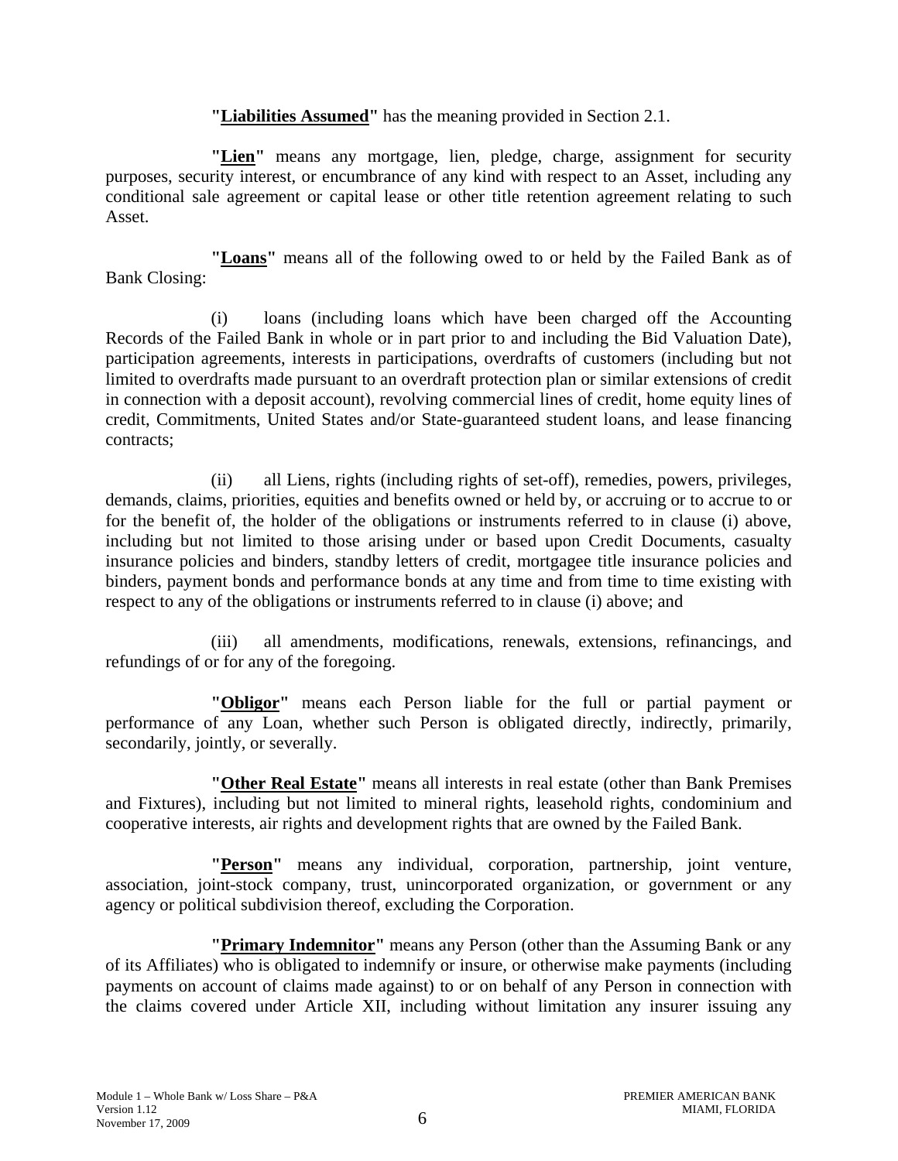**"Liabilities Assumed"** has the meaning provided in Section 2.1.

**"Lien"** means any mortgage, lien, pledge, charge, assignment for security purposes, security interest, or encumbrance of any kind with respect to an Asset, including any conditional sale agreement or capital lease or other title retention agreement relating to such Asset.

**"Loans"** means all of the following owed to or held by the Failed Bank as of Bank Closing:

(i) loans (including loans which have been charged off the Accounting Records of the Failed Bank in whole or in part prior to and including the Bid Valuation Date), participation agreements, interests in participations, overdrafts of customers (including but not limited to overdrafts made pursuant to an overdraft protection plan or similar extensions of credit in connection with a deposit account), revolving commercial lines of credit, home equity lines of credit, Commitments, United States and/or State-guaranteed student loans, and lease financing contracts;

(ii) all Liens, rights (including rights of set-off), remedies, powers, privileges, demands, claims, priorities, equities and benefits owned or held by, or accruing or to accrue to or for the benefit of, the holder of the obligations or instruments referred to in clause (i) above, including but not limited to those arising under or based upon Credit Documents, casualty insurance policies and binders, standby letters of credit, mortgagee title insurance policies and binders, payment bonds and performance bonds at any time and from time to time existing with respect to any of the obligations or instruments referred to in clause (i) above; and

(iii) all amendments, modifications, renewals, extensions, refinancings, and refundings of or for any of the foregoing.

**"Obligor"** means each Person liable for the full or partial payment or performance of any Loan, whether such Person is obligated directly, indirectly, primarily, secondarily, jointly, or severally.

**"Other Real Estate"** means all interests in real estate (other than Bank Premises and Fixtures), including but not limited to mineral rights, leasehold rights, condominium and cooperative interests, air rights and development rights that are owned by the Failed Bank.

**"Person"** means any individual, corporation, partnership, joint venture, association, joint-stock company, trust, unincorporated organization, or government or any agency or political subdivision thereof, excluding the Corporation.

**"Primary Indemnitor"** means any Person (other than the Assuming Bank or any of its Affiliates) who is obligated to indemnify or insure, or otherwise make payments (including payments on account of claims made against) to or on behalf of any Person in connection with the claims covered under Article XII, including without limitation any insurer issuing any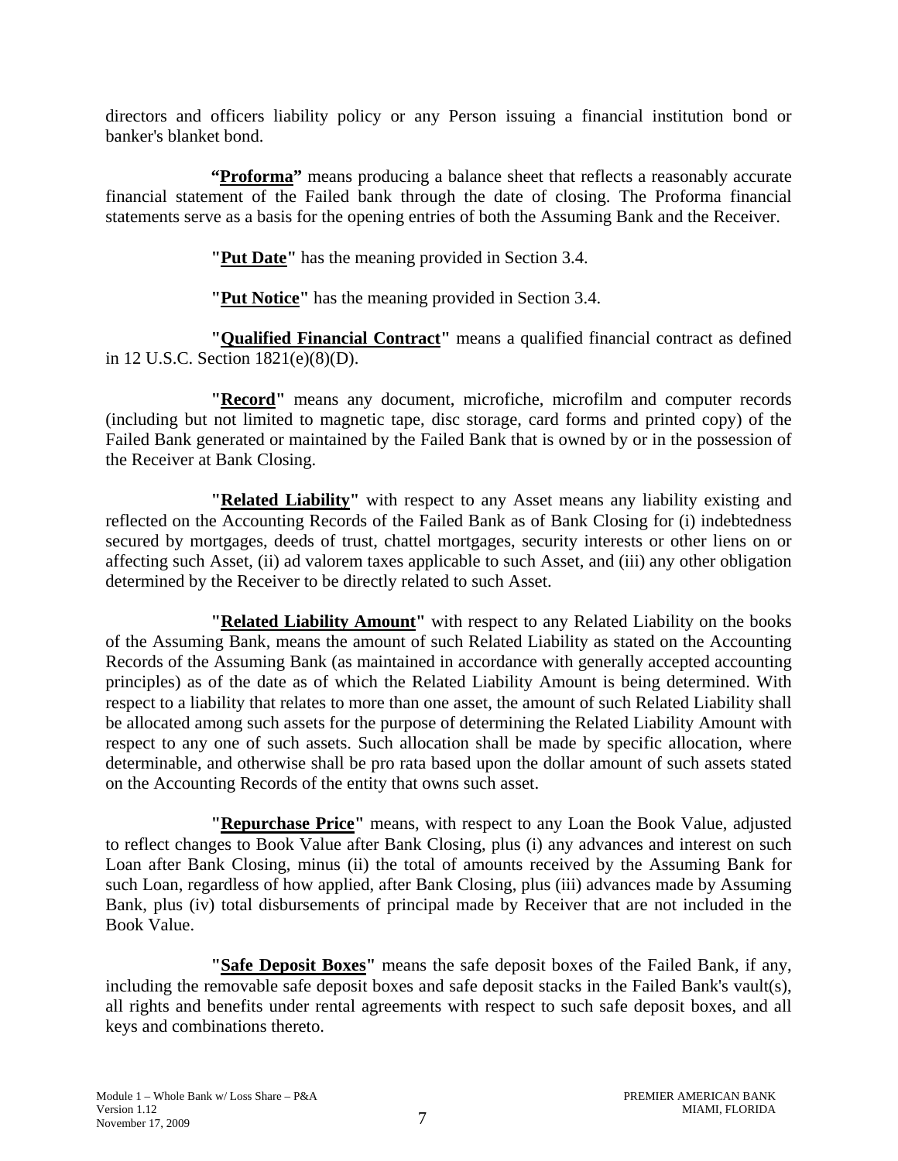directors and officers liability policy or any Person issuing a financial institution bond or banker's blanket bond.

**"Proforma"** means producing a balance sheet that reflects a reasonably accurate financial statement of the Failed bank through the date of closing. The Proforma financial statements serve as a basis for the opening entries of both the Assuming Bank and the Receiver.

**"Put Date"** has the meaning provided in Section 3.4.

**"Put Notice"** has the meaning provided in Section 3.4.

**"Qualified Financial Contract"** means a qualified financial contract as defined in 12 U.S.C. Section 1821(e)(8)(D).

**"Record"** means any document, microfiche, microfilm and computer records (including but not limited to magnetic tape, disc storage, card forms and printed copy) of the Failed Bank generated or maintained by the Failed Bank that is owned by or in the possession of the Receiver at Bank Closing.

**"Related Liability"** with respect to any Asset means any liability existing and reflected on the Accounting Records of the Failed Bank as of Bank Closing for (i) indebtedness secured by mortgages, deeds of trust, chattel mortgages, security interests or other liens on or affecting such Asset, (ii) ad valorem taxes applicable to such Asset, and (iii) any other obligation determined by the Receiver to be directly related to such Asset.

**"Related Liability Amount"** with respect to any Related Liability on the books of the Assuming Bank, means the amount of such Related Liability as stated on the Accounting Records of the Assuming Bank (as maintained in accordance with generally accepted accounting principles) as of the date as of which the Related Liability Amount is being determined. With respect to a liability that relates to more than one asset, the amount of such Related Liability shall be allocated among such assets for the purpose of determining the Related Liability Amount with respect to any one of such assets. Such allocation shall be made by specific allocation, where determinable, and otherwise shall be pro rata based upon the dollar amount of such assets stated on the Accounting Records of the entity that owns such asset.

 **"Repurchase Price"** means, with respect to any Loan the Book Value, adjusted to reflect changes to Book Value after Bank Closing, plus (i) any advances and interest on such Loan after Bank Closing, minus (ii) the total of amounts received by the Assuming Bank for such Loan, regardless of how applied, after Bank Closing, plus (iii) advances made by Assuming Bank, plus (iv) total disbursements of principal made by Receiver that are not included in the Book Value.

**"Safe Deposit Boxes"** means the safe deposit boxes of the Failed Bank, if any, including the removable safe deposit boxes and safe deposit stacks in the Failed Bank's vault(s), all rights and benefits under rental agreements with respect to such safe deposit boxes, and all keys and combinations thereto.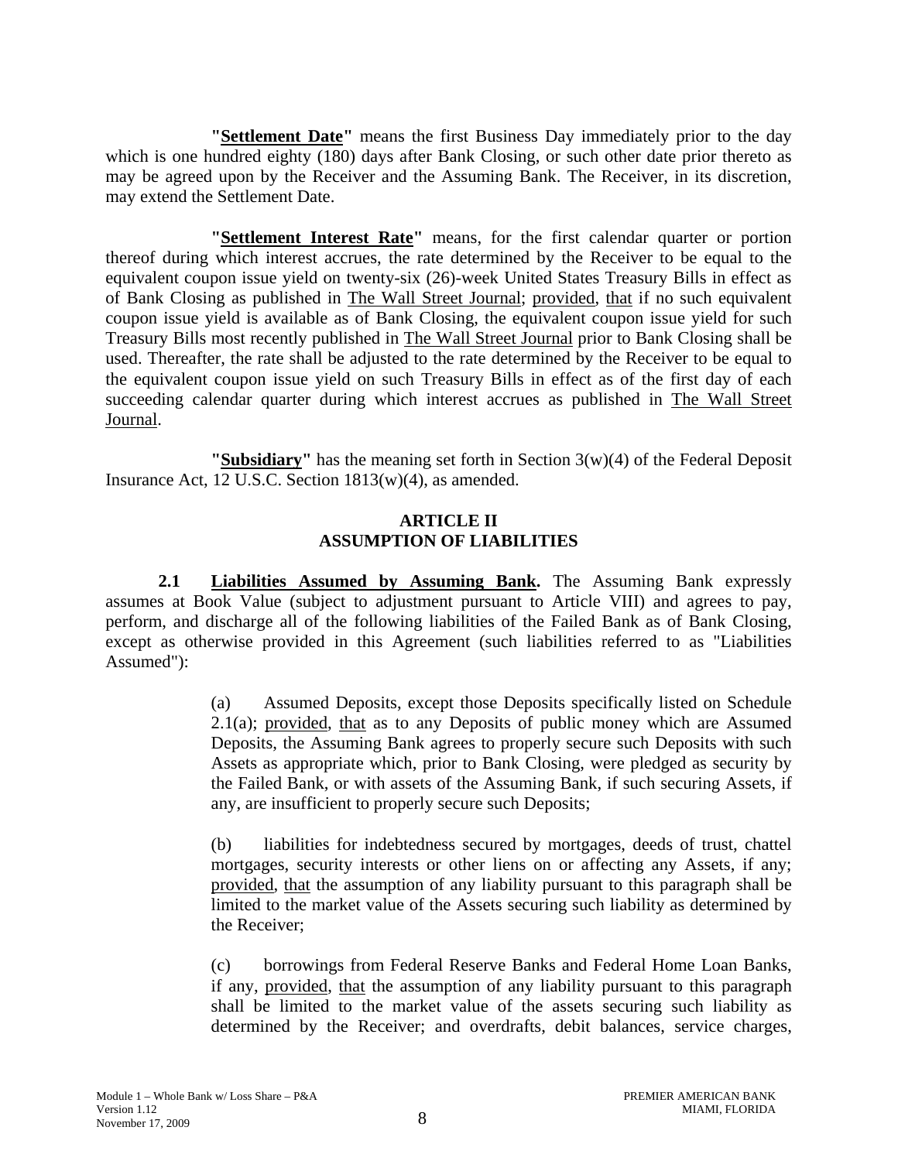**"Settlement Date"** means the first Business Day immediately prior to the day which is one hundred eighty (180) days after Bank Closing, or such other date prior thereto as may be agreed upon by the Receiver and the Assuming Bank. The Receiver, in its discretion, may extend the Settlement Date.

**"Settlement Interest Rate"** means, for the first calendar quarter or portion thereof during which interest accrues, the rate determined by the Receiver to be equal to the equivalent coupon issue yield on twenty-six (26)-week United States Treasury Bills in effect as of Bank Closing as published in The Wall Street Journal; provided, that if no such equivalent coupon issue yield is available as of Bank Closing, the equivalent coupon issue yield for such Treasury Bills most recently published in The Wall Street Journal prior to Bank Closing shall be used. Thereafter, the rate shall be adjusted to the rate determined by the Receiver to be equal to the equivalent coupon issue yield on such Treasury Bills in effect as of the first day of each succeeding calendar quarter during which interest accrues as published in The Wall Street Journal.

**"Subsidiary"** has the meaning set forth in Section 3(w)(4) of the Federal Deposit Insurance Act, 12 U.S.C. Section 1813(w)(4), as amended.

### **ARTICLE II ASSUMPTION OF LIABILITIES**

 **2.1 Liabilities Assumed by Assuming Bank.** The Assuming Bank expressly assumes at Book Value (subject to adjustment pursuant to Article VIII) and agrees to pay, perform, and discharge all of the following liabilities of the Failed Bank as of Bank Closing, except as otherwise provided in this Agreement (such liabilities referred to as "Liabilities Assumed"):

> (a) Assumed Deposits, except those Deposits specifically listed on Schedule 2.1(a); provided, that as to any Deposits of public money which are Assumed Deposits, the Assuming Bank agrees to properly secure such Deposits with such Assets as appropriate which, prior to Bank Closing, were pledged as security by the Failed Bank, or with assets of the Assuming Bank, if such securing Assets, if any, are insufficient to properly secure such Deposits;

> (b) liabilities for indebtedness secured by mortgages, deeds of trust, chattel mortgages, security interests or other liens on or affecting any Assets, if any; provided, that the assumption of any liability pursuant to this paragraph shall be limited to the market value of the Assets securing such liability as determined by the Receiver;

> (c) borrowings from Federal Reserve Banks and Federal Home Loan Banks, if any, provided, that the assumption of any liability pursuant to this paragraph shall be limited to the market value of the assets securing such liability as determined by the Receiver; and overdrafts, debit balances, service charges,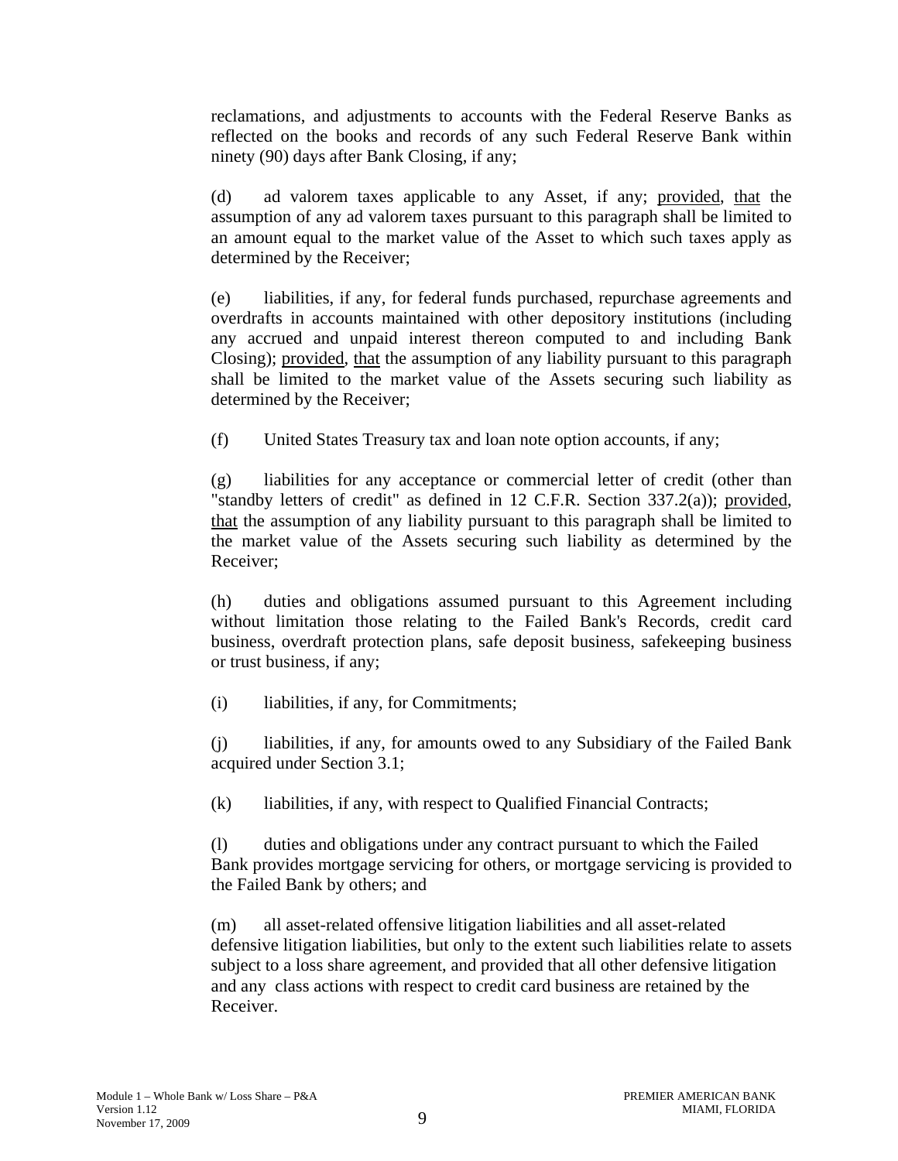reclamations, and adjustments to accounts with the Federal Reserve Banks as reflected on the books and records of any such Federal Reserve Bank within ninety (90) days after Bank Closing, if any;

(d) ad valorem taxes applicable to any Asset, if any; provided, that the assumption of any ad valorem taxes pursuant to this paragraph shall be limited to an amount equal to the market value of the Asset to which such taxes apply as determined by the Receiver;

(e) liabilities, if any, for federal funds purchased, repurchase agreements and overdrafts in accounts maintained with other depository institutions (including any accrued and unpaid interest thereon computed to and including Bank Closing); provided, that the assumption of any liability pursuant to this paragraph shall be limited to the market value of the Assets securing such liability as determined by the Receiver;

(f) United States Treasury tax and loan note option accounts, if any;

(g) liabilities for any acceptance or commercial letter of credit (other than "standby letters of credit" as defined in 12 C.F.R. Section 337.2(a)); provided, that the assumption of any liability pursuant to this paragraph shall be limited to the market value of the Assets securing such liability as determined by the Receiver;

(h) duties and obligations assumed pursuant to this Agreement including without limitation those relating to the Failed Bank's Records, credit card business, overdraft protection plans, safe deposit business, safekeeping business or trust business, if any;

(i) liabilities, if any, for Commitments;

(j) liabilities, if any, for amounts owed to any Subsidiary of the Failed Bank acquired under Section 3.1;

(k) liabilities, if any, with respect to Qualified Financial Contracts;

(l) duties and obligations under any contract pursuant to which the Failed Bank provides mortgage servicing for others, or mortgage servicing is provided to the Failed Bank by others; and

(m) all asset-related offensive litigation liabilities and all asset-related defensive litigation liabilities, but only to the extent such liabilities relate to assets subject to a loss share agreement, and provided that all other defensive litigation and any class actions with respect to credit card business are retained by the Receiver.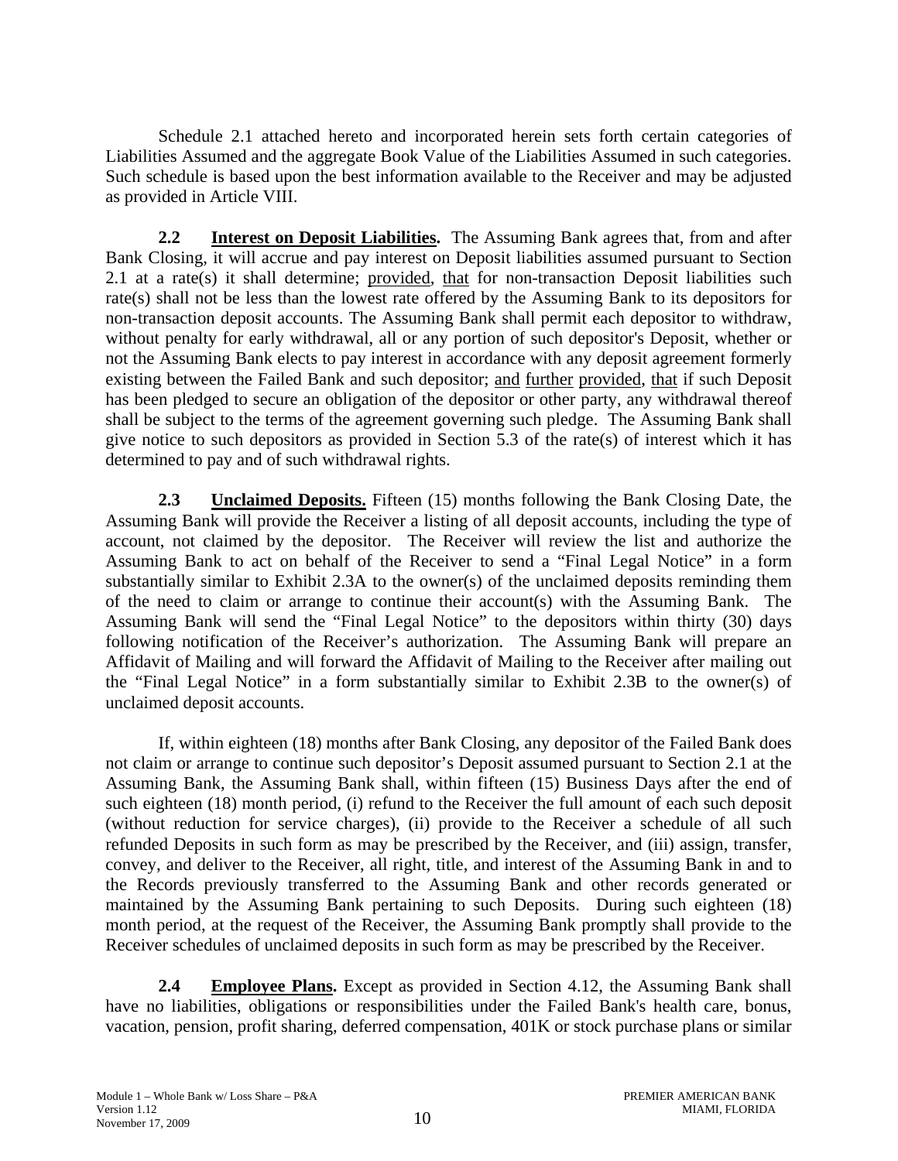Schedule 2.1 attached hereto and incorporated herein sets forth certain categories of Liabilities Assumed and the aggregate Book Value of the Liabilities Assumed in such categories. Such schedule is based upon the best information available to the Receiver and may be adjusted as provided in Article VIII.

**2.2 Interest on Deposit Liabilities.** The Assuming Bank agrees that, from and after Bank Closing, it will accrue and pay interest on Deposit liabilities assumed pursuant to Section 2.1 at a rate(s) it shall determine; provided, that for non-transaction Deposit liabilities such rate(s) shall not be less than the lowest rate offered by the Assuming Bank to its depositors for non-transaction deposit accounts. The Assuming Bank shall permit each depositor to withdraw, without penalty for early withdrawal, all or any portion of such depositor's Deposit, whether or not the Assuming Bank elects to pay interest in accordance with any deposit agreement formerly existing between the Failed Bank and such depositor; and further provided, that if such Deposit has been pledged to secure an obligation of the depositor or other party, any withdrawal thereof shall be subject to the terms of the agreement governing such pledge. The Assuming Bank shall give notice to such depositors as provided in Section 5.3 of the rate(s) of interest which it has determined to pay and of such withdrawal rights.

**2.3 Unclaimed Deposits.** Fifteen (15) months following the Bank Closing Date, the Assuming Bank will provide the Receiver a listing of all deposit accounts, including the type of account, not claimed by the depositor. The Receiver will review the list and authorize the Assuming Bank to act on behalf of the Receiver to send a "Final Legal Notice" in a form substantially similar to Exhibit 2.3A to the owner(s) of the unclaimed deposits reminding them of the need to claim or arrange to continue their account(s) with the Assuming Bank. The Assuming Bank will send the "Final Legal Notice" to the depositors within thirty (30) days following notification of the Receiver's authorization. The Assuming Bank will prepare an Affidavit of Mailing and will forward the Affidavit of Mailing to the Receiver after mailing out the "Final Legal Notice" in a form substantially similar to Exhibit 2.3B to the owner(s) of unclaimed deposit accounts.

If, within eighteen (18) months after Bank Closing, any depositor of the Failed Bank does not claim or arrange to continue such depositor's Deposit assumed pursuant to Section 2.1 at the Assuming Bank, the Assuming Bank shall, within fifteen (15) Business Days after the end of such eighteen (18) month period, (i) refund to the Receiver the full amount of each such deposit (without reduction for service charges), (ii) provide to the Receiver a schedule of all such refunded Deposits in such form as may be prescribed by the Receiver, and (iii) assign, transfer, convey, and deliver to the Receiver, all right, title, and interest of the Assuming Bank in and to the Records previously transferred to the Assuming Bank and other records generated or maintained by the Assuming Bank pertaining to such Deposits. During such eighteen (18) month period, at the request of the Receiver, the Assuming Bank promptly shall provide to the Receiver schedules of unclaimed deposits in such form as may be prescribed by the Receiver.

**2.4 Employee Plans.** Except as provided in Section 4.12, the Assuming Bank shall have no liabilities, obligations or responsibilities under the Failed Bank's health care, bonus, vacation, pension, profit sharing, deferred compensation, 401K or stock purchase plans or similar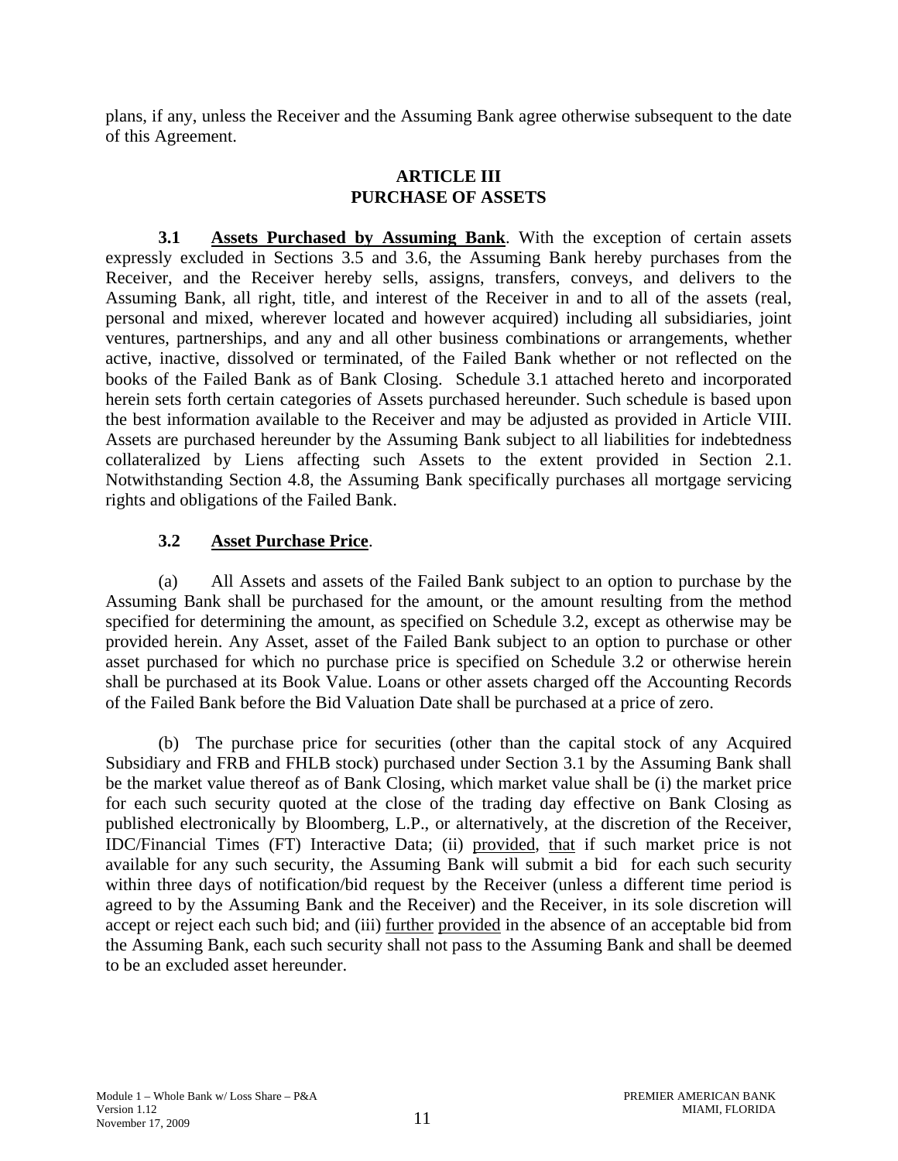plans, if any, unless the Receiver and the Assuming Bank agree otherwise subsequent to the date of this Agreement.

#### **ARTICLE III PURCHASE OF ASSETS**

the best information available to the Receiver and may be adjusted as provided in Article VIII.  **3.1 Assets Purchased by Assuming Bank**. With the exception of certain assets expressly excluded in Sections 3.5 and 3.6, the Assuming Bank hereby purchases from the Receiver, and the Receiver hereby sells, assigns, transfers, conveys, and delivers to the Assuming Bank, all right, title, and interest of the Receiver in and to all of the assets (real, personal and mixed, wherever located and however acquired) including all subsidiaries, joint ventures, partnerships, and any and all other business combinations or arrangements, whether active, inactive, dissolved or terminated, of the Failed Bank whether or not reflected on the books of the Failed Bank as of Bank Closing. Schedule 3.1 attached hereto and incorporated herein sets forth certain categories of Assets purchased hereunder. Such schedule is based upon Assets are purchased hereunder by the Assuming Bank subject to all liabilities for indebtedness collateralized by Liens affecting such Assets to the extent provided in Section 2.1. Notwithstanding Section 4.8, the Assuming Bank specifically purchases all mortgage servicing rights and obligations of the Failed Bank.

# **3.2 Asset Purchase Price**.

(a) All Assets and assets of the Failed Bank subject to an option to purchase by the Assuming Bank shall be purchased for the amount, or the amount resulting from the method specified for determining the amount, as specified on Schedule 3.2, except as otherwise may be provided herein. Any Asset, asset of the Failed Bank subject to an option to purchase or other asset purchased for which no purchase price is specified on Schedule 3.2 or otherwise herein shall be purchased at its Book Value. Loans or other assets charged off the Accounting Records of the Failed Bank before the Bid Valuation Date shall be purchased at a price of zero.

(b) The purchase price for securities (other than the capital stock of any Acquired Subsidiary and FRB and FHLB stock) purchased under Section 3.1 by the Assuming Bank shall be the market value thereof as of Bank Closing, which market value shall be (i) the market price for each such security quoted at the close of the trading day effective on Bank Closing as published electronically by Bloomberg, L.P., or alternatively, at the discretion of the Receiver, IDC/Financial Times (FT) Interactive Data; (ii) provided, that if such market price is not available for any such security, the Assuming Bank will submit a bid for each such security within three days of notification/bid request by the Receiver (unless a different time period is agreed to by the Assuming Bank and the Receiver) and the Receiver, in its sole discretion will accept or reject each such bid; and (iii) further provided in the absence of an acceptable bid from the Assuming Bank, each such security shall not pass to the Assuming Bank and shall be deemed to be an excluded asset hereunder.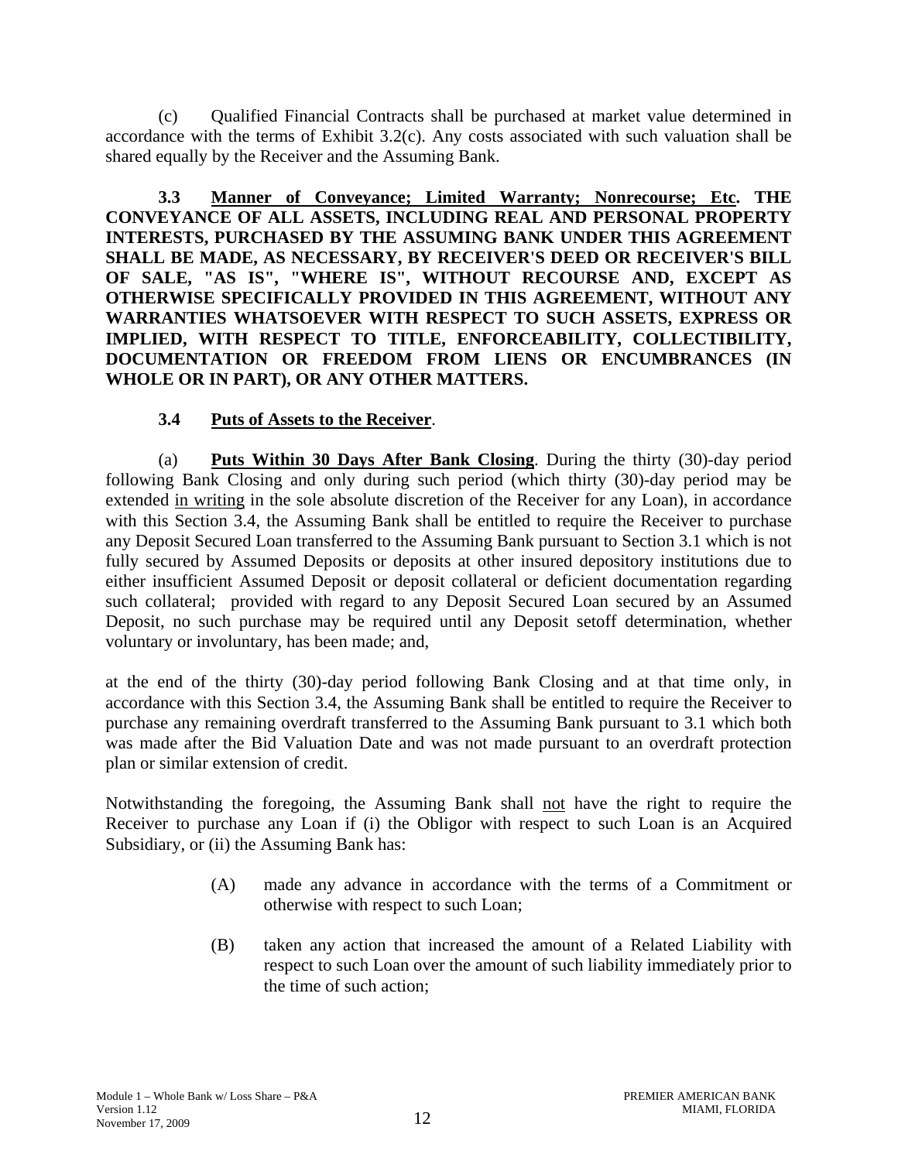(c) Qualified Financial Contracts shall be purchased at market value determined in accordance with the terms of Exhibit 3.2(c). Any costs associated with such valuation shall be shared equally by the Receiver and the Assuming Bank.

**3.3 Manner of Conveyance; Limited Warranty; Nonrecourse; Etc. THE CONVEYANCE OF ALL ASSETS, INCLUDING REAL AND PERSONAL PROPERTY INTERESTS, PURCHASED BY THE ASSUMING BANK UNDER THIS AGREEMENT SHALL BE MADE, AS NECESSARY, BY RECEIVER'S DEED OR RECEIVER'S BILL OF SALE, "AS IS", "WHERE IS", WITHOUT RECOURSE AND, EXCEPT AS OTHERWISE SPECIFICALLY PROVIDED IN THIS AGREEMENT, WITHOUT ANY WARRANTIES WHATSOEVER WITH RESPECT TO SUCH ASSETS, EXPRESS OR IMPLIED, WITH RESPECT TO TITLE, ENFORCEABILITY, COLLECTIBILITY, DOCUMENTATION OR FREEDOM FROM LIENS OR ENCUMBRANCES (IN WHOLE OR IN PART), OR ANY OTHER MATTERS.** 

### **3.4 Puts of Assets to the Receiver**.

(a) **Puts Within 30 Days After Bank Closing**. During the thirty (30)-day period following Bank Closing and only during such period (which thirty (30)-day period may be extended in writing in the sole absolute discretion of the Receiver for any Loan), in accordance with this Section 3.4, the Assuming Bank shall be entitled to require the Receiver to purchase any Deposit Secured Loan transferred to the Assuming Bank pursuant to Section 3.1 which is not fully secured by Assumed Deposits or deposits at other insured depository institutions due to either insufficient Assumed Deposit or deposit collateral or deficient documentation regarding such collateral; provided with regard to any Deposit Secured Loan secured by an Assumed Deposit, no such purchase may be required until any Deposit setoff determination, whether voluntary or involuntary, has been made; and,

at the end of the thirty (30)-day period following Bank Closing and at that time only, in accordance with this Section 3.4, the Assuming Bank shall be entitled to require the Receiver to purchase any remaining overdraft transferred to the Assuming Bank pursuant to 3.1 which both was made after the Bid Valuation Date and was not made pursuant to an overdraft protection plan or similar extension of credit.

Notwithstanding the foregoing, the Assuming Bank shall not have the right to require the Receiver to purchase any Loan if (i) the Obligor with respect to such Loan is an Acquired Subsidiary, or (ii) the Assuming Bank has:

- (A) made any advance in accordance with the terms of a Commitment or otherwise with respect to such Loan;
- (B) taken any action that increased the amount of a Related Liability with respect to such Loan over the amount of such liability immediately prior to the time of such action;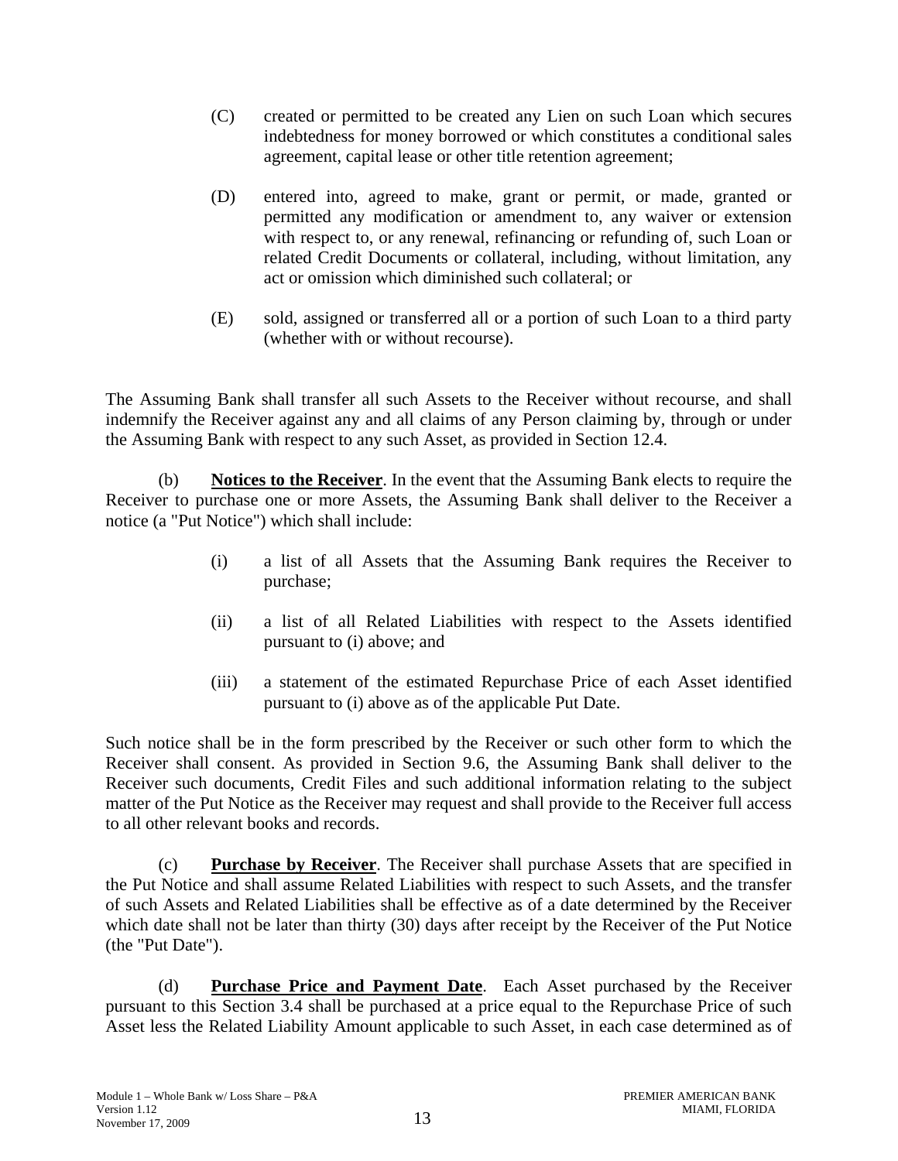- (C) created or permitted to be created any Lien on such Loan which secures indebtedness for money borrowed or which constitutes a conditional sales agreement, capital lease or other title retention agreement;
- (D) entered into, agreed to make, grant or permit, or made, granted or permitted any modification or amendment to, any waiver or extension with respect to, or any renewal, refinancing or refunding of, such Loan or related Credit Documents or collateral, including, without limitation, any act or omission which diminished such collateral; or
- (E) sold, assigned or transferred all or a portion of such Loan to a third party (whether with or without recourse).

The Assuming Bank shall transfer all such Assets to the Receiver without recourse, and shall indemnify the Receiver against any and all claims of any Person claiming by, through or under the Assuming Bank with respect to any such Asset, as provided in Section 12.4.

(b) **Notices to the Receiver**. In the event that the Assuming Bank elects to require the Receiver to purchase one or more Assets, the Assuming Bank shall deliver to the Receiver a notice (a "Put Notice") which shall include:

- (i) a list of all Assets that the Assuming Bank requires the Receiver to purchase;
- (ii) a list of all Related Liabilities with respect to the Assets identified pursuant to (i) above; and
- (iii) a statement of the estimated Repurchase Price of each Asset identified pursuant to (i) above as of the applicable Put Date.

Such notice shall be in the form prescribed by the Receiver or such other form to which the Receiver shall consent. As provided in Section 9.6, the Assuming Bank shall deliver to the Receiver such documents, Credit Files and such additional information relating to the subject matter of the Put Notice as the Receiver may request and shall provide to the Receiver full access to all other relevant books and records.

(c) **Purchase by Receiver**. The Receiver shall purchase Assets that are specified in the Put Notice and shall assume Related Liabilities with respect to such Assets, and the transfer of such Assets and Related Liabilities shall be effective as of a date determined by the Receiver which date shall not be later than thirty (30) days after receipt by the Receiver of the Put Notice (the "Put Date").

(d) **Purchase Price and Payment Date**. Each Asset purchased by the Receiver pursuant to this Section 3.4 shall be purchased at a price equal to the Repurchase Price of such Asset less the Related Liability Amount applicable to such Asset, in each case determined as of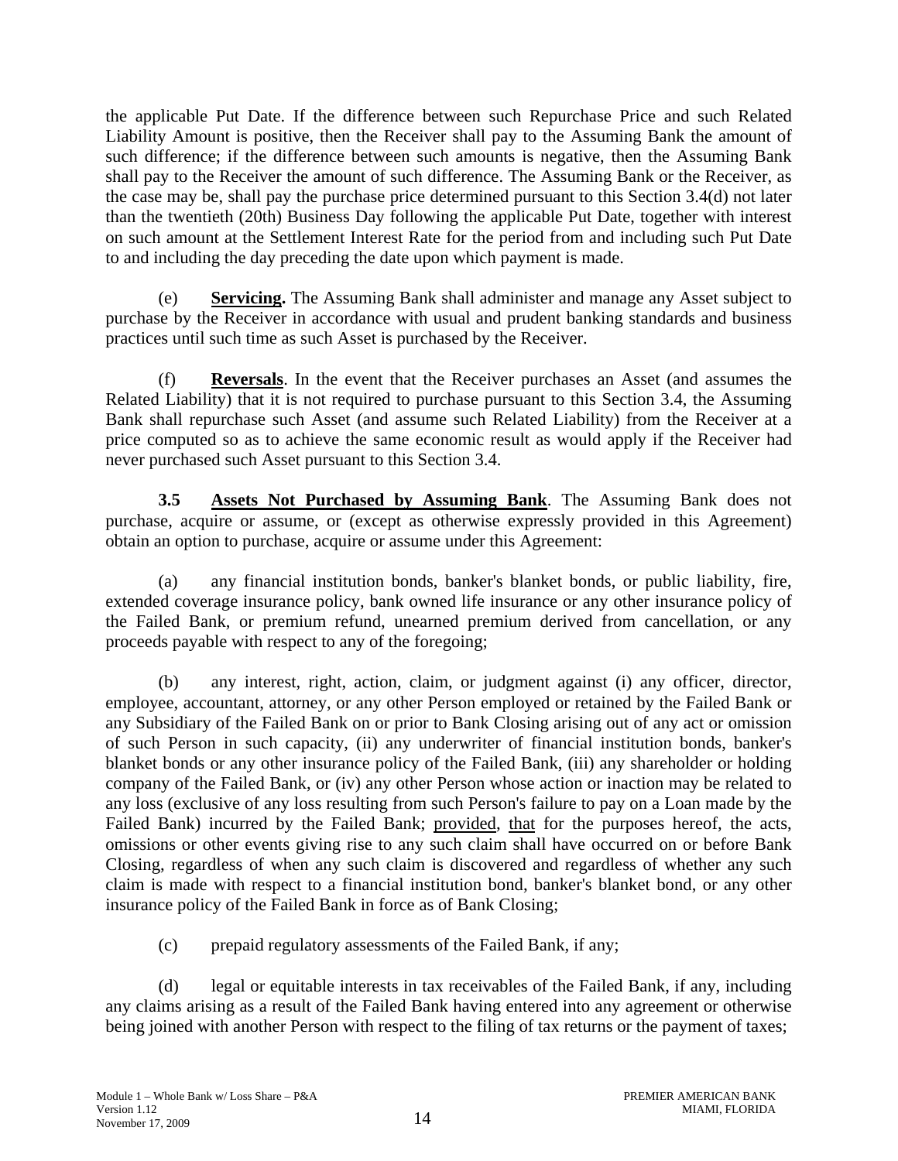the applicable Put Date. If the difference between such Repurchase Price and such Related Liability Amount is positive, then the Receiver shall pay to the Assuming Bank the amount of such difference; if the difference between such amounts is negative, then the Assuming Bank shall pay to the Receiver the amount of such difference. The Assuming Bank or the Receiver, as the case may be, shall pay the purchase price determined pursuant to this Section 3.4(d) not later than the twentieth (20th) Business Day following the applicable Put Date, together with interest on such amount at the Settlement Interest Rate for the period from and including such Put Date to and including the day preceding the date upon which payment is made.

(e) **Servicing.** The Assuming Bank shall administer and manage any Asset subject to purchase by the Receiver in accordance with usual and prudent banking standards and business practices until such time as such Asset is purchased by the Receiver.

(f) **Reversals**. In the event that the Receiver purchases an Asset (and assumes the Related Liability) that it is not required to purchase pursuant to this Section 3.4, the Assuming Bank shall repurchase such Asset (and assume such Related Liability) from the Receiver at a price computed so as to achieve the same economic result as would apply if the Receiver had never purchased such Asset pursuant to this Section 3.4.

**3.5 Assets Not Purchased by Assuming Bank**. The Assuming Bank does not purchase, acquire or assume, or (except as otherwise expressly provided in this Agreement) obtain an option to purchase, acquire or assume under this Agreement:

(a) any financial institution bonds, banker's blanket bonds, or public liability, fire, extended coverage insurance policy, bank owned life insurance or any other insurance policy of the Failed Bank, or premium refund, unearned premium derived from cancellation, or any proceeds payable with respect to any of the foregoing;

(b) any interest, right, action, claim, or judgment against (i) any officer, director, employee, accountant, attorney, or any other Person employed or retained by the Failed Bank or any Subsidiary of the Failed Bank on or prior to Bank Closing arising out of any act or omission of such Person in such capacity, (ii) any underwriter of financial institution bonds, banker's blanket bonds or any other insurance policy of the Failed Bank, (iii) any shareholder or holding company of the Failed Bank, or (iv) any other Person whose action or inaction may be related to any loss (exclusive of any loss resulting from such Person's failure to pay on a Loan made by the Failed Bank) incurred by the Failed Bank; provided, that for the purposes hereof, the acts, omissions or other events giving rise to any such claim shall have occurred on or before Bank Closing, regardless of when any such claim is discovered and regardless of whether any such claim is made with respect to a financial institution bond, banker's blanket bond, or any other insurance policy of the Failed Bank in force as of Bank Closing;

(c) prepaid regulatory assessments of the Failed Bank, if any;

(d) legal or equitable interests in tax receivables of the Failed Bank, if any, including any claims arising as a result of the Failed Bank having entered into any agreement or otherwise being joined with another Person with respect to the filing of tax returns or the payment of taxes;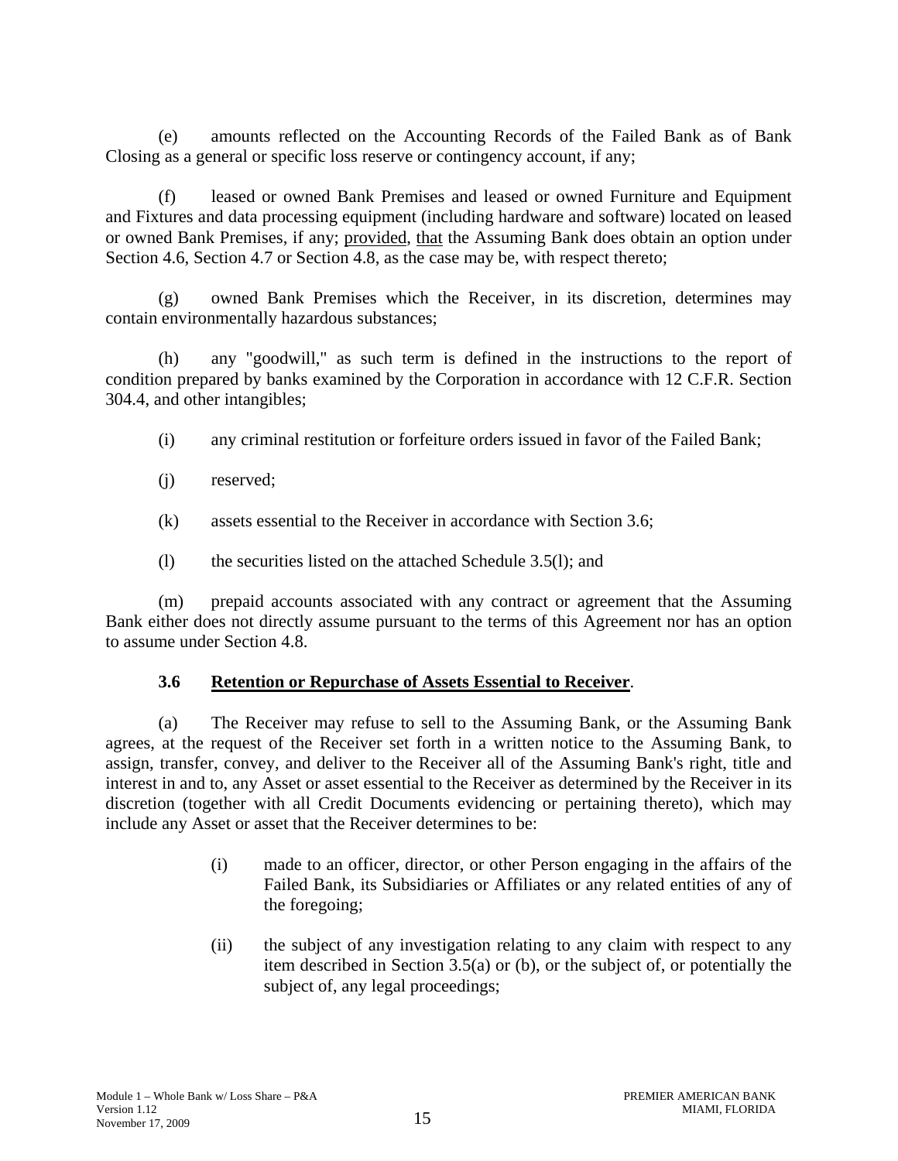(e) amounts reflected on the Accounting Records of the Failed Bank as of Bank Closing as a general or specific loss reserve or contingency account, if any;

(f) leased or owned Bank Premises and leased or owned Furniture and Equipment and Fixtures and data processing equipment (including hardware and software) located on leased or owned Bank Premises, if any; provided, that the Assuming Bank does obtain an option under Section 4.6, Section 4.7 or Section 4.8, as the case may be, with respect thereto;

(g) owned Bank Premises which the Receiver, in its discretion, determines may contain environmentally hazardous substances;

(h) any "goodwill," as such term is defined in the instructions to the report of condition prepared by banks examined by the Corporation in accordance with 12 C.F.R. Section 304.4, and other intangibles;

- (i) any criminal restitution or forfeiture orders issued in favor of the Failed Bank;
- (j) reserved;
- (k) assets essential to the Receiver in accordance with Section 3.6;
- (l) the securities listed on the attached Schedule 3.5(l); and

(m) prepaid accounts associated with any contract or agreement that the Assuming Bank either does not directly assume pursuant to the terms of this Agreement nor has an option to assume under Section 4.8.

### **3.6 Retention or Repurchase of Assets Essential to Receiver**.

(a) The Receiver may refuse to sell to the Assuming Bank, or the Assuming Bank agrees, at the request of the Receiver set forth in a written notice to the Assuming Bank, to assign, transfer, convey, and deliver to the Receiver all of the Assuming Bank's right, title and interest in and to, any Asset or asset essential to the Receiver as determined by the Receiver in its discretion (together with all Credit Documents evidencing or pertaining thereto), which may include any Asset or asset that the Receiver determines to be:

- (i) made to an officer, director, or other Person engaging in the affairs of the Failed Bank, its Subsidiaries or Affiliates or any related entities of any of the foregoing;
- (ii) the subject of any investigation relating to any claim with respect to any item described in Section 3.5(a) or (b), or the subject of, or potentially the subject of, any legal proceedings;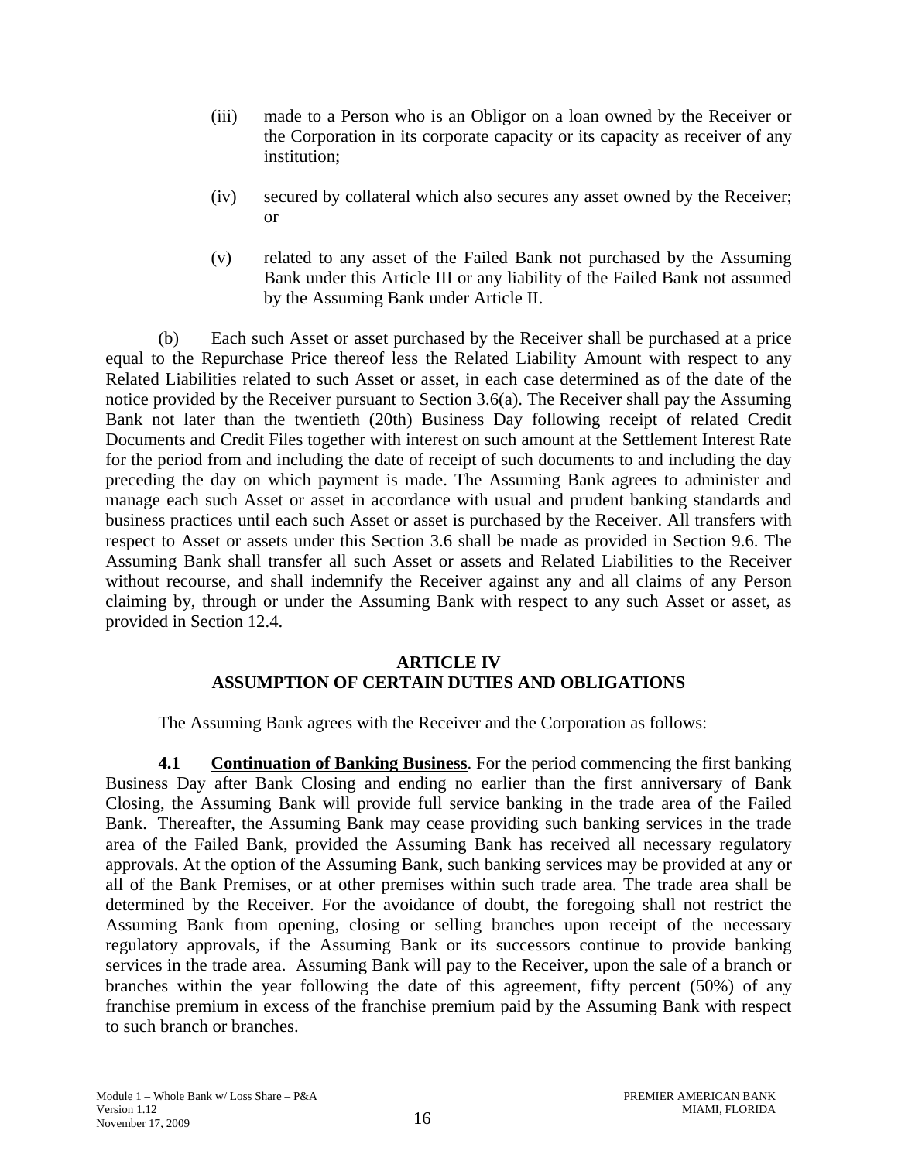- (iii) made to a Person who is an Obligor on a loan owned by the Receiver or the Corporation in its corporate capacity or its capacity as receiver of any institution;
- (iv) secured by collateral which also secures any asset owned by the Receiver; or
- (v) related to any asset of the Failed Bank not purchased by the Assuming Bank under this Article III or any liability of the Failed Bank not assumed by the Assuming Bank under Article II.

(b) Each such Asset or asset purchased by the Receiver shall be purchased at a price equal to the Repurchase Price thereof less the Related Liability Amount with respect to any Related Liabilities related to such Asset or asset, in each case determined as of the date of the notice provided by the Receiver pursuant to Section 3.6(a). The Receiver shall pay the Assuming Bank not later than the twentieth (20th) Business Day following receipt of related Credit Documents and Credit Files together with interest on such amount at the Settlement Interest Rate for the period from and including the date of receipt of such documents to and including the day preceding the day on which payment is made. The Assuming Bank agrees to administer and manage each such Asset or asset in accordance with usual and prudent banking standards and business practices until each such Asset or asset is purchased by the Receiver. All transfers with respect to Asset or assets under this Section 3.6 shall be made as provided in Section 9.6. The Assuming Bank shall transfer all such Asset or assets and Related Liabilities to the Receiver without recourse, and shall indemnify the Receiver against any and all claims of any Person claiming by, through or under the Assuming Bank with respect to any such Asset or asset, as provided in Section 12.4.

### **ARTICLE IV ASSUMPTION OF CERTAIN DUTIES AND OBLIGATIONS**

The Assuming Bank agrees with the Receiver and the Corporation as follows:

**4.1 Continuation of Banking Business**. For the period commencing the first banking Business Day after Bank Closing and ending no earlier than the first anniversary of Bank Closing, the Assuming Bank will provide full service banking in the trade area of the Failed Bank. Thereafter, the Assuming Bank may cease providing such banking services in the trade area of the Failed Bank, provided the Assuming Bank has received all necessary regulatory approvals. At the option of the Assuming Bank, such banking services may be provided at any or all of the Bank Premises, or at other premises within such trade area. The trade area shall be determined by the Receiver. For the avoidance of doubt, the foregoing shall not restrict the Assuming Bank from opening, closing or selling branches upon receipt of the necessary regulatory approvals, if the Assuming Bank or its successors continue to provide banking services in the trade area. Assuming Bank will pay to the Receiver, upon the sale of a branch or branches within the year following the date of this agreement, fifty percent (50%) of any franchise premium in excess of the franchise premium paid by the Assuming Bank with respect to such branch or branches.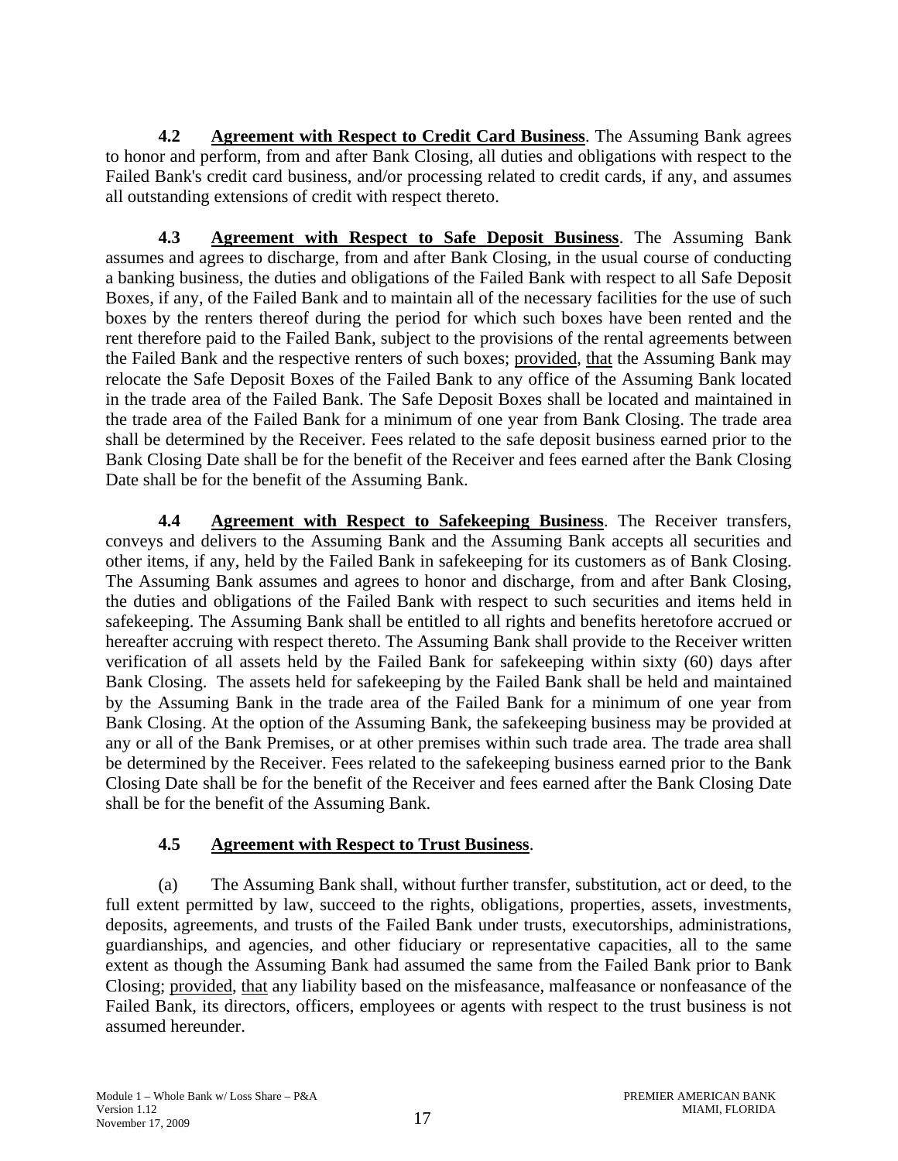**4.2** Agreement with Respect to Credit Card Business. The Assuming Bank agrees to honor and perform, from and after Bank Closing, all duties and obligations with respect to the Failed Bank's credit card business, and/or processing related to credit cards, if any, and assumes all outstanding extensions of credit with respect thereto.

**4.3 Agreement with Respect to Safe Deposit Business**. The Assuming Bank assumes and agrees to discharge, from and after Bank Closing, in the usual course of conducting a banking business, the duties and obligations of the Failed Bank with respect to all Safe Deposit Boxes, if any, of the Failed Bank and to maintain all of the necessary facilities for the use of such boxes by the renters thereof during the period for which such boxes have been rented and the rent therefore paid to the Failed Bank, subject to the provisions of the rental agreements between the Failed Bank and the respective renters of such boxes; provided, that the Assuming Bank may relocate the Safe Deposit Boxes of the Failed Bank to any office of the Assuming Bank located in the trade area of the Failed Bank. The Safe Deposit Boxes shall be located and maintained in the trade area of the Failed Bank for a minimum of one year from Bank Closing. The trade area shall be determined by the Receiver. Fees related to the safe deposit business earned prior to the Bank Closing Date shall be for the benefit of the Receiver and fees earned after the Bank Closing Date shall be for the benefit of the Assuming Bank.

**4.4 Agreement with Respect to Safekeeping Business**. The Receiver transfers, conveys and delivers to the Assuming Bank and the Assuming Bank accepts all securities and other items, if any, held by the Failed Bank in safekeeping for its customers as of Bank Closing. The Assuming Bank assumes and agrees to honor and discharge, from and after Bank Closing, the duties and obligations of the Failed Bank with respect to such securities and items held in safekeeping. The Assuming Bank shall be entitled to all rights and benefits heretofore accrued or hereafter accruing with respect thereto. The Assuming Bank shall provide to the Receiver written verification of all assets held by the Failed Bank for safekeeping within sixty (60) days after Bank Closing. The assets held for safekeeping by the Failed Bank shall be held and maintained by the Assuming Bank in the trade area of the Failed Bank for a minimum of one year from Bank Closing. At the option of the Assuming Bank, the safekeeping business may be provided at any or all of the Bank Premises, or at other premises within such trade area. The trade area shall be determined by the Receiver. Fees related to the safekeeping business earned prior to the Bank Closing Date shall be for the benefit of the Receiver and fees earned after the Bank Closing Date shall be for the benefit of the Assuming Bank.

# **4.5 Agreement with Respect to Trust Business**.

(a) The Assuming Bank shall, without further transfer, substitution, act or deed, to the full extent permitted by law, succeed to the rights, obligations, properties, assets, investments, deposits, agreements, and trusts of the Failed Bank under trusts, executorships, administrations, guardianships, and agencies, and other fiduciary or representative capacities, all to the same extent as though the Assuming Bank had assumed the same from the Failed Bank prior to Bank Closing; provided, that any liability based on the misfeasance, malfeasance or nonfeasance of the Failed Bank, its directors, officers, employees or agents with respect to the trust business is not assumed hereunder.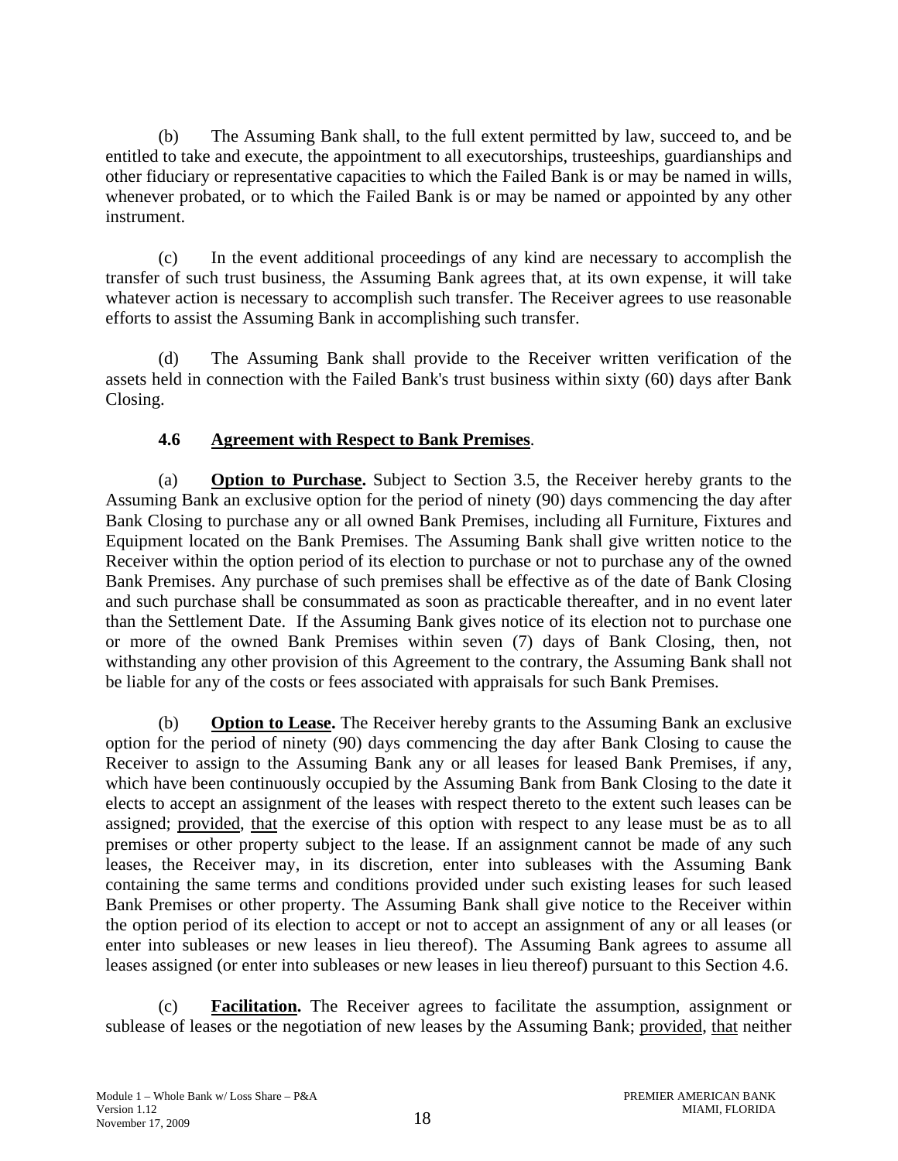(b) The Assuming Bank shall, to the full extent permitted by law, succeed to, and be entitled to take and execute, the appointment to all executorships, trusteeships, guardianships and other fiduciary or representative capacities to which the Failed Bank is or may be named in wills, whenever probated, or to which the Failed Bank is or may be named or appointed by any other instrument.

(c) In the event additional proceedings of any kind are necessary to accomplish the transfer of such trust business, the Assuming Bank agrees that, at its own expense, it will take whatever action is necessary to accomplish such transfer. The Receiver agrees to use reasonable efforts to assist the Assuming Bank in accomplishing such transfer.

(d) The Assuming Bank shall provide to the Receiver written verification of the assets held in connection with the Failed Bank's trust business within sixty (60) days after Bank Closing.

# **4.6 Agreement with Respect to Bank Premises**.

(a) **Option to Purchase.** Subject to Section 3.5, the Receiver hereby grants to the Assuming Bank an exclusive option for the period of ninety (90) days commencing the day after Bank Closing to purchase any or all owned Bank Premises, including all Furniture, Fixtures and Equipment located on the Bank Premises. The Assuming Bank shall give written notice to the Receiver within the option period of its election to purchase or not to purchase any of the owned Bank Premises. Any purchase of such premises shall be effective as of the date of Bank Closing and such purchase shall be consummated as soon as practicable thereafter, and in no event later than the Settlement Date. If the Assuming Bank gives notice of its election not to purchase one or more of the owned Bank Premises within seven (7) days of Bank Closing, then, not withstanding any other provision of this Agreement to the contrary, the Assuming Bank shall not be liable for any of the costs or fees associated with appraisals for such Bank Premises.

(b) **Option to Lease.** The Receiver hereby grants to the Assuming Bank an exclusive option for the period of ninety (90) days commencing the day after Bank Closing to cause the Receiver to assign to the Assuming Bank any or all leases for leased Bank Premises, if any, which have been continuously occupied by the Assuming Bank from Bank Closing to the date it elects to accept an assignment of the leases with respect thereto to the extent such leases can be assigned; provided, that the exercise of this option with respect to any lease must be as to all premises or other property subject to the lease. If an assignment cannot be made of any such leases, the Receiver may, in its discretion, enter into subleases with the Assuming Bank containing the same terms and conditions provided under such existing leases for such leased Bank Premises or other property. The Assuming Bank shall give notice to the Receiver within the option period of its election to accept or not to accept an assignment of any or all leases (or enter into subleases or new leases in lieu thereof). The Assuming Bank agrees to assume all leases assigned (or enter into subleases or new leases in lieu thereof) pursuant to this Section 4.6.

(c) **Facilitation.** The Receiver agrees to facilitate the assumption, assignment or sublease of leases or the negotiation of new leases by the Assuming Bank; provided, that neither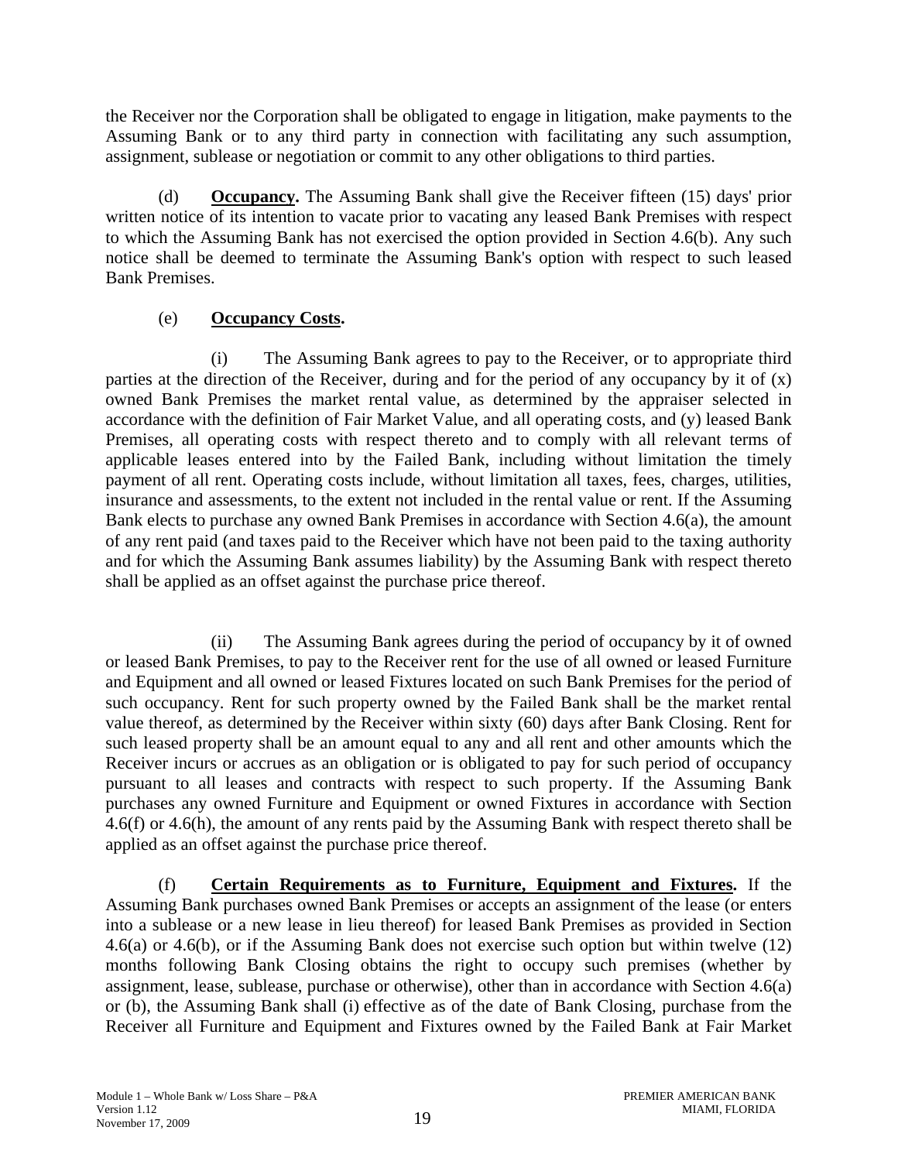the Receiver nor the Corporation shall be obligated to engage in litigation, make payments to the Assuming Bank or to any third party in connection with facilitating any such assumption, assignment, sublease or negotiation or commit to any other obligations to third parties.

(d) **Occupancy.** The Assuming Bank shall give the Receiver fifteen (15) days' prior written notice of its intention to vacate prior to vacating any leased Bank Premises with respect to which the Assuming Bank has not exercised the option provided in Section 4.6(b). Any such notice shall be deemed to terminate the Assuming Bank's option with respect to such leased Bank Premises.

# (e) **Occupancy Costs.**

(i) The Assuming Bank agrees to pay to the Receiver, or to appropriate third parties at the direction of the Receiver, during and for the period of any occupancy by it of (x) owned Bank Premises the market rental value, as determined by the appraiser selected in accordance with the definition of Fair Market Value, and all operating costs, and (y) leased Bank Premises, all operating costs with respect thereto and to comply with all relevant terms of applicable leases entered into by the Failed Bank, including without limitation the timely payment of all rent. Operating costs include, without limitation all taxes, fees, charges, utilities, insurance and assessments, to the extent not included in the rental value or rent. If the Assuming Bank elects to purchase any owned Bank Premises in accordance with Section 4.6(a), the amount of any rent paid (and taxes paid to the Receiver which have not been paid to the taxing authority and for which the Assuming Bank assumes liability) by the Assuming Bank with respect thereto shall be applied as an offset against the purchase price thereof.

(ii) The Assuming Bank agrees during the period of occupancy by it of owned or leased Bank Premises, to pay to the Receiver rent for the use of all owned or leased Furniture and Equipment and all owned or leased Fixtures located on such Bank Premises for the period of such occupancy. Rent for such property owned by the Failed Bank shall be the market rental value thereof, as determined by the Receiver within sixty (60) days after Bank Closing. Rent for such leased property shall be an amount equal to any and all rent and other amounts which the Receiver incurs or accrues as an obligation or is obligated to pay for such period of occupancy pursuant to all leases and contracts with respect to such property. If the Assuming Bank purchases any owned Furniture and Equipment or owned Fixtures in accordance with Section 4.6(f) or 4.6(h), the amount of any rents paid by the Assuming Bank with respect thereto shall be applied as an offset against the purchase price thereof.

(f) **Certain Requirements as to Furniture, Equipment and Fixtures.** If the Assuming Bank purchases owned Bank Premises or accepts an assignment of the lease (or enters into a sublease or a new lease in lieu thereof) for leased Bank Premises as provided in Section 4.6(a) or 4.6(b), or if the Assuming Bank does not exercise such option but within twelve (12) months following Bank Closing obtains the right to occupy such premises (whether by assignment, lease, sublease, purchase or otherwise), other than in accordance with Section 4.6(a) or (b), the Assuming Bank shall (i) effective as of the date of Bank Closing, purchase from the Receiver all Furniture and Equipment and Fixtures owned by the Failed Bank at Fair Market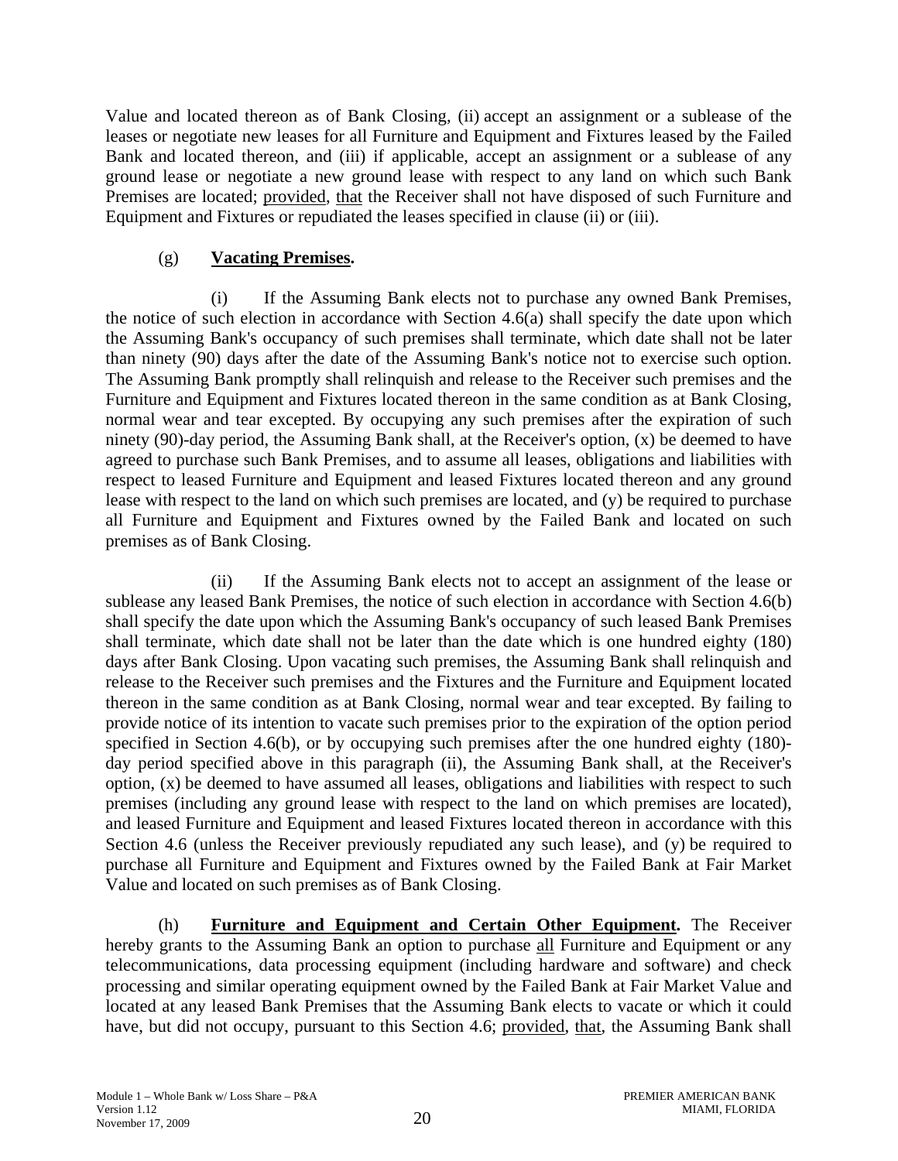Value and located thereon as of Bank Closing, (ii) accept an assignment or a sublease of the leases or negotiate new leases for all Furniture and Equipment and Fixtures leased by the Failed Bank and located thereon, and (iii) if applicable, accept an assignment or a sublease of any ground lease or negotiate a new ground lease with respect to any land on which such Bank Premises are located; provided, that the Receiver shall not have disposed of such Furniture and Equipment and Fixtures or repudiated the leases specified in clause (ii) or (iii).

### (g) **Vacating Premises.**

(i) If the Assuming Bank elects not to purchase any owned Bank Premises, the notice of such election in accordance with Section 4.6(a) shall specify the date upon which the Assuming Bank's occupancy of such premises shall terminate, which date shall not be later than ninety (90) days after the date of the Assuming Bank's notice not to exercise such option. The Assuming Bank promptly shall relinquish and release to the Receiver such premises and the Furniture and Equipment and Fixtures located thereon in the same condition as at Bank Closing, normal wear and tear excepted. By occupying any such premises after the expiration of such ninety (90)-day period, the Assuming Bank shall, at the Receiver's option, (x) be deemed to have agreed to purchase such Bank Premises, and to assume all leases, obligations and liabilities with respect to leased Furniture and Equipment and leased Fixtures located thereon and any ground lease with respect to the land on which such premises are located, and (y) be required to purchase all Furniture and Equipment and Fixtures owned by the Failed Bank and located on such premises as of Bank Closing.

(ii) If the Assuming Bank elects not to accept an assignment of the lease or sublease any leased Bank Premises, the notice of such election in accordance with Section 4.6(b) shall specify the date upon which the Assuming Bank's occupancy of such leased Bank Premises shall terminate, which date shall not be later than the date which is one hundred eighty (180) days after Bank Closing. Upon vacating such premises, the Assuming Bank shall relinquish and release to the Receiver such premises and the Fixtures and the Furniture and Equipment located thereon in the same condition as at Bank Closing, normal wear and tear excepted. By failing to provide notice of its intention to vacate such premises prior to the expiration of the option period specified in Section 4.6(b), or by occupying such premises after the one hundred eighty (180) day period specified above in this paragraph (ii), the Assuming Bank shall, at the Receiver's option, (x) be deemed to have assumed all leases, obligations and liabilities with respect to such premises (including any ground lease with respect to the land on which premises are located), and leased Furniture and Equipment and leased Fixtures located thereon in accordance with this Section 4.6 (unless the Receiver previously repudiated any such lease), and (y) be required to purchase all Furniture and Equipment and Fixtures owned by the Failed Bank at Fair Market Value and located on such premises as of Bank Closing.

(h) **Furniture and Equipment and Certain Other Equipment.** The Receiver hereby grants to the Assuming Bank an option to purchase all Furniture and Equipment or any telecommunications, data processing equipment (including hardware and software) and check processing and similar operating equipment owned by the Failed Bank at Fair Market Value and located at any leased Bank Premises that the Assuming Bank elects to vacate or which it could have, but did not occupy, pursuant to this Section 4.6; provided, that, the Assuming Bank shall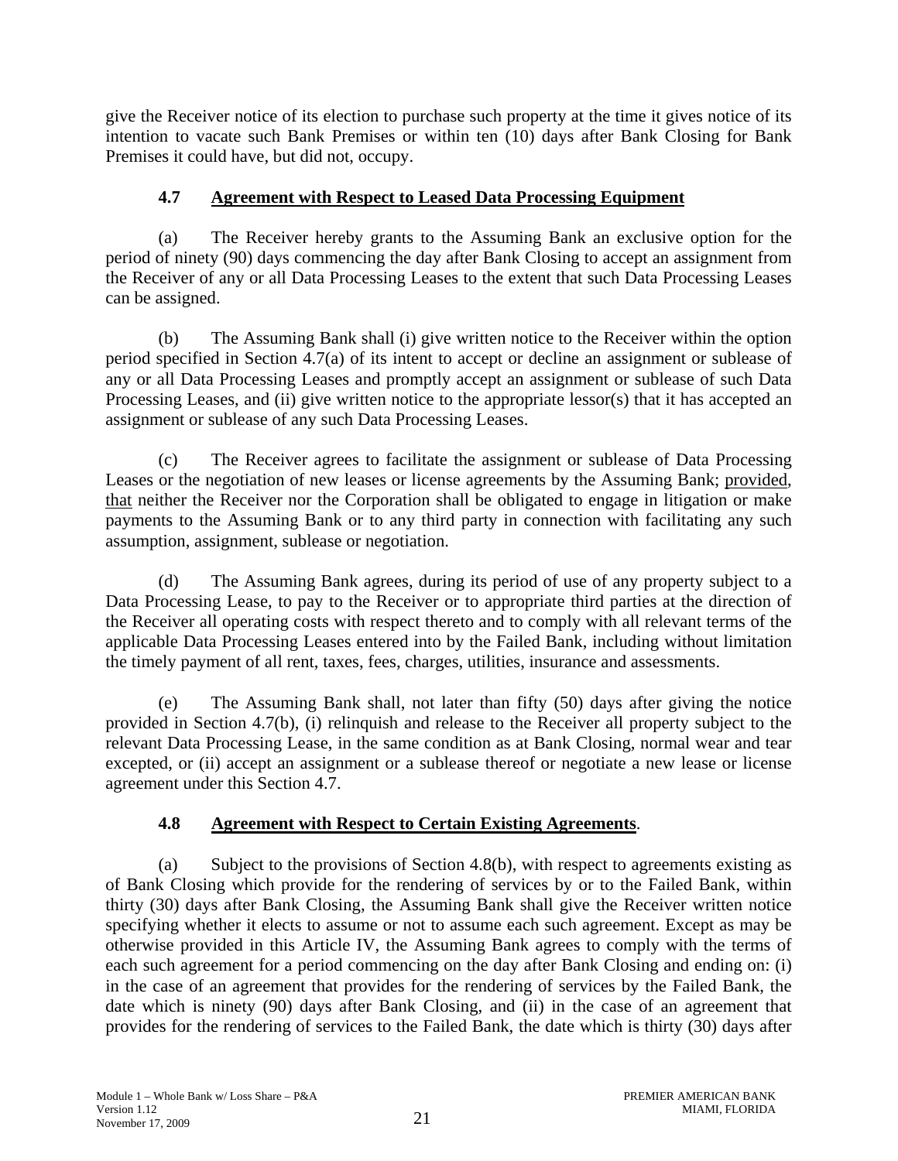give the Receiver notice of its election to purchase such property at the time it gives notice of its intention to vacate such Bank Premises or within ten (10) days after Bank Closing for Bank Premises it could have, but did not, occupy.

# **4.7 Agreement with Respect to Leased Data Processing Equipment**

(a) The Receiver hereby grants to the Assuming Bank an exclusive option for the period of ninety (90) days commencing the day after Bank Closing to accept an assignment from the Receiver of any or all Data Processing Leases to the extent that such Data Processing Leases can be assigned.

(b) The Assuming Bank shall (i) give written notice to the Receiver within the option period specified in Section 4.7(a) of its intent to accept or decline an assignment or sublease of any or all Data Processing Leases and promptly accept an assignment or sublease of such Data Processing Leases, and (ii) give written notice to the appropriate lessor(s) that it has accepted an assignment or sublease of any such Data Processing Leases.

(c) The Receiver agrees to facilitate the assignment or sublease of Data Processing Leases or the negotiation of new leases or license agreements by the Assuming Bank; provided, that neither the Receiver nor the Corporation shall be obligated to engage in litigation or make payments to the Assuming Bank or to any third party in connection with facilitating any such assumption, assignment, sublease or negotiation.

(d) The Assuming Bank agrees, during its period of use of any property subject to a Data Processing Lease, to pay to the Receiver or to appropriate third parties at the direction of the Receiver all operating costs with respect thereto and to comply with all relevant terms of the applicable Data Processing Leases entered into by the Failed Bank, including without limitation the timely payment of all rent, taxes, fees, charges, utilities, insurance and assessments.

(e) The Assuming Bank shall, not later than fifty (50) days after giving the notice provided in Section 4.7(b), (i) relinquish and release to the Receiver all property subject to the relevant Data Processing Lease, in the same condition as at Bank Closing, normal wear and tear excepted, or (ii) accept an assignment or a sublease thereof or negotiate a new lease or license agreement under this Section 4.7.

# **4.8 Agreement with Respect to Certain Existing Agreements**.

(a) Subject to the provisions of Section 4.8(b), with respect to agreements existing as of Bank Closing which provide for the rendering of services by or to the Failed Bank, within thirty (30) days after Bank Closing, the Assuming Bank shall give the Receiver written notice specifying whether it elects to assume or not to assume each such agreement. Except as may be otherwise provided in this Article IV, the Assuming Bank agrees to comply with the terms of each such agreement for a period commencing on the day after Bank Closing and ending on: (i) in the case of an agreement that provides for the rendering of services by the Failed Bank, the date which is ninety (90) days after Bank Closing, and (ii) in the case of an agreement that provides for the rendering of services to the Failed Bank, the date which is thirty (30) days after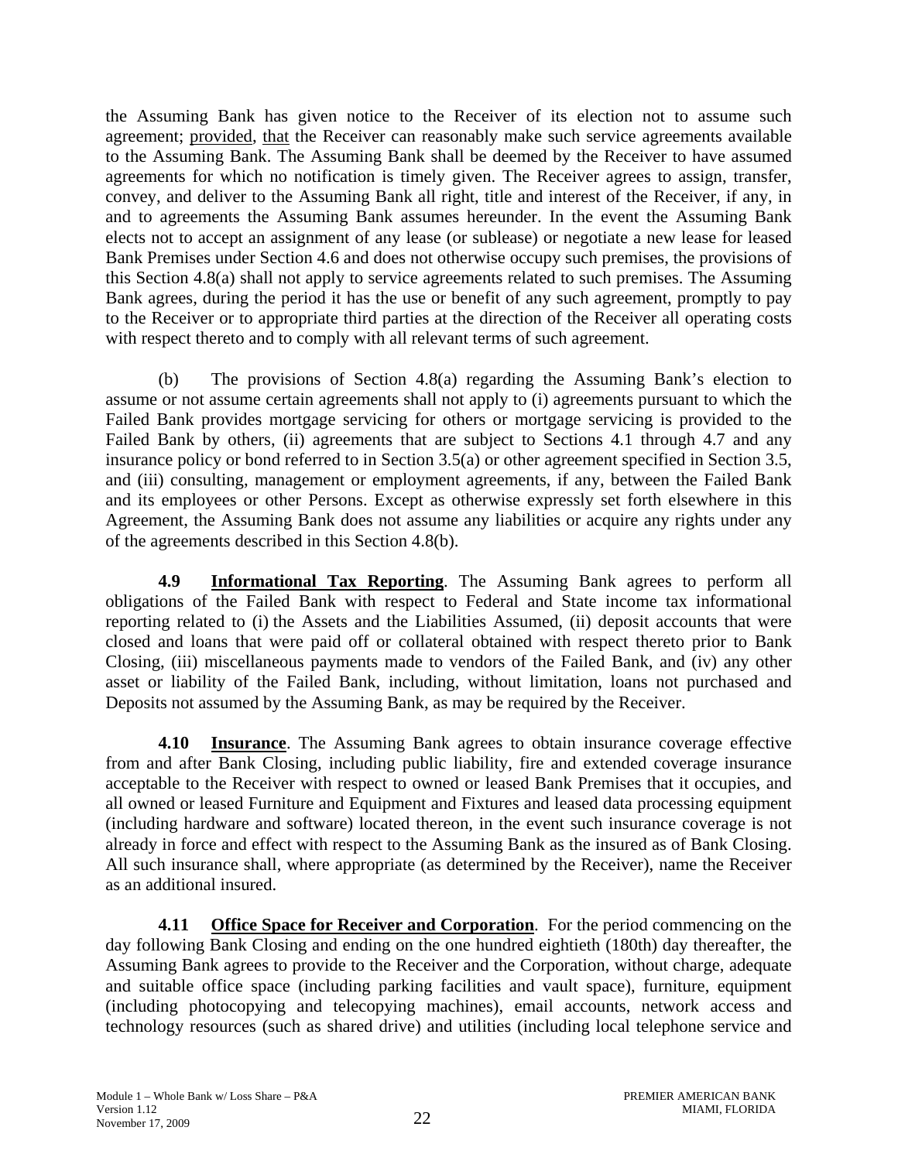the Assuming Bank has given notice to the Receiver of its election not to assume such agreement; provided, that the Receiver can reasonably make such service agreements available to the Assuming Bank. The Assuming Bank shall be deemed by the Receiver to have assumed agreements for which no notification is timely given. The Receiver agrees to assign, transfer, convey, and deliver to the Assuming Bank all right, title and interest of the Receiver, if any, in and to agreements the Assuming Bank assumes hereunder. In the event the Assuming Bank elects not to accept an assignment of any lease (or sublease) or negotiate a new lease for leased Bank Premises under Section 4.6 and does not otherwise occupy such premises, the provisions of this Section 4.8(a) shall not apply to service agreements related to such premises. The Assuming Bank agrees, during the period it has the use or benefit of any such agreement, promptly to pay to the Receiver or to appropriate third parties at the direction of the Receiver all operating costs with respect thereto and to comply with all relevant terms of such agreement.

(b) The provisions of Section 4.8(a) regarding the Assuming Bank's election to assume or not assume certain agreements shall not apply to (i) agreements pursuant to which the Failed Bank provides mortgage servicing for others or mortgage servicing is provided to the Failed Bank by others, (ii) agreements that are subject to Sections 4.1 through 4.7 and any insurance policy or bond referred to in Section 3.5(a) or other agreement specified in Section 3.5, and (iii) consulting, management or employment agreements, if any, between the Failed Bank and its employees or other Persons. Except as otherwise expressly set forth elsewhere in this Agreement, the Assuming Bank does not assume any liabilities or acquire any rights under any of the agreements described in this Section 4.8(b).

**4.9 Informational Tax Reporting**. The Assuming Bank agrees to perform all obligations of the Failed Bank with respect to Federal and State income tax informational reporting related to (i) the Assets and the Liabilities Assumed, (ii) deposit accounts that were closed and loans that were paid off or collateral obtained with respect thereto prior to Bank Closing, (iii) miscellaneous payments made to vendors of the Failed Bank, and (iv) any other asset or liability of the Failed Bank, including, without limitation, loans not purchased and Deposits not assumed by the Assuming Bank, as may be required by the Receiver.

**4.10 Insurance**. The Assuming Bank agrees to obtain insurance coverage effective from and after Bank Closing, including public liability, fire and extended coverage insurance acceptable to the Receiver with respect to owned or leased Bank Premises that it occupies, and all owned or leased Furniture and Equipment and Fixtures and leased data processing equipment (including hardware and software) located thereon, in the event such insurance coverage is not already in force and effect with respect to the Assuming Bank as the insured as of Bank Closing. All such insurance shall, where appropriate (as determined by the Receiver), name the Receiver as an additional insured.

**4.11** Office Space for Receiver and Corporation. For the period commencing on the day following Bank Closing and ending on the one hundred eightieth (180th) day thereafter, the Assuming Bank agrees to provide to the Receiver and the Corporation, without charge, adequate and suitable office space (including parking facilities and vault space), furniture, equipment (including photocopying and telecopying machines), email accounts, network access and technology resources (such as shared drive) and utilities (including local telephone service and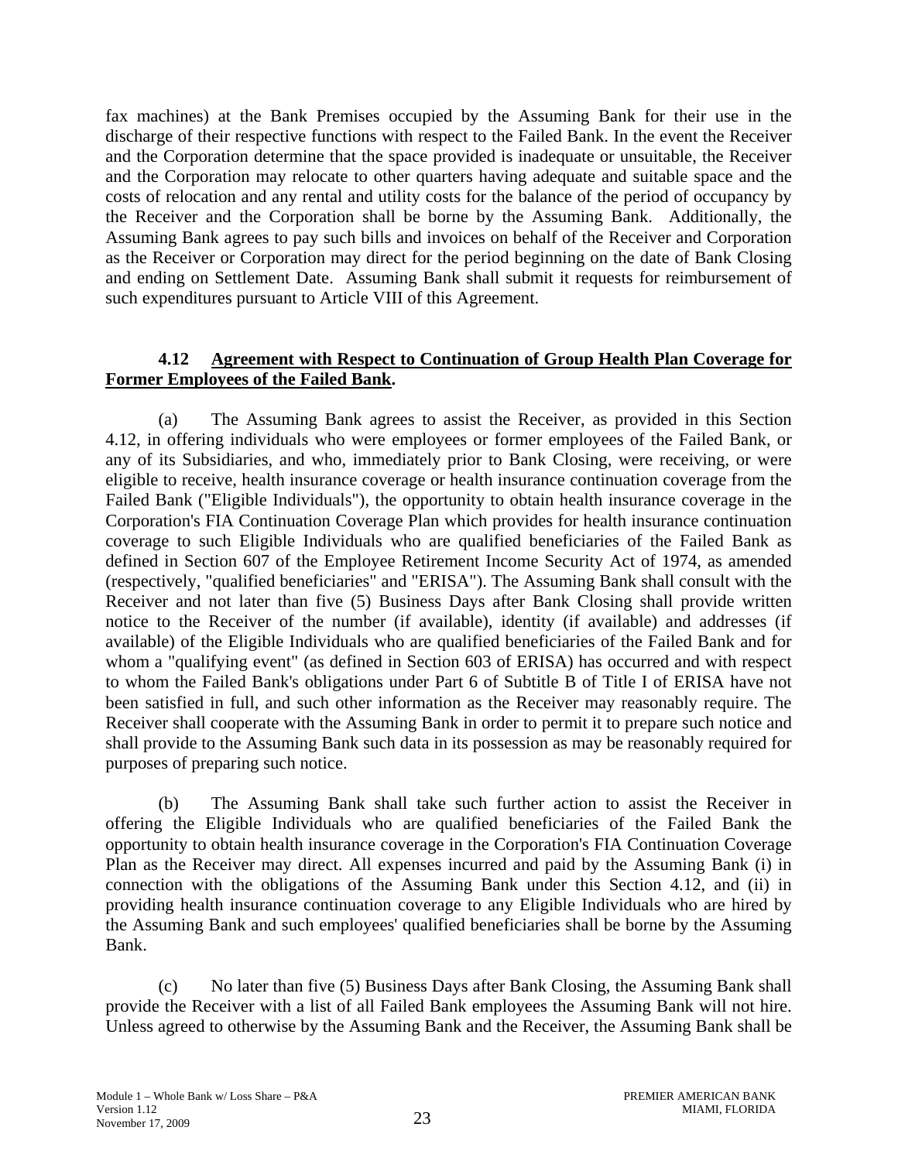fax machines) at the Bank Premises occupied by the Assuming Bank for their use in the discharge of their respective functions with respect to the Failed Bank. In the event the Receiver and the Corporation determine that the space provided is inadequate or unsuitable, the Receiver and the Corporation may relocate to other quarters having adequate and suitable space and the costs of relocation and any rental and utility costs for the balance of the period of occupancy by the Receiver and the Corporation shall be borne by the Assuming Bank. Additionally, the Assuming Bank agrees to pay such bills and invoices on behalf of the Receiver and Corporation as the Receiver or Corporation may direct for the period beginning on the date of Bank Closing and ending on Settlement Date. Assuming Bank shall submit it requests for reimbursement of such expenditures pursuant to Article VIII of this Agreement.

### **4.12 Agreement with Respect to Continuation of Group Health Plan Coverage for Former Employees of the Failed Bank.**

(a) The Assuming Bank agrees to assist the Receiver, as provided in this Section 4.12, in offering individuals who were employees or former employees of the Failed Bank, or any of its Subsidiaries, and who, immediately prior to Bank Closing, were receiving, or were eligible to receive, health insurance coverage or health insurance continuation coverage from the Failed Bank ("Eligible Individuals"), the opportunity to obtain health insurance coverage in the Corporation's FIA Continuation Coverage Plan which provides for health insurance continuation coverage to such Eligible Individuals who are qualified beneficiaries of the Failed Bank as defined in Section 607 of the Employee Retirement Income Security Act of 1974, as amended (respectively, "qualified beneficiaries" and "ERISA"). The Assuming Bank shall consult with the Receiver and not later than five (5) Business Days after Bank Closing shall provide written notice to the Receiver of the number (if available), identity (if available) and addresses (if available) of the Eligible Individuals who are qualified beneficiaries of the Failed Bank and for whom a "qualifying event" (as defined in Section 603 of ERISA) has occurred and with respect to whom the Failed Bank's obligations under Part 6 of Subtitle B of Title I of ERISA have not been satisfied in full, and such other information as the Receiver may reasonably require. The Receiver shall cooperate with the Assuming Bank in order to permit it to prepare such notice and shall provide to the Assuming Bank such data in its possession as may be reasonably required for purposes of preparing such notice.

(b) The Assuming Bank shall take such further action to assist the Receiver in offering the Eligible Individuals who are qualified beneficiaries of the Failed Bank the opportunity to obtain health insurance coverage in the Corporation's FIA Continuation Coverage Plan as the Receiver may direct. All expenses incurred and paid by the Assuming Bank (i) in connection with the obligations of the Assuming Bank under this Section 4.12, and (ii) in providing health insurance continuation coverage to any Eligible Individuals who are hired by the Assuming Bank and such employees' qualified beneficiaries shall be borne by the Assuming Bank.

(c) No later than five (5) Business Days after Bank Closing, the Assuming Bank shall provide the Receiver with a list of all Failed Bank employees the Assuming Bank will not hire. Unless agreed to otherwise by the Assuming Bank and the Receiver, the Assuming Bank shall be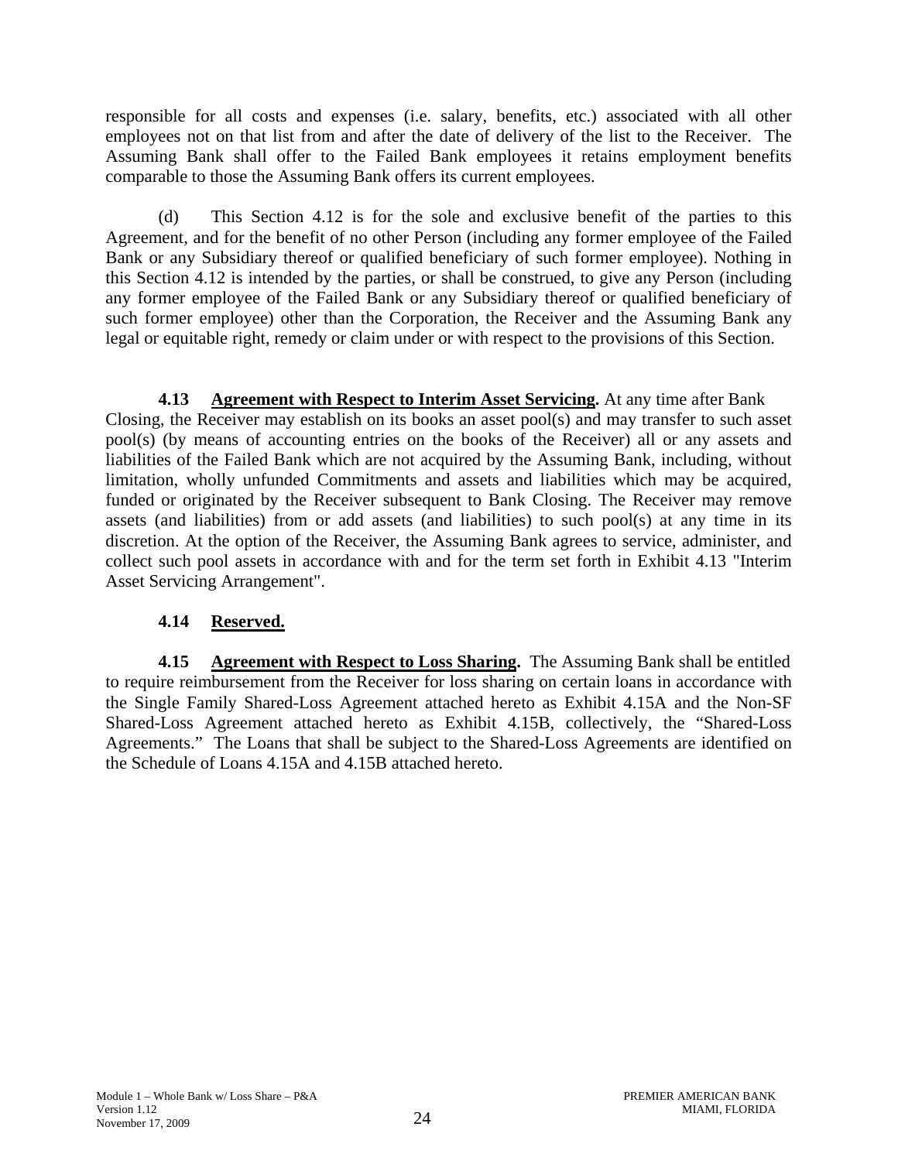responsible for all costs and expenses (i.e. salary, benefits, etc.) associated with all other employees not on that list from and after the date of delivery of the list to the Receiver. The Assuming Bank shall offer to the Failed Bank employees it retains employment benefits comparable to those the Assuming Bank offers its current employees.

(d) This Section 4.12 is for the sole and exclusive benefit of the parties to this Agreement, and for the benefit of no other Person (including any former employee of the Failed Bank or any Subsidiary thereof or qualified beneficiary of such former employee). Nothing in this Section 4.12 is intended by the parties, or shall be construed, to give any Person (including any former employee of the Failed Bank or any Subsidiary thereof or qualified beneficiary of such former employee) other than the Corporation, the Receiver and the Assuming Bank any legal or equitable right, remedy or claim under or with respect to the provisions of this Section.

**4.13 Agreement with Respect to Interim Asset Servicing.** At any time after Bank Closing, the Receiver may establish on its books an asset pool(s) and may transfer to such asset pool(s) (by means of accounting entries on the books of the Receiver) all or any assets and liabilities of the Failed Bank which are not acquired by the Assuming Bank, including, without limitation, wholly unfunded Commitments and assets and liabilities which may be acquired, funded or originated by the Receiver subsequent to Bank Closing. The Receiver may remove assets (and liabilities) from or add assets (and liabilities) to such pool(s) at any time in its discretion. At the option of the Receiver, the Assuming Bank agrees to service, administer, and collect such pool assets in accordance with and for the term set forth in Exhibit 4.13 "Interim Asset Servicing Arrangement".

# **4.14 Reserved.**

**4.15 Agreement with Respect to Loss Sharing.** The Assuming Bank shall be entitled to require reimbursement from the Receiver for loss sharing on certain loans in accordance with the Single Family Shared-Loss Agreement attached hereto as Exhibit 4.15A and the Non-SF Shared-Loss Agreement attached hereto as Exhibit 4.15B, collectively, the "Shared-Loss Agreements." The Loans that shall be subject to the Shared-Loss Agreements are identified on the Schedule of Loans 4.15A and 4.15B attached hereto.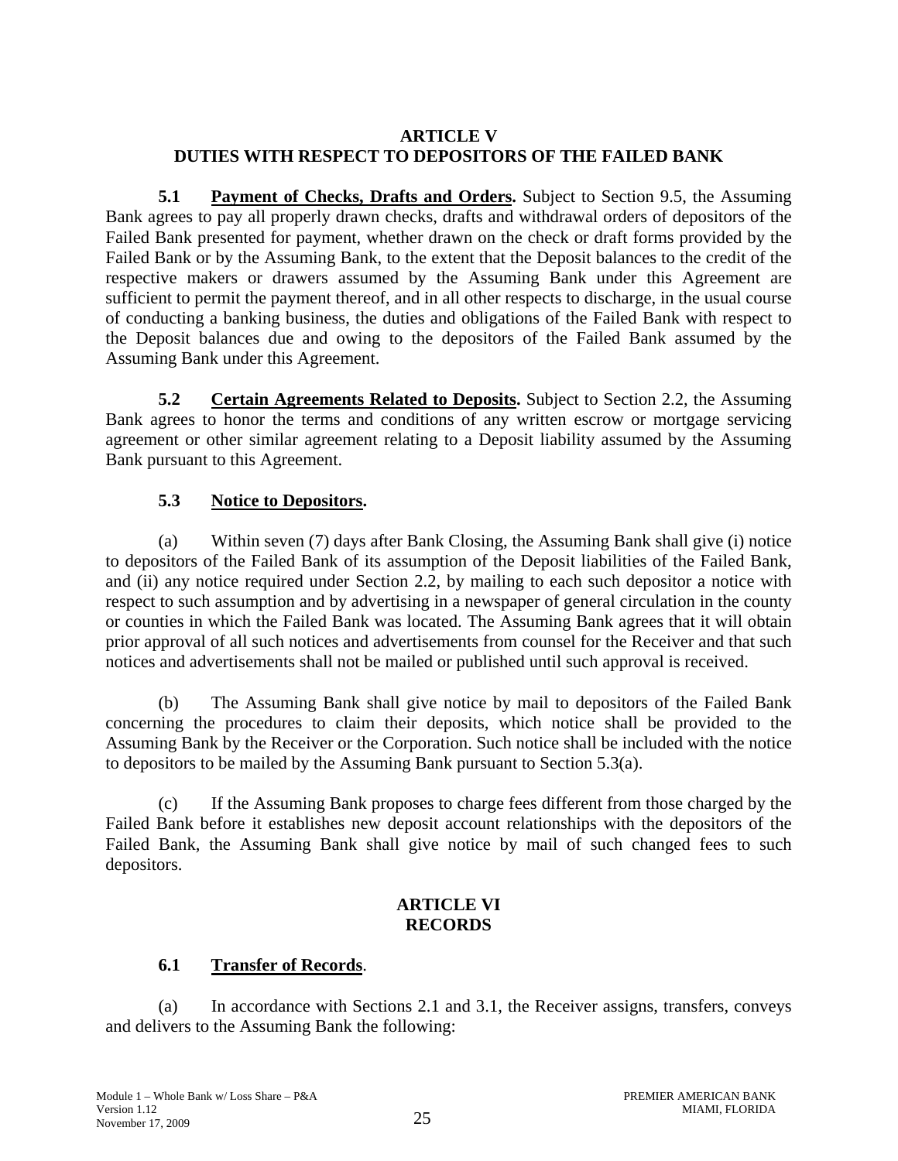# **ARTICLE V DUTIES WITH RESPECT TO DEPOSITORS OF THE FAILED BANK**

 **5.1 Payment of Checks, Drafts and Orders.** Subject to Section 9.5, the Assuming Bank agrees to pay all properly drawn checks, drafts and withdrawal orders of depositors of the Failed Bank presented for payment, whether drawn on the check or draft forms provided by the Failed Bank or by the Assuming Bank, to the extent that the Deposit balances to the credit of the respective makers or drawers assumed by the Assuming Bank under this Agreement are sufficient to permit the payment thereof, and in all other respects to discharge, in the usual course of conducting a banking business, the duties and obligations of the Failed Bank with respect to the Deposit balances due and owing to the depositors of the Failed Bank assumed by the Assuming Bank under this Agreement.

**5.2 Certain Agreements Related to Deposits.** Subject to Section 2.2, the Assuming Bank agrees to honor the terms and conditions of any written escrow or mortgage servicing agreement or other similar agreement relating to a Deposit liability assumed by the Assuming Bank pursuant to this Agreement.

# **5.3 Notice to Depositors.**

(a) Within seven (7) days after Bank Closing, the Assuming Bank shall give (i) notice to depositors of the Failed Bank of its assumption of the Deposit liabilities of the Failed Bank, and (ii) any notice required under Section 2.2, by mailing to each such depositor a notice with respect to such assumption and by advertising in a newspaper of general circulation in the county or counties in which the Failed Bank was located. The Assuming Bank agrees that it will obtain prior approval of all such notices and advertisements from counsel for the Receiver and that such notices and advertisements shall not be mailed or published until such approval is received.

(b) The Assuming Bank shall give notice by mail to depositors of the Failed Bank concerning the procedures to claim their deposits, which notice shall be provided to the Assuming Bank by the Receiver or the Corporation. Such notice shall be included with the notice to depositors to be mailed by the Assuming Bank pursuant to Section 5.3(a).

(c) If the Assuming Bank proposes to charge fees different from those charged by the Failed Bank before it establishes new deposit account relationships with the depositors of the Failed Bank, the Assuming Bank shall give notice by mail of such changed fees to such depositors.

### **ARTICLE VI RECORDS**

# **6.1 Transfer of Records**.

(a) In accordance with Sections 2.1 and 3.1, the Receiver assigns, transfers, conveys and delivers to the Assuming Bank the following: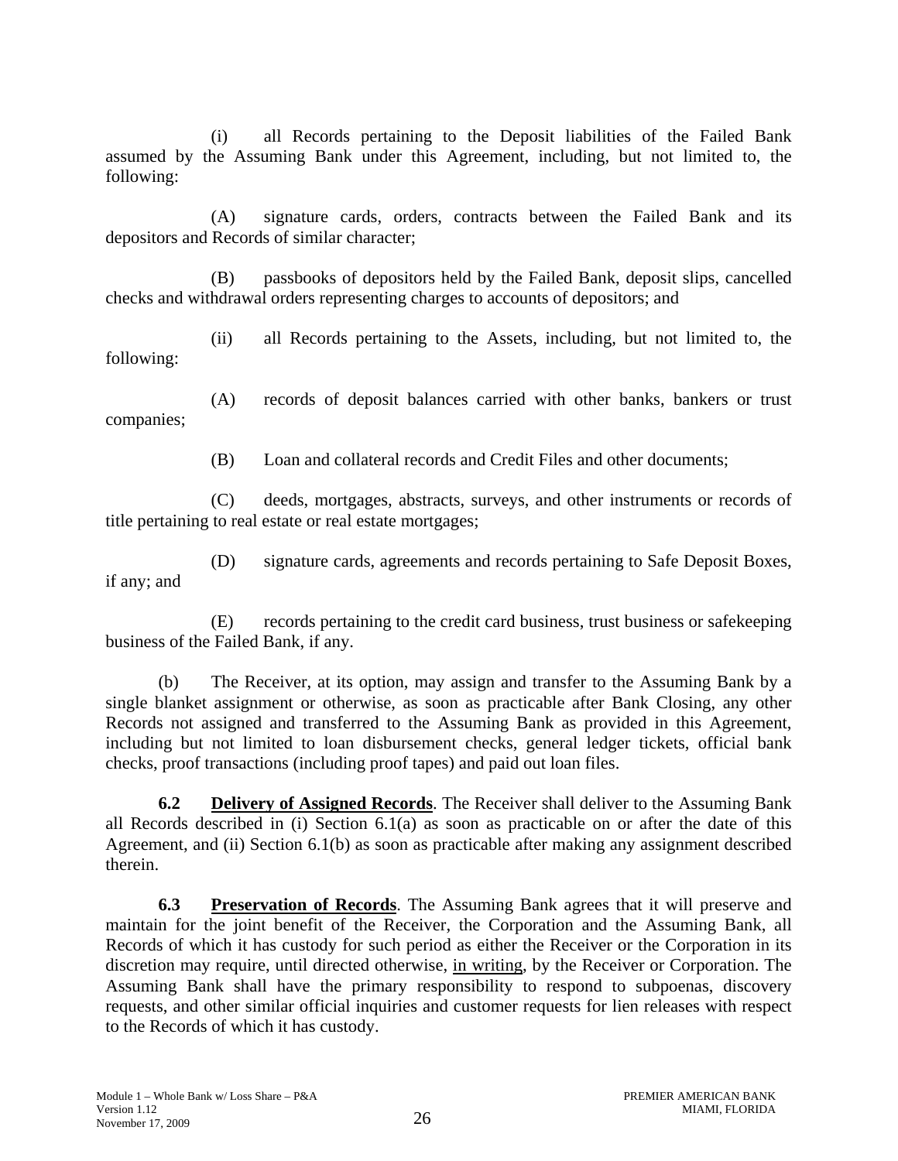(i) all Records pertaining to the Deposit liabilities of the Failed Bank assumed by the Assuming Bank under this Agreement, including, but not limited to, the following:

(A) signature cards, orders, contracts between the Failed Bank and its depositors and Records of similar character;

(B) passbooks of depositors held by the Failed Bank, deposit slips, cancelled checks and withdrawal orders representing charges to accounts of depositors; and

following: (ii) all Records pertaining to the Assets, including, but not limited to, the

companies; (A) records of deposit balances carried with other banks, bankers or trust

(B) Loan and collateral records and Credit Files and other documents;

(C) deeds, mortgages, abstracts, surveys, and other instruments or records of title pertaining to real estate or real estate mortgages;

(D) signature cards, agreements and records pertaining to Safe Deposit Boxes, if any; and

(E) records pertaining to the credit card business, trust business or safekeeping business of the Failed Bank, if any.

(b) The Receiver, at its option, may assign and transfer to the Assuming Bank by a single blanket assignment or otherwise, as soon as practicable after Bank Closing, any other Records not assigned and transferred to the Assuming Bank as provided in this Agreement, including but not limited to loan disbursement checks, general ledger tickets, official bank checks, proof transactions (including proof tapes) and paid out loan files.

**6.2 Delivery of Assigned Records**. The Receiver shall deliver to the Assuming Bank all Records described in (i) Section 6.1(a) as soon as practicable on or after the date of this Agreement, and (ii) Section 6.1(b) as soon as practicable after making any assignment described therein.

**6.3** Preservation of Records. The Assuming Bank agrees that it will preserve and maintain for the joint benefit of the Receiver, the Corporation and the Assuming Bank, all Records of which it has custody for such period as either the Receiver or the Corporation in its discretion may require, until directed otherwise, in writing, by the Receiver or Corporation. The Assuming Bank shall have the primary responsibility to respond to subpoenas, discovery requests, and other similar official inquiries and customer requests for lien releases with respect to the Records of which it has custody.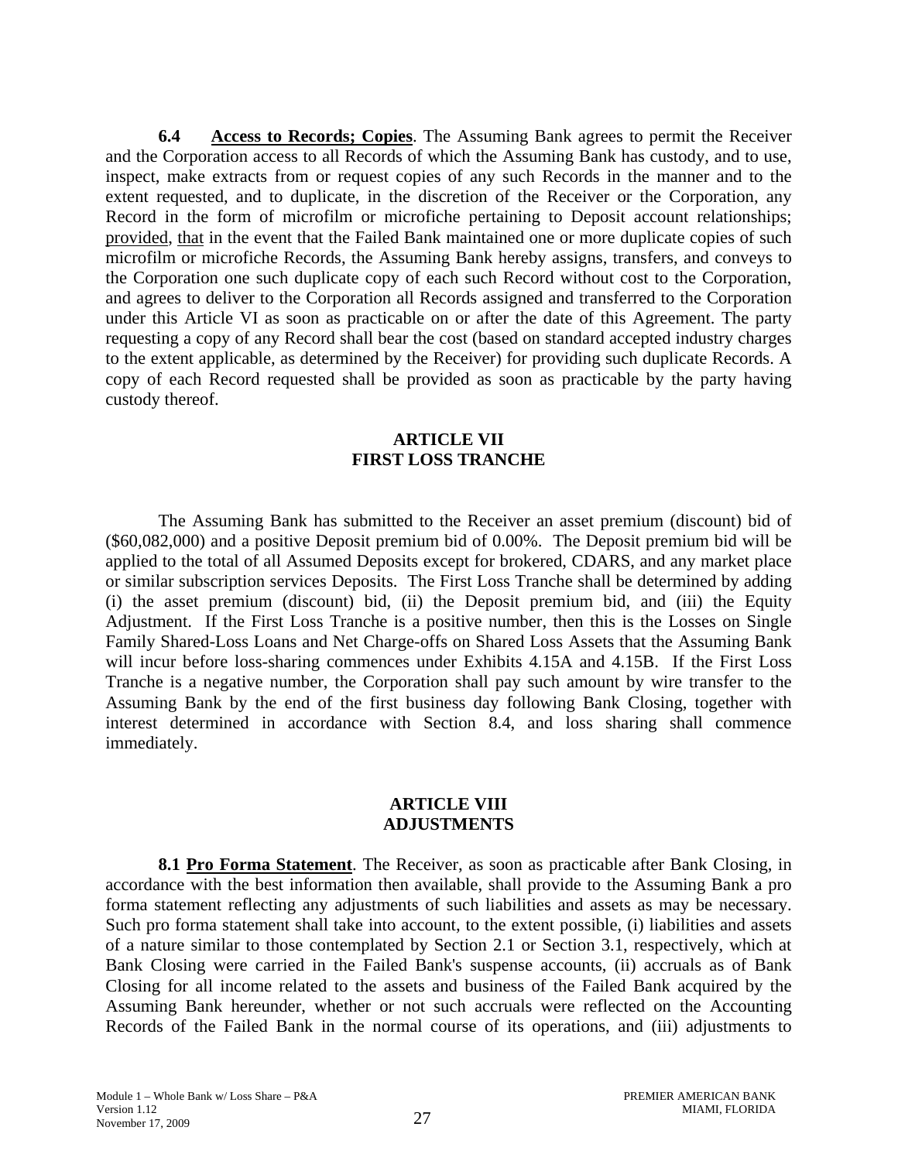**6.4 Access to Records; Copies**. The Assuming Bank agrees to permit the Receiver and the Corporation access to all Records of which the Assuming Bank has custody, and to use, inspect, make extracts from or request copies of any such Records in the manner and to the extent requested, and to duplicate, in the discretion of the Receiver or the Corporation, any Record in the form of microfilm or microfiche pertaining to Deposit account relationships; provided, that in the event that the Failed Bank maintained one or more duplicate copies of such microfilm or microfiche Records, the Assuming Bank hereby assigns, transfers, and conveys to the Corporation one such duplicate copy of each such Record without cost to the Corporation, and agrees to deliver to the Corporation all Records assigned and transferred to the Corporation under this Article VI as soon as practicable on or after the date of this Agreement. The party requesting a copy of any Record shall bear the cost (based on standard accepted industry charges to the extent applicable, as determined by the Receiver) for providing such duplicate Records. A copy of each Record requested shall be provided as soon as practicable by the party having custody thereof.

### **ARTICLE VII FIRST LOSS TRANCHE**

 The Assuming Bank has submitted to the Receiver an asset premium (discount) bid of (\$60,082,000) and a positive Deposit premium bid of 0.00%. The Deposit premium bid will be applied to the total of all Assumed Deposits except for brokered, CDARS, and any market place or similar subscription services Deposits. The First Loss Tranche shall be determined by adding (i) the asset premium (discount) bid, (ii) the Deposit premium bid, and (iii) the Equity Adjustment. If the First Loss Tranche is a positive number, then this is the Losses on Single Family Shared-Loss Loans and Net Charge-offs on Shared Loss Assets that the Assuming Bank will incur before loss-sharing commences under Exhibits 4.15A and 4.15B. If the First Loss Tranche is a negative number, the Corporation shall pay such amount by wire transfer to the Assuming Bank by the end of the first business day following Bank Closing, together with interest determined in accordance with Section 8.4, and loss sharing shall commence immediately.

#### **ARTICLE VIII ADJUSTMENTS**

**8.1 Pro Forma Statement**. The Receiver, as soon as practicable after Bank Closing, in accordance with the best information then available, shall provide to the Assuming Bank a pro forma statement reflecting any adjustments of such liabilities and assets as may be necessary. Such pro forma statement shall take into account, to the extent possible, (i) liabilities and assets of a nature similar to those contemplated by Section 2.1 or Section 3.1, respectively, which at Bank Closing were carried in the Failed Bank's suspense accounts, (ii) accruals as of Bank Closing for all income related to the assets and business of the Failed Bank acquired by the Assuming Bank hereunder, whether or not such accruals were reflected on the Accounting Records of the Failed Bank in the normal course of its operations, and (iii) adjustments to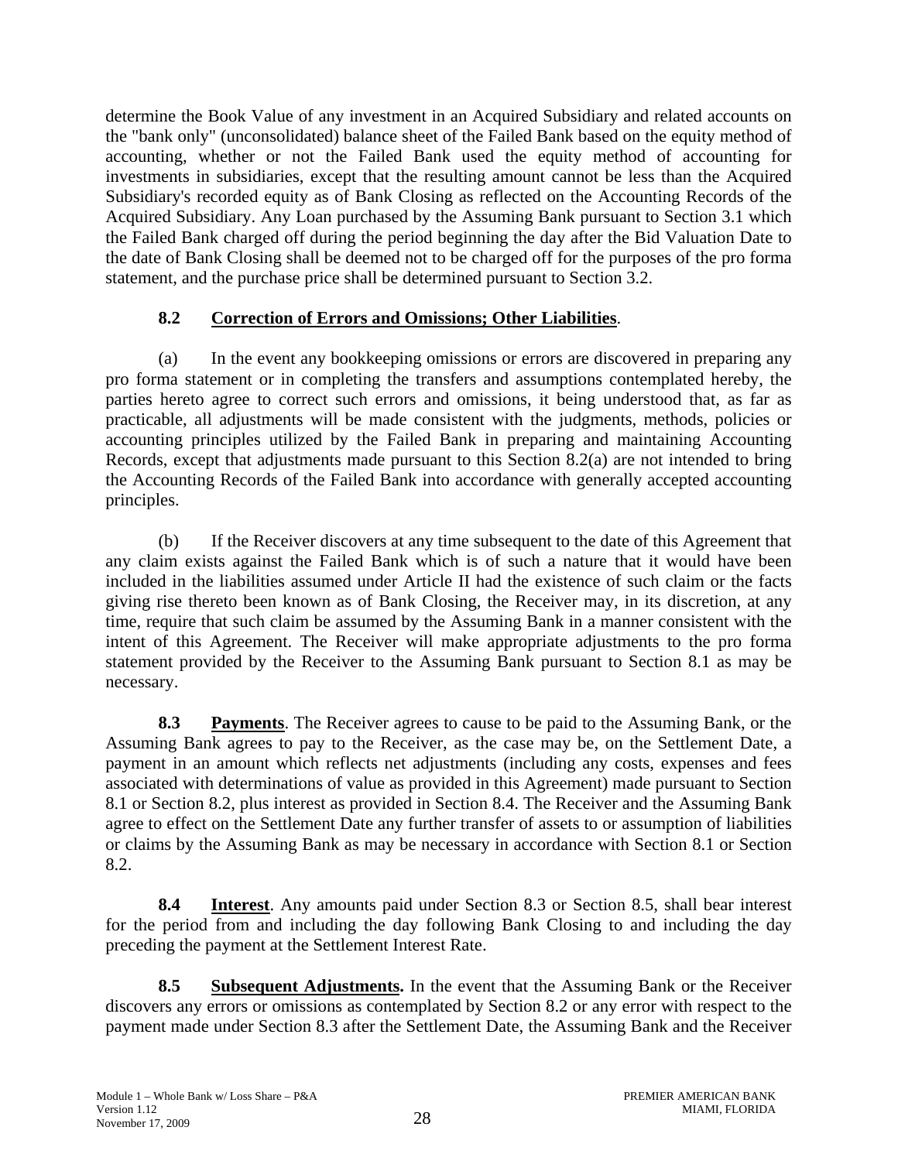determine the Book Value of any investment in an Acquired Subsidiary and related accounts on the "bank only" (unconsolidated) balance sheet of the Failed Bank based on the equity method of accounting, whether or not the Failed Bank used the equity method of accounting for investments in subsidiaries, except that the resulting amount cannot be less than the Acquired Subsidiary's recorded equity as of Bank Closing as reflected on the Accounting Records of the Acquired Subsidiary. Any Loan purchased by the Assuming Bank pursuant to Section 3.1 which the Failed Bank charged off during the period beginning the day after the Bid Valuation Date to the date of Bank Closing shall be deemed not to be charged off for the purposes of the pro forma statement, and the purchase price shall be determined pursuant to Section 3.2.

# **8.2 Correction of Errors and Omissions; Other Liabilities**.

(a) In the event any bookkeeping omissions or errors are discovered in preparing any pro forma statement or in completing the transfers and assumptions contemplated hereby, the parties hereto agree to correct such errors and omissions, it being understood that, as far as practicable, all adjustments will be made consistent with the judgments, methods, policies or accounting principles utilized by the Failed Bank in preparing and maintaining Accounting Records, except that adjustments made pursuant to this Section 8.2(a) are not intended to bring the Accounting Records of the Failed Bank into accordance with generally accepted accounting principles.

(b) If the Receiver discovers at any time subsequent to the date of this Agreement that any claim exists against the Failed Bank which is of such a nature that it would have been included in the liabilities assumed under Article II had the existence of such claim or the facts giving rise thereto been known as of Bank Closing, the Receiver may, in its discretion, at any time, require that such claim be assumed by the Assuming Bank in a manner consistent with the intent of this Agreement. The Receiver will make appropriate adjustments to the pro forma statement provided by the Receiver to the Assuming Bank pursuant to Section 8.1 as may be necessary.

**8.3 Payments**. The Receiver agrees to cause to be paid to the Assuming Bank, or the Assuming Bank agrees to pay to the Receiver, as the case may be, on the Settlement Date, a payment in an amount which reflects net adjustments (including any costs, expenses and fees associated with determinations of value as provided in this Agreement) made pursuant to Section 8.1 or Section 8.2, plus interest as provided in Section 8.4. The Receiver and the Assuming Bank agree to effect on the Settlement Date any further transfer of assets to or assumption of liabilities or claims by the Assuming Bank as may be necessary in accordance with Section 8.1 or Section 8.2.

**8.4 Interest**. Any amounts paid under Section 8.3 or Section 8.5, shall bear interest for the period from and including the day following Bank Closing to and including the day preceding the payment at the Settlement Interest Rate.

**8.5 Subsequent Adjustments.** In the event that the Assuming Bank or the Receiver discovers any errors or omissions as contemplated by Section 8.2 or any error with respect to the payment made under Section 8.3 after the Settlement Date, the Assuming Bank and the Receiver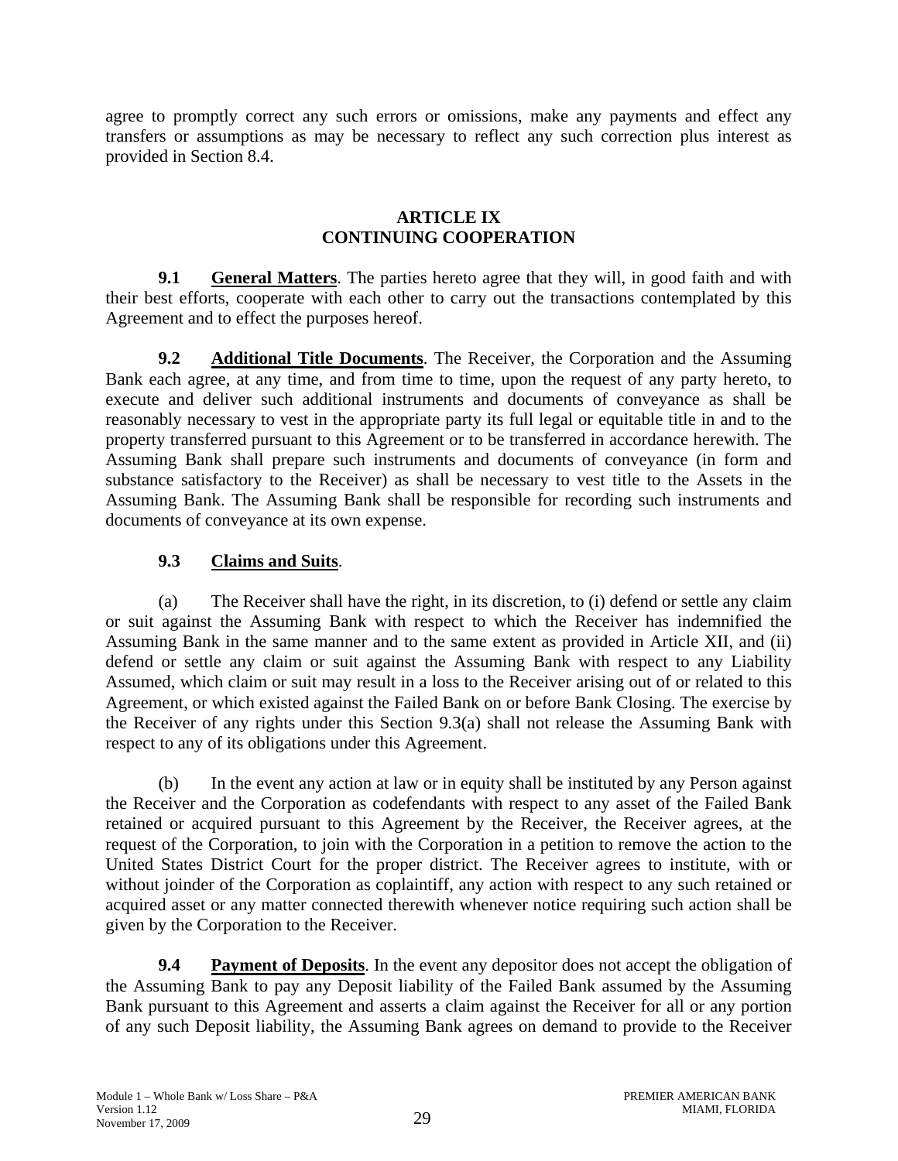agree to promptly correct any such errors or omissions, make any payments and effect any transfers or assumptions as may be necessary to reflect any such correction plus interest as provided in Section 8.4.

### **ARTICLE IX CONTINUING COOPERATION**

**9.1 General Matters**. The parties hereto agree that they will, in good faith and with their best efforts, cooperate with each other to carry out the transactions contemplated by this Agreement and to effect the purposes hereof.

**9.2 Additional Title Documents**. The Receiver, the Corporation and the Assuming Bank each agree, at any time, and from time to time, upon the request of any party hereto, to execute and deliver such additional instruments and documents of conveyance as shall be reasonably necessary to vest in the appropriate party its full legal or equitable title in and to the property transferred pursuant to this Agreement or to be transferred in accordance herewith. The Assuming Bank shall prepare such instruments and documents of conveyance (in form and substance satisfactory to the Receiver) as shall be necessary to vest title to the Assets in the Assuming Bank. The Assuming Bank shall be responsible for recording such instruments and documents of conveyance at its own expense.

# **9.3 Claims and Suits**.

(a) The Receiver shall have the right, in its discretion, to (i) defend or settle any claim or suit against the Assuming Bank with respect to which the Receiver has indemnified the Assuming Bank in the same manner and to the same extent as provided in Article XII, and (ii) defend or settle any claim or suit against the Assuming Bank with respect to any Liability Assumed, which claim or suit may result in a loss to the Receiver arising out of or related to this Agreement, or which existed against the Failed Bank on or before Bank Closing. The exercise by the Receiver of any rights under this Section 9.3(a) shall not release the Assuming Bank with respect to any of its obligations under this Agreement.

(b) In the event any action at law or in equity shall be instituted by any Person against the Receiver and the Corporation as codefendants with respect to any asset of the Failed Bank retained or acquired pursuant to this Agreement by the Receiver, the Receiver agrees, at the request of the Corporation, to join with the Corporation in a petition to remove the action to the United States District Court for the proper district. The Receiver agrees to institute, with or without joinder of the Corporation as coplaintiff, any action with respect to any such retained or acquired asset or any matter connected therewith whenever notice requiring such action shall be given by the Corporation to the Receiver.

**9.4 Payment of Deposits**. In the event any depositor does not accept the obligation of the Assuming Bank to pay any Deposit liability of the Failed Bank assumed by the Assuming Bank pursuant to this Agreement and asserts a claim against the Receiver for all or any portion of any such Deposit liability, the Assuming Bank agrees on demand to provide to the Receiver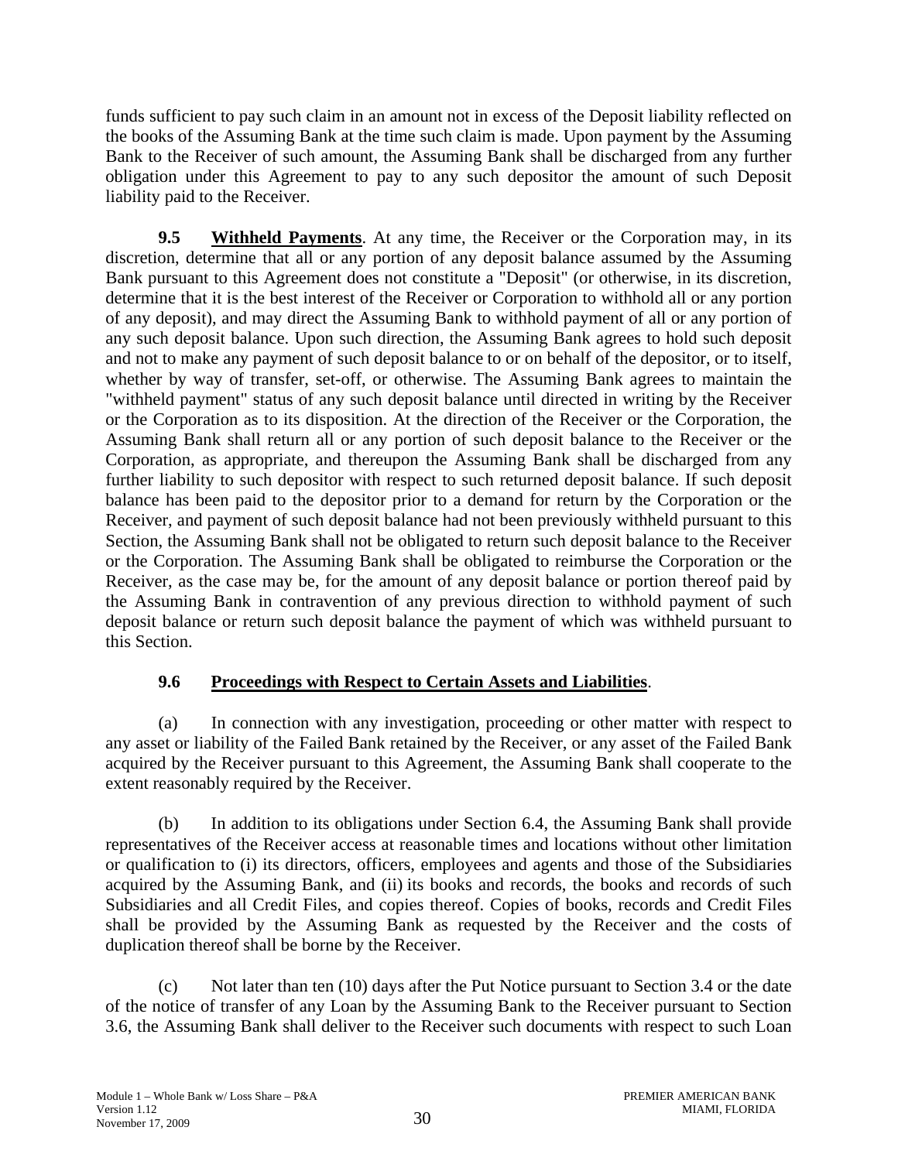funds sufficient to pay such claim in an amount not in excess of the Deposit liability reflected on the books of the Assuming Bank at the time such claim is made. Upon payment by the Assuming Bank to the Receiver of such amount, the Assuming Bank shall be discharged from any further obligation under this Agreement to pay to any such depositor the amount of such Deposit liability paid to the Receiver.

**9.5** Withheld Payments. At any time, the Receiver or the Corporation may, in its discretion, determine that all or any portion of any deposit balance assumed by the Assuming Bank pursuant to this Agreement does not constitute a "Deposit" (or otherwise, in its discretion, determine that it is the best interest of the Receiver or Corporation to withhold all or any portion of any deposit), and may direct the Assuming Bank to withhold payment of all or any portion of any such deposit balance. Upon such direction, the Assuming Bank agrees to hold such deposit and not to make any payment of such deposit balance to or on behalf of the depositor, or to itself, whether by way of transfer, set-off, or otherwise. The Assuming Bank agrees to maintain the "withheld payment" status of any such deposit balance until directed in writing by the Receiver or the Corporation as to its disposition. At the direction of the Receiver or the Corporation, the Assuming Bank shall return all or any portion of such deposit balance to the Receiver or the Corporation, as appropriate, and thereupon the Assuming Bank shall be discharged from any further liability to such depositor with respect to such returned deposit balance. If such deposit balance has been paid to the depositor prior to a demand for return by the Corporation or the Receiver, and payment of such deposit balance had not been previously withheld pursuant to this Section, the Assuming Bank shall not be obligated to return such deposit balance to the Receiver or the Corporation. The Assuming Bank shall be obligated to reimburse the Corporation or the Receiver, as the case may be, for the amount of any deposit balance or portion thereof paid by the Assuming Bank in contravention of any previous direction to withhold payment of such deposit balance or return such deposit balance the payment of which was withheld pursuant to this Section.

# **9.6 Proceedings with Respect to Certain Assets and Liabilities**.

(a) In connection with any investigation, proceeding or other matter with respect to any asset or liability of the Failed Bank retained by the Receiver, or any asset of the Failed Bank acquired by the Receiver pursuant to this Agreement, the Assuming Bank shall cooperate to the extent reasonably required by the Receiver.

(b) In addition to its obligations under Section 6.4, the Assuming Bank shall provide representatives of the Receiver access at reasonable times and locations without other limitation or qualification to (i) its directors, officers, employees and agents and those of the Subsidiaries acquired by the Assuming Bank, and (ii) its books and records, the books and records of such Subsidiaries and all Credit Files, and copies thereof. Copies of books, records and Credit Files shall be provided by the Assuming Bank as requested by the Receiver and the costs of duplication thereof shall be borne by the Receiver.

(c) Not later than ten (10) days after the Put Notice pursuant to Section 3.4 or the date of the notice of transfer of any Loan by the Assuming Bank to the Receiver pursuant to Section 3.6, the Assuming Bank shall deliver to the Receiver such documents with respect to such Loan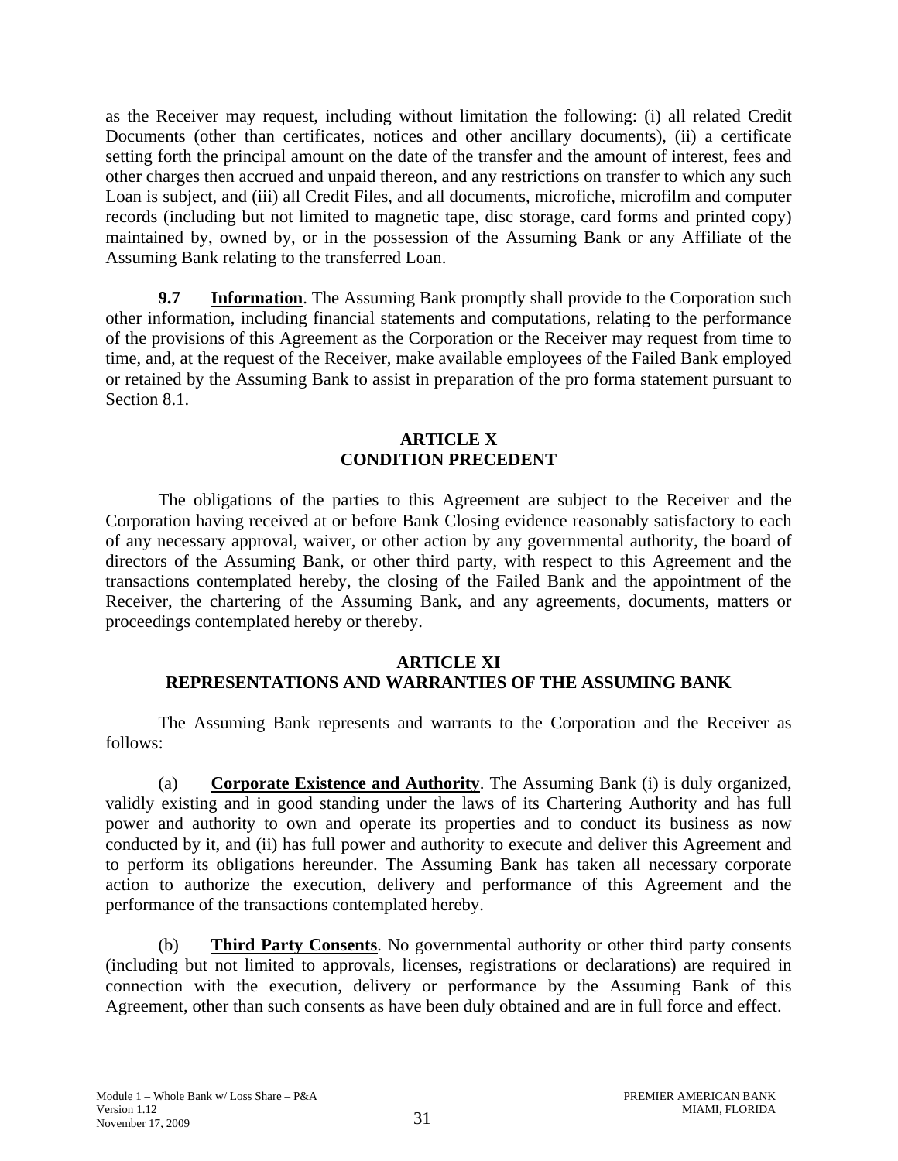as the Receiver may request, including without limitation the following: (i) all related Credit Documents (other than certificates, notices and other ancillary documents), (ii) a certificate setting forth the principal amount on the date of the transfer and the amount of interest, fees and other charges then accrued and unpaid thereon, and any restrictions on transfer to which any such Loan is subject, and (iii) all Credit Files, and all documents, microfiche, microfilm and computer records (including but not limited to magnetic tape, disc storage, card forms and printed copy) maintained by, owned by, or in the possession of the Assuming Bank or any Affiliate of the Assuming Bank relating to the transferred Loan.

**9.7** Information. The Assuming Bank promptly shall provide to the Corporation such other information, including financial statements and computations, relating to the performance of the provisions of this Agreement as the Corporation or the Receiver may request from time to time, and, at the request of the Receiver, make available employees of the Failed Bank employed or retained by the Assuming Bank to assist in preparation of the pro forma statement pursuant to Section 8.1.

### **ARTICLE X CONDITION PRECEDENT**

The obligations of the parties to this Agreement are subject to the Receiver and the Corporation having received at or before Bank Closing evidence reasonably satisfactory to each of any necessary approval, waiver, or other action by any governmental authority, the board of directors of the Assuming Bank, or other third party, with respect to this Agreement and the transactions contemplated hereby, the closing of the Failed Bank and the appointment of the Receiver, the chartering of the Assuming Bank, and any agreements, documents, matters or proceedings contemplated hereby or thereby.

### **ARTICLE XI REPRESENTATIONS AND WARRANTIES OF THE ASSUMING BANK**

The Assuming Bank represents and warrants to the Corporation and the Receiver as follows:

(a) **Corporate Existence and Authority**. The Assuming Bank (i) is duly organized, validly existing and in good standing under the laws of its Chartering Authority and has full power and authority to own and operate its properties and to conduct its business as now conducted by it, and (ii) has full power and authority to execute and deliver this Agreement and to perform its obligations hereunder. The Assuming Bank has taken all necessary corporate action to authorize the execution, delivery and performance of this Agreement and the performance of the transactions contemplated hereby.

(b) **Third Party Consents**. No governmental authority or other third party consents (including but not limited to approvals, licenses, registrations or declarations) are required in connection with the execution, delivery or performance by the Assuming Bank of this Agreement, other than such consents as have been duly obtained and are in full force and effect.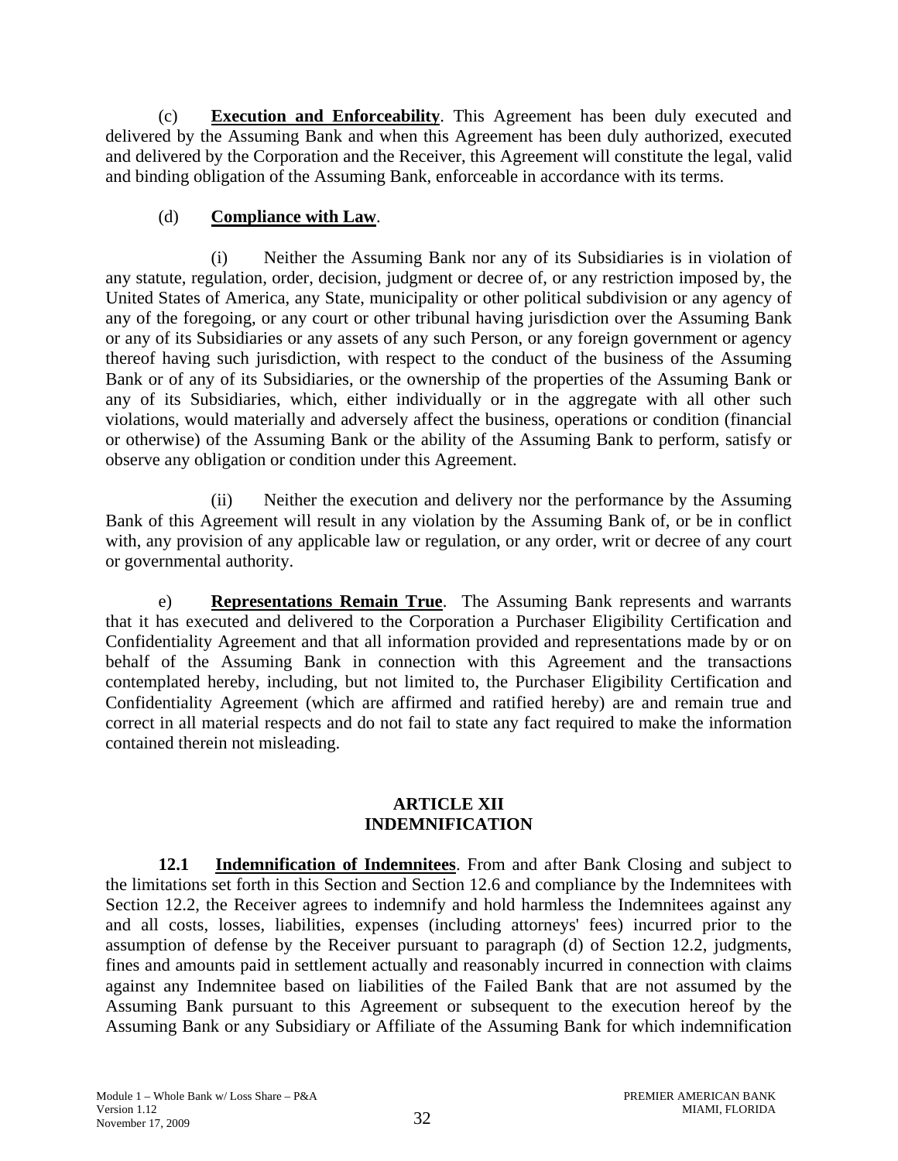(c) **Execution and Enforceability**. This Agreement has been duly executed and delivered by the Assuming Bank and when this Agreement has been duly authorized, executed and delivered by the Corporation and the Receiver, this Agreement will constitute the legal, valid and binding obligation of the Assuming Bank, enforceable in accordance with its terms.

# (d) **Compliance with Law**.

(i) Neither the Assuming Bank nor any of its Subsidiaries is in violation of any statute, regulation, order, decision, judgment or decree of, or any restriction imposed by, the United States of America, any State, municipality or other political subdivision or any agency of any of the foregoing, or any court or other tribunal having jurisdiction over the Assuming Bank or any of its Subsidiaries or any assets of any such Person, or any foreign government or agency thereof having such jurisdiction, with respect to the conduct of the business of the Assuming Bank or of any of its Subsidiaries, or the ownership of the properties of the Assuming Bank or any of its Subsidiaries, which, either individually or in the aggregate with all other such violations, would materially and adversely affect the business, operations or condition (financial or otherwise) of the Assuming Bank or the ability of the Assuming Bank to perform, satisfy or observe any obligation or condition under this Agreement.

(ii) Neither the execution and delivery nor the performance by the Assuming Bank of this Agreement will result in any violation by the Assuming Bank of, or be in conflict with, any provision of any applicable law or regulation, or any order, writ or decree of any court or governmental authority.

e) **Representations Remain True**. The Assuming Bank represents and warrants that it has executed and delivered to the Corporation a Purchaser Eligibility Certification and Confidentiality Agreement and that all information provided and representations made by or on behalf of the Assuming Bank in connection with this Agreement and the transactions contemplated hereby, including, but not limited to, the Purchaser Eligibility Certification and Confidentiality Agreement (which are affirmed and ratified hereby) are and remain true and correct in all material respects and do not fail to state any fact required to make the information contained therein not misleading.

### **ARTICLE XII INDEMNIFICATION**

**12.1 Indemnification of Indemnitees**. From and after Bank Closing and subject to the limitations set forth in this Section and Section 12.6 and compliance by the Indemnitees with Section 12.2, the Receiver agrees to indemnify and hold harmless the Indemnitees against any and all costs, losses, liabilities, expenses (including attorneys' fees) incurred prior to the assumption of defense by the Receiver pursuant to paragraph (d) of Section 12.2, judgments, fines and amounts paid in settlement actually and reasonably incurred in connection with claims against any Indemnitee based on liabilities of the Failed Bank that are not assumed by the Assuming Bank pursuant to this Agreement or subsequent to the execution hereof by the Assuming Bank or any Subsidiary or Affiliate of the Assuming Bank for which indemnification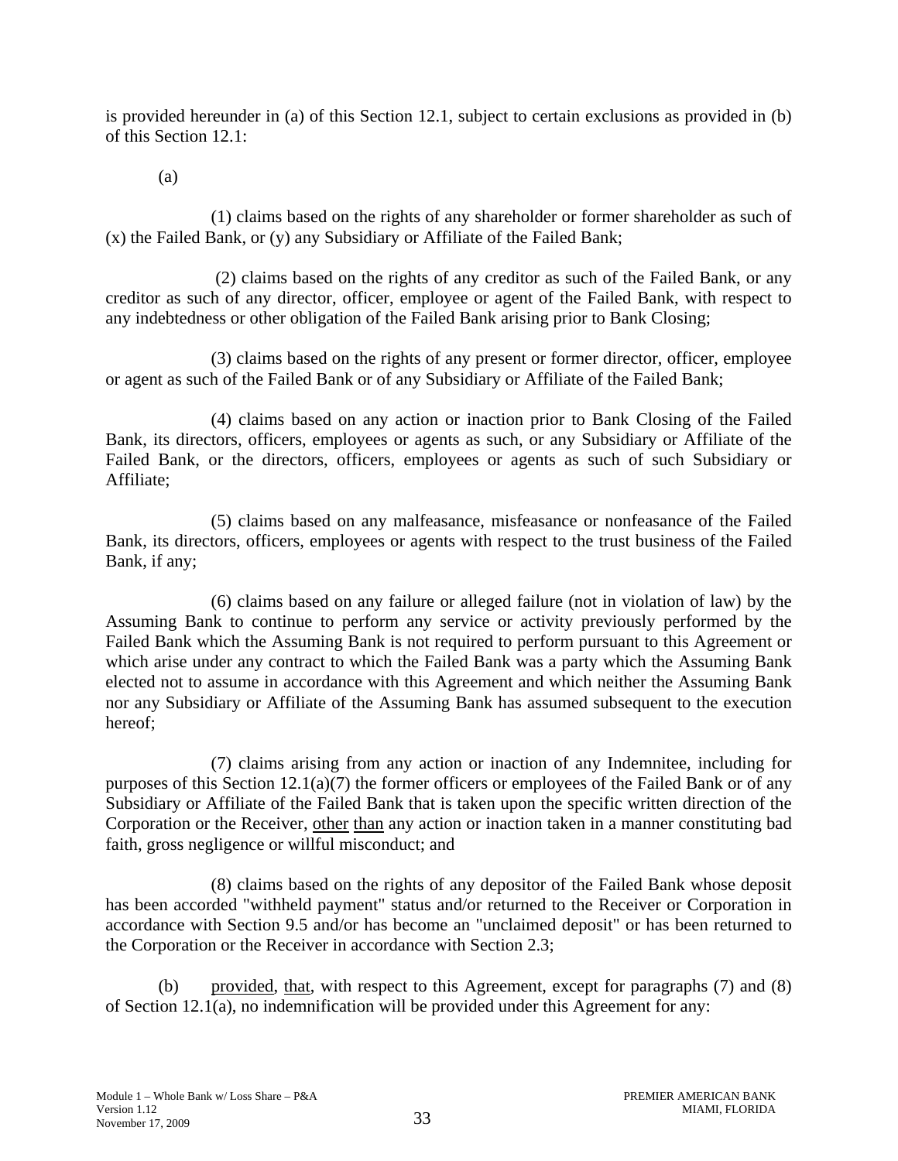is provided hereunder in (a) of this Section 12.1, subject to certain exclusions as provided in (b) of this Section 12.1:

(a)

(1) claims based on the rights of any shareholder or former shareholder as such of (x) the Failed Bank, or (y) any Subsidiary or Affiliate of the Failed Bank;

(2) claims based on the rights of any creditor as such of the Failed Bank, or any creditor as such of any director, officer, employee or agent of the Failed Bank, with respect to any indebtedness or other obligation of the Failed Bank arising prior to Bank Closing;

(3) claims based on the rights of any present or former director, officer, employee or agent as such of the Failed Bank or of any Subsidiary or Affiliate of the Failed Bank;

(4) claims based on any action or inaction prior to Bank Closing of the Failed Bank, its directors, officers, employees or agents as such, or any Subsidiary or Affiliate of the Failed Bank, or the directors, officers, employees or agents as such of such Subsidiary or Affiliate;

(5) claims based on any malfeasance, misfeasance or nonfeasance of the Failed Bank, its directors, officers, employees or agents with respect to the trust business of the Failed Bank, if any;

(6) claims based on any failure or alleged failure (not in violation of law) by the Assuming Bank to continue to perform any service or activity previously performed by the Failed Bank which the Assuming Bank is not required to perform pursuant to this Agreement or which arise under any contract to which the Failed Bank was a party which the Assuming Bank elected not to assume in accordance with this Agreement and which neither the Assuming Bank nor any Subsidiary or Affiliate of the Assuming Bank has assumed subsequent to the execution hereof;

(7) claims arising from any action or inaction of any Indemnitee, including for purposes of this Section 12.1(a)(7) the former officers or employees of the Failed Bank or of any Subsidiary or Affiliate of the Failed Bank that is taken upon the specific written direction of the Corporation or the Receiver, other than any action or inaction taken in a manner constituting bad faith, gross negligence or willful misconduct; and

(8) claims based on the rights of any depositor of the Failed Bank whose deposit has been accorded "withheld payment" status and/or returned to the Receiver or Corporation in accordance with Section 9.5 and/or has become an "unclaimed deposit" or has been returned to the Corporation or the Receiver in accordance with Section 2.3;

(b) provided, that, with respect to this Agreement, except for paragraphs (7) and (8) of Section 12.1(a), no indemnification will be provided under this Agreement for any: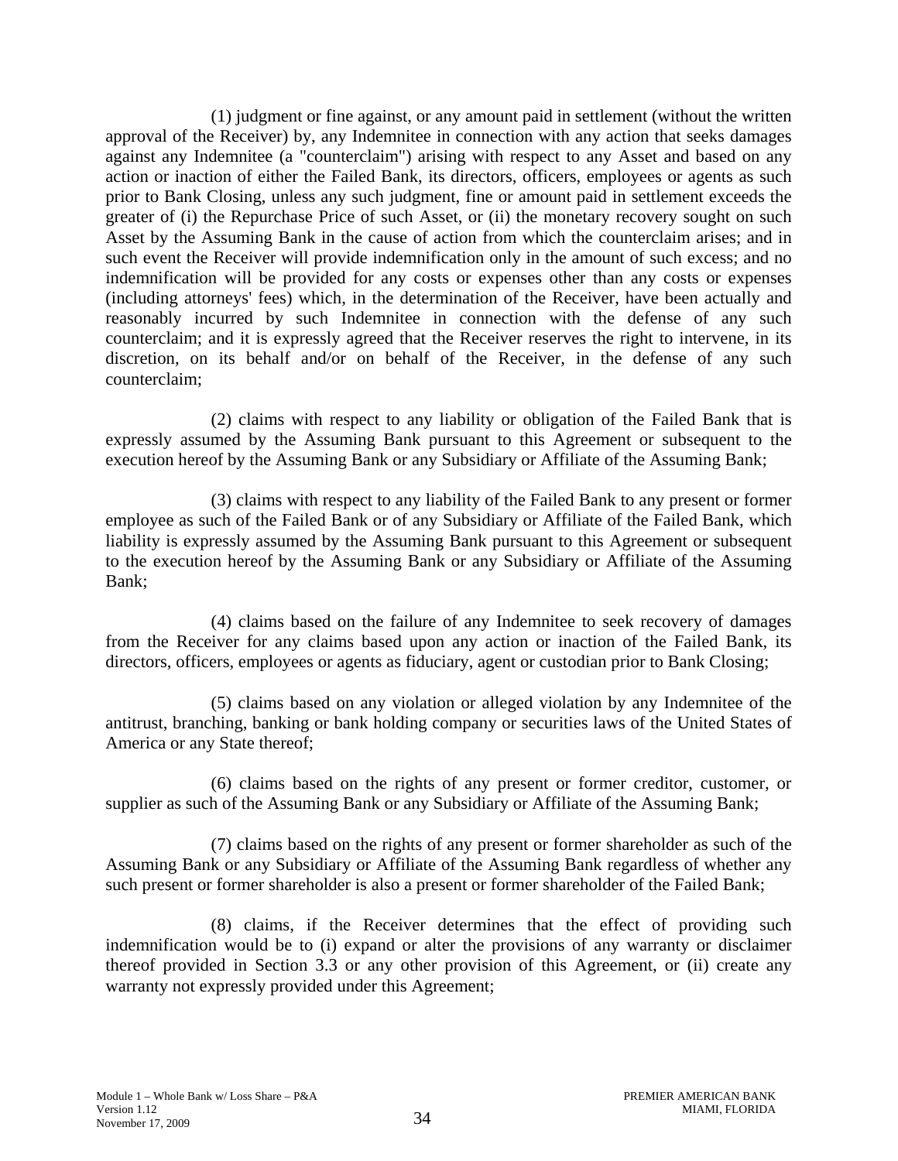(1) judgment or fine against, or any amount paid in settlement (without the written approval of the Receiver) by, any Indemnitee in connection with any action that seeks damages against any Indemnitee (a "counterclaim") arising with respect to any Asset and based on any action or inaction of either the Failed Bank, its directors, officers, employees or agents as such prior to Bank Closing, unless any such judgment, fine or amount paid in settlement exceeds the greater of (i) the Repurchase Price of such Asset, or (ii) the monetary recovery sought on such Asset by the Assuming Bank in the cause of action from which the counterclaim arises; and in such event the Receiver will provide indemnification only in the amount of such excess; and no indemnification will be provided for any costs or expenses other than any costs or expenses (including attorneys' fees) which, in the determination of the Receiver, have been actually and reasonably incurred by such Indemnitee in connection with the defense of any such counterclaim; and it is expressly agreed that the Receiver reserves the right to intervene, in its discretion, on its behalf and/or on behalf of the Receiver, in the defense of any such counterclaim;

(2) claims with respect to any liability or obligation of the Failed Bank that is expressly assumed by the Assuming Bank pursuant to this Agreement or subsequent to the execution hereof by the Assuming Bank or any Subsidiary or Affiliate of the Assuming Bank;

(3) claims with respect to any liability of the Failed Bank to any present or former employee as such of the Failed Bank or of any Subsidiary or Affiliate of the Failed Bank, which liability is expressly assumed by the Assuming Bank pursuant to this Agreement or subsequent to the execution hereof by the Assuming Bank or any Subsidiary or Affiliate of the Assuming Bank;

(4) claims based on the failure of any Indemnitee to seek recovery of damages from the Receiver for any claims based upon any action or inaction of the Failed Bank, its directors, officers, employees or agents as fiduciary, agent or custodian prior to Bank Closing;

(5) claims based on any violation or alleged violation by any Indemnitee of the antitrust, branching, banking or bank holding company or securities laws of the United States of America or any State thereof;

(6) claims based on the rights of any present or former creditor, customer, or supplier as such of the Assuming Bank or any Subsidiary or Affiliate of the Assuming Bank;

(7) claims based on the rights of any present or former shareholder as such of the Assuming Bank or any Subsidiary or Affiliate of the Assuming Bank regardless of whether any such present or former shareholder is also a present or former shareholder of the Failed Bank;

(8) claims, if the Receiver determines that the effect of providing such indemnification would be to (i) expand or alter the provisions of any warranty or disclaimer thereof provided in Section 3.3 or any other provision of this Agreement, or (ii) create any warranty not expressly provided under this Agreement;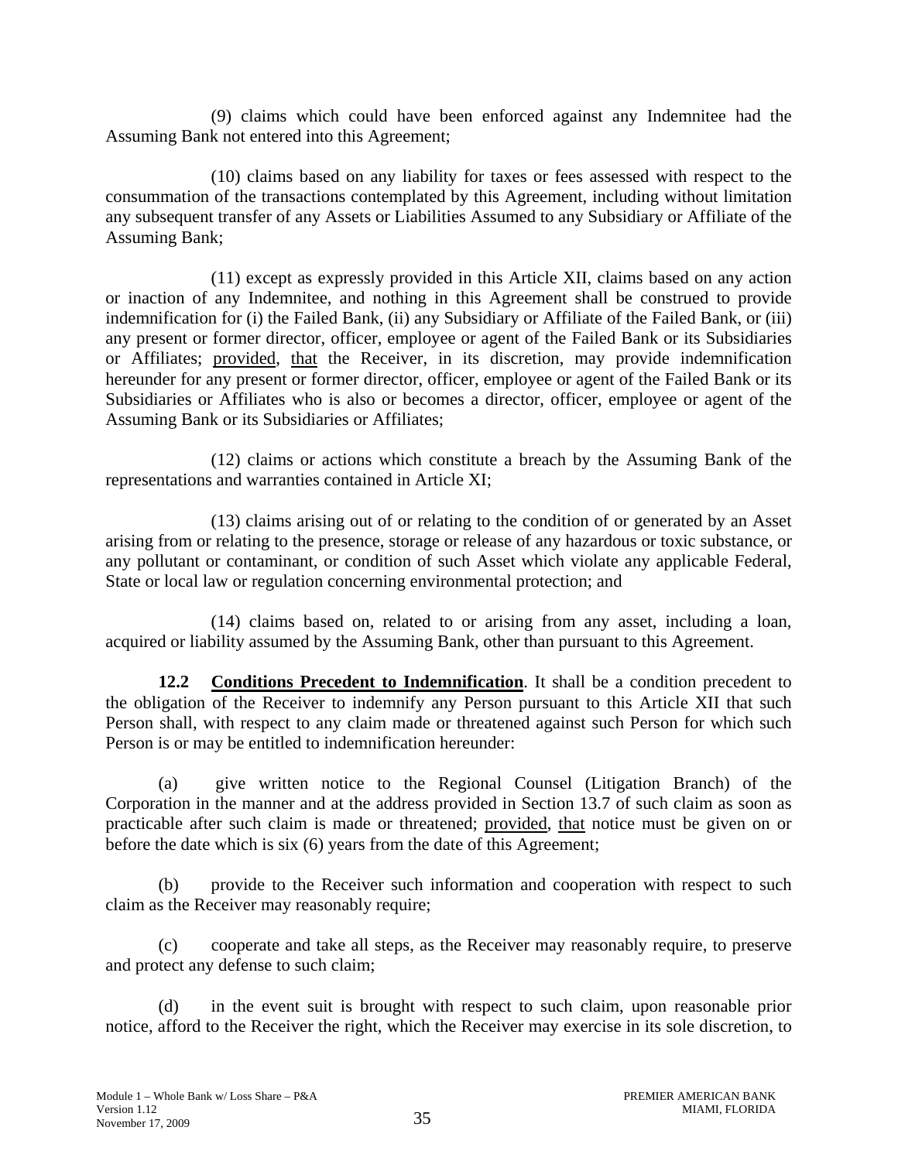(9) claims which could have been enforced against any Indemnitee had the Assuming Bank not entered into this Agreement;

(10) claims based on any liability for taxes or fees assessed with respect to the consummation of the transactions contemplated by this Agreement, including without limitation any subsequent transfer of any Assets or Liabilities Assumed to any Subsidiary or Affiliate of the Assuming Bank;

(11) except as expressly provided in this Article XII, claims based on any action or inaction of any Indemnitee, and nothing in this Agreement shall be construed to provide indemnification for (i) the Failed Bank, (ii) any Subsidiary or Affiliate of the Failed Bank, or (iii) any present or former director, officer, employee or agent of the Failed Bank or its Subsidiaries or Affiliates; provided, that the Receiver, in its discretion, may provide indemnification hereunder for any present or former director, officer, employee or agent of the Failed Bank or its Subsidiaries or Affiliates who is also or becomes a director, officer, employee or agent of the Assuming Bank or its Subsidiaries or Affiliates;

(12) claims or actions which constitute a breach by the Assuming Bank of the representations and warranties contained in Article XI;

(13) claims arising out of or relating to the condition of or generated by an Asset arising from or relating to the presence, storage or release of any hazardous or toxic substance, or any pollutant or contaminant, or condition of such Asset which violate any applicable Federal, State or local law or regulation concerning environmental protection; and

(14) claims based on, related to or arising from any asset, including a loan, acquired or liability assumed by the Assuming Bank, other than pursuant to this Agreement.

**12.2 Conditions Precedent to Indemnification**. It shall be a condition precedent to the obligation of the Receiver to indemnify any Person pursuant to this Article XII that such Person shall, with respect to any claim made or threatened against such Person for which such Person is or may be entitled to indemnification hereunder:

(a) give written notice to the Regional Counsel (Litigation Branch) of the Corporation in the manner and at the address provided in Section 13.7 of such claim as soon as practicable after such claim is made or threatened; provided, that notice must be given on or before the date which is six (6) years from the date of this Agreement;

(b) provide to the Receiver such information and cooperation with respect to such claim as the Receiver may reasonably require;

(c) cooperate and take all steps, as the Receiver may reasonably require, to preserve and protect any defense to such claim;

(d) in the event suit is brought with respect to such claim, upon reasonable prior notice, afford to the Receiver the right, which the Receiver may exercise in its sole discretion, to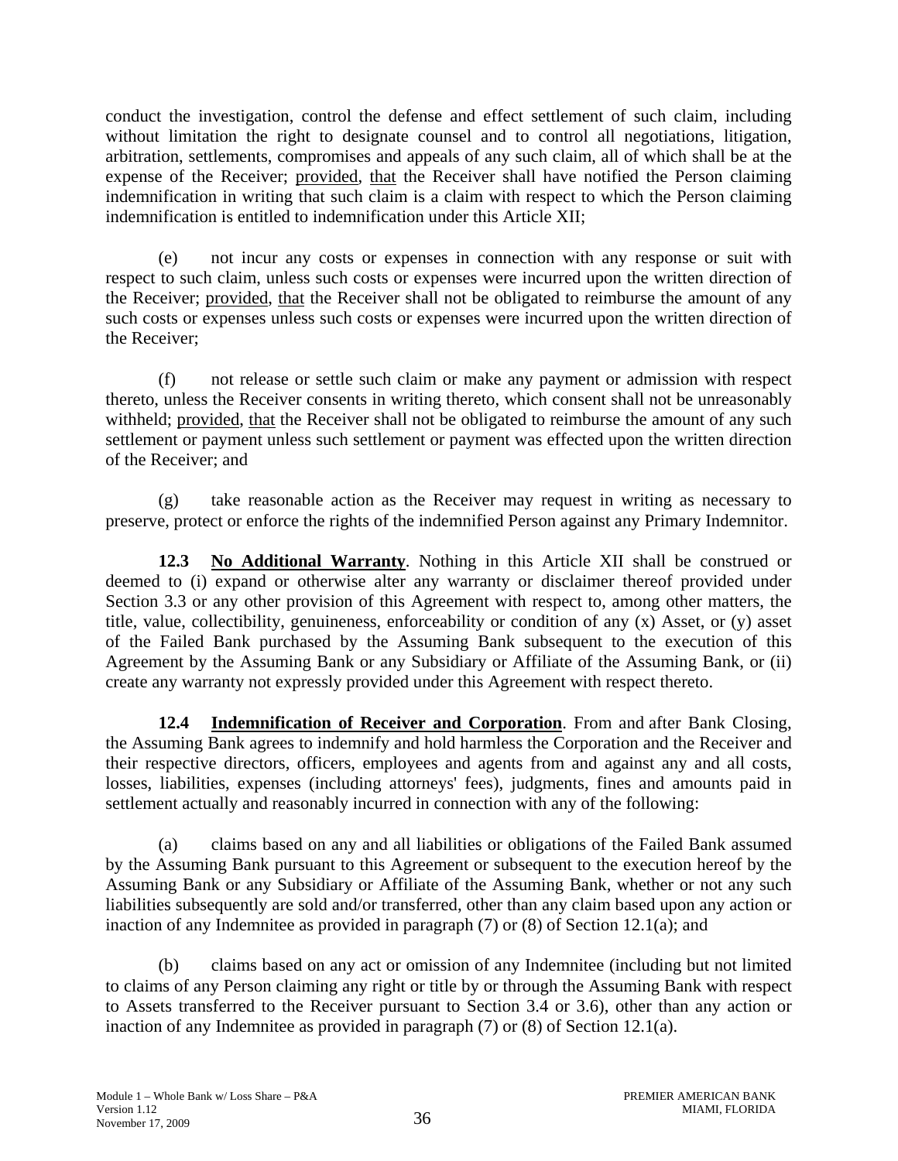conduct the investigation, control the defense and effect settlement of such claim, including without limitation the right to designate counsel and to control all negotiations, litigation, arbitration, settlements, compromises and appeals of any such claim, all of which shall be at the expense of the Receiver; provided, that the Receiver shall have notified the Person claiming indemnification in writing that such claim is a claim with respect to which the Person claiming indemnification is entitled to indemnification under this Article XII;

(e) not incur any costs or expenses in connection with any response or suit with respect to such claim, unless such costs or expenses were incurred upon the written direction of the Receiver; provided, that the Receiver shall not be obligated to reimburse the amount of any such costs or expenses unless such costs or expenses were incurred upon the written direction of the Receiver;

(f) not release or settle such claim or make any payment or admission with respect thereto, unless the Receiver consents in writing thereto, which consent shall not be unreasonably withheld; provided, that the Receiver shall not be obligated to reimburse the amount of any such settlement or payment unless such settlement or payment was effected upon the written direction of the Receiver; and

(g) take reasonable action as the Receiver may request in writing as necessary to preserve, protect or enforce the rights of the indemnified Person against any Primary Indemnitor.

**12.3 No Additional Warranty**. Nothing in this Article XII shall be construed or deemed to (i) expand or otherwise alter any warranty or disclaimer thereof provided under Section 3.3 or any other provision of this Agreement with respect to, among other matters, the title, value, collectibility, genuineness, enforceability or condition of any (x) Asset, or (y) asset of the Failed Bank purchased by the Assuming Bank subsequent to the execution of this Agreement by the Assuming Bank or any Subsidiary or Affiliate of the Assuming Bank, or (ii) create any warranty not expressly provided under this Agreement with respect thereto.

**12.4 Indemnification of Receiver and Corporation**. From and after Bank Closing, the Assuming Bank agrees to indemnify and hold harmless the Corporation and the Receiver and their respective directors, officers, employees and agents from and against any and all costs, losses, liabilities, expenses (including attorneys' fees), judgments, fines and amounts paid in settlement actually and reasonably incurred in connection with any of the following:

(a) claims based on any and all liabilities or obligations of the Failed Bank assumed by the Assuming Bank pursuant to this Agreement or subsequent to the execution hereof by the Assuming Bank or any Subsidiary or Affiliate of the Assuming Bank, whether or not any such liabilities subsequently are sold and/or transferred, other than any claim based upon any action or inaction of any Indemnitee as provided in paragraph (7) or (8) of Section 12.1(a); and

(b) claims based on any act or omission of any Indemnitee (including but not limited to claims of any Person claiming any right or title by or through the Assuming Bank with respect to Assets transferred to the Receiver pursuant to Section 3.4 or 3.6), other than any action or inaction of any Indemnitee as provided in paragraph (7) or (8) of Section 12.1(a).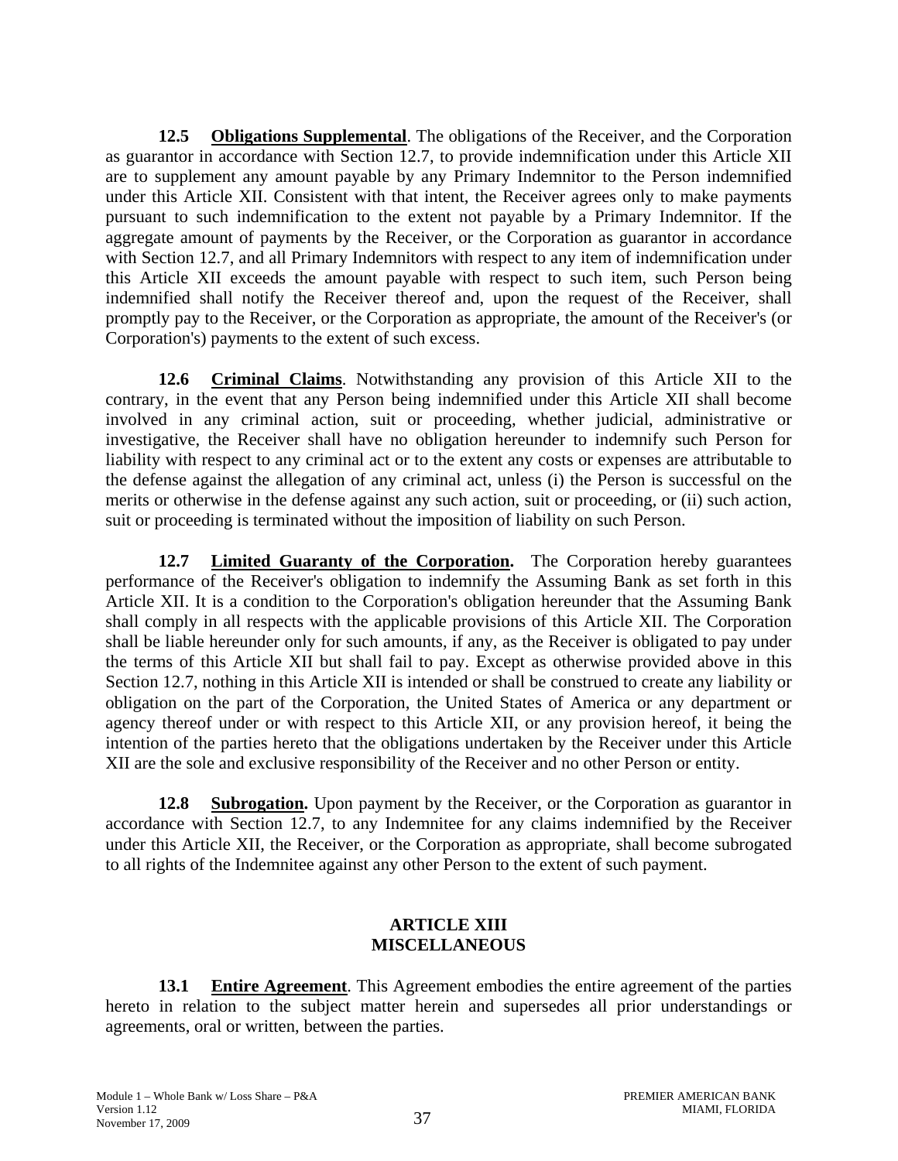**12.5 Obligations Supplemental**. The obligations of the Receiver, and the Corporation as guarantor in accordance with Section 12.7, to provide indemnification under this Article XII are to supplement any amount payable by any Primary Indemnitor to the Person indemnified under this Article XII. Consistent with that intent, the Receiver agrees only to make payments pursuant to such indemnification to the extent not payable by a Primary Indemnitor. If the aggregate amount of payments by the Receiver, or the Corporation as guarantor in accordance with Section 12.7, and all Primary Indemnitors with respect to any item of indemnification under this Article XII exceeds the amount payable with respect to such item, such Person being indemnified shall notify the Receiver thereof and, upon the request of the Receiver, shall promptly pay to the Receiver, or the Corporation as appropriate, the amount of the Receiver's (or Corporation's) payments to the extent of such excess.

**12.6 Criminal Claims**. Notwithstanding any provision of this Article XII to the contrary, in the event that any Person being indemnified under this Article XII shall become involved in any criminal action, suit or proceeding, whether judicial, administrative or investigative, the Receiver shall have no obligation hereunder to indemnify such Person for liability with respect to any criminal act or to the extent any costs or expenses are attributable to the defense against the allegation of any criminal act, unless (i) the Person is successful on the merits or otherwise in the defense against any such action, suit or proceeding, or (ii) such action, suit or proceeding is terminated without the imposition of liability on such Person.

12.7 **Limited Guaranty of the Corporation.** The Corporation hereby guarantees performance of the Receiver's obligation to indemnify the Assuming Bank as set forth in this Article XII. It is a condition to the Corporation's obligation hereunder that the Assuming Bank shall comply in all respects with the applicable provisions of this Article XII. The Corporation shall be liable hereunder only for such amounts, if any, as the Receiver is obligated to pay under the terms of this Article XII but shall fail to pay. Except as otherwise provided above in this Section 12.7, nothing in this Article XII is intended or shall be construed to create any liability or obligation on the part of the Corporation, the United States of America or any department or agency thereof under or with respect to this Article XII, or any provision hereof, it being the intention of the parties hereto that the obligations undertaken by the Receiver under this Article XII are the sole and exclusive responsibility of the Receiver and no other Person or entity.

**12.8 Subrogation.** Upon payment by the Receiver, or the Corporation as guarantor in accordance with Section 12.7, to any Indemnitee for any claims indemnified by the Receiver under this Article XII, the Receiver, or the Corporation as appropriate, shall become subrogated to all rights of the Indemnitee against any other Person to the extent of such payment.

#### **ARTICLE XIII MISCELLANEOUS**

**13.1 Entire Agreement**. This Agreement embodies the entire agreement of the parties hereto in relation to the subject matter herein and supersedes all prior understandings or agreements, oral or written, between the parties.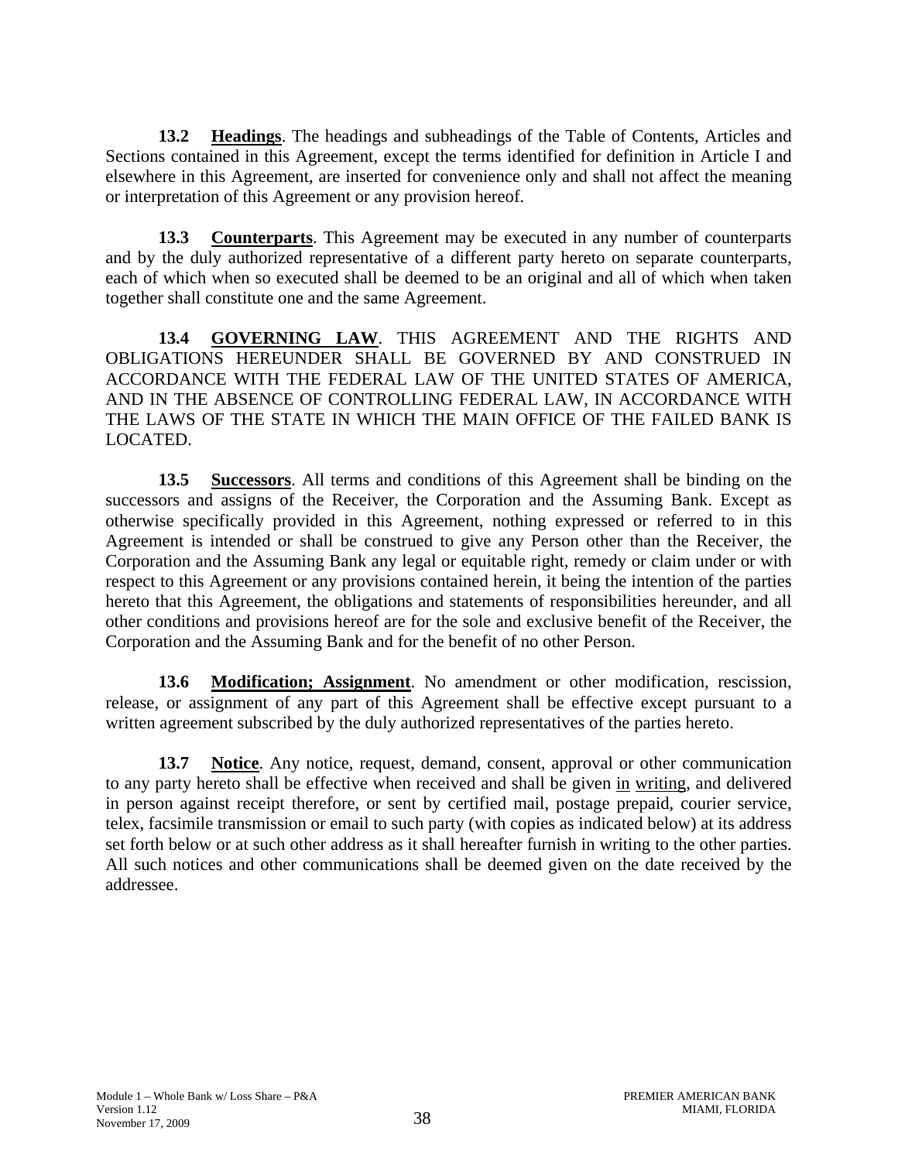**13.2 Headings**. The headings and subheadings of the Table of Contents, Articles and Sections contained in this Agreement, except the terms identified for definition in Article I and elsewhere in this Agreement, are inserted for convenience only and shall not affect the meaning or interpretation of this Agreement or any provision hereof.

**13.3 Counterparts**. This Agreement may be executed in any number of counterparts and by the duly authorized representative of a different party hereto on separate counterparts, each of which when so executed shall be deemed to be an original and all of which when taken together shall constitute one and the same Agreement.

**13.4 GOVERNING LAW**. THIS AGREEMENT AND THE RIGHTS AND OBLIGATIONS HEREUNDER SHALL BE GOVERNED BY AND CONSTRUED IN ACCORDANCE WITH THE FEDERAL LAW OF THE UNITED STATES OF AMERICA, AND IN THE ABSENCE OF CONTROLLING FEDERAL LAW, IN ACCORDANCE WITH THE LAWS OF THE STATE IN WHICH THE MAIN OFFICE OF THE FAILED BANK IS LOCATED.

 **13.5 Successors**. All terms and conditions of this Agreement shall be binding on the successors and assigns of the Receiver, the Corporation and the Assuming Bank. Except as otherwise specifically provided in this Agreement, nothing expressed or referred to in this Agreement is intended or shall be construed to give any Person other than the Receiver, the Corporation and the Assuming Bank any legal or equitable right, remedy or claim under or with respect to this Agreement or any provisions contained herein, it being the intention of the parties hereto that this Agreement, the obligations and statements of responsibilities hereunder, and all other conditions and provisions hereof are for the sole and exclusive benefit of the Receiver, the Corporation and the Assuming Bank and for the benefit of no other Person.

**13.6 Modification; Assignment**. No amendment or other modification, rescission, release, or assignment of any part of this Agreement shall be effective except pursuant to a written agreement subscribed by the duly authorized representatives of the parties hereto.

**13.7 Notice**. Any notice, request, demand, consent, approval or other communication to any party hereto shall be effective when received and shall be given in writing, and delivered in person against receipt therefore, or sent by certified mail, postage prepaid, courier service, telex, facsimile transmission or email to such party (with copies as indicated below) at its address set forth below or at such other address as it shall hereafter furnish in writing to the other parties. All such notices and other communications shall be deemed given on the date received by the addressee.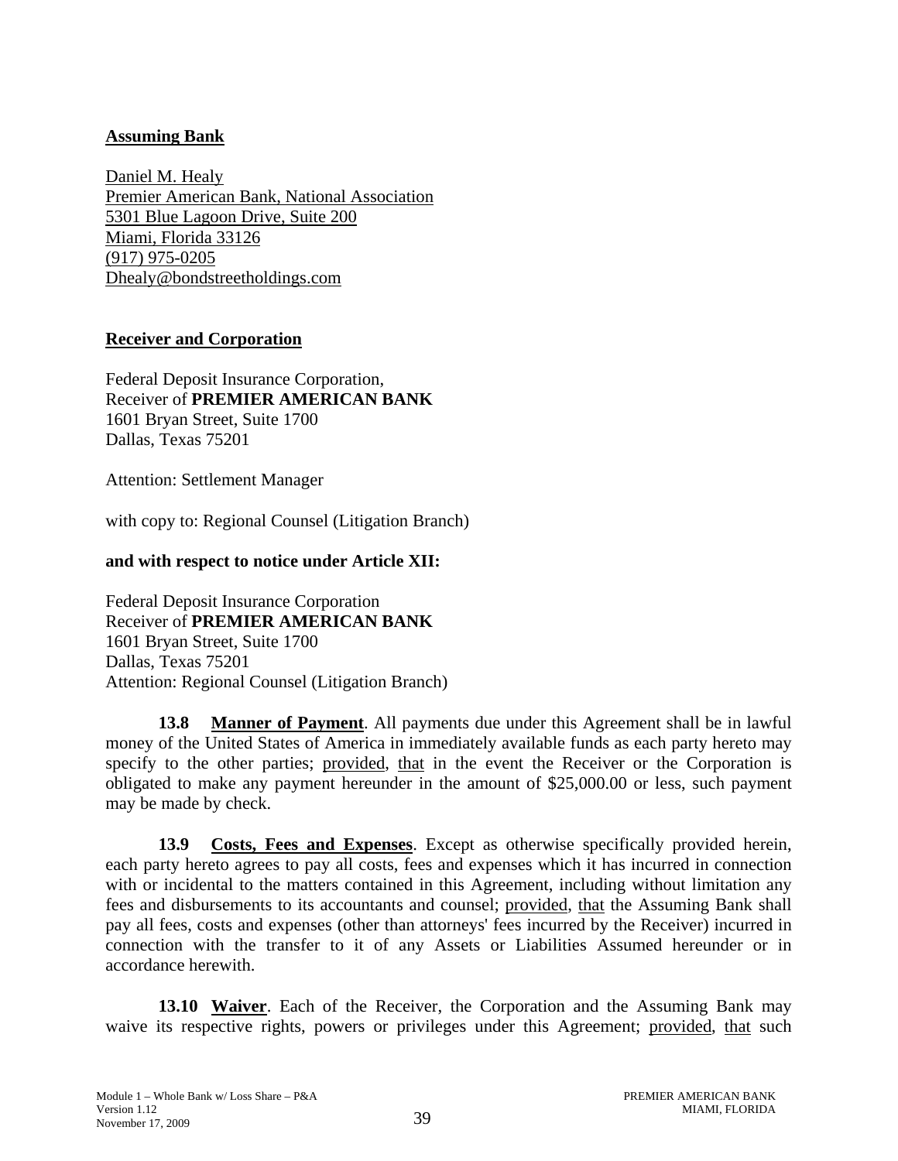## **Assuming Bank**

Daniel M. Healy Premier American Bank, National Association 5301 Blue Lagoon Drive, Suite 200 Miami, Florida 33126 (917) 975-0205 Dhealy@bondstreetholdings.com

## **Receiver and Corporation**

Federal Deposit Insurance Corporation, Receiver of **PREMIER AMERICAN BANK**  1601 Bryan Street, Suite 1700 Dallas, Texas 75201

Attention: Settlement Manager

with copy to: Regional Counsel (Litigation Branch)

## **and with respect to notice under Article XII:**

Federal Deposit Insurance Corporation Receiver of **PREMIER AMERICAN BANK**  1601 Bryan Street, Suite 1700 Dallas, Texas 75201 Attention: Regional Counsel (Litigation Branch)

 **13.8 Manner of Payment**. All payments due under this Agreement shall be in lawful money of the United States of America in immediately available funds as each party hereto may specify to the other parties; provided, that in the event the Receiver or the Corporation is obligated to make any payment hereunder in the amount of \$25,000.00 or less, such payment may be made by check.

**13.9 Costs, Fees and Expenses**. Except as otherwise specifically provided herein, each party hereto agrees to pay all costs, fees and expenses which it has incurred in connection with or incidental to the matters contained in this Agreement, including without limitation any fees and disbursements to its accountants and counsel; provided, that the Assuming Bank shall pay all fees, costs and expenses (other than attorneys' fees incurred by the Receiver) incurred in connection with the transfer to it of any Assets or Liabilities Assumed hereunder or in accordance herewith.

**13.10 Waiver**. Each of the Receiver, the Corporation and the Assuming Bank may waive its respective rights, powers or privileges under this Agreement; provided, that such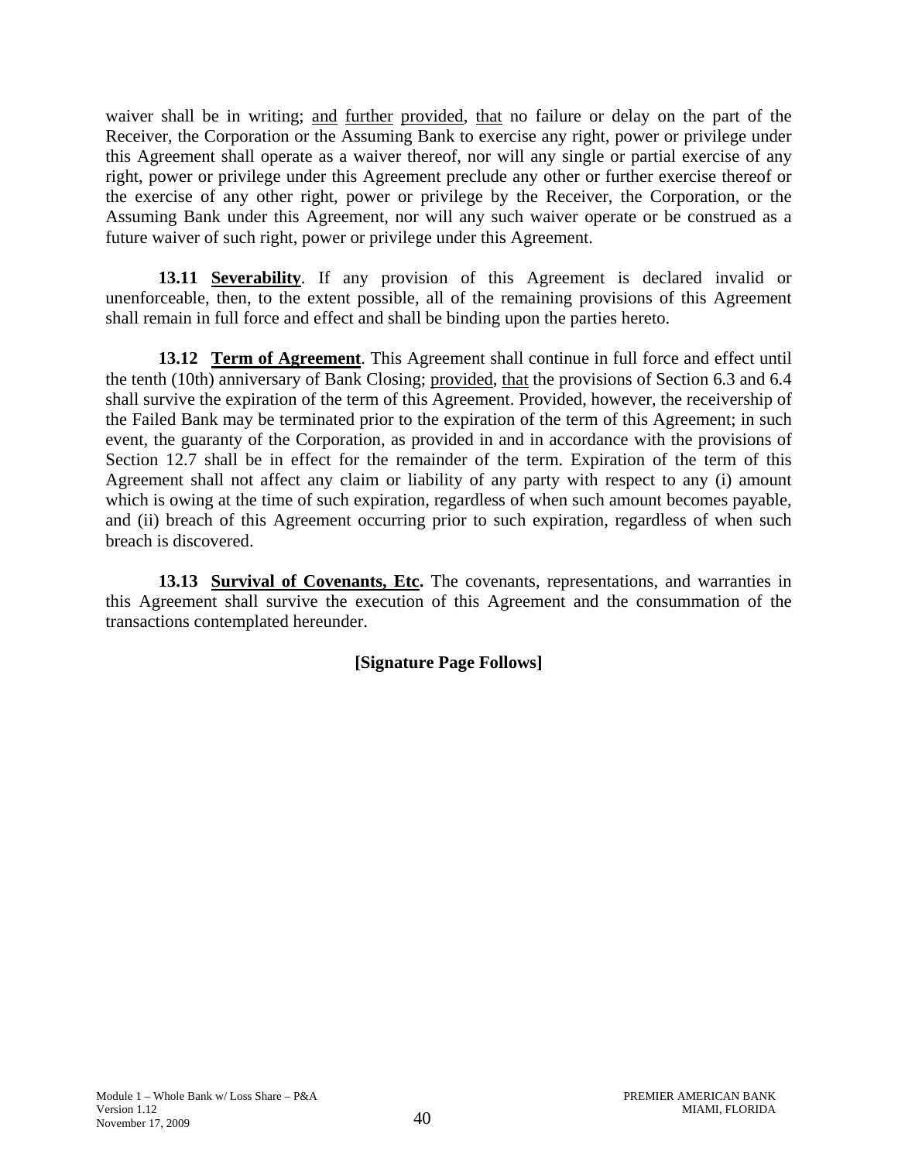waiver shall be in writing; and further provided, that no failure or delay on the part of the Receiver, the Corporation or the Assuming Bank to exercise any right, power or privilege under this Agreement shall operate as a waiver thereof, nor will any single or partial exercise of any right, power or privilege under this Agreement preclude any other or further exercise thereof or the exercise of any other right, power or privilege by the Receiver, the Corporation, or the Assuming Bank under this Agreement, nor will any such waiver operate or be construed as a future waiver of such right, power or privilege under this Agreement.

**13.11 Severability**. If any provision of this Agreement is declared invalid or unenforceable, then, to the extent possible, all of the remaining provisions of this Agreement shall remain in full force and effect and shall be binding upon the parties hereto.

**13.12 Term of Agreement**. This Agreement shall continue in full force and effect until the tenth (10th) anniversary of Bank Closing; provided, that the provisions of Section 6.3 and 6.4 shall survive the expiration of the term of this Agreement. Provided, however, the receivership of the Failed Bank may be terminated prior to the expiration of the term of this Agreement; in such event, the guaranty of the Corporation, as provided in and in accordance with the provisions of Section 12.7 shall be in effect for the remainder of the term. Expiration of the term of this Agreement shall not affect any claim or liability of any party with respect to any (i) amount which is owing at the time of such expiration, regardless of when such amount becomes payable, and (ii) breach of this Agreement occurring prior to such expiration, regardless of when such breach is discovered.

**13.13 Survival of Covenants, Etc.** The covenants, representations, and warranties in this Agreement shall survive the execution of this Agreement and the consummation of the transactions contemplated hereunder.

## **[Signature Page Follows]**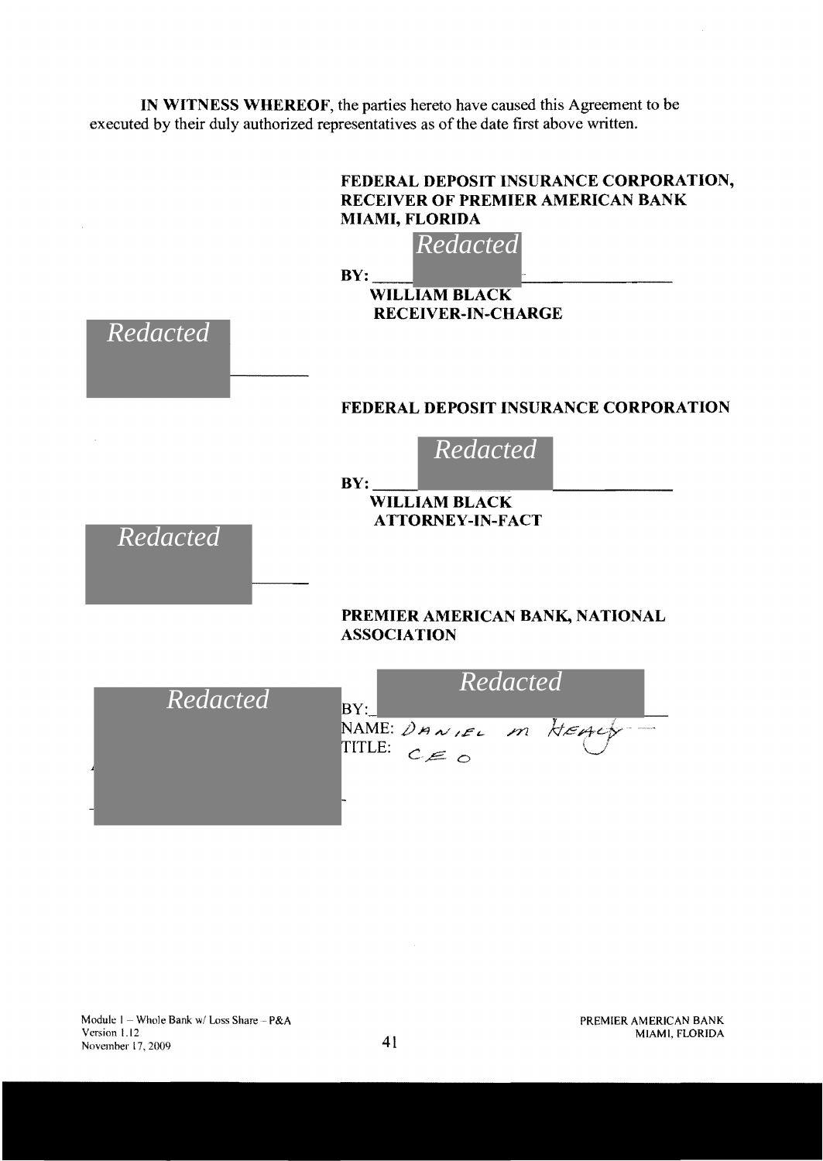**IN WITNESS WHEREOF,** the parties hereto have caused this Agreement to be executed by their duly authorized representatives as of the date first above written.

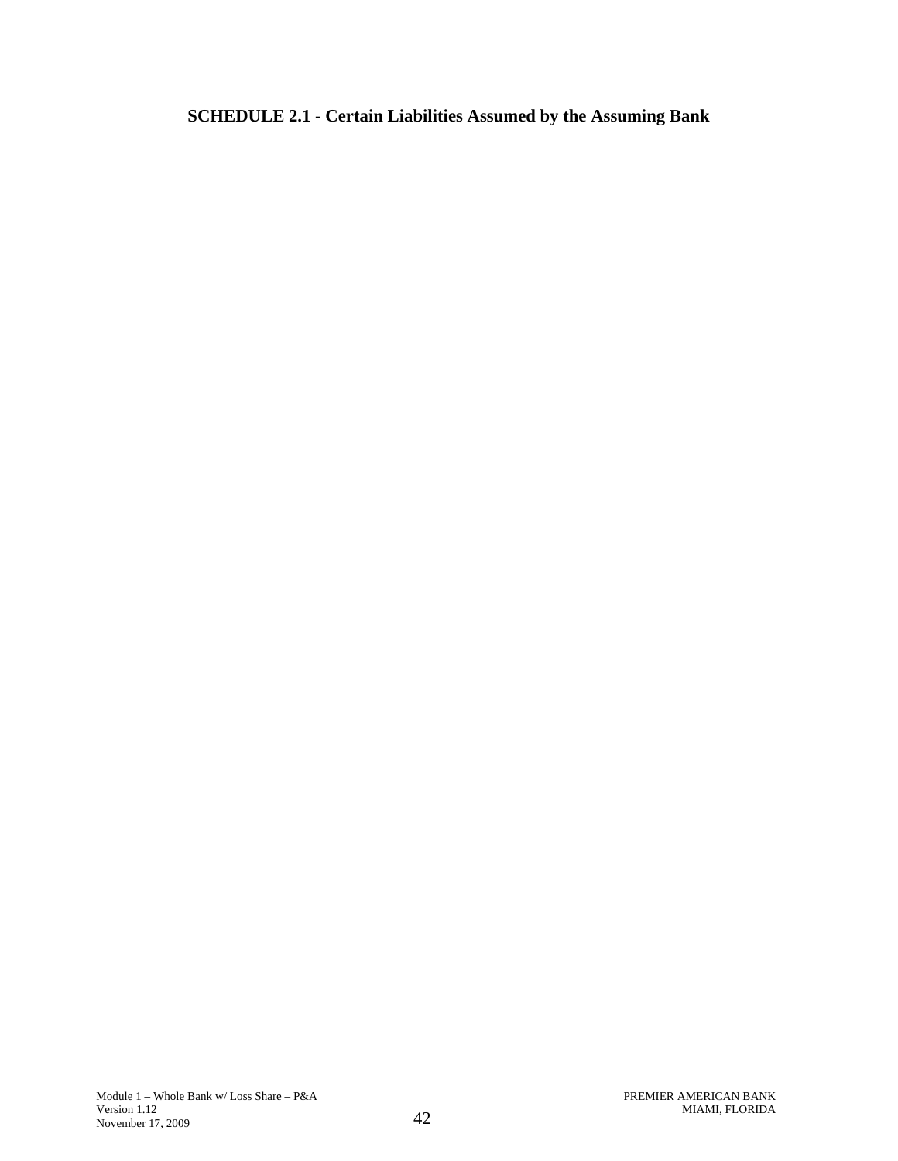**SCHEDULE 2.1 - Certain Liabilities Assumed by the Assuming Bank**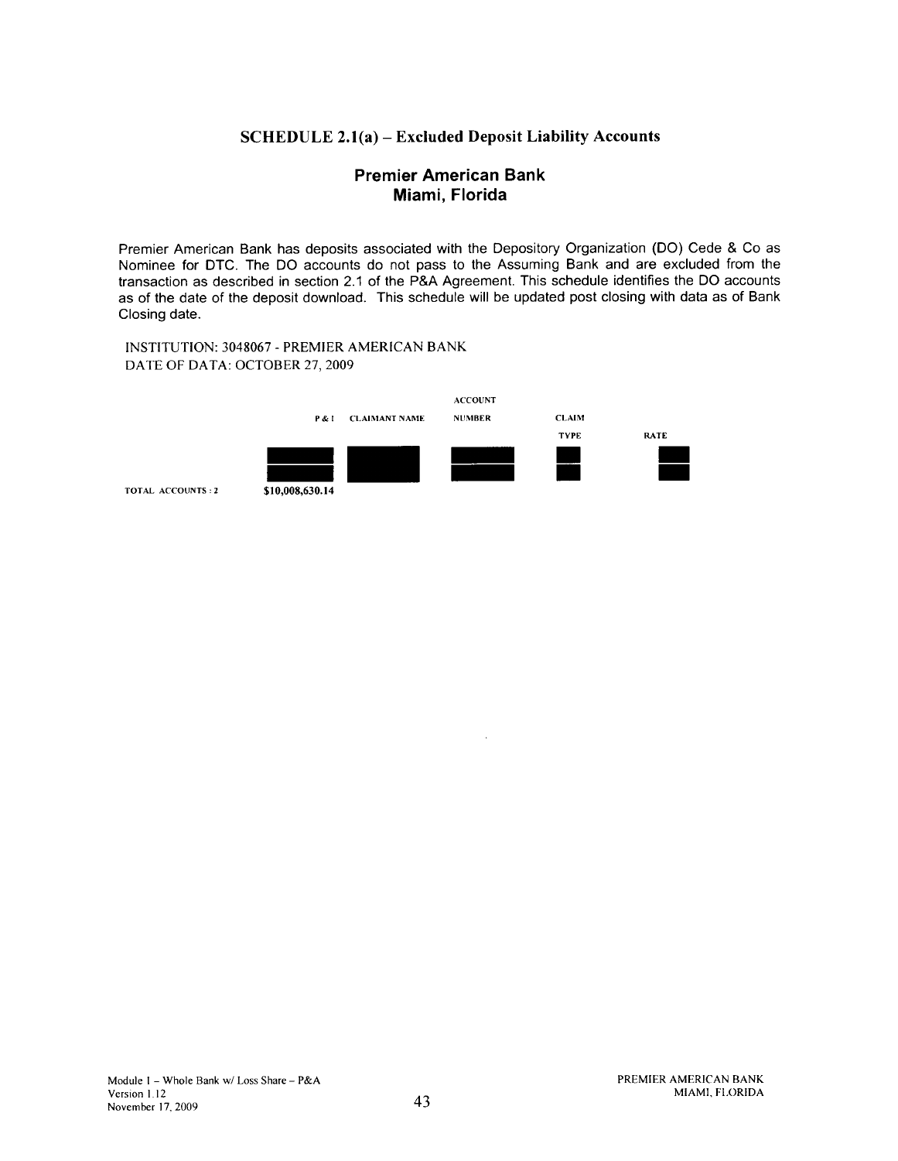#### SCHEDULE 2.1(a) - Excluded Deposit Liabilty Accounts

#### Premier American Bank Miami, Florida

Premier American Bank has deposits associated with the Depository Organization (DO) Cede & Co as Nominee for DTC. The DO accounts do not pass to the Assuming Bank and are excluded from the transaction as described in section 2.1 of the P&A Agreement. This schedule identifies the DO accounts as of the date of the deposit download. This schedule will be updated post closing with data as of Bank Closing date.

INSTITUTION: 3048067 - PREMIER AMERICAN BANK DATE OF DATA: OCTOBER 27, 2009

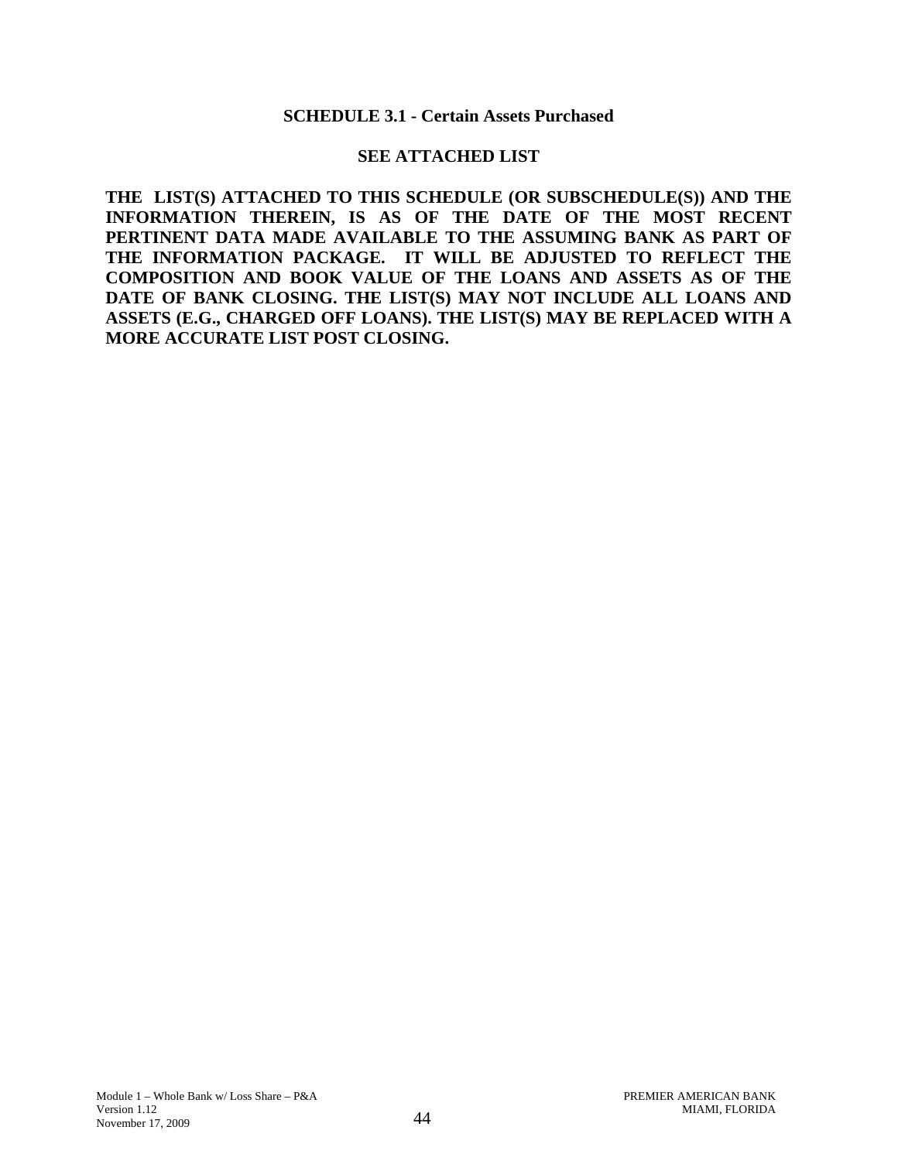#### **SCHEDULE 3.1 - Certain Assets Purchased**

#### **SEE ATTACHED LIST**

THE LIST(S) ATTACHED TO THIS SCHEDULE (OR SUBSCHEDULE(S)) AND THE **INFORMATION THEREIN, IS AS OF THE DATE OF THE MOST RECENT PERTINENT DATA MADE AVAILABLE TO THE ASSUMING BANK AS PART OF THE INFORMATION PACKAGE. IT WILL BE ADJUSTED TO REFLECT THE COMPOSITION AND BOOK VALUE OF THE LOANS AND ASSETS AS OF THE DATE OF BANK CLOSING. THE LIST(S) MAY NOT INCLUDE ALL LOANS AND ASSETS (E.G., CHARGED OFF LOANS). THE LIST(S) MAY BE REPLACED WITH A MORE ACCURATE LIST POST CLOSING.**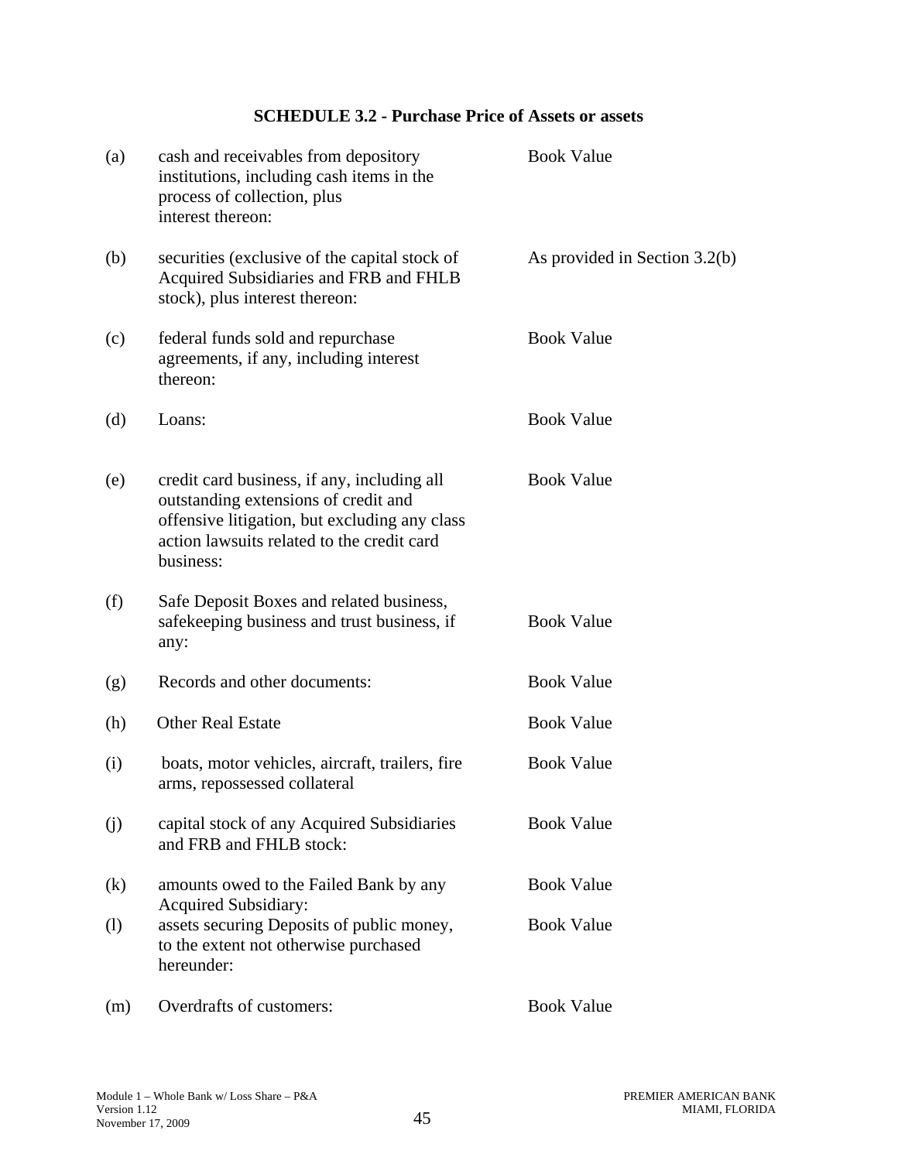# **SCHEDULE 3.2 - Purchase Price of Assets or assets**

| (a) | cash and receivables from depository<br>institutions, including cash items in the<br>process of collection, plus<br>interest thereon:                                                           | <b>Book Value</b>               |
|-----|-------------------------------------------------------------------------------------------------------------------------------------------------------------------------------------------------|---------------------------------|
| (b) | securities (exclusive of the capital stock of<br>Acquired Subsidiaries and FRB and FHLB<br>stock), plus interest thereon:                                                                       | As provided in Section $3.2(b)$ |
| (c) | federal funds sold and repurchase<br>agreements, if any, including interest<br>thereon:                                                                                                         | <b>Book Value</b>               |
| (d) | Loans:                                                                                                                                                                                          | <b>Book Value</b>               |
| (e) | credit card business, if any, including all<br>outstanding extensions of credit and<br>offensive litigation, but excluding any class<br>action lawsuits related to the credit card<br>business: | <b>Book Value</b>               |
| (f) | Safe Deposit Boxes and related business,<br>safekeeping business and trust business, if<br>any:                                                                                                 | <b>Book Value</b>               |
| (g) | Records and other documents:                                                                                                                                                                    | <b>Book Value</b>               |
| (h) | <b>Other Real Estate</b>                                                                                                                                                                        | <b>Book Value</b>               |
| (i) | boats, motor vehicles, aircraft, trailers, fire<br>arms, repossessed collateral                                                                                                                 | <b>Book Value</b>               |
| (j) | capital stock of any Acquired Subsidiaries<br>and FRB and FHLB stock:                                                                                                                           | <b>Book Value</b>               |
| (k) | amounts owed to the Failed Bank by any<br><b>Acquired Subsidiary:</b>                                                                                                                           | <b>Book Value</b>               |
| (1) | assets securing Deposits of public money,<br>to the extent not otherwise purchased<br>hereunder:                                                                                                | <b>Book Value</b>               |
| (m) | Overdrafts of customers:                                                                                                                                                                        | <b>Book Value</b>               |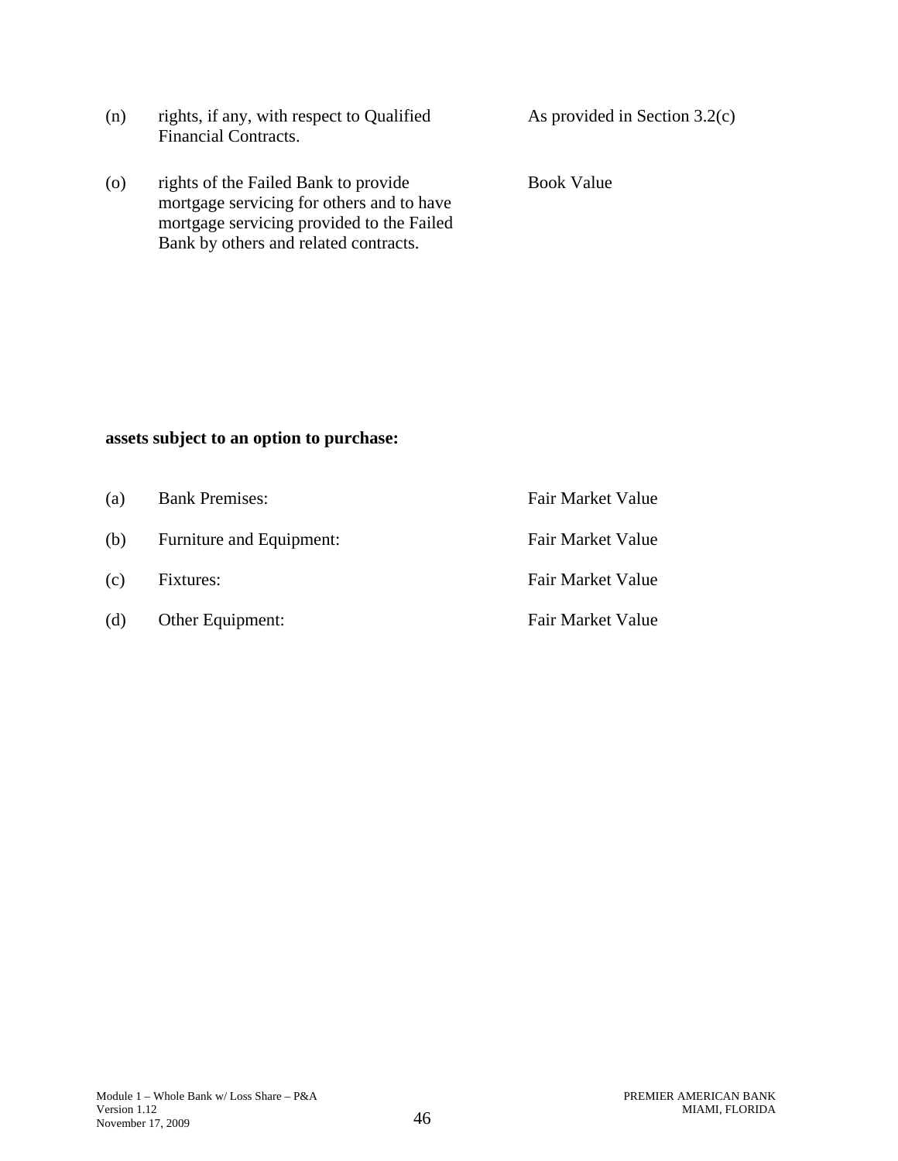| (n) | rights, if any, with respect to Qualified<br>Financial Contracts.                                                                                                       | As provided in Section $3.2(c)$ |
|-----|-------------------------------------------------------------------------------------------------------------------------------------------------------------------------|---------------------------------|
| (0) | rights of the Failed Bank to provide<br>mortgage servicing for others and to have<br>mortgage servicing provided to the Failed<br>Bank by others and related contracts. | <b>Book Value</b>               |

# **assets subject to an option to purchase:**

| (a) | <b>Bank Premises:</b>    | Fair Market Value |
|-----|--------------------------|-------------------|
| (b) | Furniture and Equipment: | Fair Market Value |
| (c) | Fixtures:                | Fair Market Value |
| (d) | Other Equipment:         | Fair Market Value |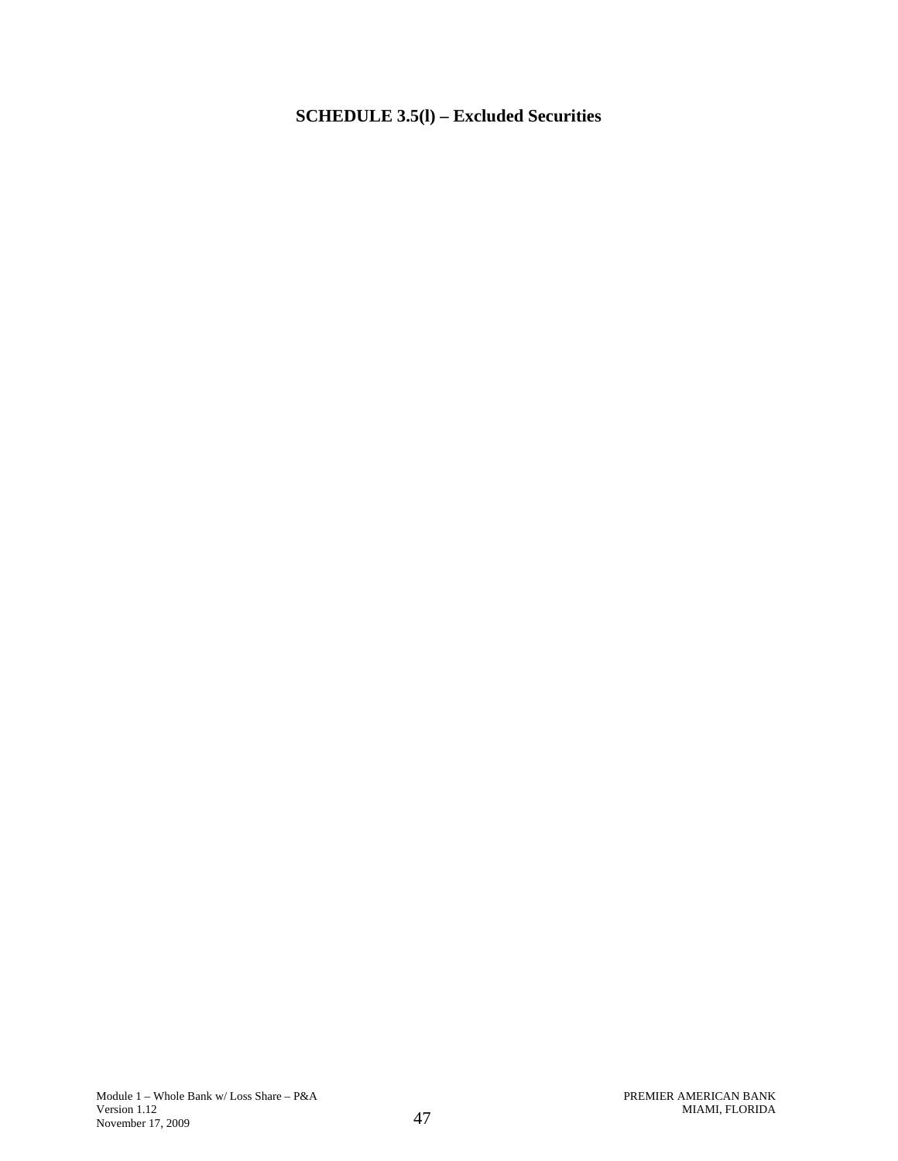# **SCHEDULE 3.5(l) – Excluded Securities**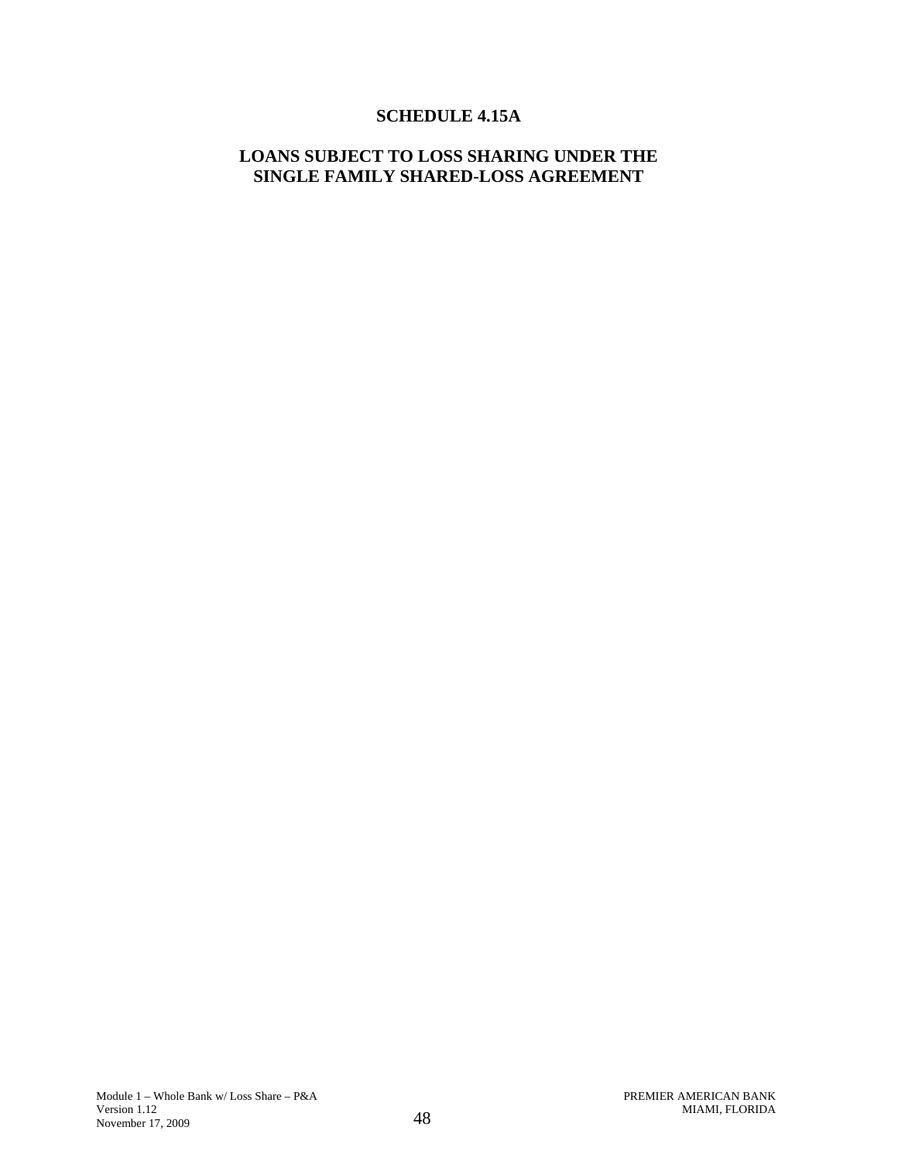## **SCHEDULE 4.15A**

#### **LOANS SUBJECT TO LOSS SHARING UNDER THE SINGLE FAMILY SHARED-LOSS AGREEMENT**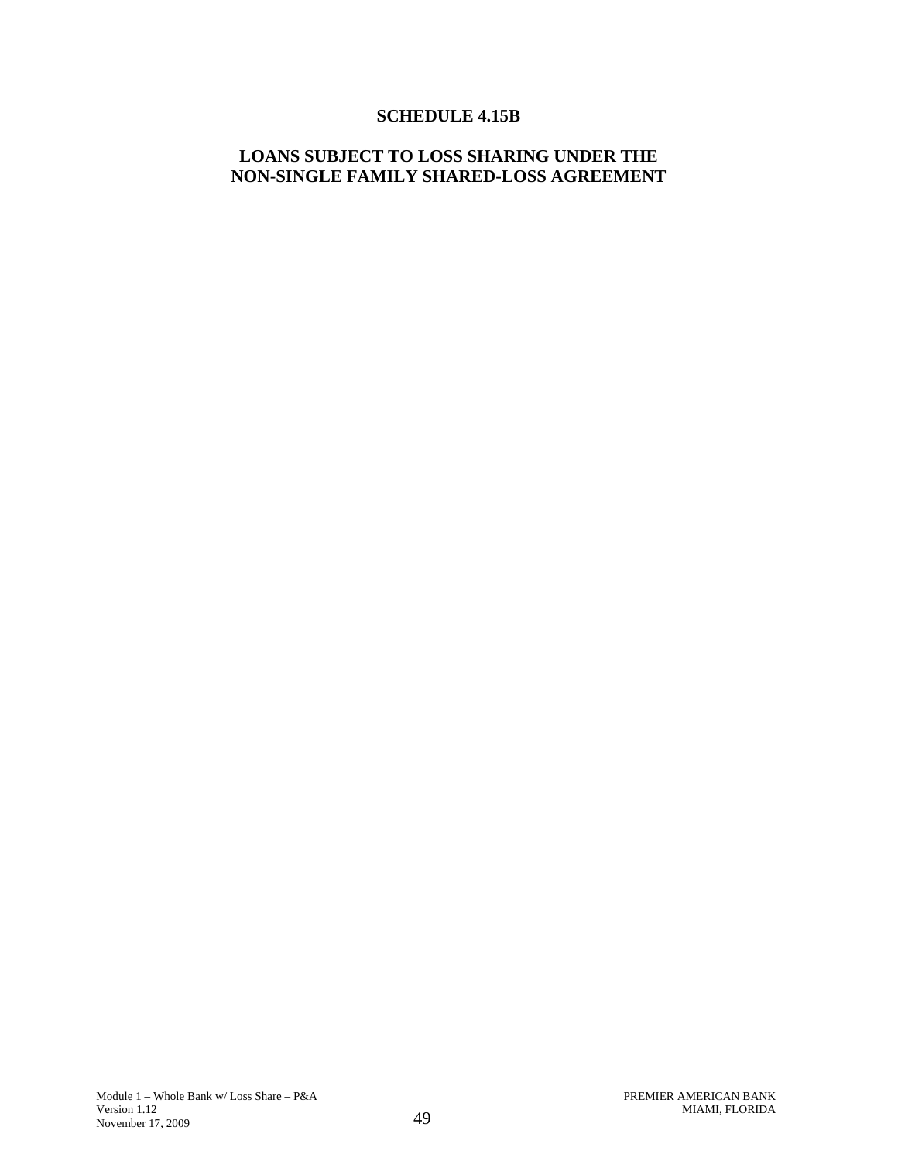## **SCHEDULE 4.15B**

#### **LOANS SUBJECT TO LOSS SHARING UNDER THE NON-SINGLE FAMILY SHARED-LOSS AGREEMENT**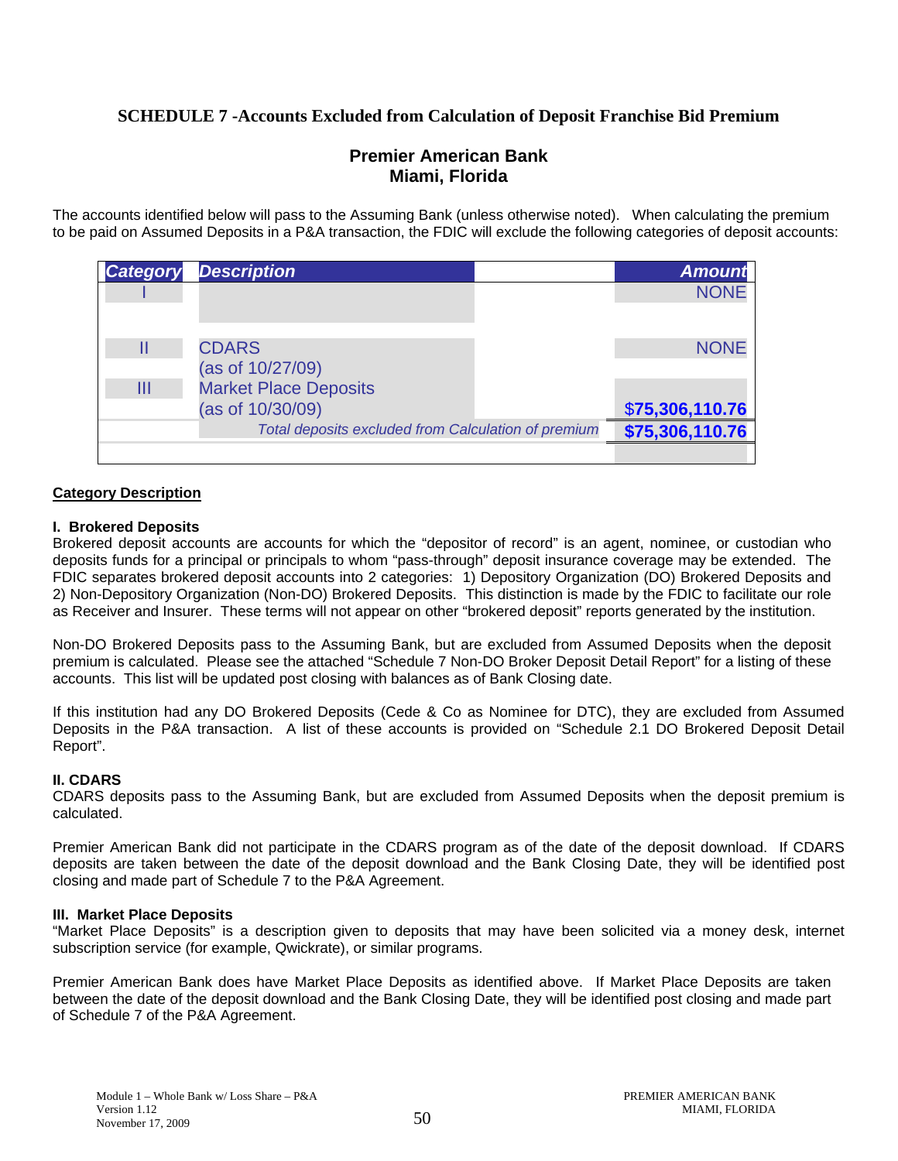## **SCHEDULE 7 -Accounts Excluded from Calculation of Deposit Franchise Bid Premium**

#### **Premier American Bank Miami, Florida**

The accounts identified below will pass to the Assuming Bank (unless otherwise noted). When calculating the premium to be paid on Assumed Deposits in a P&A transaction, the FDIC will exclude the following categories of deposit accounts:

| <b>Category</b> | <b>Description</b>                                  | <b>Amount</b>   |
|-----------------|-----------------------------------------------------|-----------------|
|                 |                                                     | <b>NONE</b>     |
|                 |                                                     |                 |
|                 |                                                     |                 |
|                 | <b>CDARS</b>                                        | <b>NONE</b>     |
|                 | (as of 10/27/09)                                    |                 |
| Ш               | <b>Market Place Deposits</b>                        |                 |
|                 | (as of 10/30/09)                                    | \$75,306,110.76 |
|                 | Total deposits excluded from Calculation of premium | \$75,306,110.76 |
|                 |                                                     |                 |

#### **Category Description**

#### **I. Brokered Deposits**

Brokered deposit accounts are accounts for which the "depositor of record" is an agent, nominee, or custodian who deposits funds for a principal or principals to whom "pass-through" deposit insurance coverage may be extended. The FDIC separates brokered deposit accounts into 2 categories: 1) Depository Organization (DO) Brokered Deposits and 2) Non-Depository Organization (Non-DO) Brokered Deposits. This distinction is made by the FDIC to facilitate our role as Receiver and Insurer. These terms will not appear on other "brokered deposit" reports generated by the institution.

Non-DO Brokered Deposits pass to the Assuming Bank, but are excluded from Assumed Deposits when the deposit premium is calculated. Please see the attached "Schedule 7 Non-DO Broker Deposit Detail Report" for a listing of these accounts. This list will be updated post closing with balances as of Bank Closing date.

If this institution had any DO Brokered Deposits (Cede & Co as Nominee for DTC), they are excluded from Assumed Deposits in the P&A transaction. A list of these accounts is provided on "Schedule 2.1 DO Brokered Deposit Detail Report".

#### **II. CDARS**

CDARS deposits pass to the Assuming Bank, but are excluded from Assumed Deposits when the deposit premium is calculated.

Premier American Bank did not participate in the CDARS program as of the date of the deposit download. If CDARS deposits are taken between the date of the deposit download and the Bank Closing Date, they will be identified post closing and made part of Schedule 7 to the P&A Agreement.

#### **III. Market Place Deposits**

"Market Place Deposits" is a description given to deposits that may have been solicited via a money desk, internet subscription service (for example, Qwickrate), or similar programs.

Premier American Bank does have Market Place Deposits as identified above. If Market Place Deposits are taken between the date of the deposit download and the Bank Closing Date, they will be identified post closing and made part of Schedule 7 of the P&A Agreement.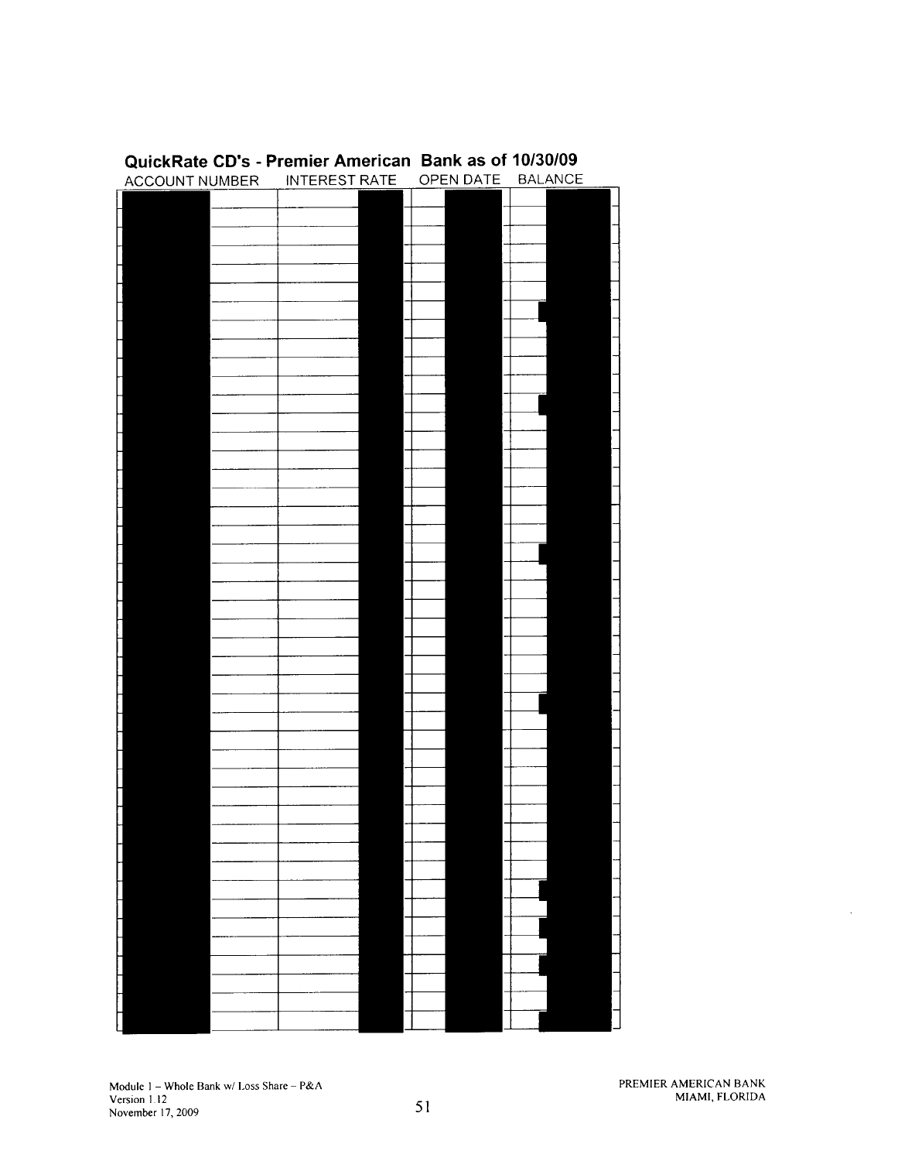

Module 1 – Whole Bank w/ Loss Share – P&A PREMIER AMERICAN BANK Version 1.12 November 17, 2009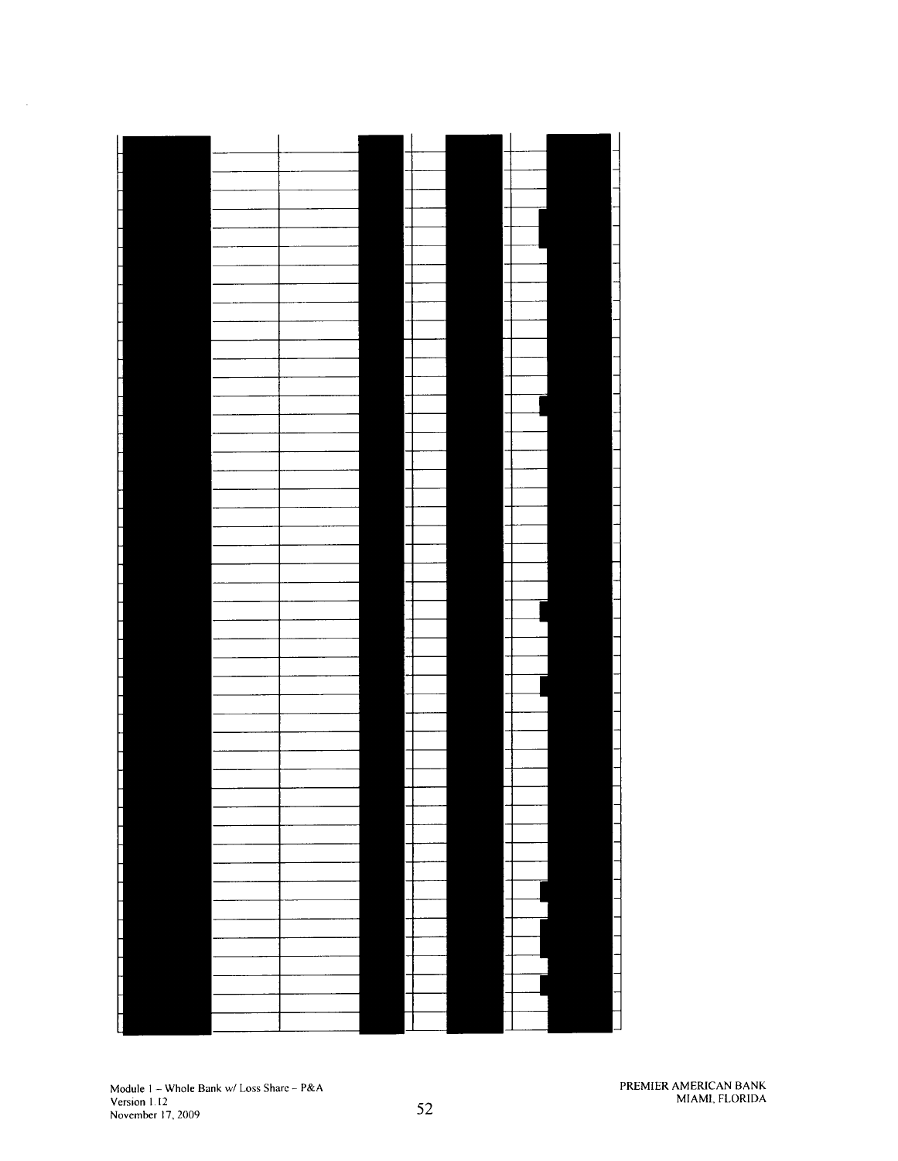

Module i - Whole Bank wi Loss Share - P&A PREMIER AMERICAN BANK Version i 12 MIAMI, FLORIDA November 17,2009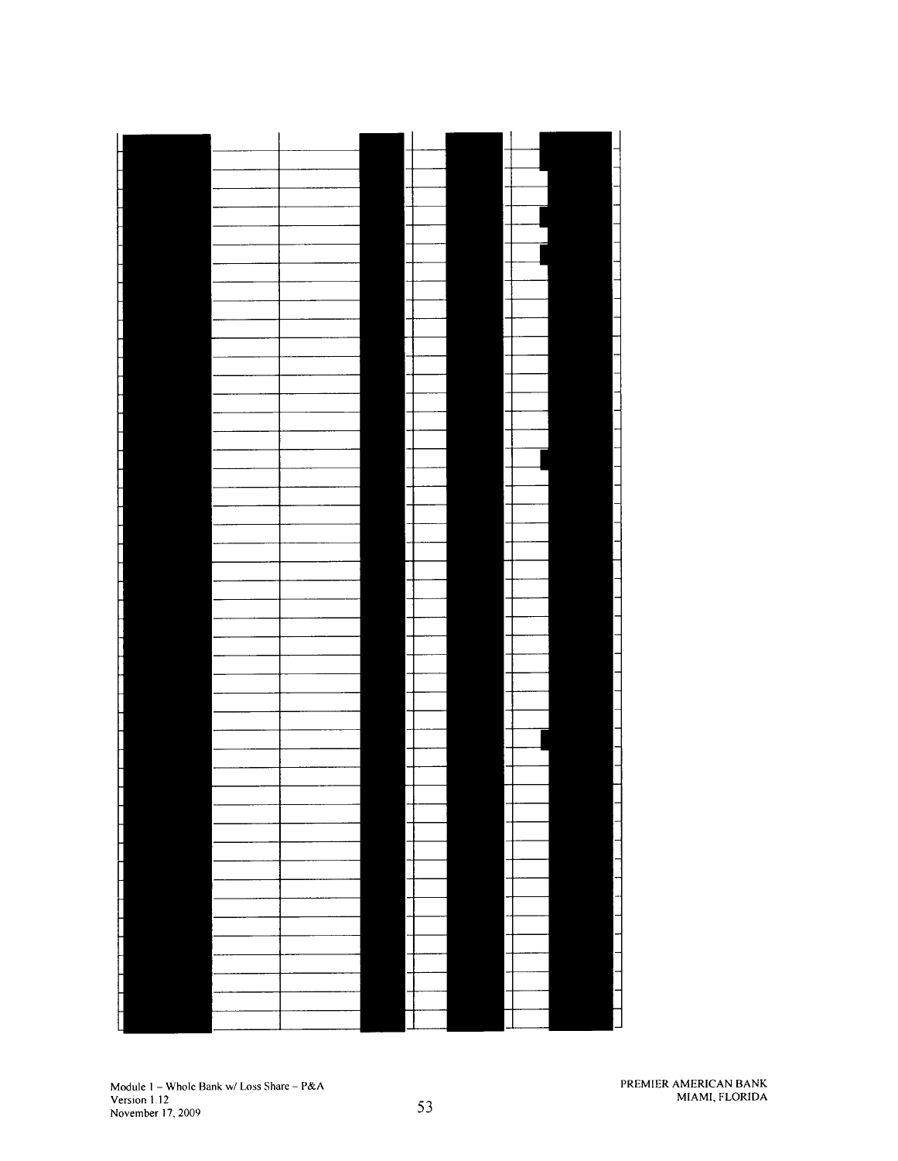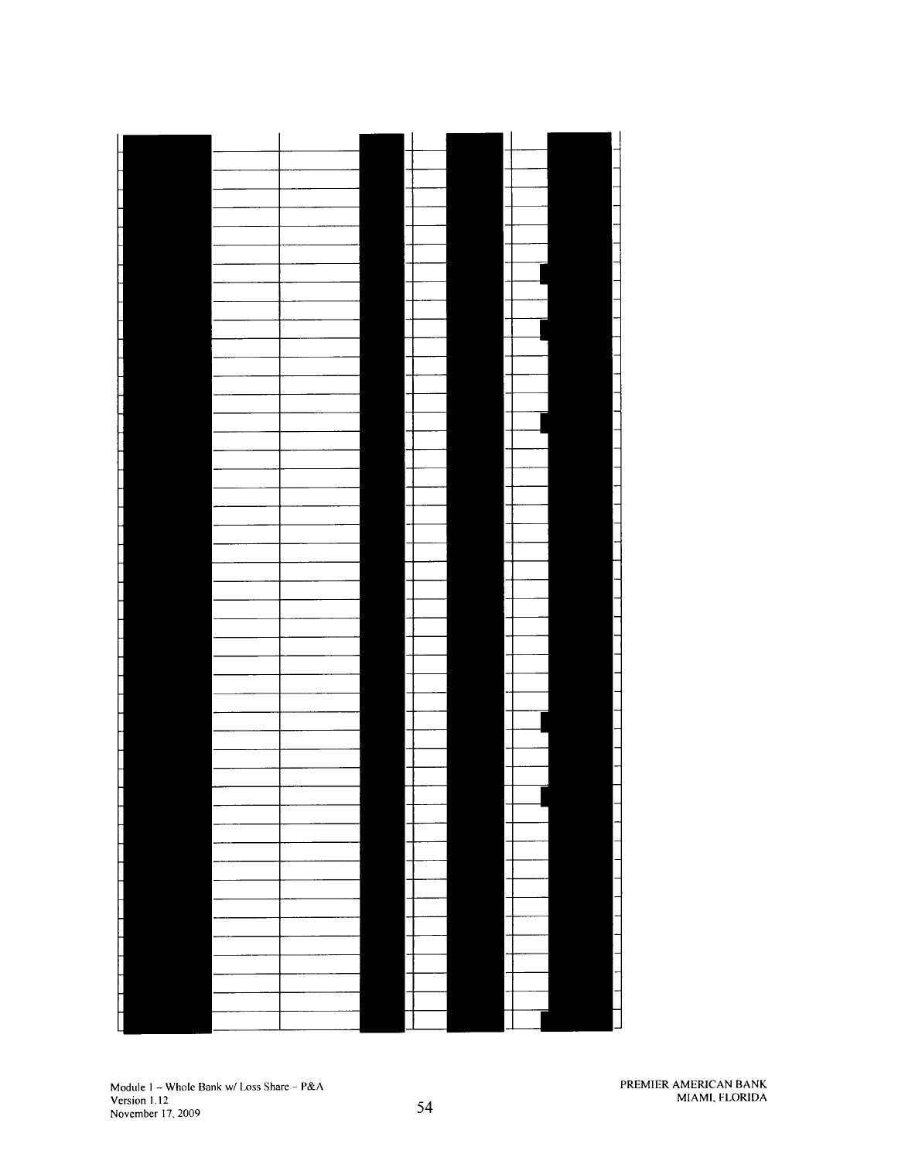

Module 1 - Whole Bank wi Loss Share - P&A PREMIER AMERICAN BANK Version i. 12 MIAMI, FLORIDA November 17, 2009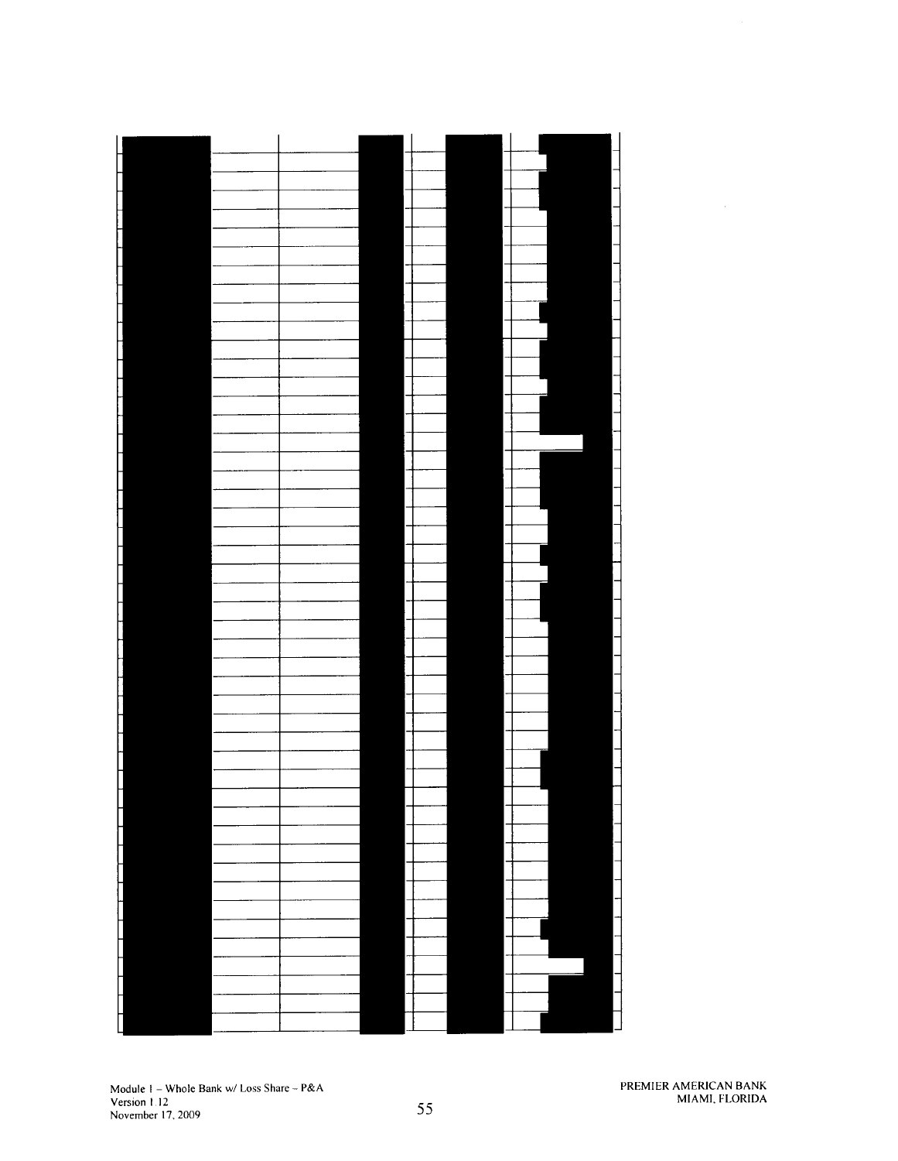

Module i - Whole Bank wi Loss Share - P&A PREMIER AMERICAN BANK Version i 12 MIAMI, FLORIDA November 17, 2009

 $\mathcal{A}^{\text{max}}_{\text{max}}$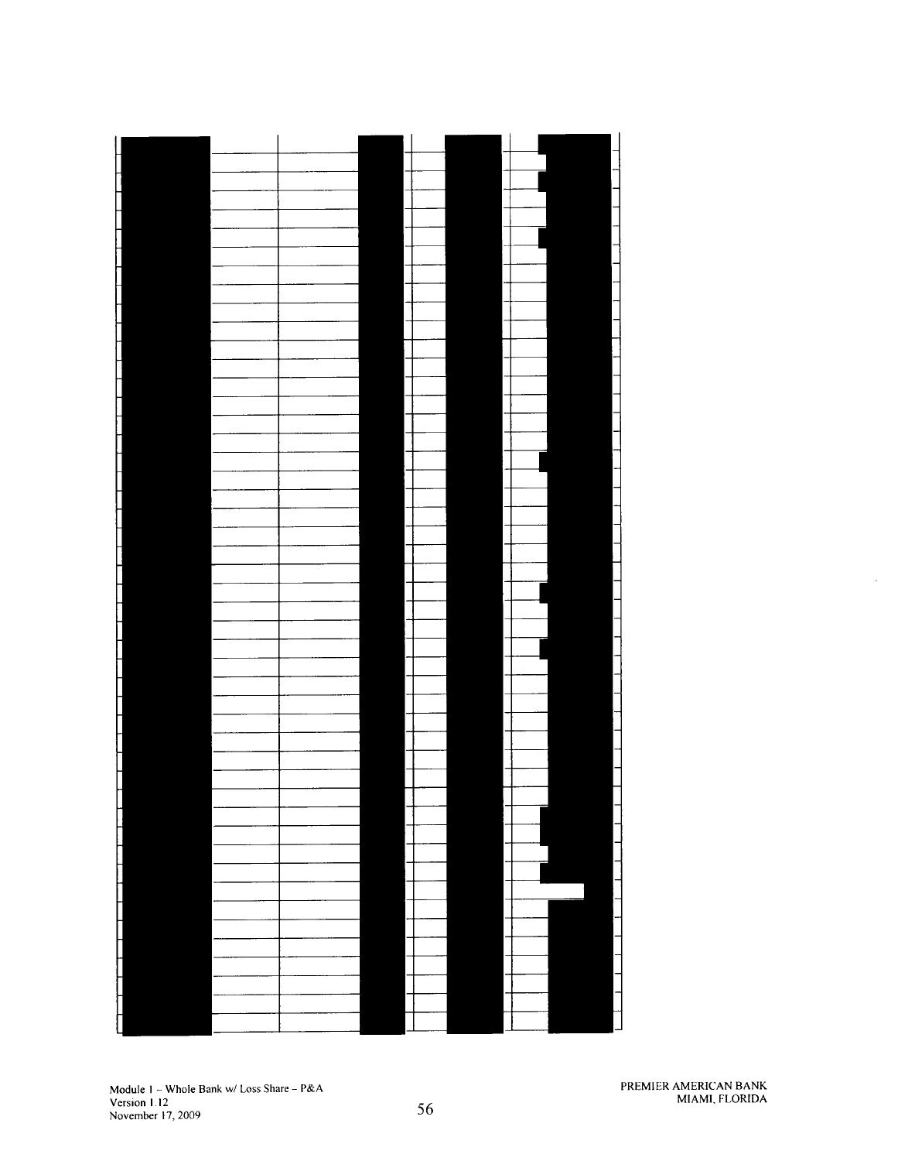

 $\hat{\mathcal{L}}$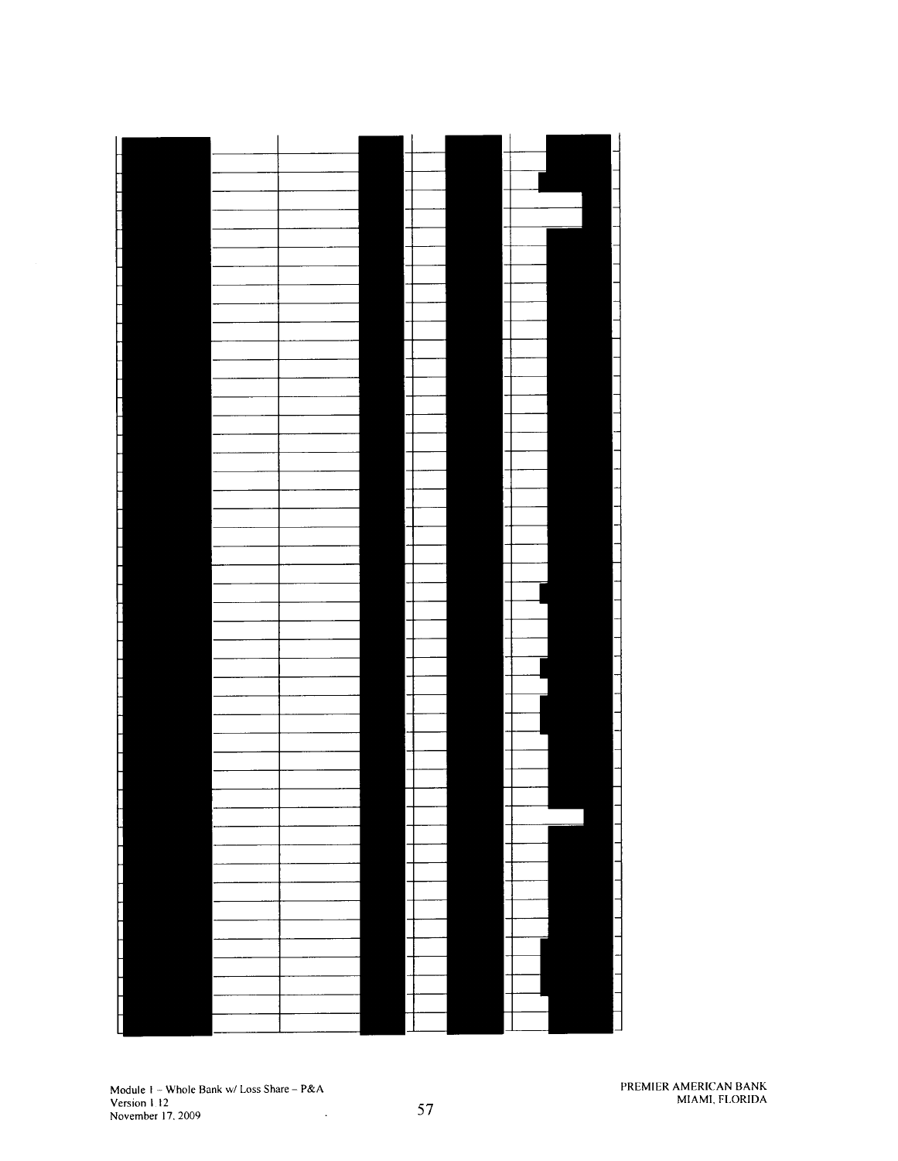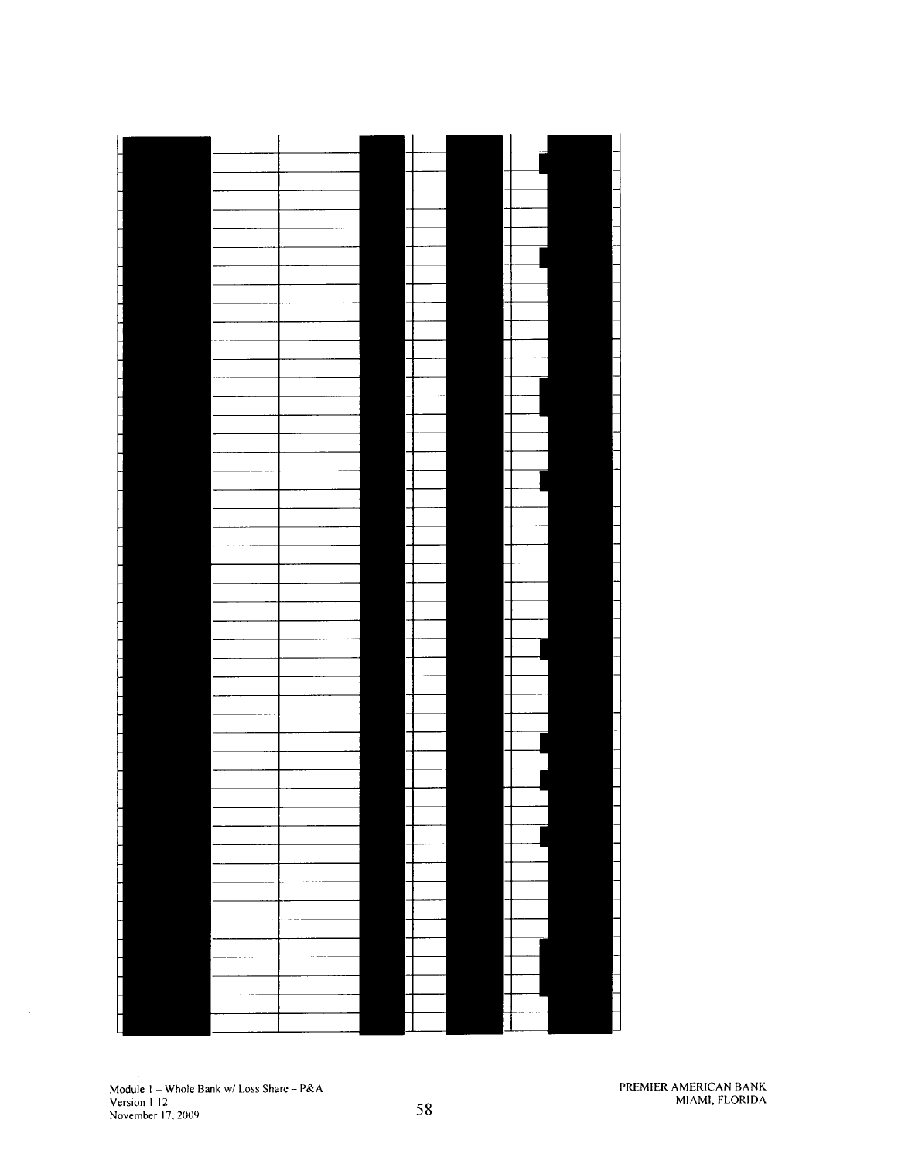

Module I - Whole Bank wi Loss Share - P&A PREMIER AMERICAN BANK [Versi](#page-5-0)on I 12 MIAMI, FLORIDA November 17,2009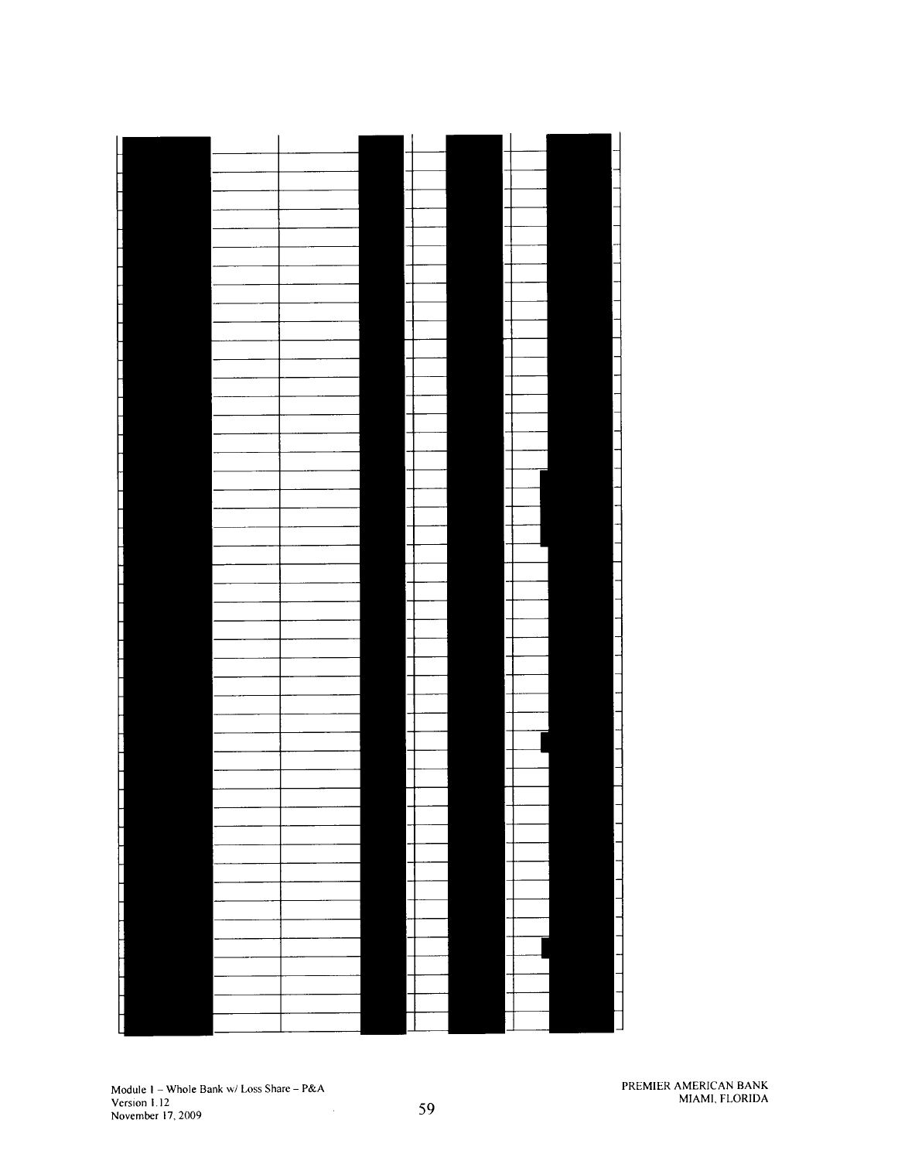| ⊦ |  |  |  |                  |
|---|--|--|--|------------------|
|   |  |  |  |                  |
| r |  |  |  | — — — — —<br>— — |
| ┝ |  |  |  |                  |
|   |  |  |  |                  |
| г |  |  |  |                  |
|   |  |  |  |                  |
| r |  |  |  |                  |
|   |  |  |  |                  |
| F |  |  |  |                  |
|   |  |  |  |                  |
|   |  |  |  |                  |
|   |  |  |  |                  |
|   |  |  |  |                  |
|   |  |  |  |                  |
| L |  |  |  |                  |
|   |  |  |  |                  |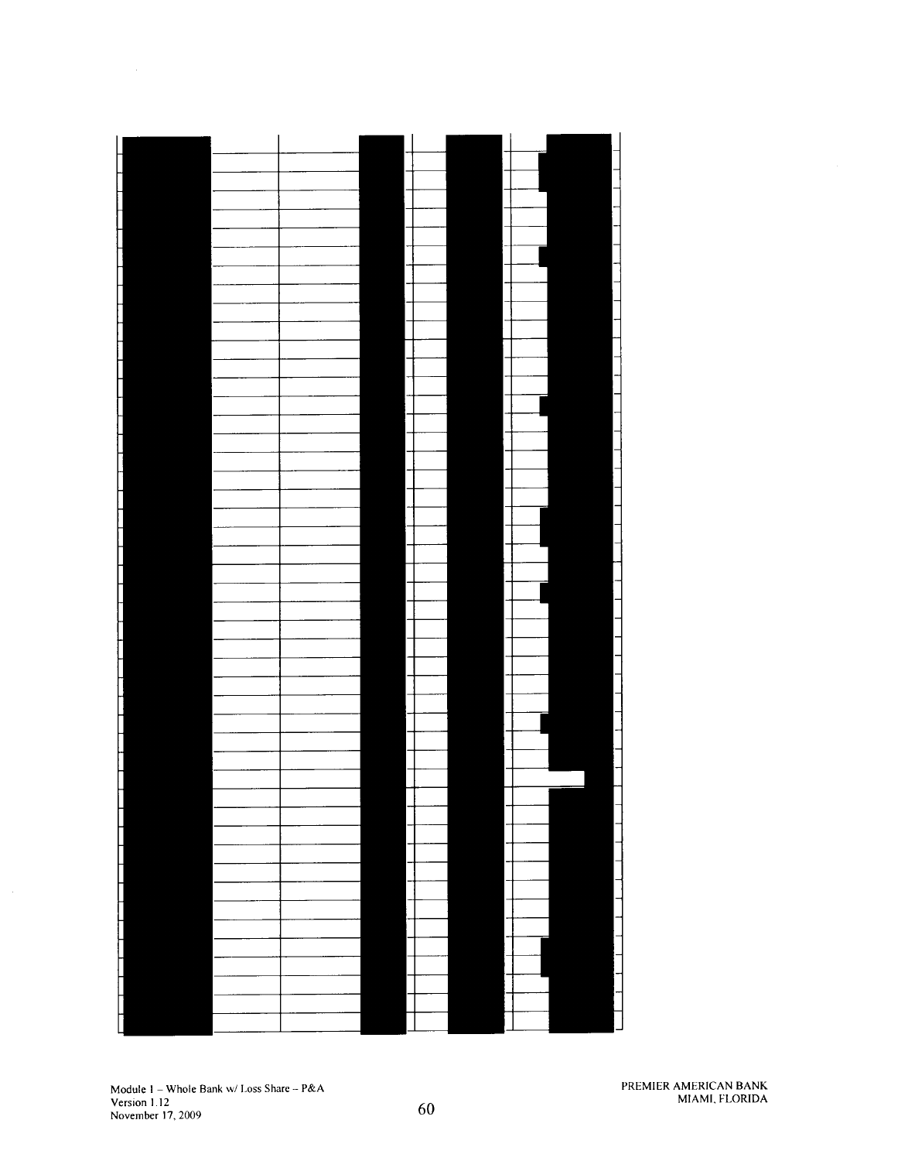

 $\hat{\boldsymbol{\beta}}$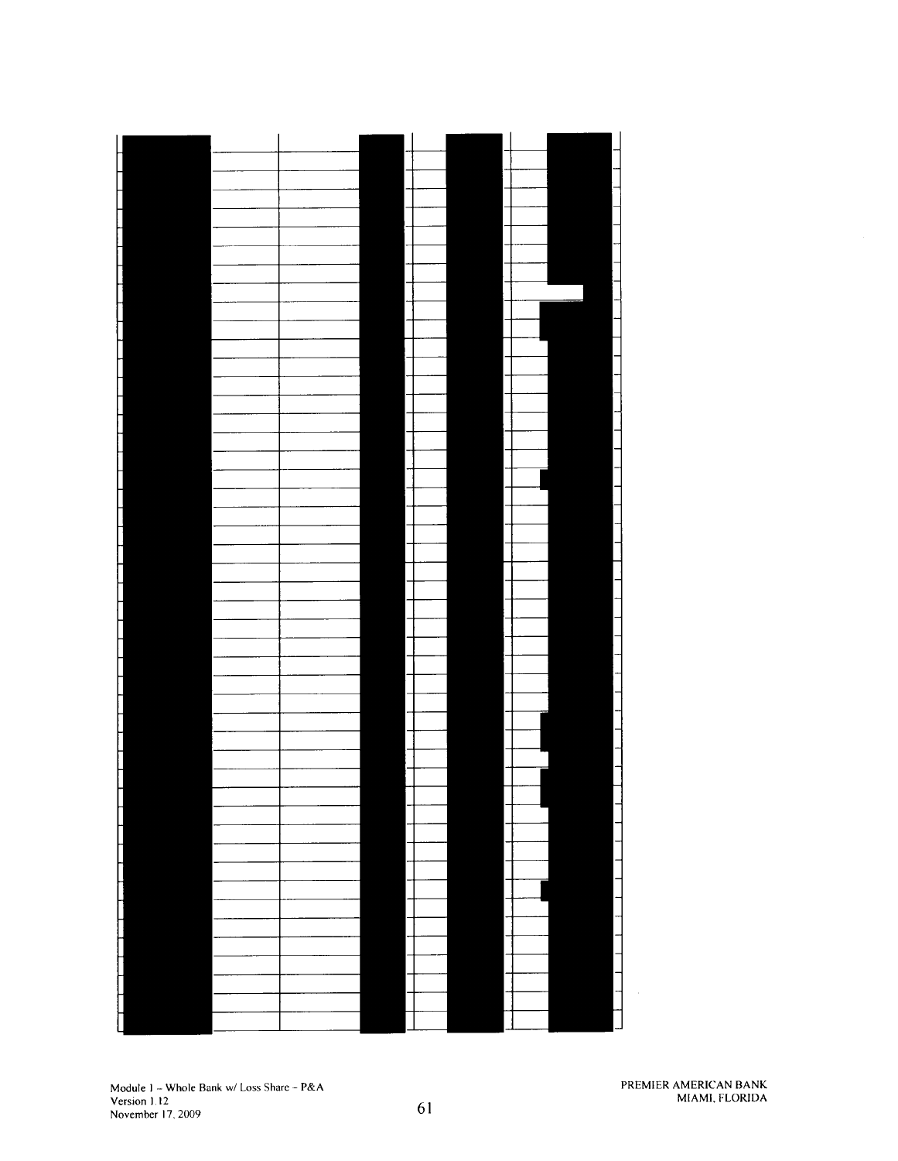

Module 1 - Whole Bank w/ Loss Share - P&A PREMIER AMERICAN BANK Version 1 12 November 17,2009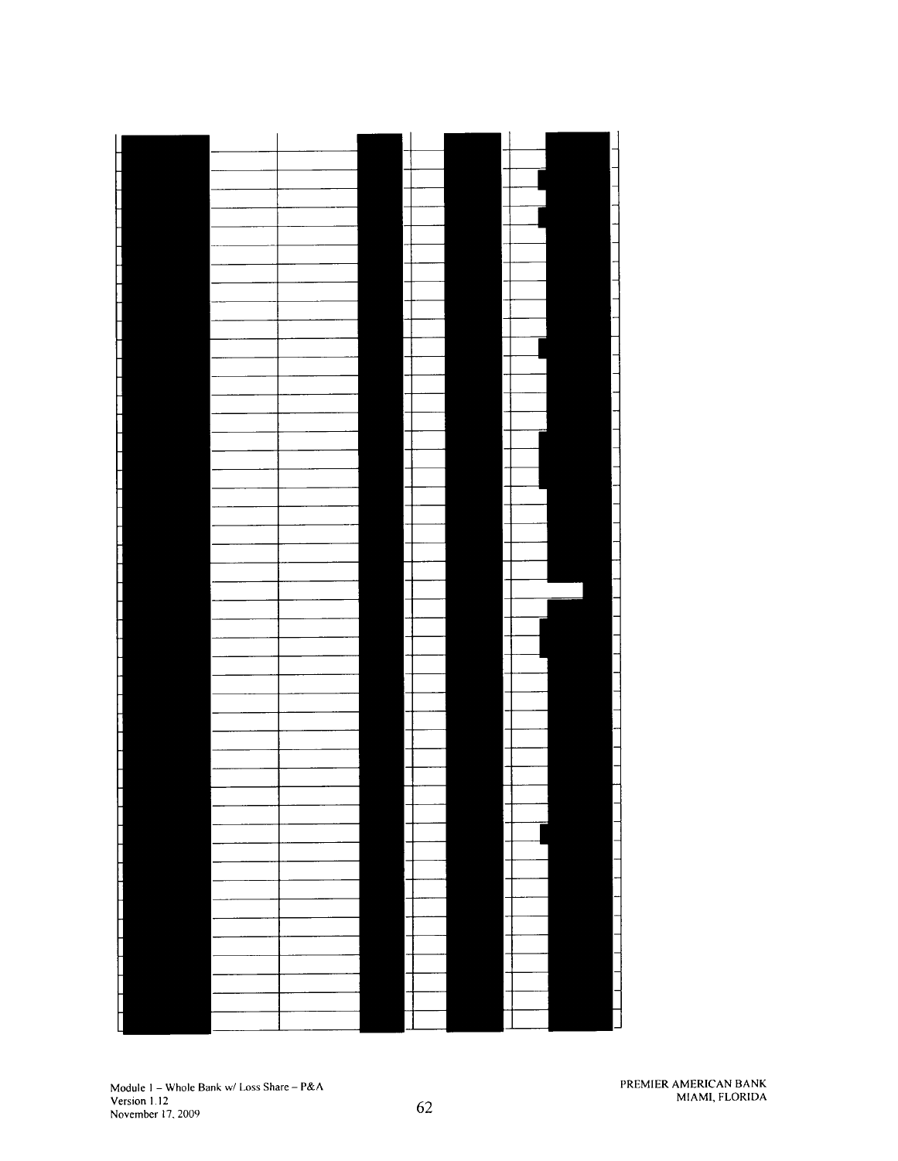

Module I - Whole Bank wi Loss Share - P&A PREMIER AMERICAN BANK Version 1 12 MIAMI, FLORIDA November 17, 2009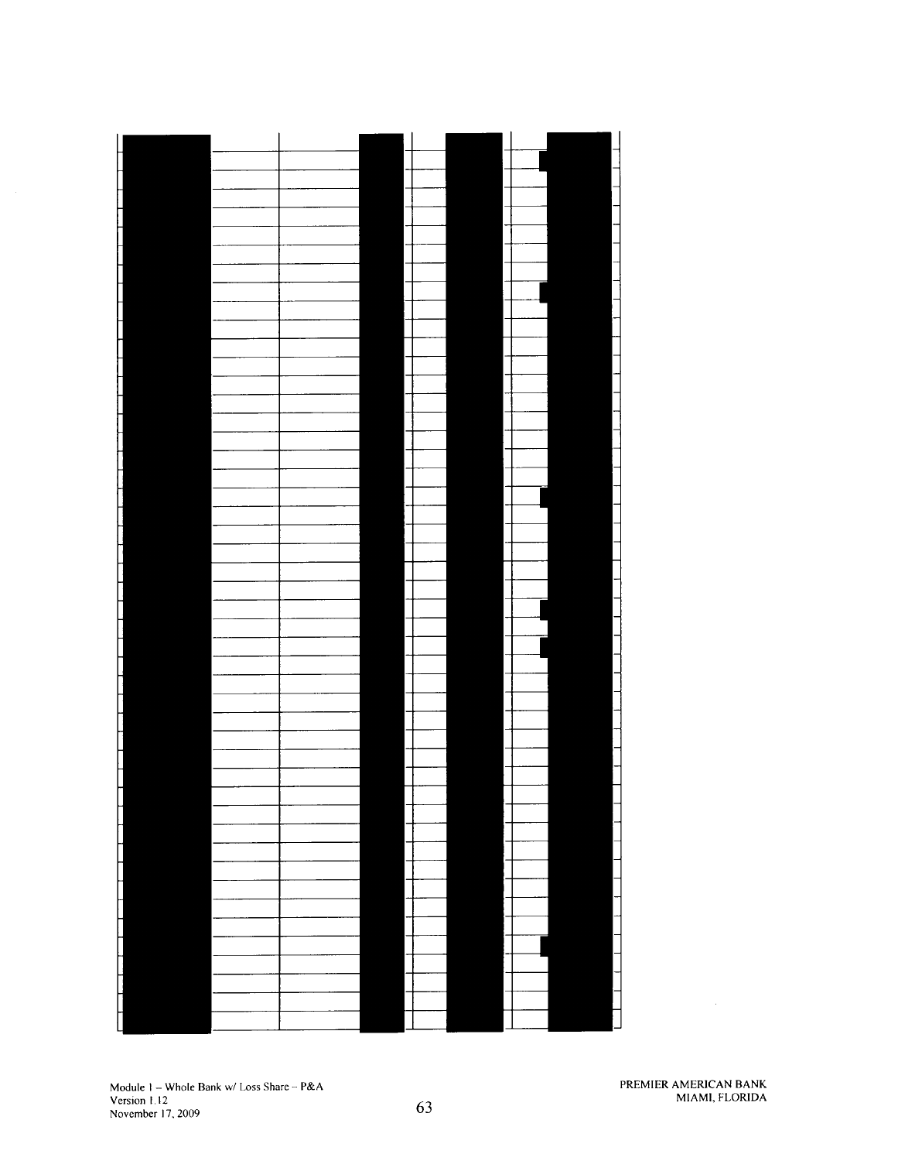

Module I - Whole Bank wi Loss Share - P&A PREMIER AMERICAN BANK [Versi](#page-5-0)on I 12 MIAMI, FLORIDA November 17,2009

 $\hat{\mathcal{A}}$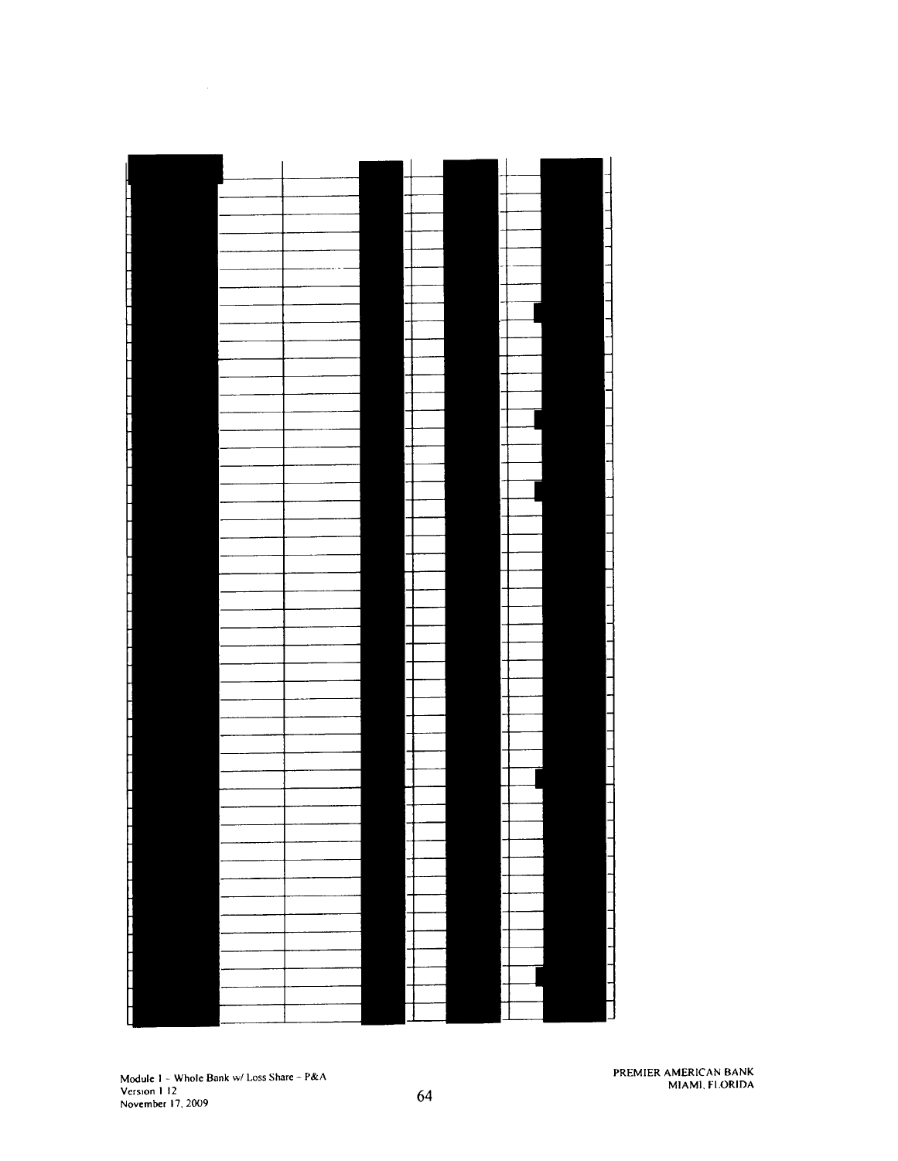

Module 1 - Whole Bank w/ Loss Share - P&A Module 1 - Whole Bank w/ Loss Share - P&A MiAMI. FLORIDA MAMI. FLORIDA<br>Version 1 12 MIAMI. FLORIDA MAMI. FLORIDA MAMI. FLORIDA Version 1.12<br>November 17, 2009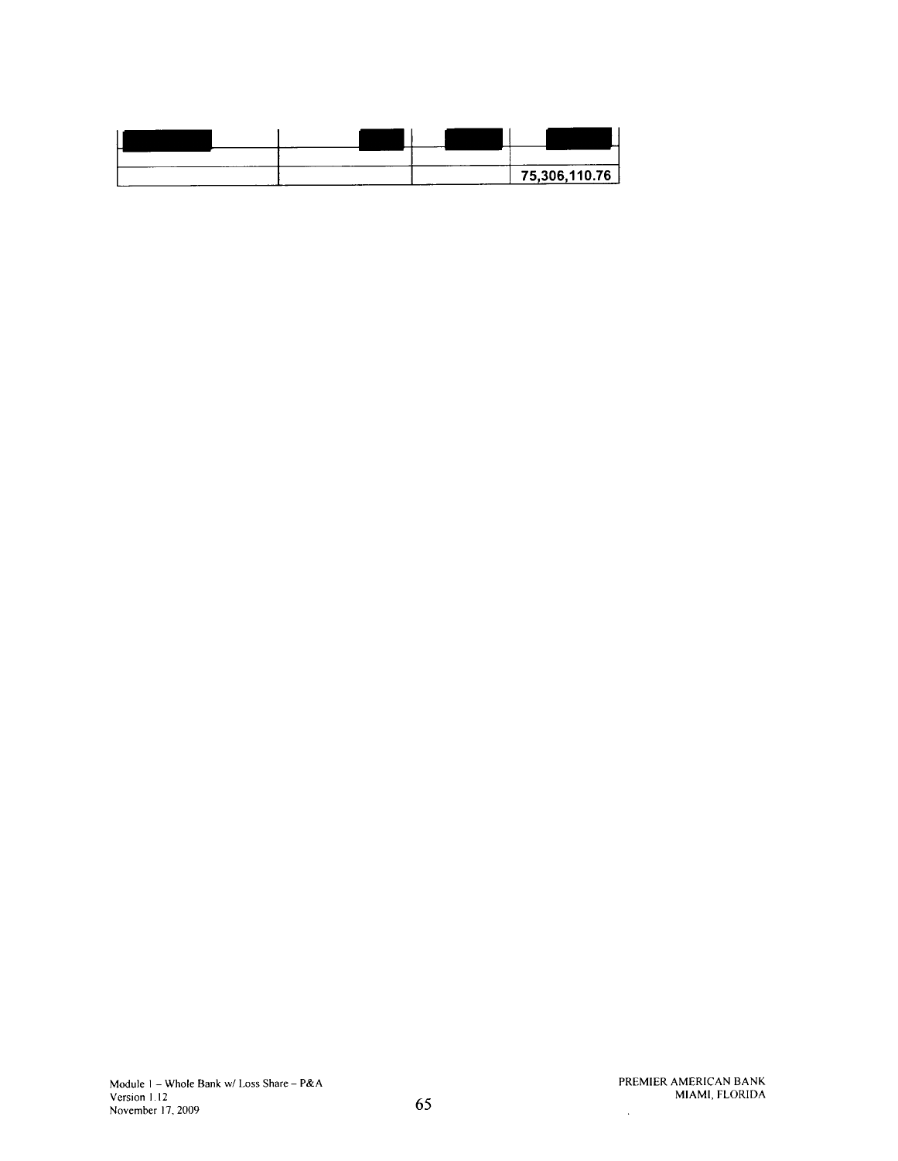|  |  | 75,306,110.76 |
|--|--|---------------|

 $\mathcal{A}$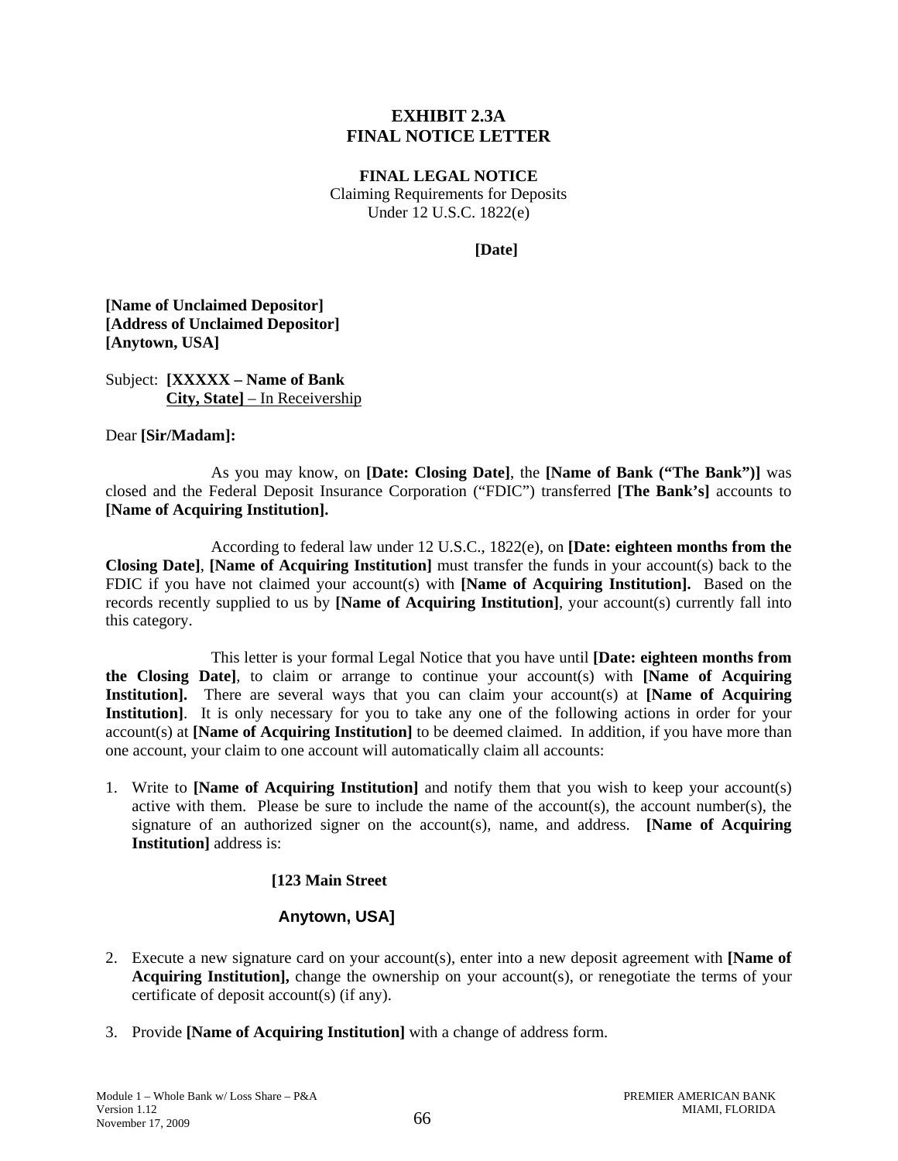#### **EXHIBIT 2.3A FINAL NOTICE LETTER**

#### **FINAL LEGAL NOTICE**

Claiming Requirements for Deposits Under 12 U.S.C. 1822(e)

**[Date]** 

**[Name of Unclaimed Depositor] [Address of Unclaimed Depositor] [Anytown, USA]** 

Subject: **[XXXXX – Name of Bank City, State]** – In Receivership

Dear **[Sir/Madam]:** 

As you may know, on **[Date: Closing Date]**, the **[Name of Bank ("The Bank")]** was closed and the Federal Deposit Insurance Corporation ("FDIC") transferred **[The Bank's]** accounts to **[Name of Acquiring Institution].** 

According to federal law under 12 U.S.C., 1822(e), on **[Date: eighteen months from the Closing Date]**, **[Name of Acquiring Institution]** must transfer the funds in your account(s) back to the FDIC if you have not claimed your account(s) with **[Name of Acquiring Institution].** Based on the records recently supplied to us by **[Name of Acquiring Institution]**, your account(s) currently fall into this category.

This letter is your formal Legal Notice that you have until **[Date: eighteen months from the Closing Date]**, to claim or arrange to continue your account(s) with **[Name of Acquiring Institution**. There are several ways that you can claim your account(s) at **[Name of Acquiring Institution]**. It is only necessary for you to take any one of the following actions in order for your account(s) at **[Name of Acquiring Institution]** to be deemed claimed. In addition, if you have more than one account, your claim to one account will automatically claim all accounts:

 signature of an authorized signer on the account(s), name, and address. **[Name of Acquiring**  1. Write to **[Name of Acquiring Institution]** and notify them that you wish to keep your account(s) active with them. Please be sure to include the name of the account(s), the account number(s), the **Institution]** address is:

#### **[123 Main Street**

#### **Anytown, USA]**

- 2. Execute a new signature card on your account(s), enter into a new deposit agreement with **[Name of Acquiring Institution],** change the ownership on your account(s), or renegotiate the terms of your certificate of deposit account(s) (if any).
- 3. Provide **[Name of Acquiring Institution]** with a change of address form.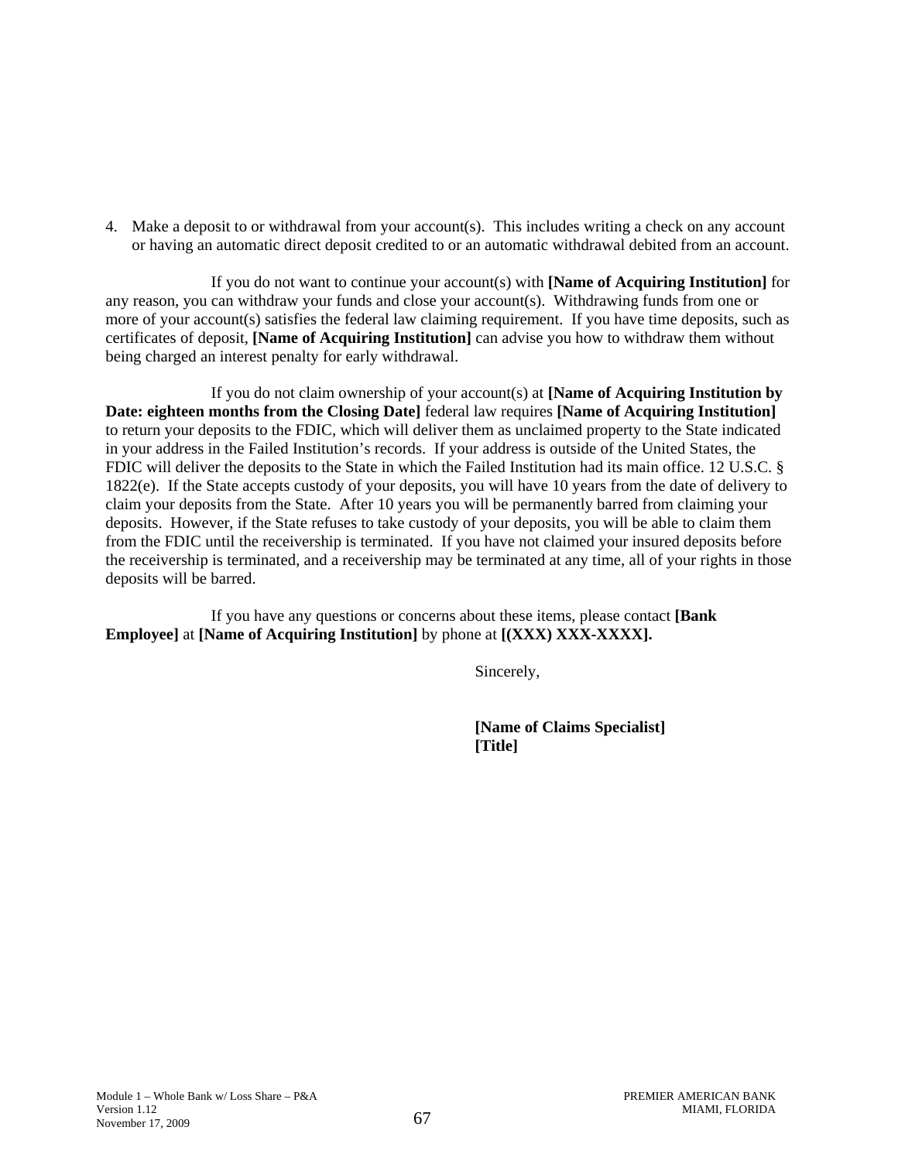4. Make a deposit to or withdrawal from your account(s). This includes writing a check on any account or having an automatic direct deposit credited to or an automatic withdrawal debited from an account.

If you do not want to continue your account(s) with **[Name of Acquiring Institution]** for any reason, you can withdraw your funds and close your account(s). Withdrawing funds from one or more of your account(s) satisfies the federal law claiming requirement. If you have time deposits, such as certificates of deposit, **[Name of Acquiring Institution]** can advise you how to withdraw them without being charged an interest penalty for early withdrawal.

If you do not claim ownership of your account(s) at **[Name of Acquiring Institution by Date: eighteen months from the Closing Date]** federal law requires **[Name of Acquiring Institution]**  to return your deposits to the FDIC, which will deliver them as unclaimed property to the State indicated in your address in the Failed Institution's records. If your address is outside of the United States, the FDIC will deliver the deposits to the State in which the Failed Institution had its main office. 12 U.S.C. § 1822(e). If the State accepts custody of your deposits, you will have 10 years from the date of delivery to claim your deposits from the State. After 10 years you will be permanently barred from claiming your deposits. However, if the State refuses to take custody of your deposits, you will be able to claim them from the FDIC until the receivership is terminated. If you have not claimed your insured deposits before the receivership is terminated, and a receivership may be terminated at any time, all of your rights in those deposits will be barred.

If you have any questions or concerns about these items, please contact **[Bank Employee]** at **[Name of Acquiring Institution]** by phone at **[(XXX) XXX-XXXX].** 

Sincerely,

**[Name of Claims Specialist] [Title]**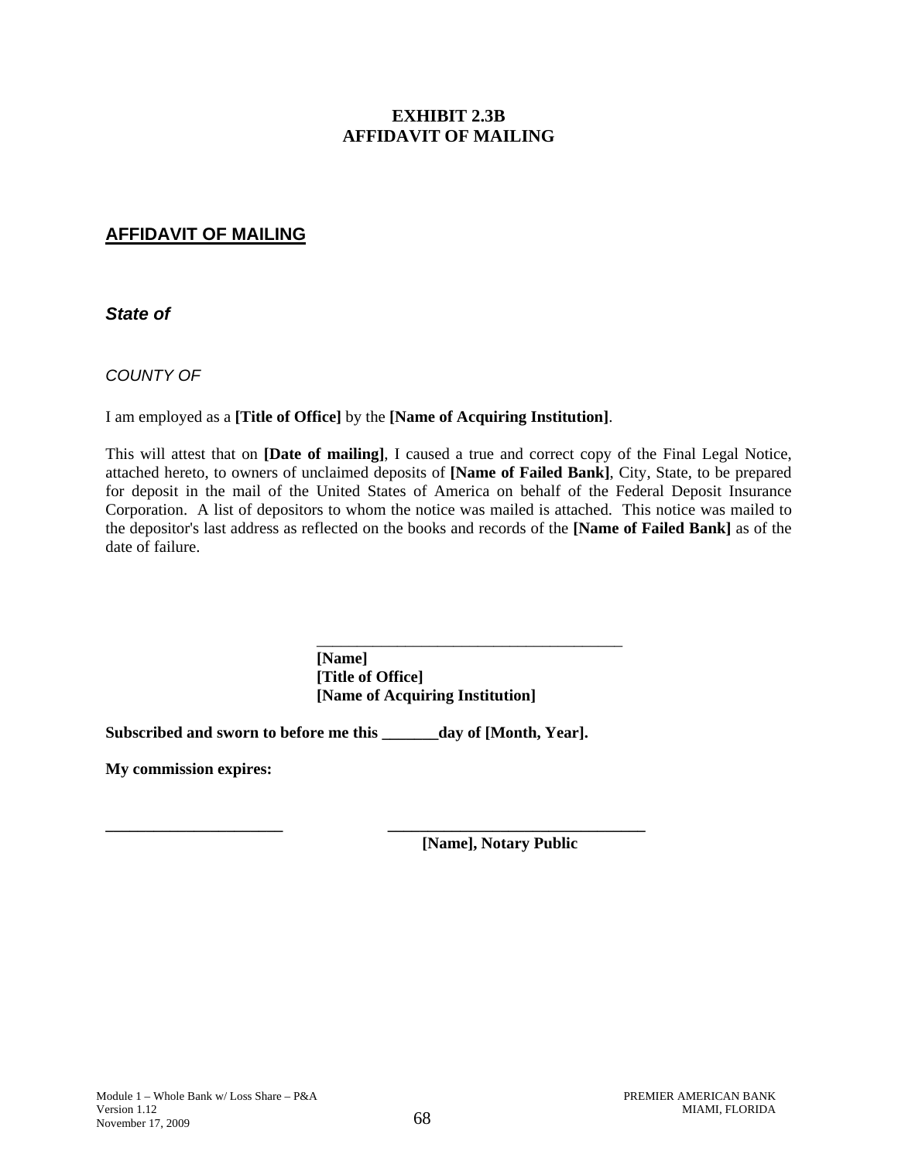## **EXHIBIT 2.3B AFFIDAVIT OF MAILING**

## **AFFIDAVIT OF MAILING**

*State of* 

*COUNTY OF* 

I am employed as a **[Title of Office]** by the **[Name of Acquiring Institution]**.

This will attest that on **[Date of mailing]**, I caused a true and correct copy of the Final Legal Notice, attached hereto, to owners of unclaimed deposits of **[Name of Failed Bank]**, City, State, to be prepared for deposit in the mail of the United States of America on behalf of the Federal Deposit Insurance Corporation. A list of depositors to whom the notice was mailed is attached. This notice was mailed to the depositor's last address as reflected on the books and records of the **[Name of Failed Bank]** as of the date of failure.

 $\overline{\phantom{a}}$  , and the contract of the contract of the contract of the contract of the contract of the contract of the contract of the contract of the contract of the contract of the contract of the contract of the contrac **[Name] [Title of Office] [Name of Acquiring Institution]** 

**Subscribed and sworn to before me this \_\_\_\_\_\_\_day of [Month, Year].** 

**My commission expires:** 

**\_\_\_\_\_\_\_\_\_\_\_\_\_\_\_\_\_\_\_\_\_\_ \_\_\_\_\_\_\_\_\_\_\_\_\_\_\_\_\_\_\_\_\_\_\_\_\_\_\_\_\_\_\_\_ [Name], Notary Public**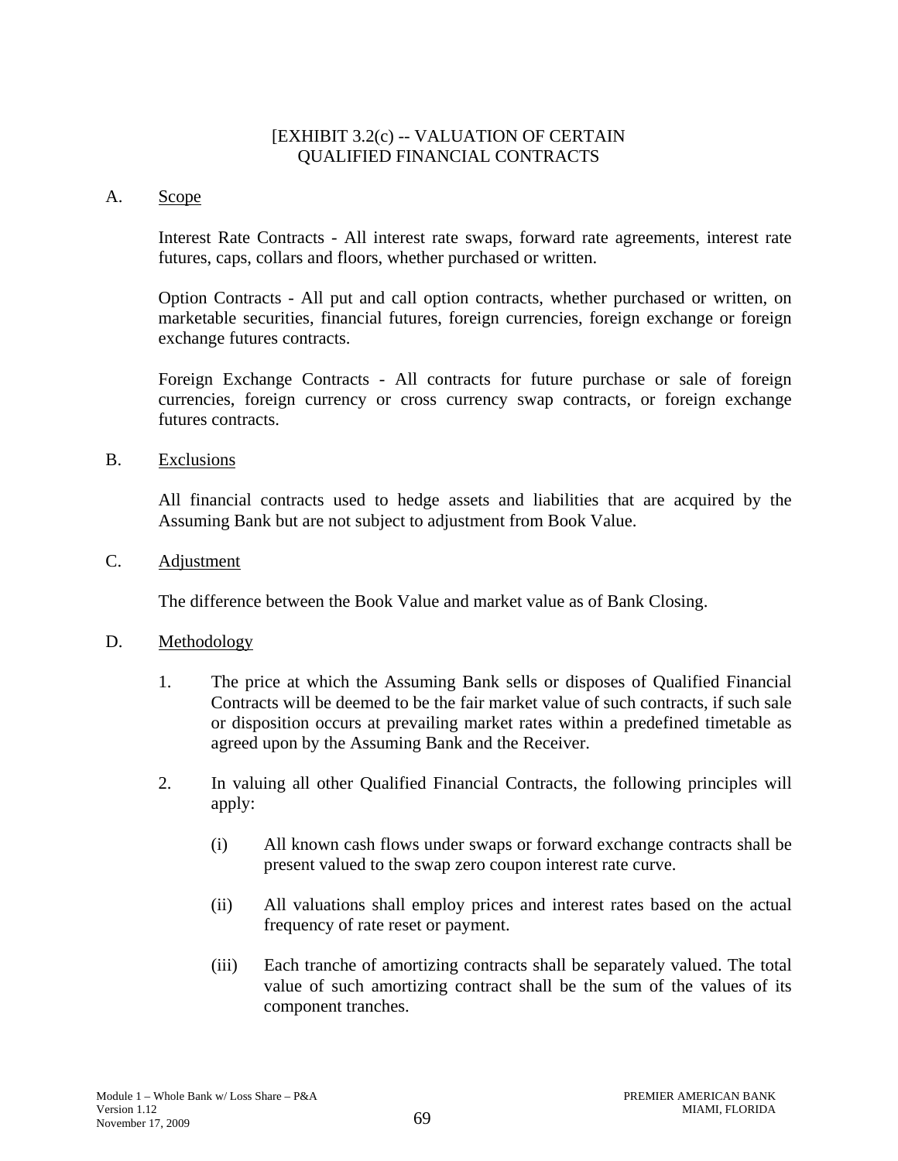## [EXHIBIT 3.2(c) -- VALUATION OF CERTAIN QUALIFIED FINANCIAL CONTRACTS

### A. Scope

Interest Rate Contracts - All interest rate swaps, forward rate agreements, interest rate futures, caps, collars and floors, whether purchased or written.

Option Contracts - All put and call option contracts, whether purchased or written, on marketable securities, financial futures, foreign currencies, foreign exchange or foreign exchange futures contracts.

Foreign Exchange Contracts - All contracts for future purchase or sale of foreign currencies, foreign currency or cross currency swap contracts, or foreign exchange futures contracts.

### B. Exclusions

All financial contracts used to hedge assets and liabilities that are acquired by the Assuming Bank but are not subject to adjustment from Book Value.

### C. Adjustment

The difference between the Book Value and market value as of Bank Closing.

## D. Methodology

- 1. The price at which the Assuming Bank sells or disposes of Qualified Financial Contracts will be deemed to be the fair market value of such contracts, if such sale or disposition occurs at prevailing market rates within a predefined timetable as agreed upon by the Assuming Bank and the Receiver.
- 2. In valuing all other Qualified Financial Contracts, the following principles will apply:
	- (i) All known cash flows under swaps or forward exchange contracts shall be present valued to the swap zero coupon interest rate curve.
	- (ii) All valuations shall employ prices and interest rates based on the actual frequency of rate reset or payment.
	- (iii) Each tranche of amortizing contracts shall be separately valued. The total value of such amortizing contract shall be the sum of the values of its component tranches.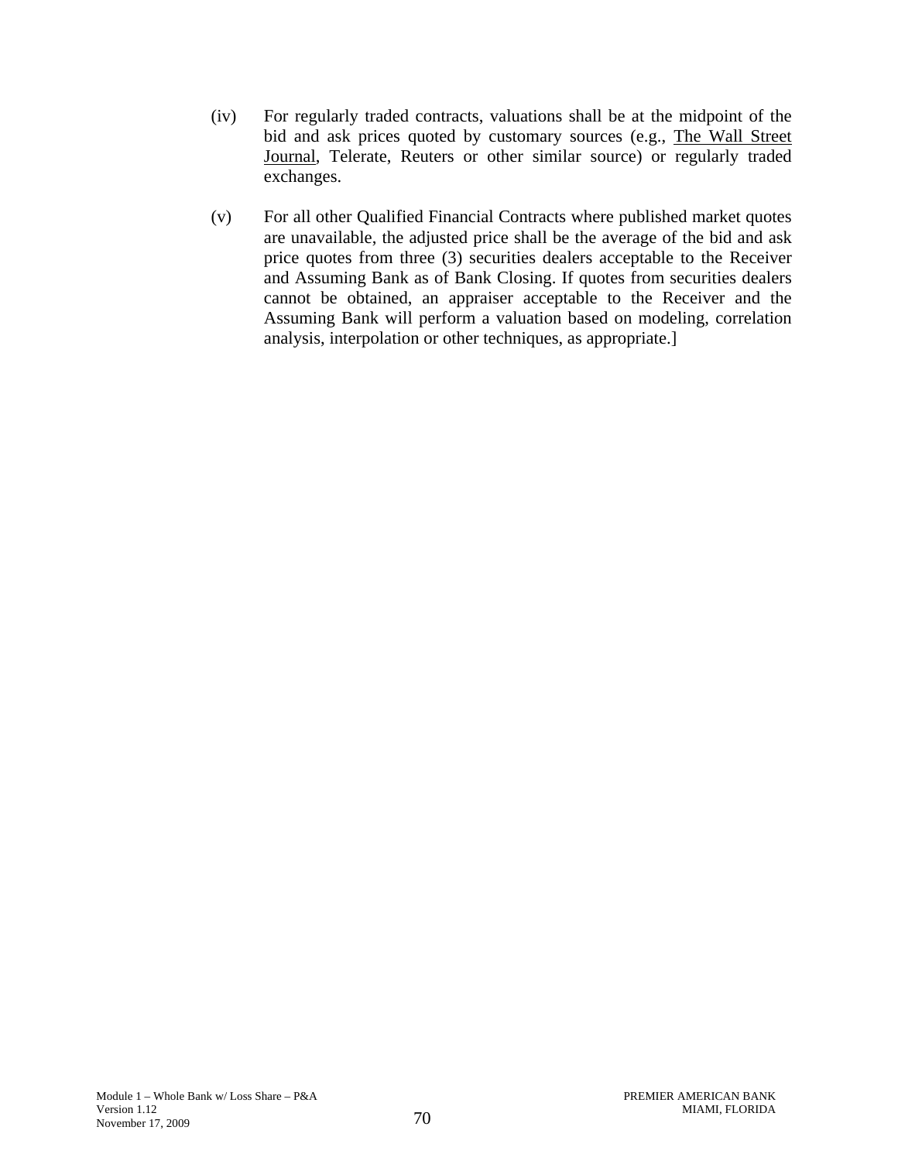- (iv) For regularly traded contracts, valuations shall be at the midpoint of the bid and ask prices quoted by customary sources (e.g., The Wall Street Journal, Telerate, Reuters or other similar source) or regularly traded exchanges.
- (v) For all other Qualified Financial Contracts where published market quotes are unavailable, the adjusted price shall be the average of the bid and ask price quotes from three (3) securities dealers acceptable to the Receiver and Assuming Bank as of Bank Closing. If quotes from securities dealers cannot be obtained, an appraiser acceptable to the Receiver and the Assuming Bank will perform a valuation based on modeling, correlation analysis, interpolation or other techniques, as appropriate.]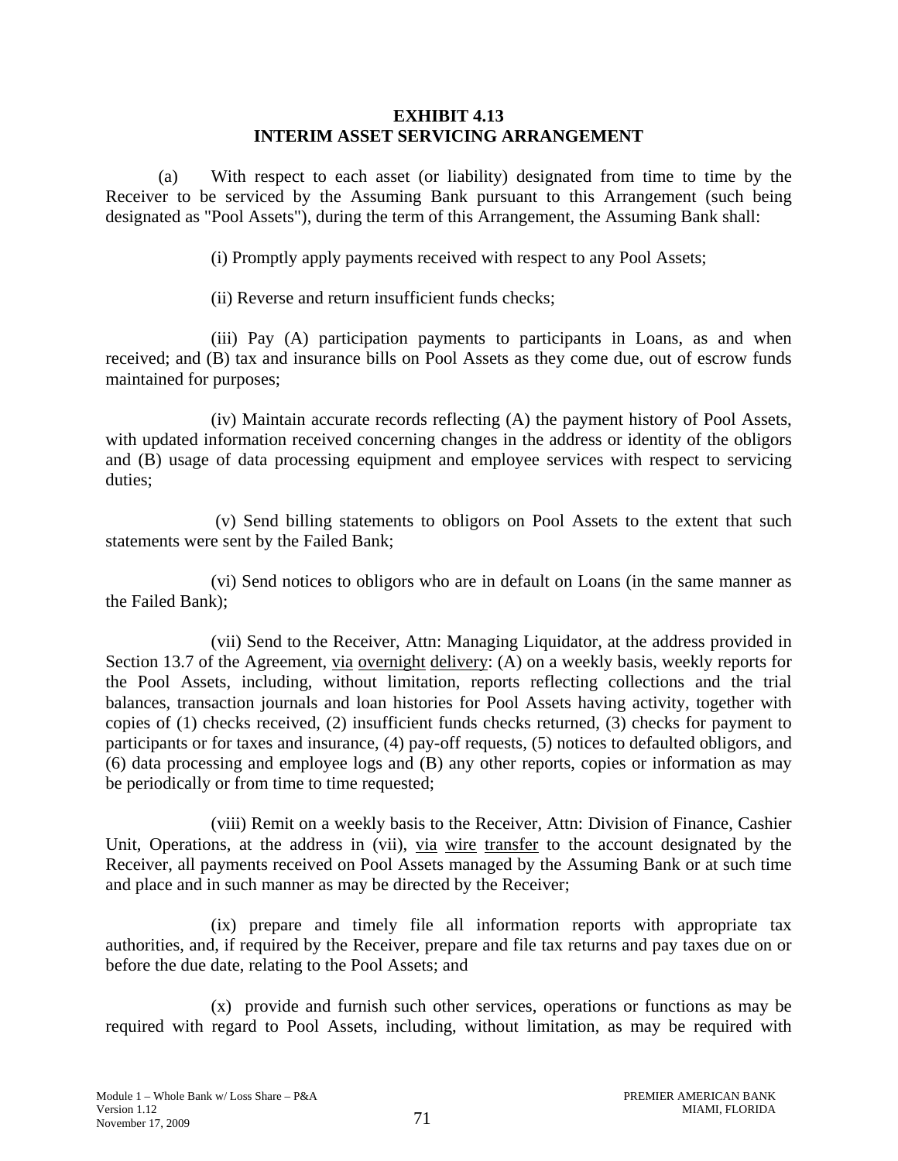### **EXHIBIT 4.13 INTERIM ASSET SERVICING ARRANGEMENT**

(a) With respect to each asset (or liability) designated from time to time by the Receiver to be serviced by the Assuming Bank pursuant to this Arrangement (such being designated as "Pool Assets"), during the term of this Arrangement, the Assuming Bank shall:

(i) Promptly apply payments received with respect to any Pool Assets;

(ii) Reverse and return insufficient funds checks;

(iii) Pay (A) participation payments to participants in Loans, as and when received; and (B) tax and insurance bills on Pool Assets as they come due, out of escrow funds maintained for purposes;

(iv) Maintain accurate records reflecting (A) the payment history of Pool Assets, with updated information received concerning changes in the address or identity of the obligors and (B) usage of data processing equipment and employee services with respect to servicing duties;

(v) Send billing statements to obligors on Pool Assets to the extent that such statements were sent by the Failed Bank;

(vi) Send notices to obligors who are in default on Loans (in the same manner as the Failed Bank);

(vii) Send to the Receiver, Attn: Managing Liquidator, at the address provided in Section 13.7 of the Agreement, via overnight delivery: (A) on a weekly basis, weekly reports for the Pool Assets, including, without limitation, reports reflecting collections and the trial balances, transaction journals and loan histories for Pool Assets having activity, together with copies of (1) checks received, (2) insufficient funds checks returned, (3) checks for payment to participants or for taxes and insurance, (4) pay-off requests, (5) notices to defaulted obligors, and (6) data processing and employee logs and (B) any other reports, copies or information as may be periodically or from time to time requested;

(viii) Remit on a weekly basis to the Receiver, Attn: Division of Finance, Cashier Unit, Operations, at the address in (vii), via wire transfer to the account designated by the Receiver, all payments received on Pool Assets managed by the Assuming Bank or at such time and place and in such manner as may be directed by the Receiver;

(ix) prepare and timely file all information reports with appropriate tax authorities, and, if required by the Receiver, prepare and file tax returns and pay taxes due on or before the due date, relating to the Pool Assets; and

(x) provide and furnish such other services, operations or functions as may be required with regard to Pool Assets, including, without limitation, as may be required with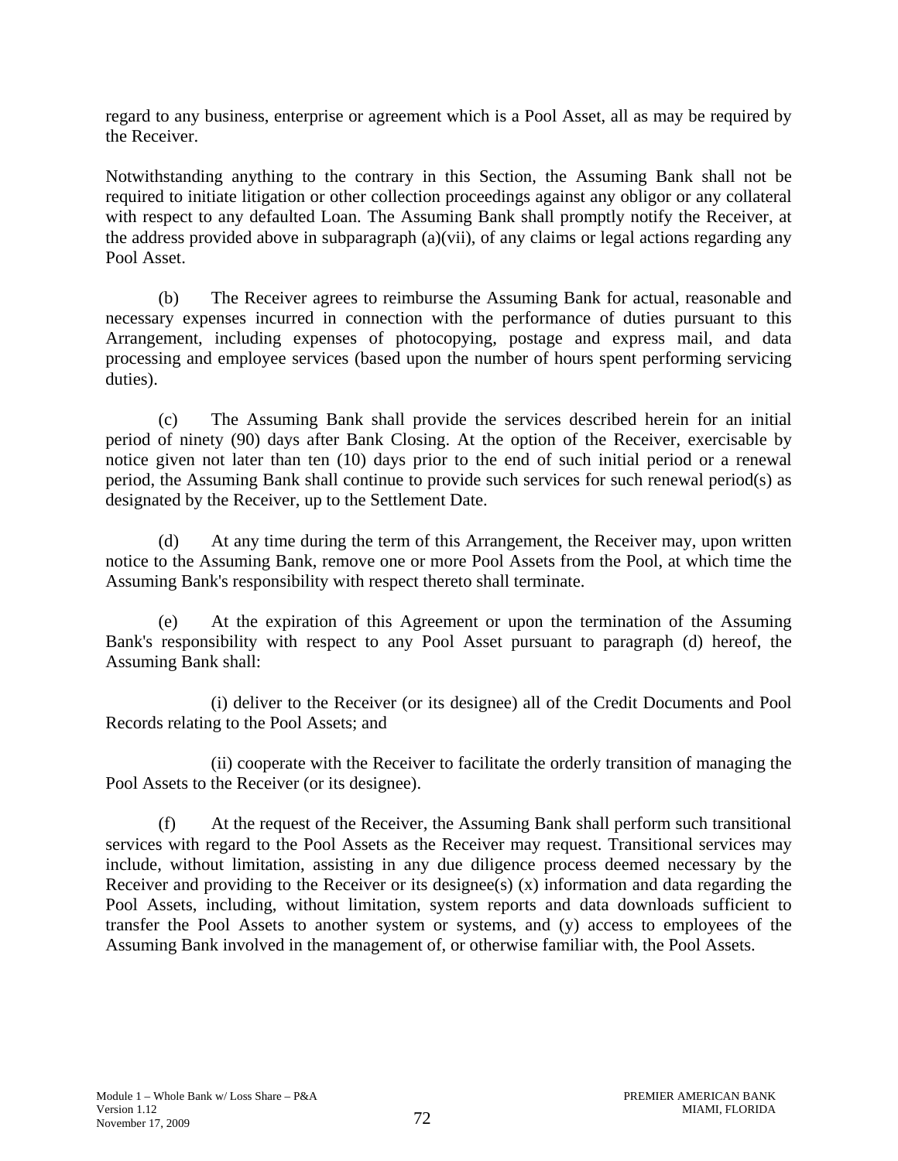regard to any business, enterprise or agreement which is a Pool Asset, all as may be required by the Receiver.

Notwithstanding anything to the contrary in this Section, the Assuming Bank shall not be required to initiate litigation or other collection proceedings against any obligor or any collateral with respect to any defaulted Loan. The Assuming Bank shall promptly notify the Receiver, at the address provided above in subparagraph (a)(vii), of any claims or legal actions regarding any Pool Asset.

(b) The Receiver agrees to reimburse the Assuming Bank for actual, reasonable and necessary expenses incurred in connection with the performance of duties pursuant to this Arrangement, including expenses of photocopying, postage and express mail, and data processing and employee services (based upon the number of hours spent performing servicing duties).

(c) The Assuming Bank shall provide the services described herein for an initial period of ninety (90) days after Bank Closing. At the option of the Receiver, exercisable by notice given not later than ten (10) days prior to the end of such initial period or a renewal period, the Assuming Bank shall continue to provide such services for such renewal period(s) as designated by the Receiver, up to the Settlement Date.

(d) At any time during the term of this Arrangement, the Receiver may, upon written notice to the Assuming Bank, remove one or more Pool Assets from the Pool, at which time the Assuming Bank's responsibility with respect thereto shall terminate.

(e) At the expiration of this Agreement or upon the termination of the Assuming Bank's responsibility with respect to any Pool Asset pursuant to paragraph (d) hereof, the Assuming Bank shall:

(i) deliver to the Receiver (or its designee) all of the Credit Documents and Pool Records relating to the Pool Assets; and

(ii) cooperate with the Receiver to facilitate the orderly transition of managing the Pool Assets to the Receiver (or its designee).

(f) At the request of the Receiver, the Assuming Bank shall perform such transitional services with regard to the Pool Assets as the Receiver may request. Transitional services may include, without limitation, assisting in any due diligence process deemed necessary by the Receiver and providing to the Receiver or its designee(s) (x) information and data regarding the Pool Assets, including, without limitation, system reports and data downloads sufficient to transfer the Pool Assets to another system or systems, and (y) access to employees of the Assuming Bank involved in the management of, or otherwise familiar with, the Pool Assets.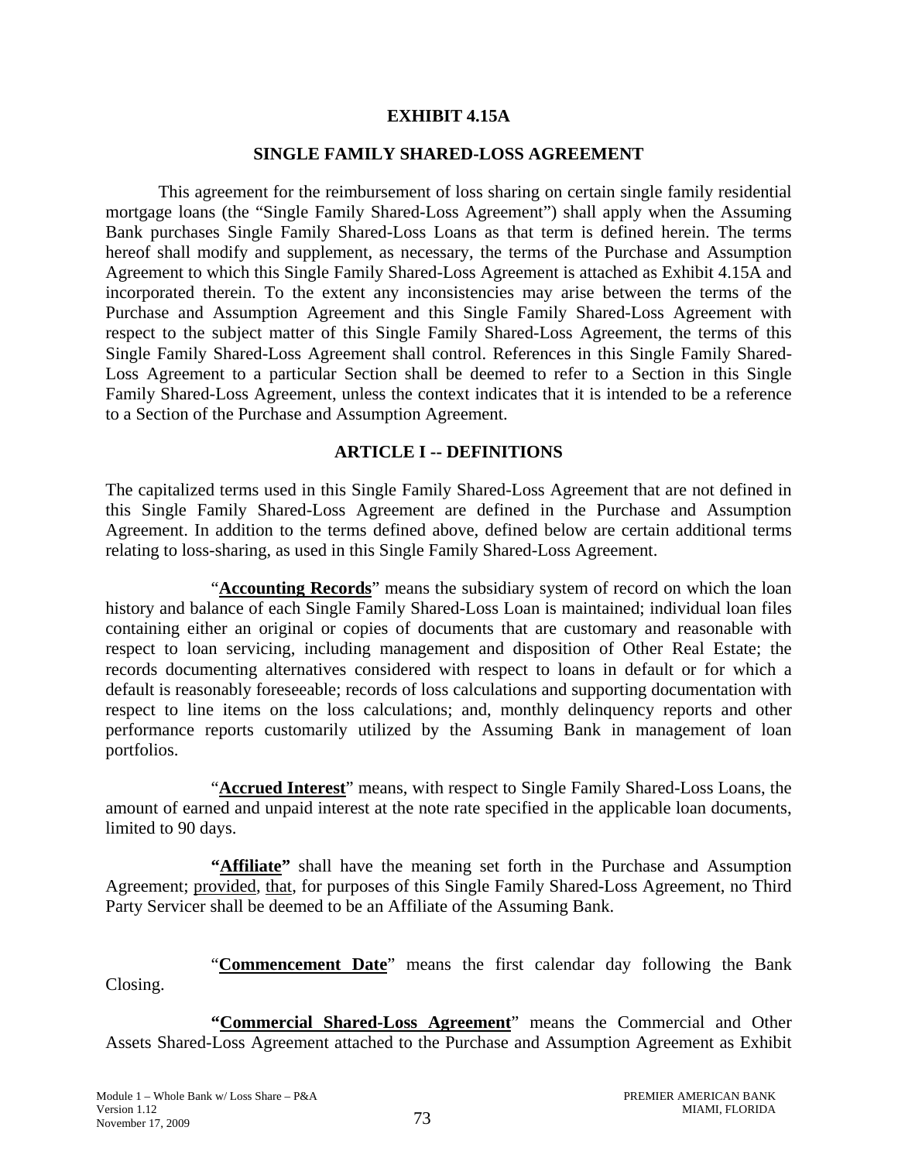#### **EXHIBIT 4.15A**

#### **SINGLE FAMILY SHARED-LOSS AGREEMENT**

This agreement for the reimbursement of loss sharing on certain single family residential mortgage loans (the "Single Family Shared-Loss Agreement") shall apply when the Assuming Bank purchases Single Family Shared-Loss Loans as that term is defined herein. The terms hereof shall modify and supplement, as necessary, the terms of the Purchase and Assumption Agreement to which this Single Family Shared-Loss Agreement is attached as Exhibit 4.15A and incorporated therein. To the extent any inconsistencies may arise between the terms of the Purchase and Assumption Agreement and this Single Family Shared-Loss Agreement with respect to the subject matter of this Single Family Shared-Loss Agreement, the terms of this Single Family Shared-Loss Agreement shall control. References in this Single Family Shared-Loss Agreement to a particular Section shall be deemed to refer to a Section in this Single Family Shared-Loss Agreement, unless the context indicates that it is intended to be a reference to a Section of the Purchase and Assumption Agreement.

### **ARTICLE I -- DEFINITIONS**

The capitalized terms used in this Single Family Shared-Loss Agreement that are not defined in this Single Family Shared-Loss Agreement are defined in the Purchase and Assumption Agreement. In addition to the terms defined above, defined below are certain additional terms relating to loss-sharing, as used in this Single Family Shared-Loss Agreement.

"**Accounting Records**" means the subsidiary system of record on which the loan history and balance of each Single Family Shared-Loss Loan is maintained; individual loan files containing either an original or copies of documents that are customary and reasonable with respect to loan servicing, including management and disposition of Other Real Estate; the records documenting alternatives considered with respect to loans in default or for which a default is reasonably foreseeable; records of loss calculations and supporting documentation with respect to line items on the loss calculations; and, monthly delinquency reports and other performance reports customarily utilized by the Assuming Bank in management of loan portfolios.

"**Accrued Interest**" means, with respect to Single Family Shared-Loss Loans, the amount of earned and unpaid interest at the note rate specified in the applicable loan documents, limited to 90 days.

"**Affiliate**" shall have the meaning set forth in the Purchase and Assumption Agreement; provided, that, for purposes of this Single Family Shared-Loss Agreement, no Third Party Servicer shall be deemed to be an Affiliate of the Assuming Bank.

"**Commencement Date**" means the first calendar day following the Bank Closing.

**"Commercial Shared-Loss Agreement**" means the Commercial and Other Assets Shared-Loss Agreement attached to the Purchase and Assumption Agreement as Exhibit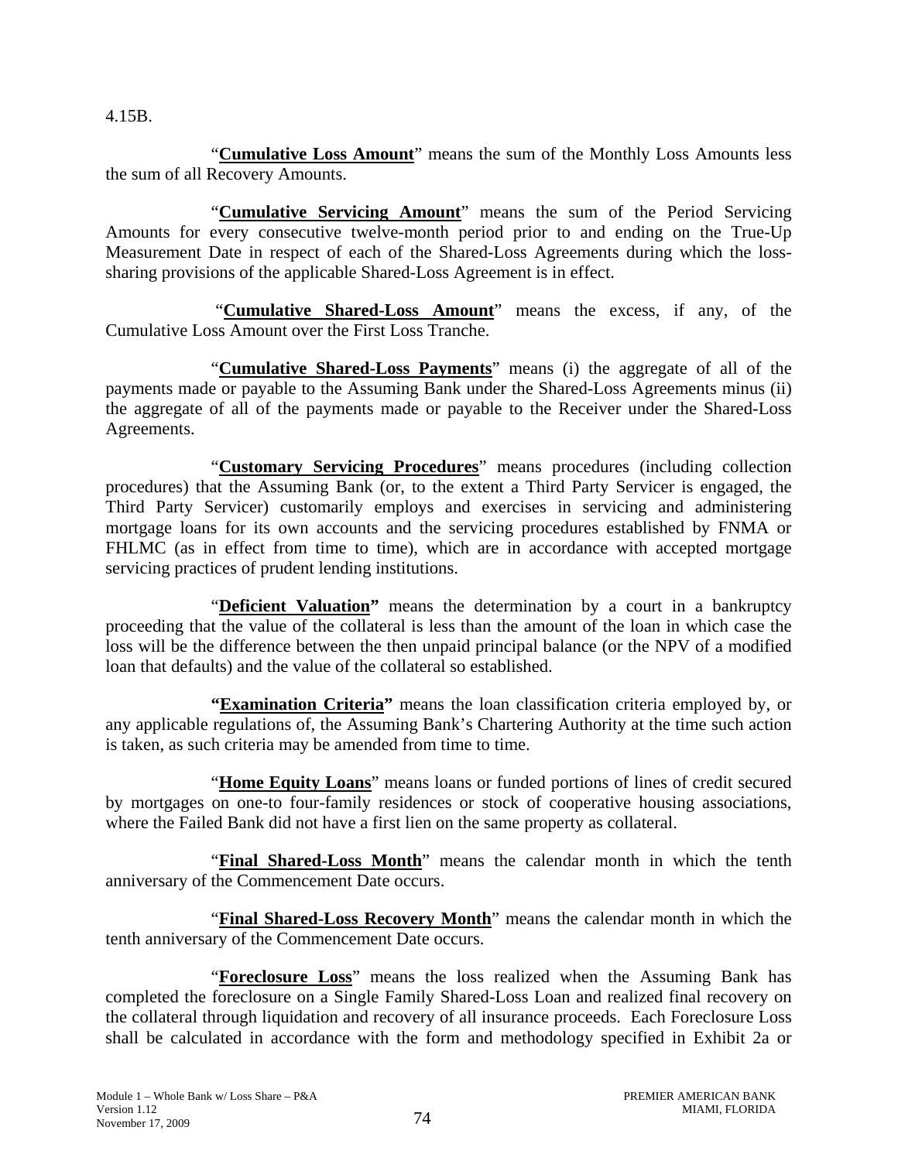4.15B.

"**Cumulative Loss Amount**" means the sum of the Monthly Loss Amounts less the sum of all Recovery Amounts.

"**Cumulative Servicing Amount**" means the sum of the Period Servicing Amounts for every consecutive twelve-month period prior to and ending on the True-Up Measurement Date in respect of each of the Shared-Loss Agreements during which the losssharing provisions of the applicable Shared-Loss Agreement is in effect.

"**Cumulative Shared-Loss Amount**" means the excess, if any, of the Cumulative Loss Amount over the First Loss Tranche.

"**Cumulative Shared-Loss Payments**" means (i) the aggregate of all of the payments made or payable to the Assuming Bank under the Shared-Loss Agreements minus (ii) the aggregate of all of the payments made or payable to the Receiver under the Shared-Loss Agreements.

"**Customary Servicing Procedures**" means procedures (including collection procedures) that the Assuming Bank (or, to the extent a Third Party Servicer is engaged, the Third Party Servicer) customarily employs and exercises in servicing and administering mortgage loans for its own accounts and the servicing procedures established by FNMA or FHLMC (as in effect from time to time), which are in accordance with accepted mortgage servicing practices of prudent lending institutions.

"**Deficient Valuation"** means the determination by a court in a bankruptcy proceeding that the value of the collateral is less than the amount of the loan in which case the loss will be the difference between the then unpaid principal balance (or the NPV of a modified loan that defaults) and the value of the collateral so established.

**"Examination Criteria"** means the loan classification criteria employed by, or any applicable regulations of, the Assuming Bank's Chartering Authority at the time such action is taken, as such criteria may be amended from time to time.

"**Home Equity Loans**" means loans or funded portions of lines of credit secured by mortgages on one-to four-family residences or stock of cooperative housing associations, where the Failed Bank did not have a first lien on the same property as collateral.

"**Final Shared-Loss Month**" means the calendar month in which the tenth anniversary of the Commencement Date occurs.

"**Final Shared-Loss Recovery Month**" means the calendar month in which the tenth anniversary of the Commencement Date occurs.

"**Foreclosure Loss**" means the loss realized when the Assuming Bank has completed the foreclosure on a Single Family Shared-Loss Loan and realized final recovery on the collateral through liquidation and recovery of all insurance proceeds. Each Foreclosure Loss shall be calculated in accordance with the form and methodology specified in Exhibit 2a or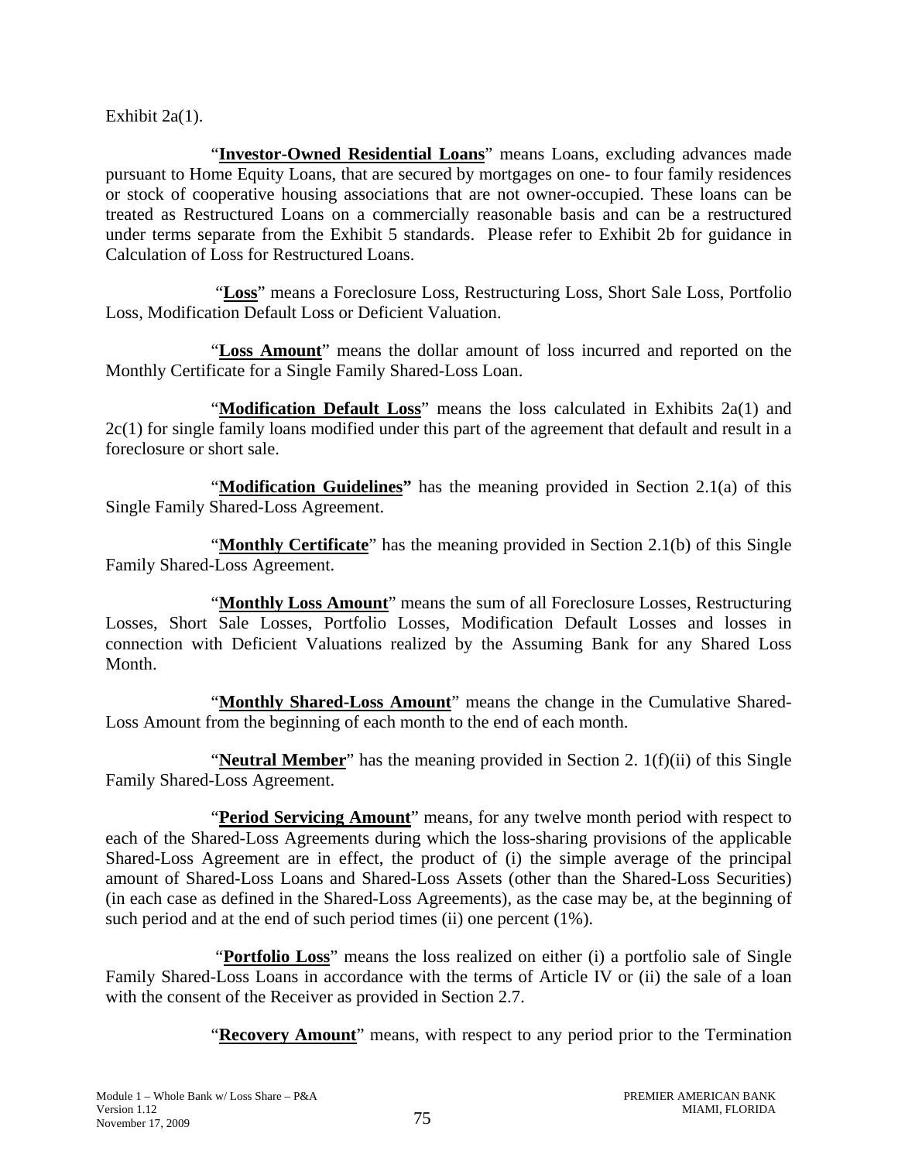Exhibit 2a(1).

"**Investor-Owned Residential Loans**" means Loans, excluding advances made pursuant to Home Equity Loans, that are secured by mortgages on one- to four family residences or stock of cooperative housing associations that are not owner-occupied. These loans can be treated as Restructured Loans on a commercially reasonable basis and can be a restructured under terms separate from the Exhibit 5 standards. Please refer to Exhibit 2b for guidance in Calculation of Loss for Restructured Loans.

"**Loss**" means a Foreclosure Loss, Restructuring Loss, Short Sale Loss, Portfolio Loss, Modification Default Loss or Deficient Valuation.

"**Loss Amount**" means the dollar amount of loss incurred and reported on the Monthly Certificate for a Single Family Shared-Loss Loan.

"**Modification Default Loss**" means the loss calculated in Exhibits 2a(1) and 2c(1) for single family loans modified under this part of the agreement that default and result in a foreclosure or short sale.

"**Modification Guidelines"** has the meaning provided in Section 2.1(a) of this Single Family Shared-Loss Agreement.

"**Monthly Certificate**" has the meaning provided in Section 2.1(b) of this Single Family Shared-Loss Agreement.

"Monthly Loss Amount" means the sum of all Foreclosure Losses, Restructuring Losses, Short Sale Losses, Portfolio Losses, Modification Default Losses and losses in connection with Deficient Valuations realized by the Assuming Bank for any Shared Loss Month.

"**Monthly Shared-Loss Amount**" means the change in the Cumulative Shared-Loss Amount from the beginning of each month to the end of each month.

"**Neutral Member**" has the meaning provided in Section 2. 1(f)(ii) of this Single Family Shared-Loss Agreement.

"**Period Servicing Amount**" means, for any twelve month period with respect to each of the Shared-Loss Agreements during which the loss-sharing provisions of the applicable Shared-Loss Agreement are in effect, the product of (i) the simple average of the principal amount of Shared-Loss Loans and Shared-Loss Assets (other than the Shared-Loss Securities) (in each case as defined in the Shared-Loss Agreements), as the case may be, at the beginning of such period and at the end of such period times (ii) one percent (1%).

"**Portfolio Loss**" means the loss realized on either (i) a portfolio sale of Single Family Shared-Loss Loans in accordance with the terms of Article IV or (ii) the sale of a loan with the consent of the Receiver as provided in Section 2.7.

"**Recovery Amount**" means, with respect to any period prior to the Termination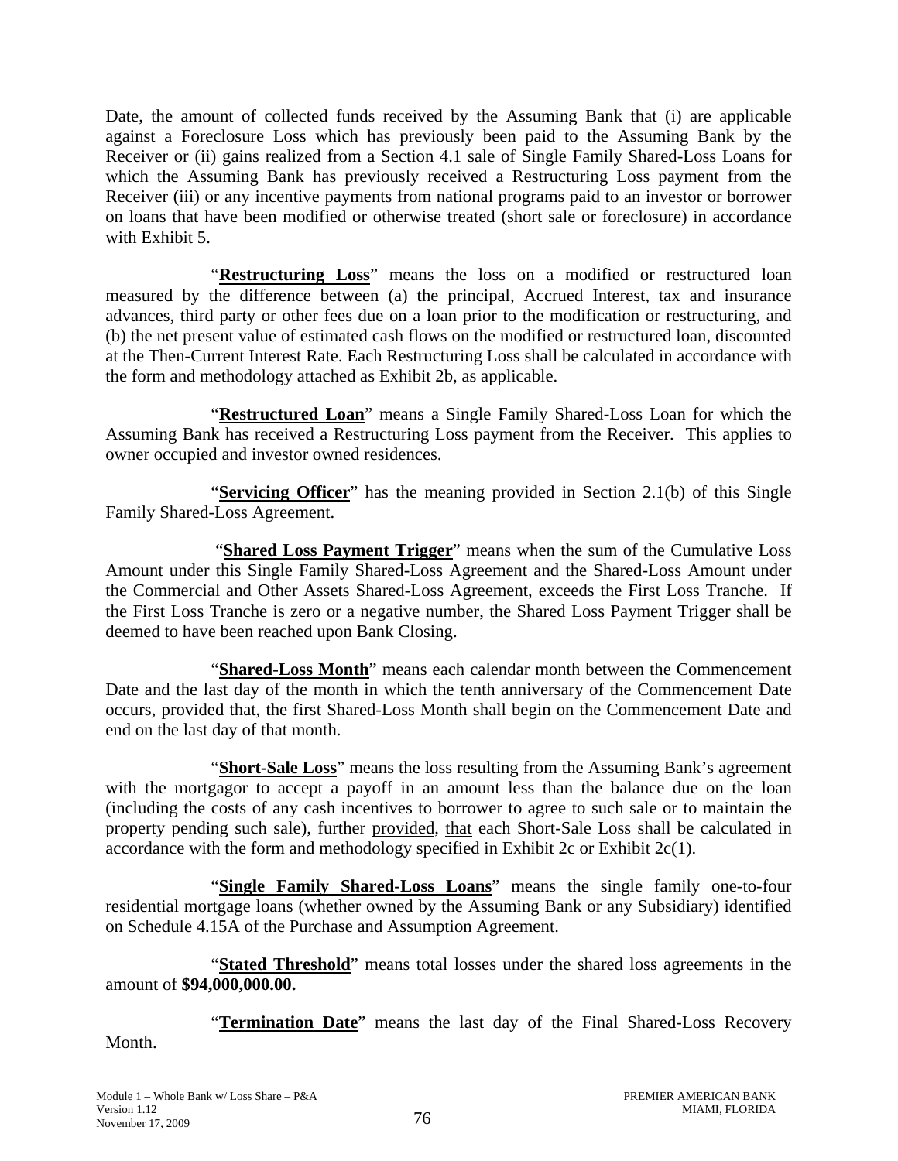Date, the amount of collected funds received by the Assuming Bank that (i) are applicable against a Foreclosure Loss which has previously been paid to the Assuming Bank by the Receiver or (ii) gains realized from a Section 4.1 sale of Single Family Shared-Loss Loans for which the Assuming Bank has previously received a Restructuring Loss payment from the Receiver (iii) or any incentive payments from national programs paid to an investor or borrower on loans that have been modified or otherwise treated (short sale or foreclosure) in accordance with Exhibit 5.

"**Restructuring Loss**" means the loss on a modified or restructured loan measured by the difference between (a) the principal, Accrued Interest, tax and insurance advances, third party or other fees due on a loan prior to the modification or restructuring, and (b) the net present value of estimated cash flows on the modified or restructured loan, discounted at the Then-Current Interest Rate. Each Restructuring Loss shall be calculated in accordance with the form and methodology attached as Exhibit 2b, as applicable.

"**Restructured Loan**" means a Single Family Shared-Loss Loan for which the Assuming Bank has received a Restructuring Loss payment from the Receiver. This applies to owner occupied and investor owned residences.

"**Servicing Officer**" has the meaning provided in Section 2.1(b) of this Single Family Shared-Loss Agreement.

"Shared Loss Payment Trigger" means when the sum of the Cumulative Loss Amount under this Single Family Shared-Loss Agreement and the Shared-Loss Amount under the Commercial and Other Assets Shared-Loss Agreement, exceeds the First Loss Tranche. If the First Loss Tranche is zero or a negative number, the Shared Loss Payment Trigger shall be deemed to have been reached upon Bank Closing.

"**Shared-Loss Month**" means each calendar month between the Commencement Date and the last day of the month in which the tenth anniversary of the Commencement Date occurs, provided that, the first Shared-Loss Month shall begin on the Commencement Date and end on the last day of that month.

"**Short-Sale Loss**" means the loss resulting from the Assuming Bank's agreement with the mortgagor to accept a payoff in an amount less than the balance due on the loan (including the costs of any cash incentives to borrower to agree to such sale or to maintain the property pending such sale), further provided, that each Short-Sale Loss shall be calculated in accordance with the form and methodology specified in Exhibit 2c or Exhibit 2c(1).

"**Single Family Shared-Loss Loans**" means the single family one-to-four residential mortgage loans (whether owned by the Assuming Bank or any Subsidiary) identified on Schedule 4.15A of the Purchase and Assumption Agreement.

"**Stated Threshold**" means total losses under the shared loss agreements in the amount of **\$94,000,000.00.** 

"**Termination Date**" means the last day of the Final Shared-Loss Recovery Month.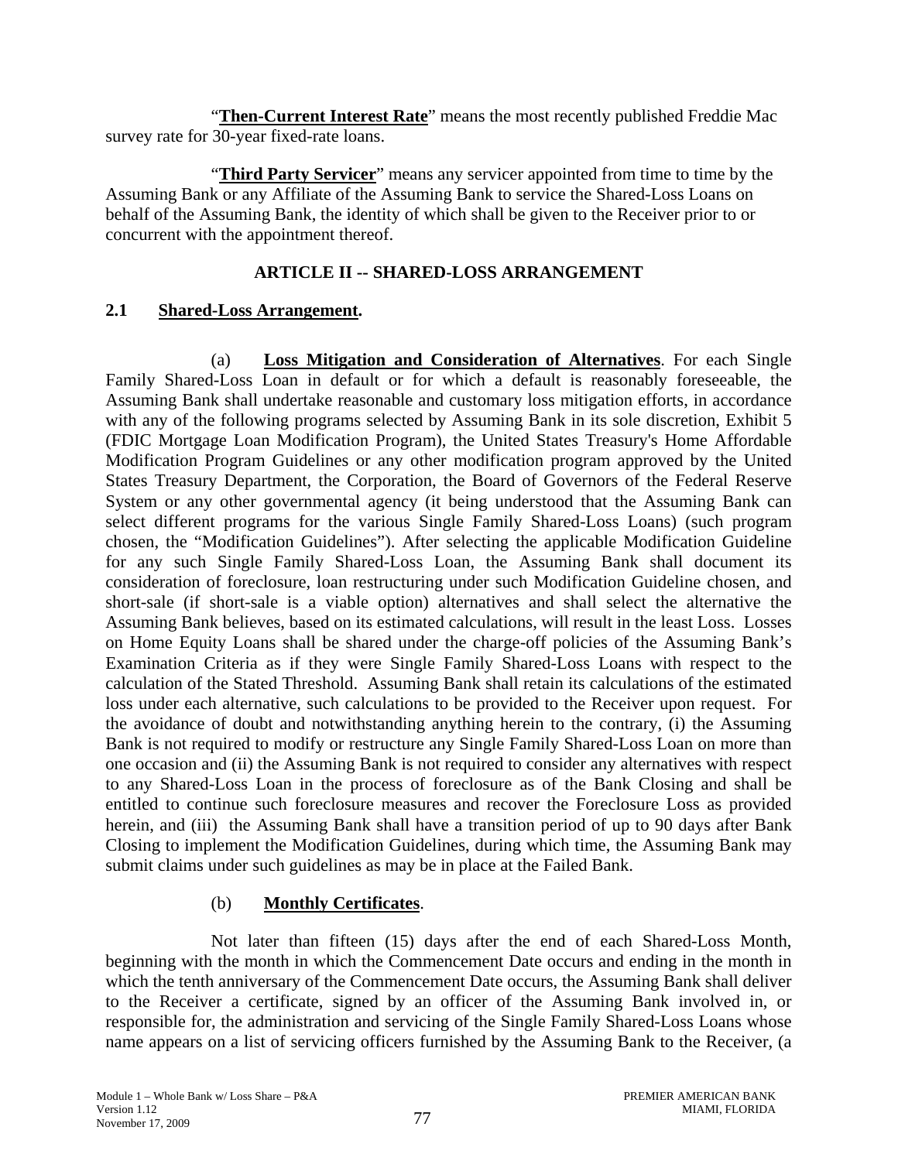"**Then-Current Interest Rate**" means the most recently published Freddie Mac survey rate for 30-year fixed-rate loans.

"**Third Party Servicer**" means any servicer appointed from time to time by the Assuming Bank or any Affiliate of the Assuming Bank to service the Shared-Loss Loans on behalf of the Assuming Bank, the identity of which shall be given to the Receiver prior to or concurrent with the appointment thereof.

## **ARTICLE II -- SHARED-LOSS ARRANGEMENT**

# **2.1 Shared-Loss Arrangement.**

(a) **Loss Mitigation and Consideration of Alternatives**. For each Single Family Shared-Loss Loan in default or for which a default is reasonably foreseeable, the Assuming Bank shall undertake reasonable and customary loss mitigation efforts, in accordance with any of the following programs selected by Assuming Bank in its sole discretion, Exhibit 5 (FDIC Mortgage Loan Modification Program), the United States Treasury's Home Affordable Modification Program Guidelines or any other modification program approved by the United States Treasury Department, the Corporation, the Board of Governors of the Federal Reserve System or any other governmental agency (it being understood that the Assuming Bank can select different programs for the various Single Family Shared-Loss Loans) (such program chosen, the "Modification Guidelines"). After selecting the applicable Modification Guideline for any such Single Family Shared-Loss Loan, the Assuming Bank shall document its consideration of foreclosure, loan restructuring under such Modification Guideline chosen, and short-sale (if short-sale is a viable option) alternatives and shall select the alternative the Assuming Bank believes, based on its estimated calculations, will result in the least Loss. Losses on Home Equity Loans shall be shared under the charge-off policies of the Assuming Bank's Examination Criteria as if they were Single Family Shared-Loss Loans with respect to the calculation of the Stated Threshold. Assuming Bank shall retain its calculations of the estimated loss under each alternative, such calculations to be provided to the Receiver upon request. For the avoidance of doubt and notwithstanding anything herein to the contrary, (i) the Assuming Bank is not required to modify or restructure any Single Family Shared-Loss Loan on more than one occasion and (ii) the Assuming Bank is not required to consider any alternatives with respect to any Shared-Loss Loan in the process of foreclosure as of the Bank Closing and shall be entitled to continue such foreclosure measures and recover the Foreclosure Loss as provided herein, and (iii) the Assuming Bank shall have a transition period of up to 90 days after Bank Closing to implement the Modification Guidelines, during which time, the Assuming Bank may submit claims under such guidelines as may be in place at the Failed Bank.

# (b) **Monthly Certificates**.

Not later than fifteen (15) days after the end of each Shared-Loss Month, beginning with the month in which the Commencement Date occurs and ending in the month in which the tenth anniversary of the Commencement Date occurs, the Assuming Bank shall deliver to the Receiver a certificate, signed by an officer of the Assuming Bank involved in, or responsible for, the administration and servicing of the Single Family Shared-Loss Loans whose name appears on a list of servicing officers furnished by the Assuming Bank to the Receiver, (a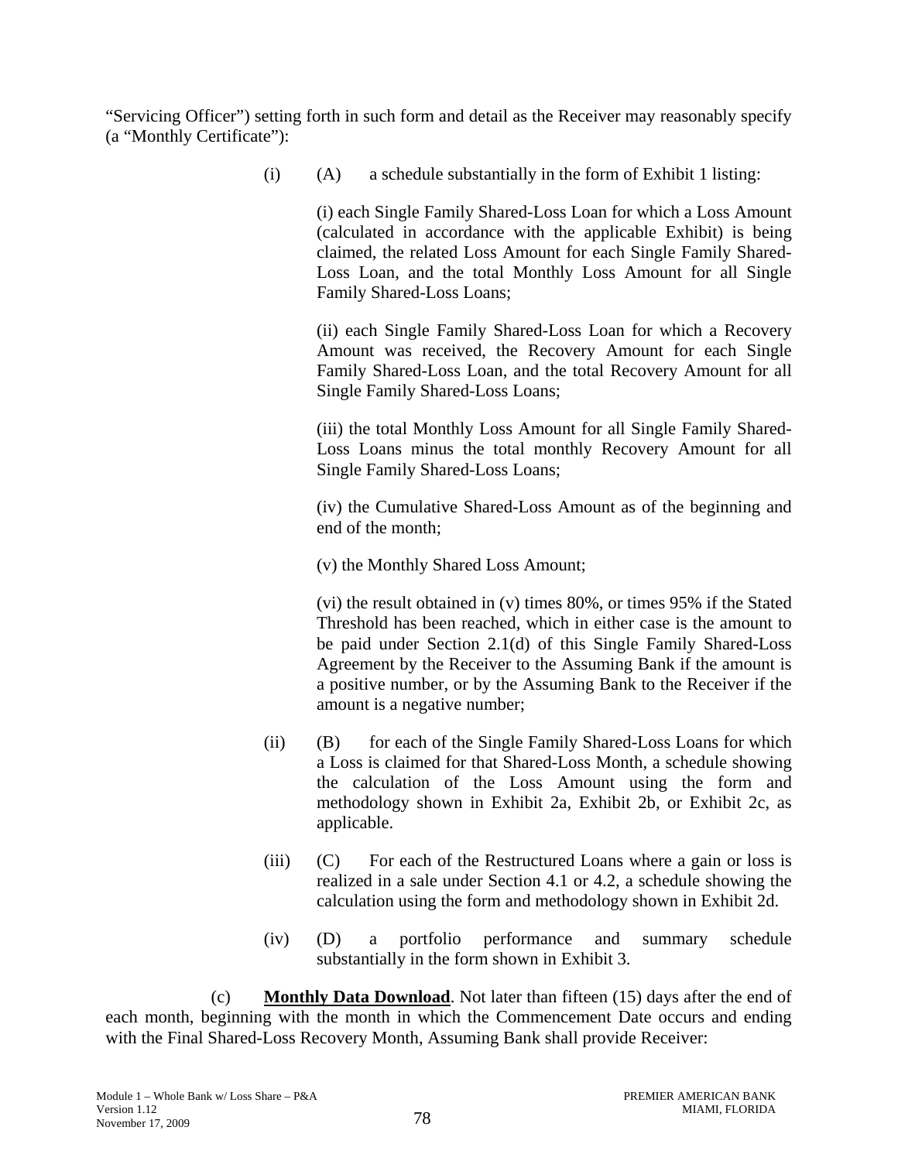"Servicing Officer") setting forth in such form and detail as the Receiver may reasonably specify (a "Monthly Certificate"):

 $(i)$  (A) a schedule substantially in the form of Exhibit 1 listing:

(i) each Single Family Shared-Loss Loan for which a Loss Amount (calculated in accordance with the applicable Exhibit) is being claimed, the related Loss Amount for each Single Family Shared-Loss Loan, and the total Monthly Loss Amount for all Single Family Shared-Loss Loans;

(ii) each Single Family Shared-Loss Loan for which a Recovery Amount was received, the Recovery Amount for each Single Family Shared-Loss Loan, and the total Recovery Amount for all Single Family Shared-Loss Loans;

(iii) the total Monthly Loss Amount for all Single Family Shared-Loss Loans minus the total monthly Recovery Amount for all Single Family Shared-Loss Loans;

(iv) the Cumulative Shared-Loss Amount as of the beginning and end of the month;

(v) the Monthly Shared Loss Amount;

(vi) the result obtained in (v) times 80%, or times 95% if the Stated Threshold has been reached, which in either case is the amount to be paid under Section 2.1(d) of this Single Family Shared-Loss Agreement by the Receiver to the Assuming Bank if the amount is a positive number, or by the Assuming Bank to the Receiver if the amount is a negative number;

- (ii) (B) for each of the Single Family Shared-Loss Loans for which a Loss is claimed for that Shared-Loss Month, a schedule showing the calculation of the Loss Amount using the form and methodology shown in Exhibit 2a, Exhibit 2b, or Exhibit 2c, as applicable.
- (iii) (C) For each of the Restructured Loans where a gain or loss is realized in a sale under Section 4.1 or 4.2, a schedule showing the calculation using the form and methodology shown in Exhibit 2d.
- (iv) (D) a portfolio performance and summary schedule substantially in the form shown in Exhibit 3.

(c) **Monthly Data Download**. Not later than fifteen (15) days after the end of each month, beginning with the month in which the Commencement Date occurs and ending with the Final Shared-Loss Recovery Month, Assuming Bank shall provide Receiver: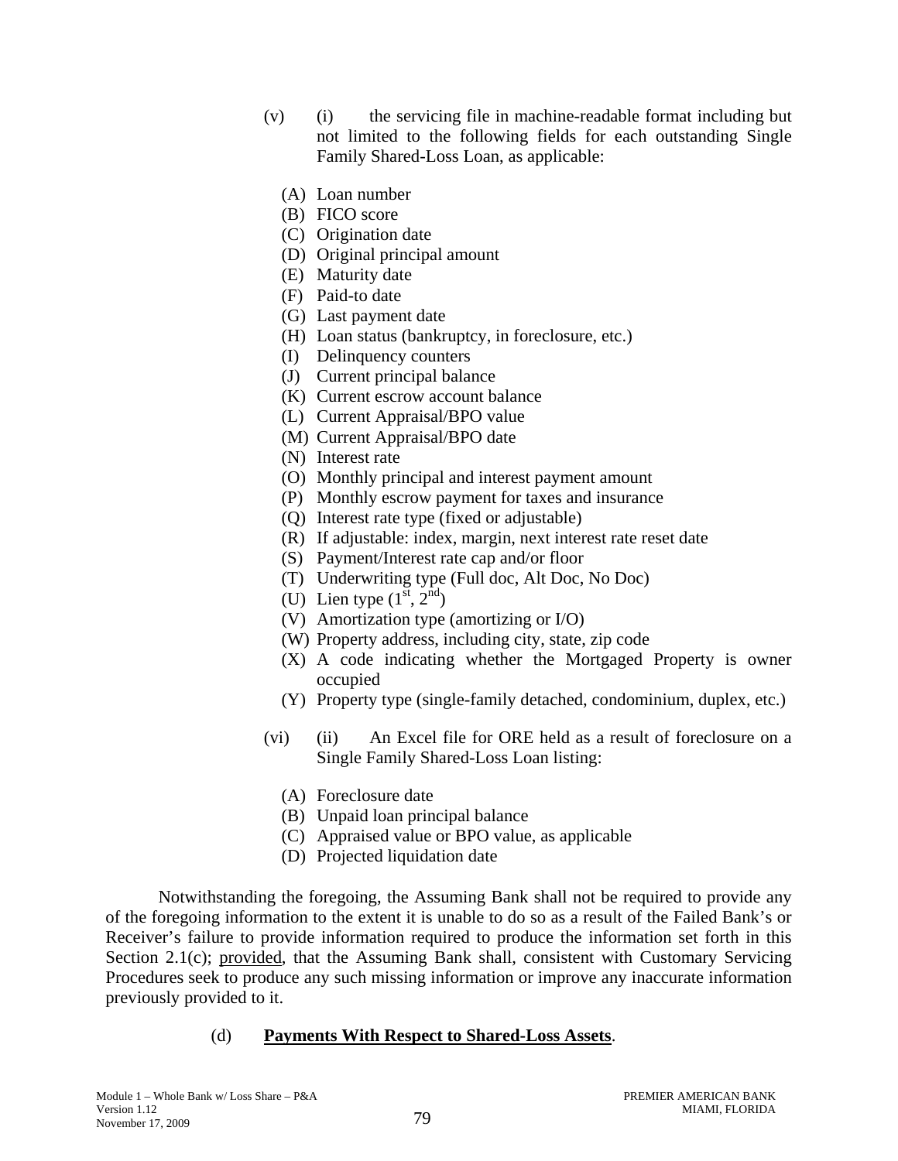- $(v)$  (i) the servicing file in machine-readable format including but not limited to the following fields for each outstanding Single Family Shared-Loss Loan, as applicable:
	- (A) Loan number
	- (B) FICO score
	- (C) Origination date
	- (D) Original principal amount
	- (E) Maturity date
	- (F) Paid-to date
	- (G) Last payment date
	- (H) Loan status (bankruptcy, in foreclosure, etc.)
	- (I) Delinquency counters
	- (J) Current principal balance
	- (K) Current escrow account balance
	- (L) Current Appraisal/BPO value
	- (M) Current Appraisal/BPO date
	- (N) Interest rate
	- (O) Monthly principal and interest payment amount
	- (P) Monthly escrow payment for taxes and insurance
	- (Q) Interest rate type (fixed or adjustable)
	- (R) If adjustable: index, margin, next interest rate reset date
	- (S) Payment/Interest rate cap and/or floor
	- (T) Underwriting type (Full doc, Alt Doc, No Doc)
	- (U) Lien type  $(1^{\overline{s}t}, 2^{\overline{n}d})$
	- (V) Amortization type (amortizing or I/O)
	- (W) Property address, including city, state, zip code
	- (X) A code indicating whether the Mortgaged Property is owner occupied
	- (Y) Property type (single-family detached, condominium, duplex, etc.)
- (vi) (ii) An Excel file for ORE held as a result of foreclosure on a Single Family Shared-Loss Loan listing:
	- (A) Foreclosure date
	- (B) Unpaid loan principal balance
	- (C) Appraised value or BPO value, as applicable
	- (D) Projected liquidation date

Notwithstanding the foregoing, the Assuming Bank shall not be required to provide any of the foregoing information to the extent it is unable to do so as a result of the Failed Bank's or Receiver's failure to provide information required to produce the information set forth in this Section 2.1(c); provided, that the Assuming Bank shall, consistent with Customary Servicing Procedures seek to produce any such missing information or improve any inaccurate information previously provided to it.

(d) **Payments With Respect to Shared-Loss Assets**.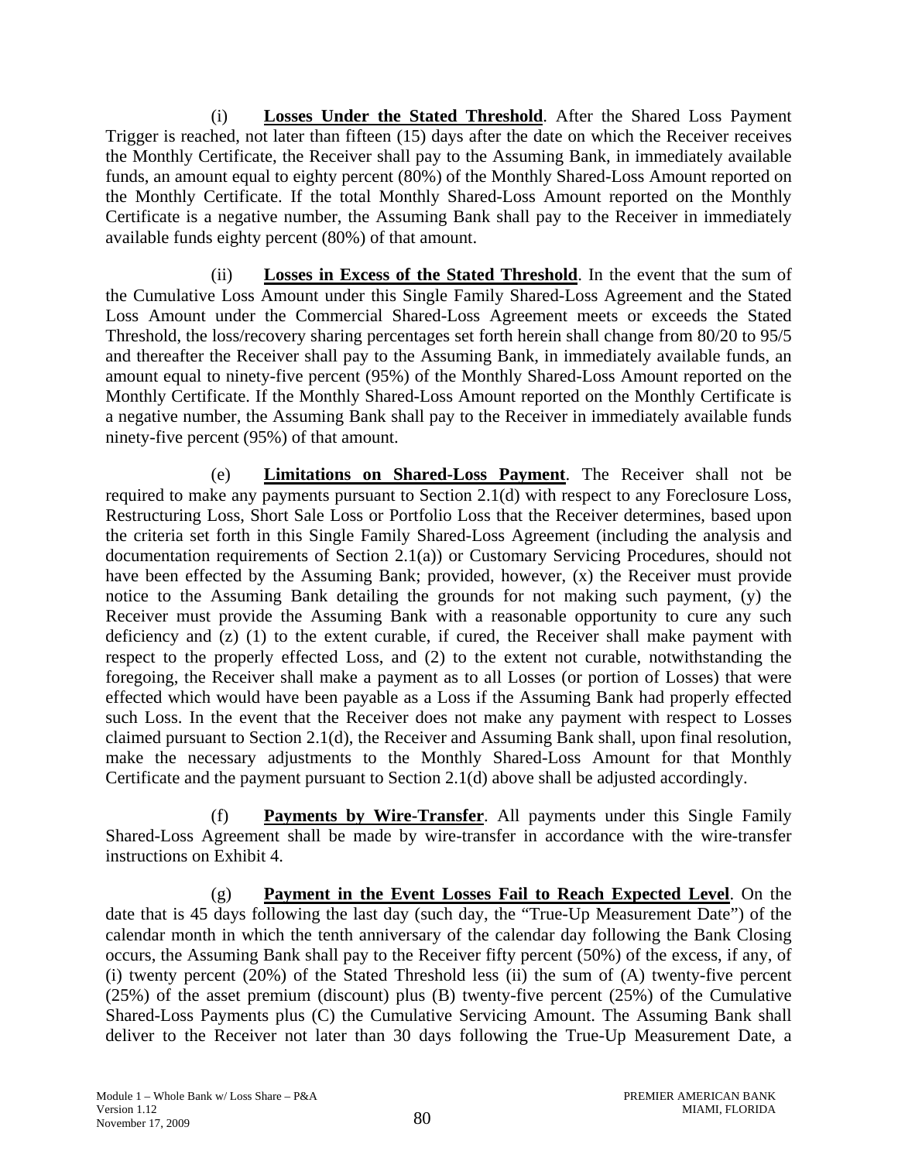(i) **Losses Under the Stated Threshold**. After the Shared Loss Payment Trigger is reached, not later than fifteen (15) days after the date on which the Receiver receives the Monthly Certificate, the Receiver shall pay to the Assuming Bank, in immediately available funds, an amount equal to eighty percent (80%) of the Monthly Shared-Loss Amount reported on the Monthly Certificate. If the total Monthly Shared-Loss Amount reported on the Monthly Certificate is a negative number, the Assuming Bank shall pay to the Receiver in immediately available funds eighty percent (80%) of that amount.

(ii) **Losses in Excess of the Stated Threshold**. In the event that the sum of the Cumulative Loss Amount under this Single Family Shared-Loss Agreement and the Stated Loss Amount under the Commercial Shared-Loss Agreement meets or exceeds the Stated Threshold, the loss/recovery sharing percentages set forth herein shall change from 80/20 to 95/5 and thereafter the Receiver shall pay to the Assuming Bank, in immediately available funds, an amount equal to ninety-five percent (95%) of the Monthly Shared-Loss Amount reported on the Monthly Certificate. If the Monthly Shared-Loss Amount reported on the Monthly Certificate is a negative number, the Assuming Bank shall pay to the Receiver in immediately available funds ninety-five percent (95%) of that amount.

(e) **Limitations on Shared-Loss Payment**. The Receiver shall not be required to make any payments pursuant to Section 2.1(d) with respect to any Foreclosure Loss, Restructuring Loss, Short Sale Loss or Portfolio Loss that the Receiver determines, based upon the criteria set forth in this Single Family Shared-Loss Agreement (including the analysis and documentation requirements of Section 2.1(a)) or Customary Servicing Procedures, should not have been effected by the Assuming Bank; provided, however, (x) the Receiver must provide notice to the Assuming Bank detailing the grounds for not making such payment, (y) the Receiver must provide the Assuming Bank with a reasonable opportunity to cure any such deficiency and (z) (1) to the extent curable, if cured, the Receiver shall make payment with respect to the properly effected Loss, and (2) to the extent not curable, notwithstanding the foregoing, the Receiver shall make a payment as to all Losses (or portion of Losses) that were effected which would have been payable as a Loss if the Assuming Bank had properly effected such Loss. In the event that the Receiver does not make any payment with respect to Losses claimed pursuant to Section 2.1(d), the Receiver and Assuming Bank shall, upon final resolution, make the necessary adjustments to the Monthly Shared-Loss Amount for that Monthly Certificate and the payment pursuant to Section 2.1(d) above shall be adjusted accordingly.

(f) **Payments by Wire-Transfer**. All payments under this Single Family Shared-Loss Agreement shall be made by wire-transfer in accordance with the wire-transfer instructions on Exhibit 4.

 (g) **Payment in the Event Losses Fail to Reach Expected Level**. On the date that is 45 days following the last day (such day, the "True-Up Measurement Date") of the calendar month in which the tenth anniversary of the calendar day following the Bank Closing occurs, the Assuming Bank shall pay to the Receiver fifty percent (50%) of the excess, if any, of (i) twenty percent (20%) of the Stated Threshold less (ii) the sum of (A) twenty-five percent (25%) of the asset premium (discount) plus (B) twenty-five percent (25%) of the Cumulative Shared-Loss Payments plus (C) the Cumulative Servicing Amount. The Assuming Bank shall deliver to the Receiver not later than 30 days following the True-Up Measurement Date, a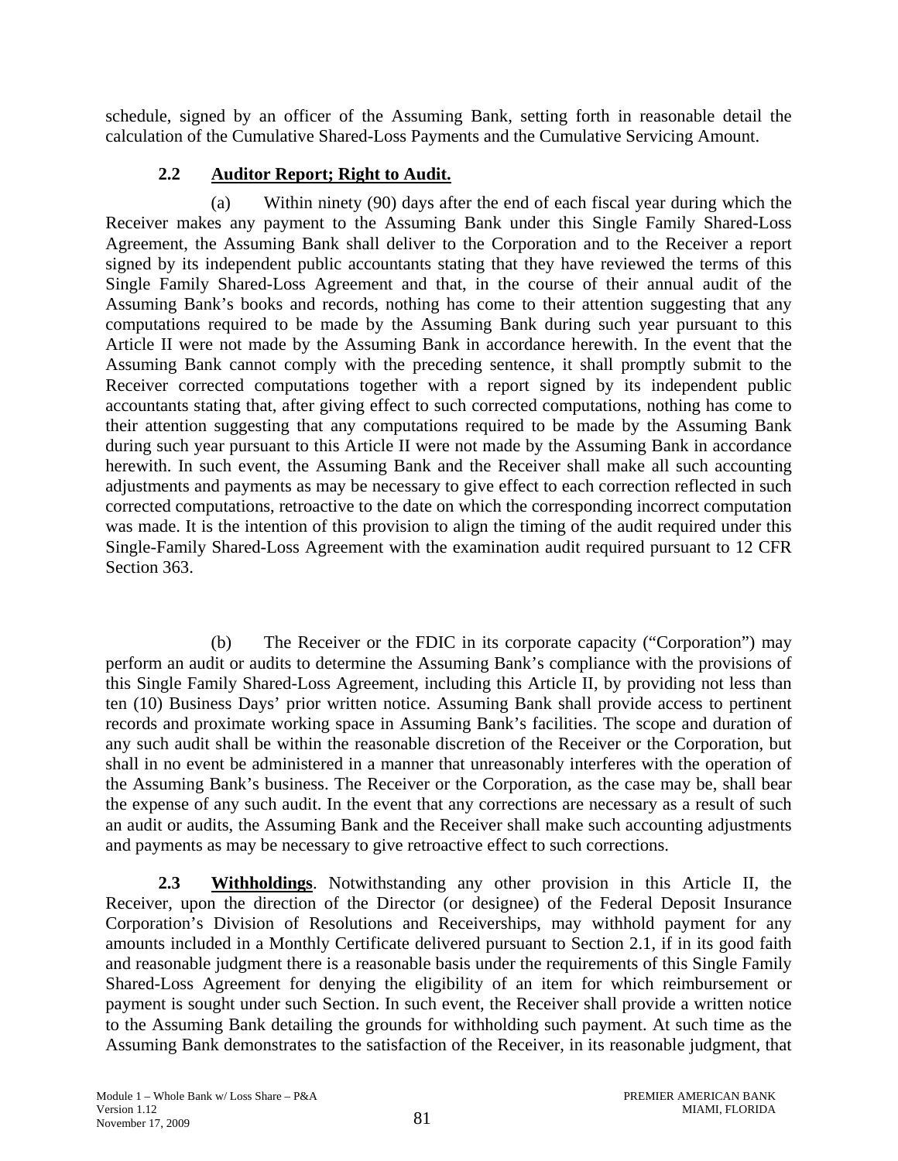schedule, signed by an officer of the Assuming Bank, setting forth in reasonable detail the calculation of the Cumulative Shared-Loss Payments and the Cumulative Servicing Amount.

# **2.2 Auditor Report; Right to Audit.**

(a) Within ninety (90) days after the end of each fiscal year during which the Receiver makes any payment to the Assuming Bank under this Single Family Shared-Loss Agreement, the Assuming Bank shall deliver to the Corporation and to the Receiver a report signed by its independent public accountants stating that they have reviewed the terms of this Single Family Shared-Loss Agreement and that, in the course of their annual audit of the Assuming Bank's books and records, nothing has come to their attention suggesting that any computations required to be made by the Assuming Bank during such year pursuant to this Article II were not made by the Assuming Bank in accordance herewith. In the event that the Assuming Bank cannot comply with the preceding sentence, it shall promptly submit to the Receiver corrected computations together with a report signed by its independent public accountants stating that, after giving effect to such corrected computations, nothing has come to their attention suggesting that any computations required to be made by the Assuming Bank during such year pursuant to this Article II were not made by the Assuming Bank in accordance herewith. In such event, the Assuming Bank and the Receiver shall make all such accounting adjustments and payments as may be necessary to give effect to each correction reflected in such corrected computations, retroactive to the date on which the corresponding incorrect computation was made. It is the intention of this provision to align the timing of the audit required under this Single-Family Shared-Loss Agreement with the examination audit required pursuant to 12 CFR Section 363.

(b) The Receiver or the FDIC in its corporate capacity ("Corporation") may perform an audit or audits to determine the Assuming Bank's compliance with the provisions of this Single Family Shared-Loss Agreement, including this Article II, by providing not less than ten (10) Business Days' prior written notice. Assuming Bank shall provide access to pertinent records and proximate working space in Assuming Bank's facilities. The scope and duration of any such audit shall be within the reasonable discretion of the Receiver or the Corporation, but shall in no event be administered in a manner that unreasonably interferes with the operation of the Assuming Bank's business. The Receiver or the Corporation, as the case may be, shall bear the expense of any such audit. In the event that any corrections are necessary as a result of such an audit or audits, the Assuming Bank and the Receiver shall make such accounting adjustments and payments as may be necessary to give retroactive effect to such corrections.

**2.3 Withholdings**. Notwithstanding any other provision in this Article II, the Receiver, upon the direction of the Director (or designee) of the Federal Deposit Insurance Corporation's Division of Resolutions and Receiverships, may withhold payment for any amounts included in a Monthly Certificate delivered pursuant to Section 2.1, if in its good faith and reasonable judgment there is a reasonable basis under the requirements of this Single Family Shared-Loss Agreement for denying the eligibility of an item for which reimbursement or payment is sought under such Section. In such event, the Receiver shall provide a written notice to the Assuming Bank detailing the grounds for withholding such payment. At such time as the Assuming Bank demonstrates to the satisfaction of the Receiver, in its reasonable judgment, that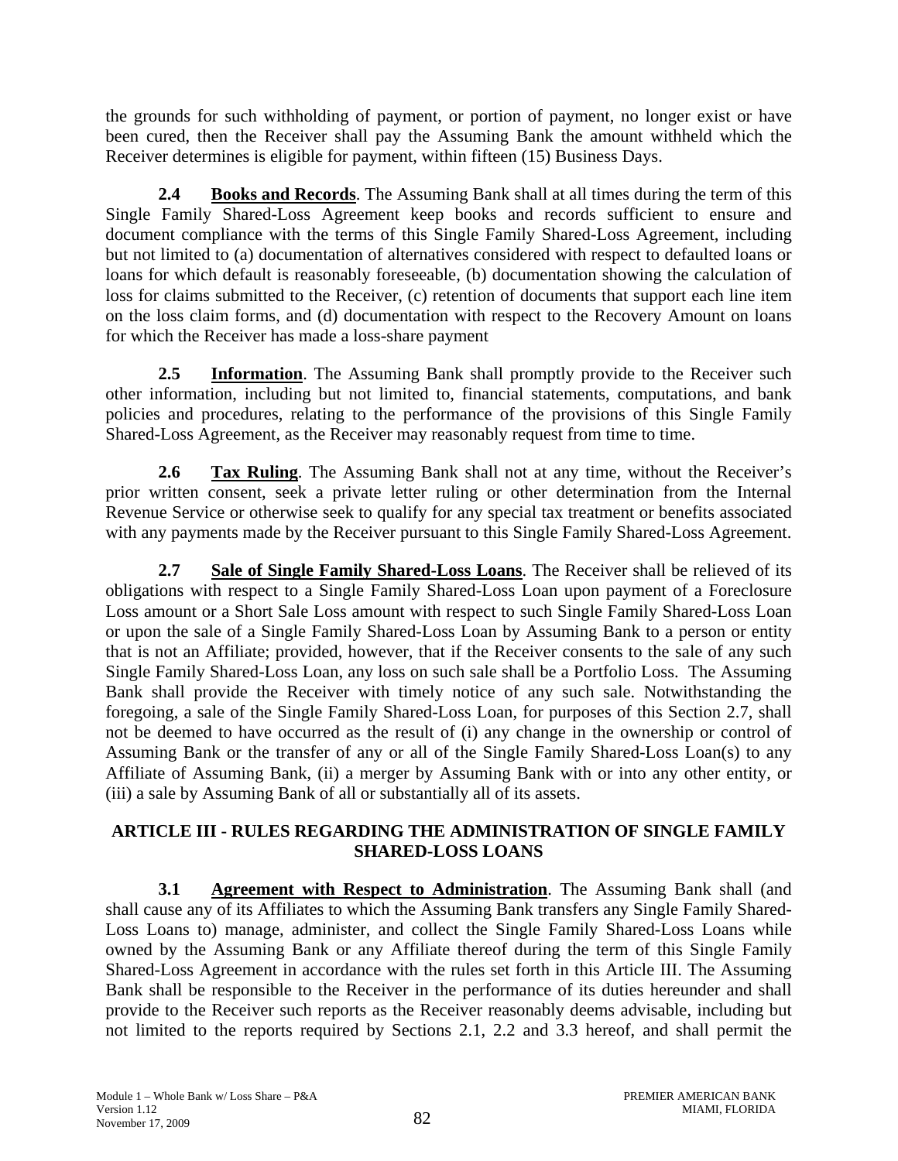the grounds for such withholding of payment, or portion of payment, no longer exist or have been cured, then the Receiver shall pay the Assuming Bank the amount withheld which the Receiver determines is eligible for payment, within fifteen (15) Business Days.

**2.4 Books and Records**. The Assuming Bank shall at all times during the term of this Single Family Shared-Loss Agreement keep books and records sufficient to ensure and document compliance with the terms of this Single Family Shared-Loss Agreement, including but not limited to (a) documentation of alternatives considered with respect to defaulted loans or loans for which default is reasonably foreseeable, (b) documentation showing the calculation of loss for claims submitted to the Receiver, (c) retention of documents that support each line item on the loss claim forms, and (d) documentation with respect to the Recovery Amount on loans for which the Receiver has made a loss-share payment

**2.5 Information**. The Assuming Bank shall promptly provide to the Receiver such other information, including but not limited to, financial statements, computations, and bank policies and procedures, relating to the performance of the provisions of this Single Family Shared-Loss Agreement, as the Receiver may reasonably request from time to time.

**2.6 Tax Ruling**. The Assuming Bank shall not at any time, without the Receiver's prior written consent, seek a private letter ruling or other determination from the Internal Revenue Service or otherwise seek to qualify for any special tax treatment or benefits associated with any payments made by the Receiver pursuant to this Single Family Shared-Loss Agreement.

**2.7 Sale of Single Family Shared-Loss Loans**. The Receiver shall be relieved of its obligations with respect to a Single Family Shared-Loss Loan upon payment of a Foreclosure Loss amount or a Short Sale Loss amount with respect to such Single Family Shared-Loss Loan or upon the sale of a Single Family Shared-Loss Loan by Assuming Bank to a person or entity that is not an Affiliate; provided, however, that if the Receiver consents to the sale of any such Single Family Shared-Loss Loan, any loss on such sale shall be a Portfolio Loss. The Assuming Bank shall provide the Receiver with timely notice of any such sale. Notwithstanding the foregoing, a sale of the Single Family Shared-Loss Loan, for purposes of this Section 2.7, shall not be deemed to have occurred as the result of (i) any change in the ownership or control of Assuming Bank or the transfer of any or all of the Single Family Shared-Loss Loan(s) to any Affiliate of Assuming Bank, (ii) a merger by Assuming Bank with or into any other entity, or (iii) a sale by Assuming Bank of all or substantially all of its assets.

# **ARTICLE III - RULES REGARDING THE ADMINISTRATION OF SINGLE FAMILY SHARED-LOSS LOANS**

**3.1 Agreement with Respect to Administration**. The Assuming Bank shall (and shall cause any of its Affiliates to which the Assuming Bank transfers any Single Family Shared-Loss Loans to) manage, administer, and collect the Single Family Shared-Loss Loans while owned by the Assuming Bank or any Affiliate thereof during the term of this Single Family Shared-Loss Agreement in accordance with the rules set forth in this Article III. The Assuming Bank shall be responsible to the Receiver in the performance of its duties hereunder and shall provide to the Receiver such reports as the Receiver reasonably deems advisable, including but not limited to the reports required by Sections 2.1, 2.2 and 3.3 hereof, and shall permit the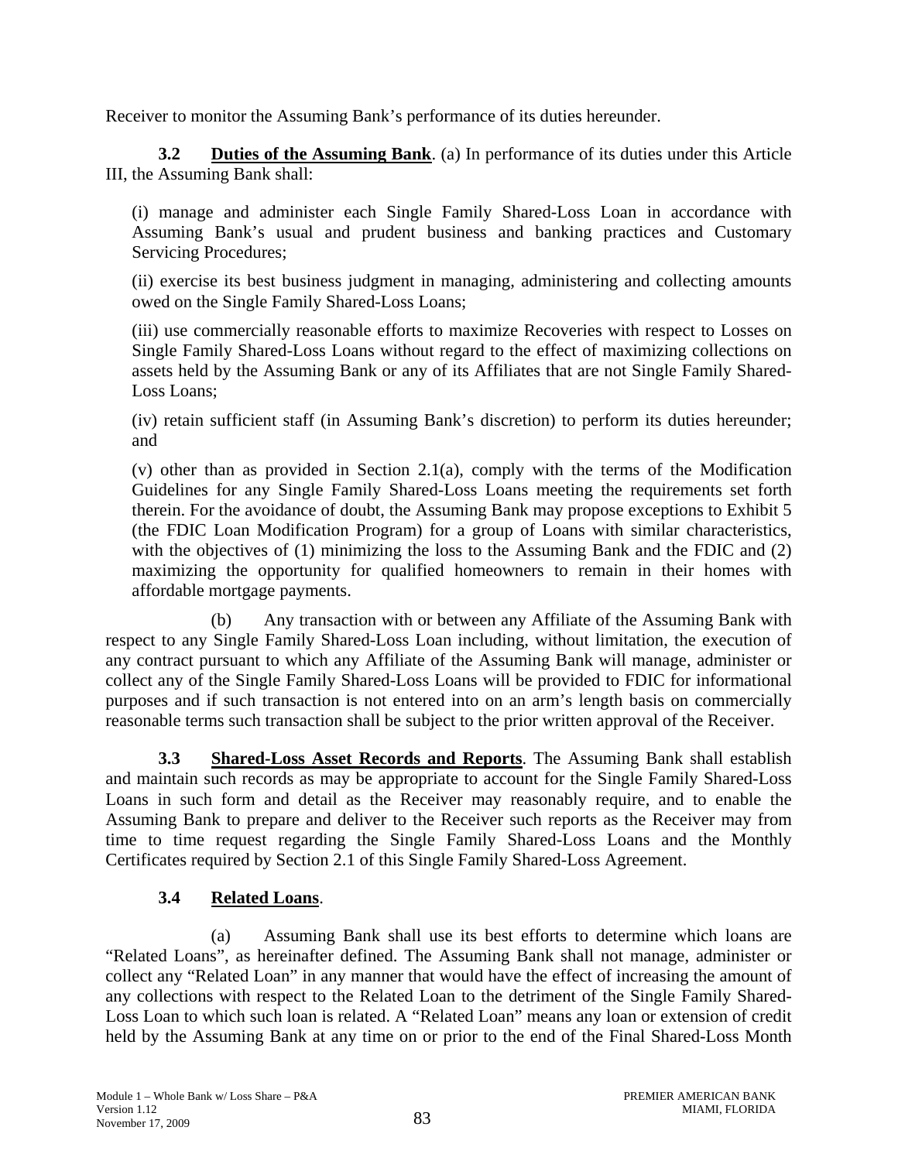Receiver to monitor the Assuming Bank's performance of its duties hereunder.

**3.2 Duties of the Assuming Bank**. (a) In performance of its duties under this Article III, the Assuming Bank shall:

(i) manage and administer each Single Family Shared-Loss Loan in accordance with Assuming Bank's usual and prudent business and banking practices and Customary Servicing Procedures;

(ii) exercise its best business judgment in managing, administering and collecting amounts owed on the Single Family Shared-Loss Loans;

(iii) use commercially reasonable efforts to maximize Recoveries with respect to Losses on Single Family Shared-Loss Loans without regard to the effect of maximizing collections on assets held by the Assuming Bank or any of its Affiliates that are not Single Family Shared-Loss Loans;

(iv) retain sufficient staff (in Assuming Bank's discretion) to perform its duties hereunder; and

(v) other than as provided in Section 2.1(a), comply with the terms of the Modification Guidelines for any Single Family Shared-Loss Loans meeting the requirements set forth therein. For the avoidance of doubt, the Assuming Bank may propose exceptions to Exhibit 5 (the FDIC Loan Modification Program) for a group of Loans with similar characteristics, with the objectives of (1) minimizing the loss to the Assuming Bank and the FDIC and (2) maximizing the opportunity for qualified homeowners to remain in their homes with affordable mortgage payments.

(b) Any transaction with or between any Affiliate of the Assuming Bank with respect to any Single Family Shared-Loss Loan including, without limitation, the execution of any contract pursuant to which any Affiliate of the Assuming Bank will manage, administer or collect any of the Single Family Shared-Loss Loans will be provided to FDIC for informational purposes and if such transaction is not entered into on an arm's length basis on commercially reasonable terms such transaction shall be subject to the prior written approval of the Receiver.

**3.3 Shared-Loss Asset Records and Reports**. The Assuming Bank shall establish and maintain such records as may be appropriate to account for the Single Family Shared-Loss Loans in such form and detail as the Receiver may reasonably require, and to enable the Assuming Bank to prepare and deliver to the Receiver such reports as the Receiver may from time to time request regarding the Single Family Shared-Loss Loans and the Monthly Certificates required by Section 2.1 of this Single Family Shared-Loss Agreement.

# **3.4 Related Loans**.

(a) Assuming Bank shall use its best efforts to determine which loans are "Related Loans", as hereinafter defined. The Assuming Bank shall not manage, administer or collect any "Related Loan" in any manner that would have the effect of increasing the amount of any collections with respect to the Related Loan to the detriment of the Single Family Shared-Loss Loan to which such loan is related. A "Related Loan" means any loan or extension of credit held by the Assuming Bank at any time on or prior to the end of the Final Shared-Loss Month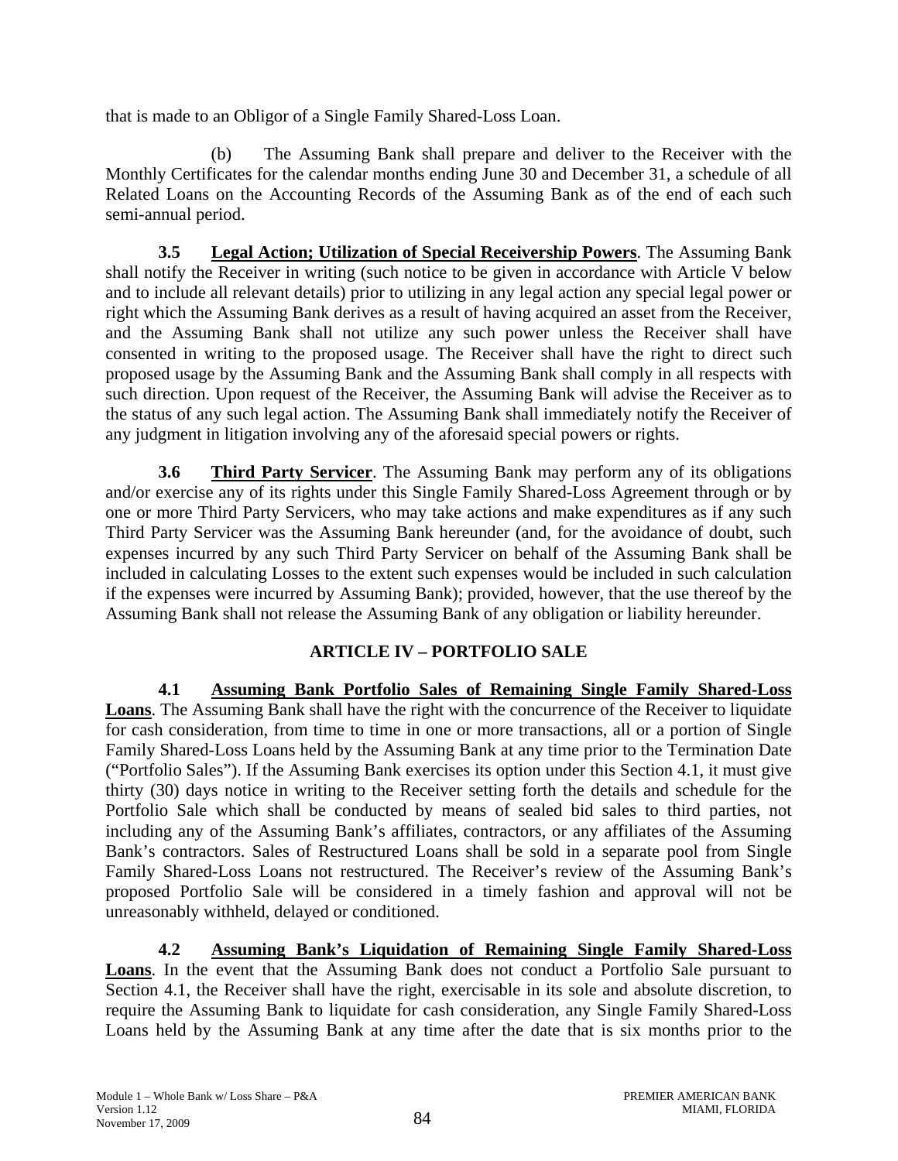that is made to an Obligor of a Single Family Shared-Loss Loan.

(b) The Assuming Bank shall prepare and deliver to the Receiver with the Monthly Certificates for the calendar months ending June 30 and December 31, a schedule of all Related Loans on the Accounting Records of the Assuming Bank as of the end of each such semi-annual period.

**3.5 Legal Action; Utilization of Special Receivership Powers**. The Assuming Bank shall notify the Receiver in writing (such notice to be given in accordance with Article V below and to include all relevant details) prior to utilizing in any legal action any special legal power or right which the Assuming Bank derives as a result of having acquired an asset from the Receiver, and the Assuming Bank shall not utilize any such power unless the Receiver shall have consented in writing to the proposed usage. The Receiver shall have the right to direct such proposed usage by the Assuming Bank and the Assuming Bank shall comply in all respects with such direction. Upon request of the Receiver, the Assuming Bank will advise the Receiver as to the status of any such legal action. The Assuming Bank shall immediately notify the Receiver of any judgment in litigation involving any of the aforesaid special powers or rights.

**3.6** Third Party Servicer. The Assuming Bank may perform any of its obligations and/or exercise any of its rights under this Single Family Shared-Loss Agreement through or by one or more Third Party Servicers, who may take actions and make expenditures as if any such Third Party Servicer was the Assuming Bank hereunder (and, for the avoidance of doubt, such expenses incurred by any such Third Party Servicer on behalf of the Assuming Bank shall be included in calculating Losses to the extent such expenses would be included in such calculation if the expenses were incurred by Assuming Bank); provided, however, that the use thereof by the Assuming Bank shall not release the Assuming Bank of any obligation or liability hereunder.

# **ARTICLE IV – PORTFOLIO SALE**

**4.1 Assuming Bank Portfolio Sales of Remaining Single Family Shared-Loss Loans**. The Assuming Bank shall have the right with the concurrence of the Receiver to liquidate for cash consideration, from time to time in one or more transactions, all or a portion of Single Family Shared-Loss Loans held by the Assuming Bank at any time prior to the Termination Date ("Portfolio Sales"). If the Assuming Bank exercises its option under this Section 4.1, it must give thirty (30) days notice in writing to the Receiver setting forth the details and schedule for the Portfolio Sale which shall be conducted by means of sealed bid sales to third parties, not including any of the Assuming Bank's affiliates, contractors, or any affiliates of the Assuming Bank's contractors. Sales of Restructured Loans shall be sold in a separate pool from Single Family Shared-Loss Loans not restructured. The Receiver's review of the Assuming Bank's proposed Portfolio Sale will be considered in a timely fashion and approval will not be unreasonably withheld, delayed or conditioned.

**4.2 Assuming Bank's Liquidation of Remaining Single Family Shared-Loss Loans**. In the event that the Assuming Bank does not conduct a Portfolio Sale pursuant to Section 4.1, the Receiver shall have the right, exercisable in its sole and absolute discretion, to require the Assuming Bank to liquidate for cash consideration, any Single Family Shared-Loss Loans held by the Assuming Bank at any time after the date that is six months prior to the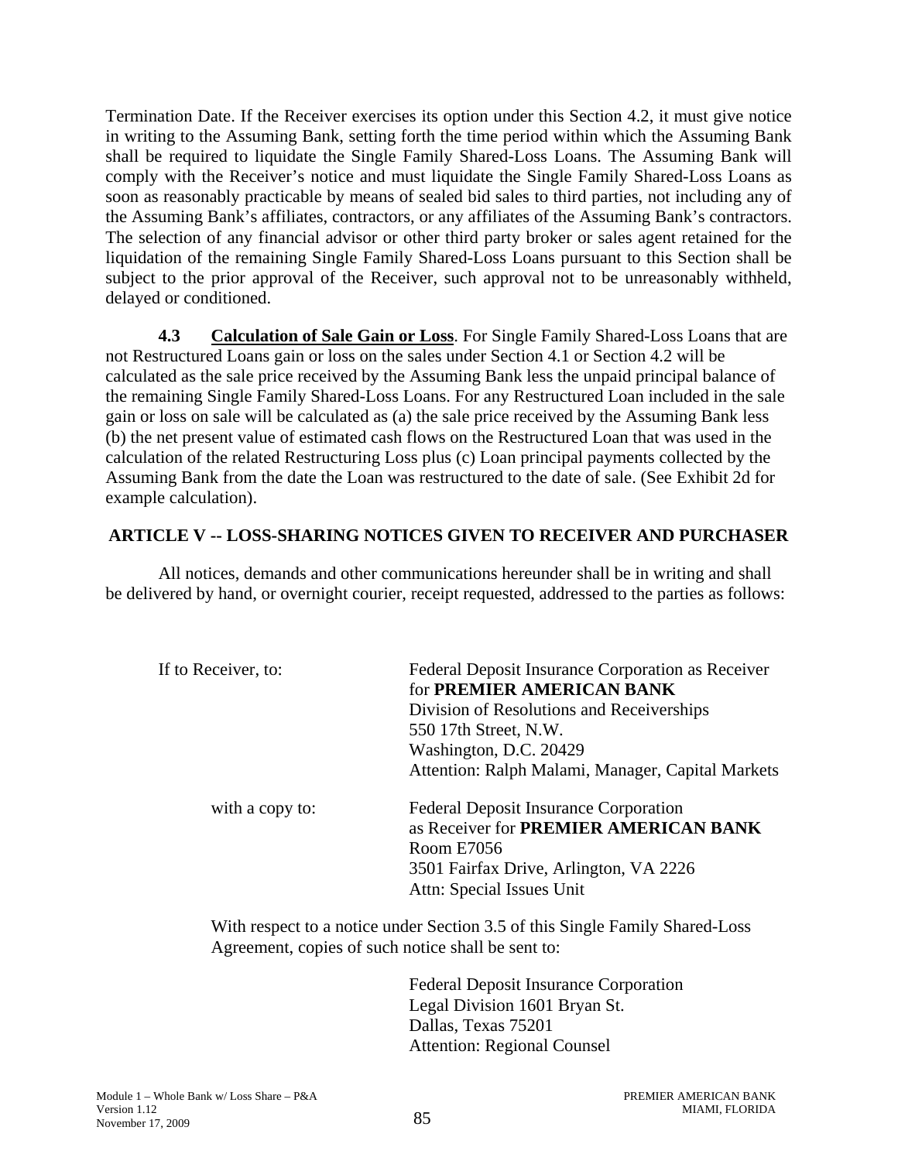Termination Date. If the Receiver exercises its option under this Section 4.2, it must give notice in writing to the Assuming Bank, setting forth the time period within which the Assuming Bank shall be required to liquidate the Single Family Shared-Loss Loans. The Assuming Bank will comply with the Receiver's notice and must liquidate the Single Family Shared-Loss Loans as soon as reasonably practicable by means of sealed bid sales to third parties, not including any of the Assuming Bank's affiliates, contractors, or any affiliates of the Assuming Bank's contractors. The selection of any financial advisor or other third party broker or sales agent retained for the liquidation of the remaining Single Family Shared-Loss Loans pursuant to this Section shall be subject to the prior approval of the Receiver, such approval not to be unreasonably withheld, delayed or conditioned.

**4.3 Calculation of Sale Gain or Loss**. For Single Family Shared-Loss Loans that are not Restructured Loans gain or loss on the sales under Section 4.1 or Section 4.2 will be calculated as the sale price received by the Assuming Bank less the unpaid principal balance of the remaining Single Family Shared-Loss Loans. For any Restructured Loan included in the sale gain or loss on sale will be calculated as (a) the sale price received by the Assuming Bank less (b) the net present value of estimated cash flows on the Restructured Loan that was used in the calculation of the related Restructuring Loss plus (c) Loan principal payments collected by the Assuming Bank from the date the Loan was restructured to the date of sale. (See Exhibit 2d for example calculation).

## **ARTICLE V -- LOSS-SHARING NOTICES GIVEN TO RECEIVER AND PURCHASER**

All notices, demands and other communications hereunder shall be in writing and shall be delivered by hand, or overnight courier, receipt requested, addressed to the parties as follows:

| If to Receiver, to: | Federal Deposit Insurance Corporation as Receiver<br>for PREMIER AMERICAN BANK<br>Division of Resolutions and Receiverships<br>550 17th Street, N.W.<br>Washington, D.C. 20429 |
|---------------------|--------------------------------------------------------------------------------------------------------------------------------------------------------------------------------|
| with a copy to:     | Attention: Ralph Malami, Manager, Capital Markets<br><b>Federal Deposit Insurance Corporation</b><br>as Receiver for <b>PREMIER AMERICAN BANK</b>                              |
|                     | Room E7056<br>3501 Fairfax Drive, Arlington, VA 2226<br>Attn: Special Issues Unit                                                                                              |
|                     | With request to a notice under Costian 2.5 of this Cinele Femily Chanad I ago                                                                                                  |

With respect to a notice under Section 3.5 of this Single Family Shared-Loss Agreement, copies of such notice shall be sent to:

> Federal Deposit Insurance Corporation Legal Division 1601 Bryan St. Dallas, Texas 75201 Attention: Regional Counsel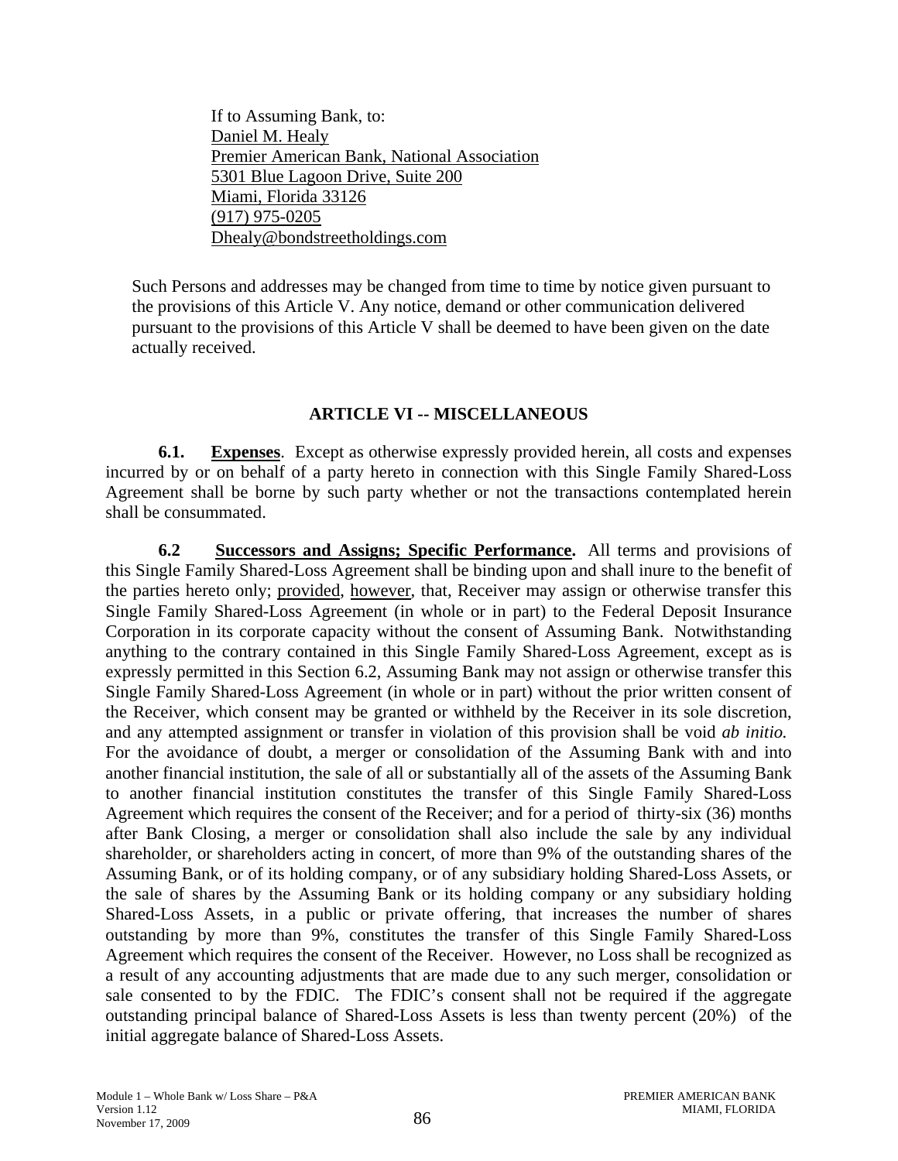If to Assuming Bank, to: Daniel M. Healy Premier American Bank, National Association 5301 Blue Lagoon Drive, Suite 200 Miami, Florida 33126 (917) 975-0205 Dhealy@bondstreetholdings.com

Such Persons and addresses may be changed from time to time by notice given pursuant to the provisions of this Article V. Any notice, demand or other communication delivered pursuant to the provisions of this Article V shall be deemed to have been given on the date actually received.

### **ARTICLE VI -- MISCELLANEOUS**

**6.1. Expenses**. Except as otherwise expressly provided herein, all costs and expenses incurred by or on behalf of a party hereto in connection with this Single Family Shared-Loss Agreement shall be borne by such party whether or not the transactions contemplated herein shall be consummated.

**6.2 Successors and Assigns; Specific Performance.** All terms and provisions of this Single Family Shared-Loss Agreement shall be binding upon and shall inure to the benefit of the parties hereto only; provided, however, that, Receiver may assign or otherwise transfer this Single Family Shared-Loss Agreement (in whole or in part) to the Federal Deposit Insurance Corporation in its corporate capacity without the consent of Assuming Bank. Notwithstanding anything to the contrary contained in this Single Family Shared-Loss Agreement, except as is expressly permitted in this Section 6.2, Assuming Bank may not assign or otherwise transfer this Single Family Shared-Loss Agreement (in whole or in part) without the prior written consent of the Receiver, which consent may be granted or withheld by the Receiver in its sole discretion, and any attempted assignment or transfer in violation of this provision shall be void *ab initio.*  For the avoidance of doubt, a merger or consolidation of the Assuming Bank with and into another financial institution, the sale of all or substantially all of the assets of the Assuming Bank to another financial institution constitutes the transfer of this Single Family Shared-Loss Agreement which requires the consent of the Receiver; and for a period of thirty-six (36) months after Bank Closing, a merger or consolidation shall also include the sale by any individual shareholder, or shareholders acting in concert, of more than 9% of the outstanding shares of the Assuming Bank, or of its holding company, or of any subsidiary holding Shared-Loss Assets, or the sale of shares by the Assuming Bank or its holding company or any subsidiary holding Shared-Loss Assets, in a public or private offering, that increases the number of shares outstanding by more than 9%, constitutes the transfer of this Single Family Shared-Loss Agreement which requires the consent of the Receiver. However, no Loss shall be recognized as a result of any accounting adjustments that are made due to any such merger, consolidation or sale consented to by the FDIC. The FDIC's consent shall not be required if the aggregate outstanding principal balance of Shared-Loss Assets is less than twenty percent (20%) of the initial aggregate balance of Shared-Loss Assets.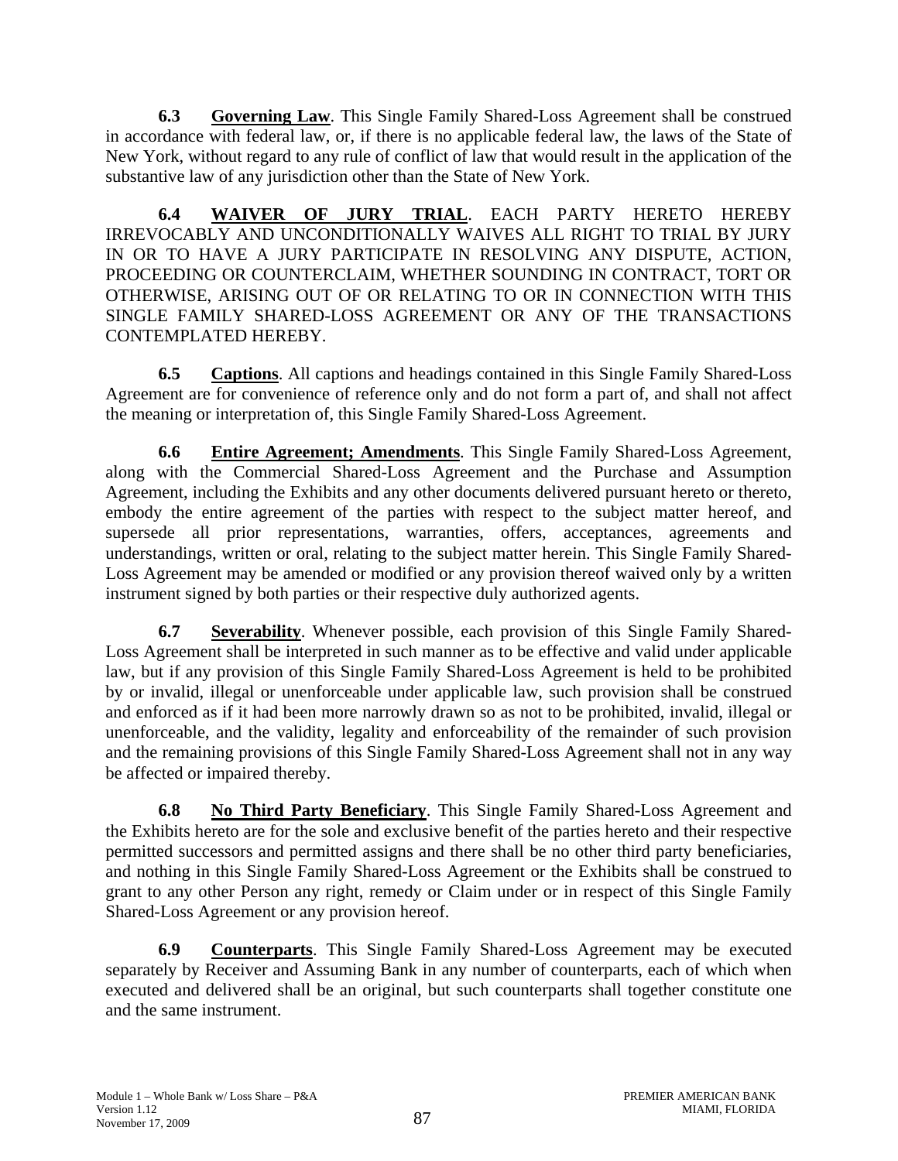**6.3** Governing Law. This Single Family Shared-Loss Agreement shall be construed in accordance with federal law, or, if there is no applicable federal law, the laws of the State of New York, without regard to any rule of conflict of law that would result in the application of the substantive law of any jurisdiction other than the State of New York.

**6.4 WAIVER OF JURY TRIAL**. EACH PARTY HERETO HEREBY IRREVOCABLY AND UNCONDITIONALLY WAIVES ALL RIGHT TO TRIAL BY JURY IN OR TO HAVE A JURY PARTICIPATE IN RESOLVING ANY DISPUTE, ACTION, PROCEEDING OR COUNTERCLAIM, WHETHER SOUNDING IN CONTRACT, TORT OR OTHERWISE, ARISING OUT OF OR RELATING TO OR IN CONNECTION WITH THIS SINGLE FAMILY SHARED-LOSS AGREEMENT OR ANY OF THE TRANSACTIONS CONTEMPLATED HEREBY.

**6.5 Captions**. All captions and headings contained in this Single Family Shared-Loss Agreement are for convenience of reference only and do not form a part of, and shall not affect the meaning or interpretation of, this Single Family Shared-Loss Agreement.

**6.6 Entire Agreement; Amendments**. This Single Family Shared-Loss Agreement, along with the Commercial Shared-Loss Agreement and the Purchase and Assumption Agreement, including the Exhibits and any other documents delivered pursuant hereto or thereto, embody the entire agreement of the parties with respect to the subject matter hereof, and supersede all prior representations, warranties, offers, acceptances, agreements and understandings, written or oral, relating to the subject matter herein. This Single Family Shared-Loss Agreement may be amended or modified or any provision thereof waived only by a written instrument signed by both parties or their respective duly authorized agents.

**6.7 Severability**. Whenever possible, each provision of this Single Family Shared-Loss Agreement shall be interpreted in such manner as to be effective and valid under applicable law, but if any provision of this Single Family Shared-Loss Agreement is held to be prohibited by or invalid, illegal or unenforceable under applicable law, such provision shall be construed and enforced as if it had been more narrowly drawn so as not to be prohibited, invalid, illegal or unenforceable, and the validity, legality and enforceability of the remainder of such provision and the remaining provisions of this Single Family Shared-Loss Agreement shall not in any way be affected or impaired thereby.

**6.8 No Third Party Beneficiary.** This Single Family Shared-Loss Agreement and the Exhibits hereto are for the sole and exclusive benefit of the parties hereto and their respective permitted successors and permitted assigns and there shall be no other third party beneficiaries, and nothing in this Single Family Shared-Loss Agreement or the Exhibits shall be construed to grant to any other Person any right, remedy or Claim under or in respect of this Single Family Shared-Loss Agreement or any provision hereof.

**6.9 Counterparts**. This Single Family Shared-Loss Agreement may be executed separately by Receiver and Assuming Bank in any number of counterparts, each of which when executed and delivered shall be an original, but such counterparts shall together constitute one and the same instrument.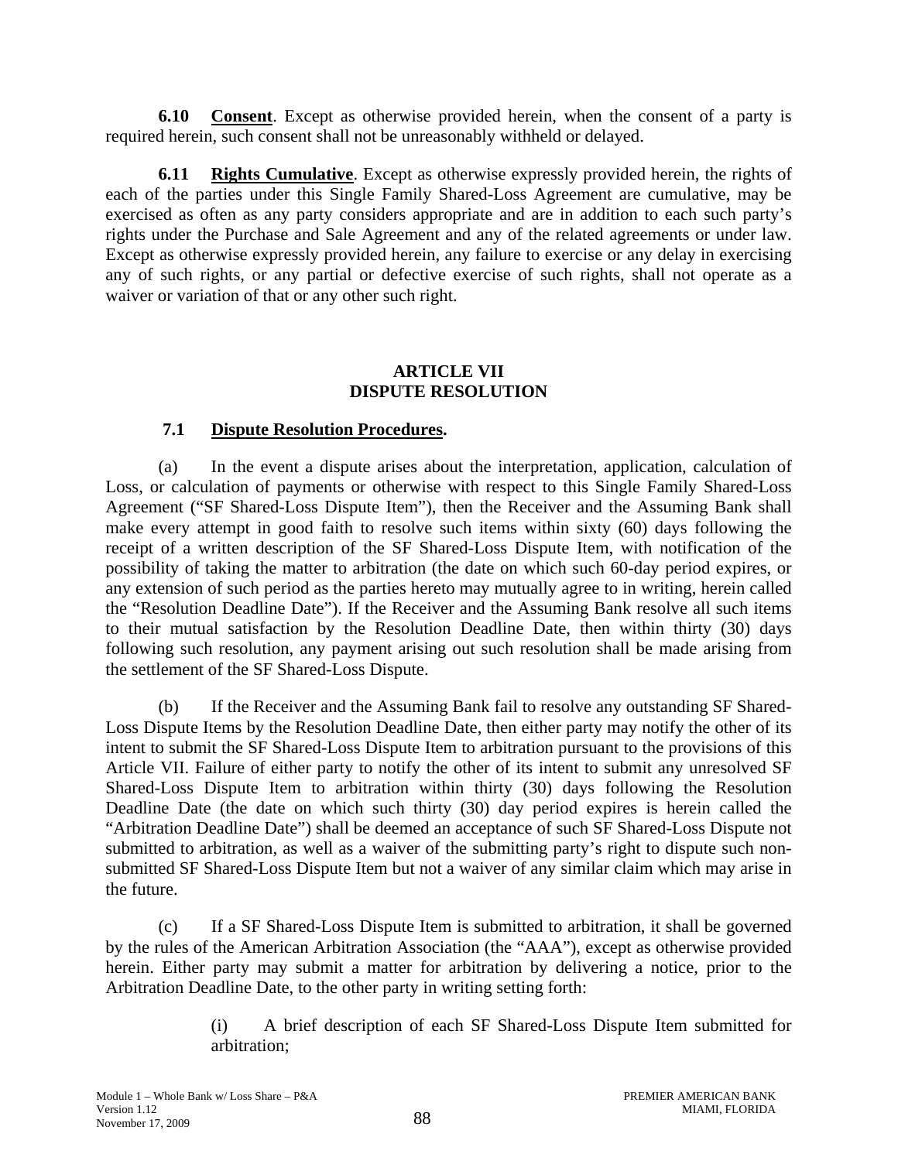**6.10 Consent**. Except as otherwise provided herein, when the consent of a party is required herein, such consent shall not be unreasonably withheld or delayed.

**6.11 Rights Cumulative**. Except as otherwise expressly provided herein, the rights of each of the parties under this Single Family Shared-Loss Agreement are cumulative, may be exercised as often as any party considers appropriate and are in addition to each such party's rights under the Purchase and Sale Agreement and any of the related agreements or under law. Except as otherwise expressly provided herein, any failure to exercise or any delay in exercising any of such rights, or any partial or defective exercise of such rights, shall not operate as a waiver or variation of that or any other such right.

#### **ARTICLE VII DISPUTE RESOLUTION**

# **7.1 Dispute Resolution Procedures.**

(a) In the event a dispute arises about the interpretation, application, calculation of Loss, or calculation of payments or otherwise with respect to this Single Family Shared-Loss Agreement ("SF Shared-Loss Dispute Item"), then the Receiver and the Assuming Bank shall make every attempt in good faith to resolve such items within sixty (60) days following the receipt of a written description of the SF Shared-Loss Dispute Item, with notification of the possibility of taking the matter to arbitration (the date on which such 60-day period expires, or any extension of such period as the parties hereto may mutually agree to in writing, herein called the "Resolution Deadline Date"). If the Receiver and the Assuming Bank resolve all such items to their mutual satisfaction by the Resolution Deadline Date, then within thirty (30) days following such resolution, any payment arising out such resolution shall be made arising from the settlement of the SF Shared-Loss Dispute.

(b) If the Receiver and the Assuming Bank fail to resolve any outstanding SF Shared-Loss Dispute Items by the Resolution Deadline Date, then either party may notify the other of its intent to submit the SF Shared-Loss Dispute Item to arbitration pursuant to the provisions of this Article VII. Failure of either party to notify the other of its intent to submit any unresolved SF Shared-Loss Dispute Item to arbitration within thirty (30) days following the Resolution Deadline Date (the date on which such thirty (30) day period expires is herein called the "Arbitration Deadline Date") shall be deemed an acceptance of such SF Shared-Loss Dispute not submitted to arbitration, as well as a waiver of the submitting party's right to dispute such nonsubmitted SF Shared-Loss Dispute Item but not a waiver of any similar claim which may arise in the future.

(c) If a SF Shared-Loss Dispute Item is submitted to arbitration, it shall be governed by the rules of the American Arbitration Association (the "AAA"), except as otherwise provided herein. Either party may submit a matter for arbitration by delivering a notice, prior to the Arbitration Deadline Date, to the other party in writing setting forth:

> (i) A brief description of each SF Shared-Loss Dispute Item submitted for arbitration;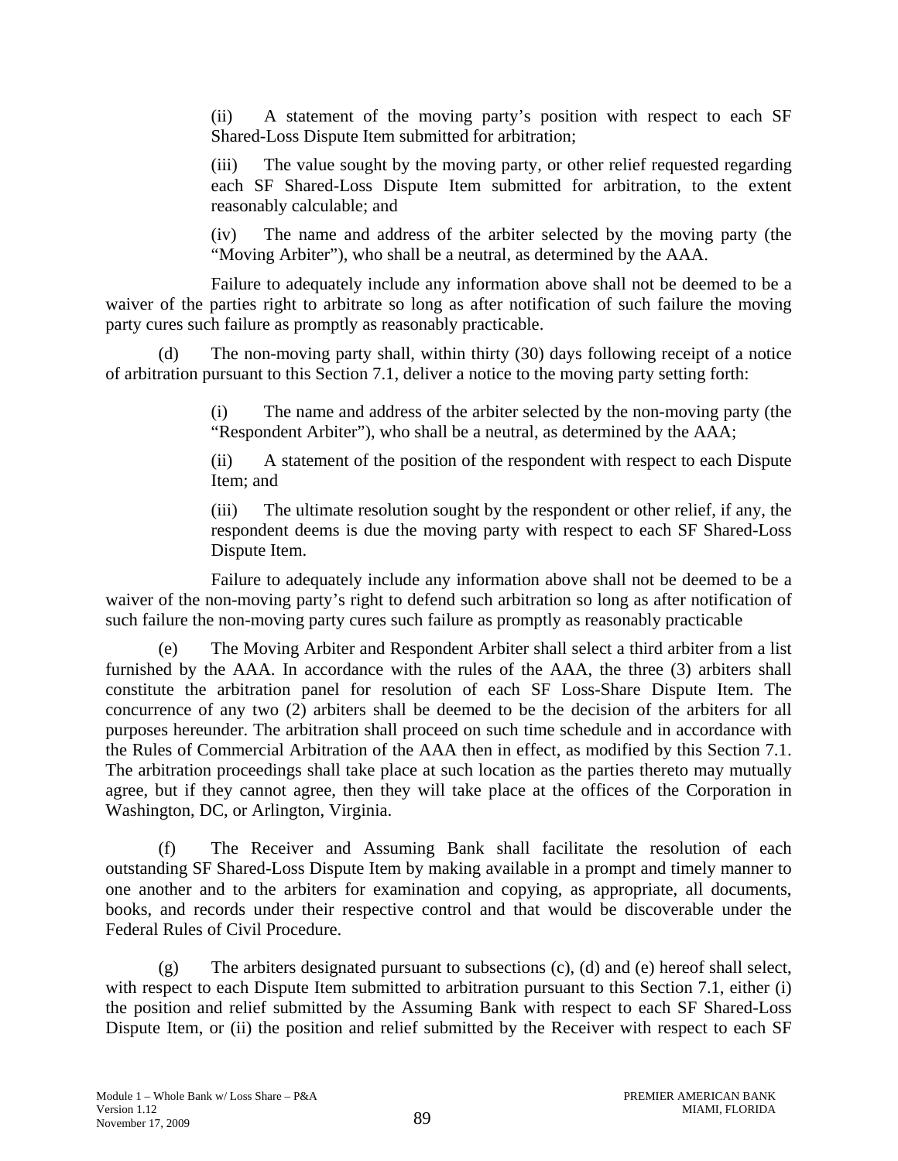(ii) A statement of the moving party's position with respect to each SF Shared-Loss Dispute Item submitted for arbitration;

(iii) The value sought by the moving party, or other relief requested regarding each SF Shared-Loss Dispute Item submitted for arbitration, to the extent reasonably calculable; and

(iv) The name and address of the arbiter selected by the moving party (the "Moving Arbiter"), who shall be a neutral, as determined by the AAA.

Failure to adequately include any information above shall not be deemed to be a waiver of the parties right to arbitrate so long as after notification of such failure the moving party cures such failure as promptly as reasonably practicable.

(d) The non-moving party shall, within thirty (30) days following receipt of a notice of arbitration pursuant to this Section 7.1, deliver a notice to the moving party setting forth:

> (i) The name and address of the arbiter selected by the non-moving party (the "Respondent Arbiter"), who shall be a neutral, as determined by the AAA;

> (ii) A statement of the position of the respondent with respect to each Dispute Item; and

> (iii) The ultimate resolution sought by the respondent or other relief, if any, the respondent deems is due the moving party with respect to each SF Shared-Loss Dispute Item.

Failure to adequately include any information above shall not be deemed to be a waiver of the non-moving party's right to defend such arbitration so long as after notification of such failure the non-moving party cures such failure as promptly as reasonably practicable

(e) The Moving Arbiter and Respondent Arbiter shall select a third arbiter from a list furnished by the AAA. In accordance with the rules of the AAA, the three (3) arbiters shall constitute the arbitration panel for resolution of each SF Loss-Share Dispute Item. The concurrence of any two (2) arbiters shall be deemed to be the decision of the arbiters for all purposes hereunder. The arbitration shall proceed on such time schedule and in accordance with the Rules of Commercial Arbitration of the AAA then in effect, as modified by this Section 7.1. The arbitration proceedings shall take place at such location as the parties thereto may mutually agree, but if they cannot agree, then they will take place at the offices of the Corporation in Washington, DC, or Arlington, Virginia.

(f) The Receiver and Assuming Bank shall facilitate the resolution of each outstanding SF Shared-Loss Dispute Item by making available in a prompt and timely manner to one another and to the arbiters for examination and copying, as appropriate, all documents, books, and records under their respective control and that would be discoverable under the Federal Rules of Civil Procedure.

(g) The arbiters designated pursuant to subsections (c), (d) and (e) hereof shall select, with respect to each Dispute Item submitted to arbitration pursuant to this Section 7.1, either (i) the position and relief submitted by the Assuming Bank with respect to each SF Shared-Loss Dispute Item, or (ii) the position and relief submitted by the Receiver with respect to each SF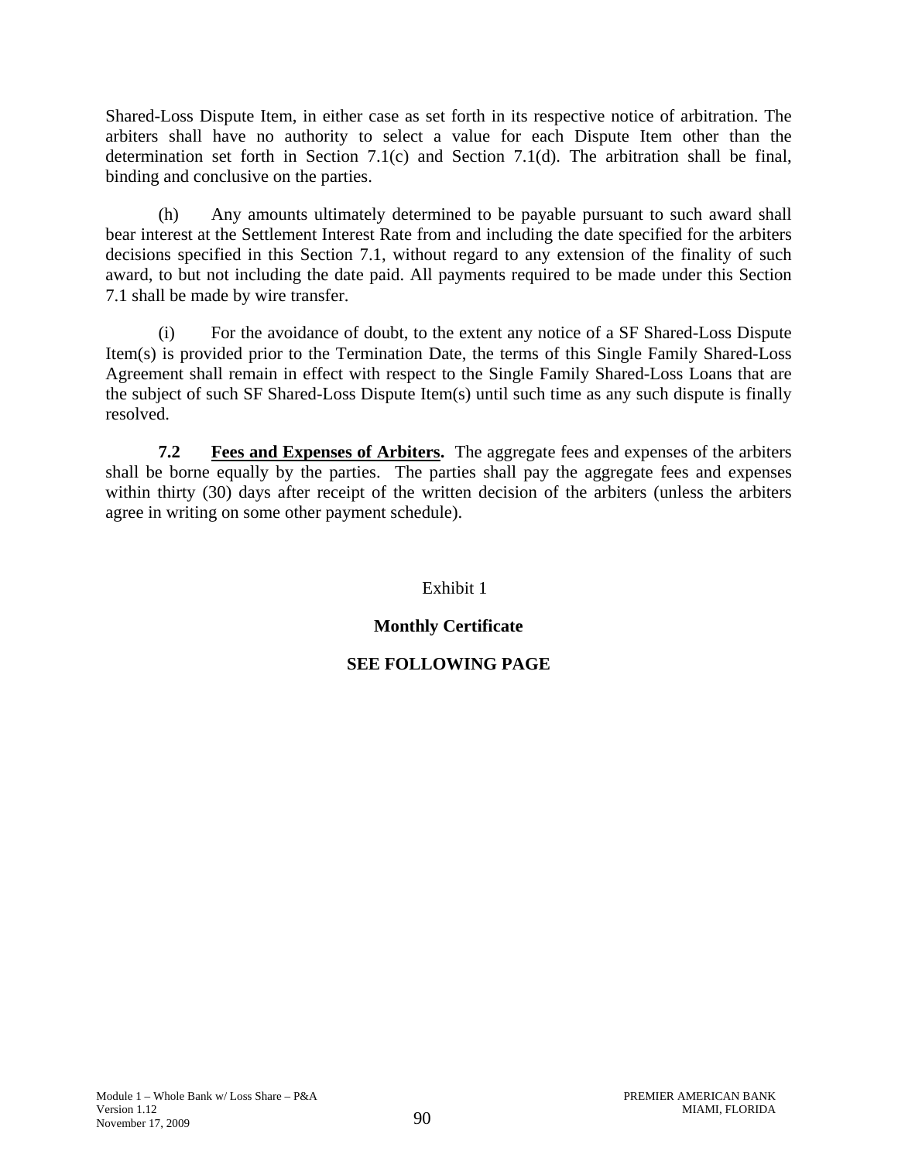Shared-Loss Dispute Item, in either case as set forth in its respective notice of arbitration. The arbiters shall have no authority to select a value for each Dispute Item other than the determination set forth in Section 7.1(c) and Section 7.1(d). The arbitration shall be final, binding and conclusive on the parties.

(h) Any amounts ultimately determined to be payable pursuant to such award shall bear interest at the Settlement Interest Rate from and including the date specified for the arbiters decisions specified in this Section 7.1, without regard to any extension of the finality of such award, to but not including the date paid. All payments required to be made under this Section 7.1 shall be made by wire transfer.

(i) For the avoidance of doubt, to the extent any notice of a SF Shared-Loss Dispute Item(s) is provided prior to the Termination Date, the terms of this Single Family Shared-Loss Agreement shall remain in effect with respect to the Single Family Shared-Loss Loans that are the subject of such SF Shared-Loss Dispute Item(s) until such time as any such dispute is finally resolved.

**7.2 Fees and Expenses of Arbiters.** The aggregate fees and expenses of the arbiters shall be borne equally by the parties. The parties shall pay the aggregate fees and expenses within thirty (30) days after receipt of the written decision of the arbiters (unless the arbiters agree in writing on some other payment schedule).

# Exhibit 1

# **Monthly Certificate**

# **SEE FOLLOWING PAGE**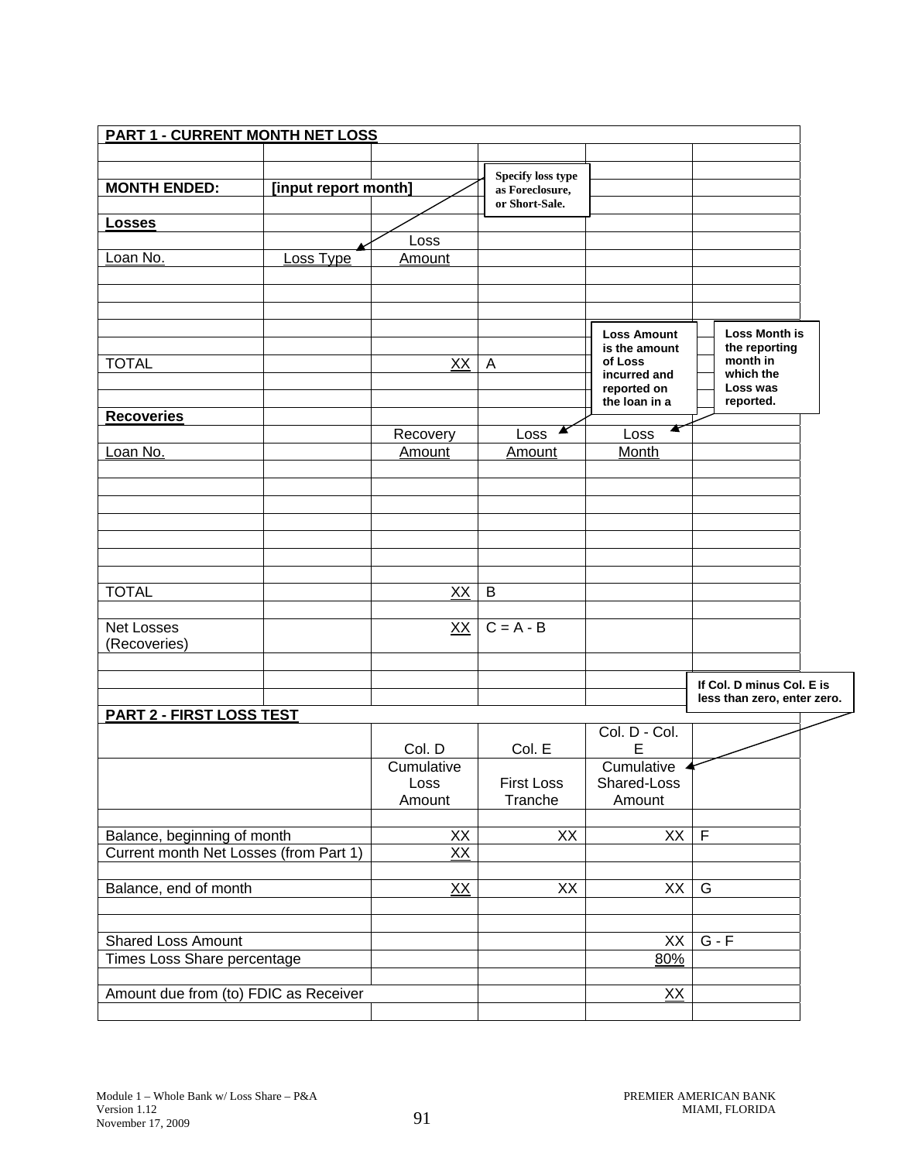| <b>PART 1 - CURRENT MONTH NET LOSS</b> |                      |            |                                   |                             |                             |
|----------------------------------------|----------------------|------------|-----------------------------------|-----------------------------|-----------------------------|
|                                        |                      |            |                                   |                             |                             |
|                                        |                      |            | Specify loss type                 |                             |                             |
| <b>MONTH ENDED:</b>                    | [input report month] |            | as Foreclosure,<br>or Short-Sale. |                             |                             |
| <b>Losses</b>                          |                      |            |                                   |                             |                             |
|                                        |                      | Loss       |                                   |                             |                             |
| Loan No.                               | Loss Type            | Amount     |                                   |                             |                             |
|                                        |                      |            |                                   |                             |                             |
|                                        |                      |            |                                   |                             |                             |
|                                        |                      |            |                                   |                             |                             |
|                                        |                      |            |                                   | <b>Loss Amount</b>          | Loss Month is               |
|                                        |                      |            |                                   | is the amount               | the reporting               |
| <b>TOTAL</b>                           |                      | XX         | $\overline{A}$                    | of Loss                     | month in                    |
|                                        |                      |            |                                   | incurred and<br>reported on | which the<br>Loss was       |
|                                        |                      |            |                                   | the loan in a               | reported.                   |
| <b>Recoveries</b>                      |                      |            |                                   | Ŧ                           |                             |
|                                        |                      | Recovery   | $Loss^{\mathbf{Z}}$               | Loss                        |                             |
| Loan No.                               |                      | Amount     | Amount                            | Month                       |                             |
|                                        |                      |            |                                   |                             |                             |
|                                        |                      |            |                                   |                             |                             |
|                                        |                      |            |                                   |                             |                             |
|                                        |                      |            |                                   |                             |                             |
|                                        |                      |            |                                   |                             |                             |
|                                        |                      |            |                                   |                             |                             |
| <b>TOTAL</b>                           |                      | XX         | B                                 |                             |                             |
|                                        |                      |            |                                   |                             |                             |
| <b>Net Losses</b>                      |                      | XX         | $C = A - B$                       |                             |                             |
| (Recoveries)                           |                      |            |                                   |                             |                             |
|                                        |                      |            |                                   |                             |                             |
|                                        |                      |            |                                   |                             | If Col. D minus Col. E is   |
|                                        |                      |            |                                   |                             | less than zero, enter zero. |
| <b>PART 2 - FIRST LOSS TEST</b>        |                      |            |                                   |                             |                             |
|                                        |                      |            |                                   | Col. D - Col.               |                             |
|                                        |                      | Col. D     | Col. E                            | E                           |                             |
|                                        |                      | Cumulative |                                   | Cumulative                  |                             |
|                                        |                      | Loss       | <b>First Loss</b>                 | Shared-Loss                 |                             |
|                                        |                      | Amount     | Tranche                           | Amount                      |                             |
|                                        |                      |            |                                   |                             |                             |
| Balance, beginning of month            |                      | XX         | XX                                | XX                          | $\mathsf F$                 |
| Current month Net Losses (from Part 1) |                      | XX         |                                   |                             |                             |
| Balance, end of month                  |                      | <u>XX</u>  | XX                                | XX                          | G                           |
|                                        |                      |            |                                   |                             |                             |
|                                        |                      |            |                                   |                             |                             |
| <b>Shared Loss Amount</b>              |                      |            |                                   | XX                          | $G - F$                     |
| Times Loss Share percentage            |                      |            |                                   | 80%                         |                             |
|                                        |                      |            |                                   |                             |                             |
| Amount due from (to) FDIC as Receiver  |                      |            |                                   | XX                          |                             |
|                                        |                      |            |                                   |                             |                             |
|                                        |                      |            |                                   |                             |                             |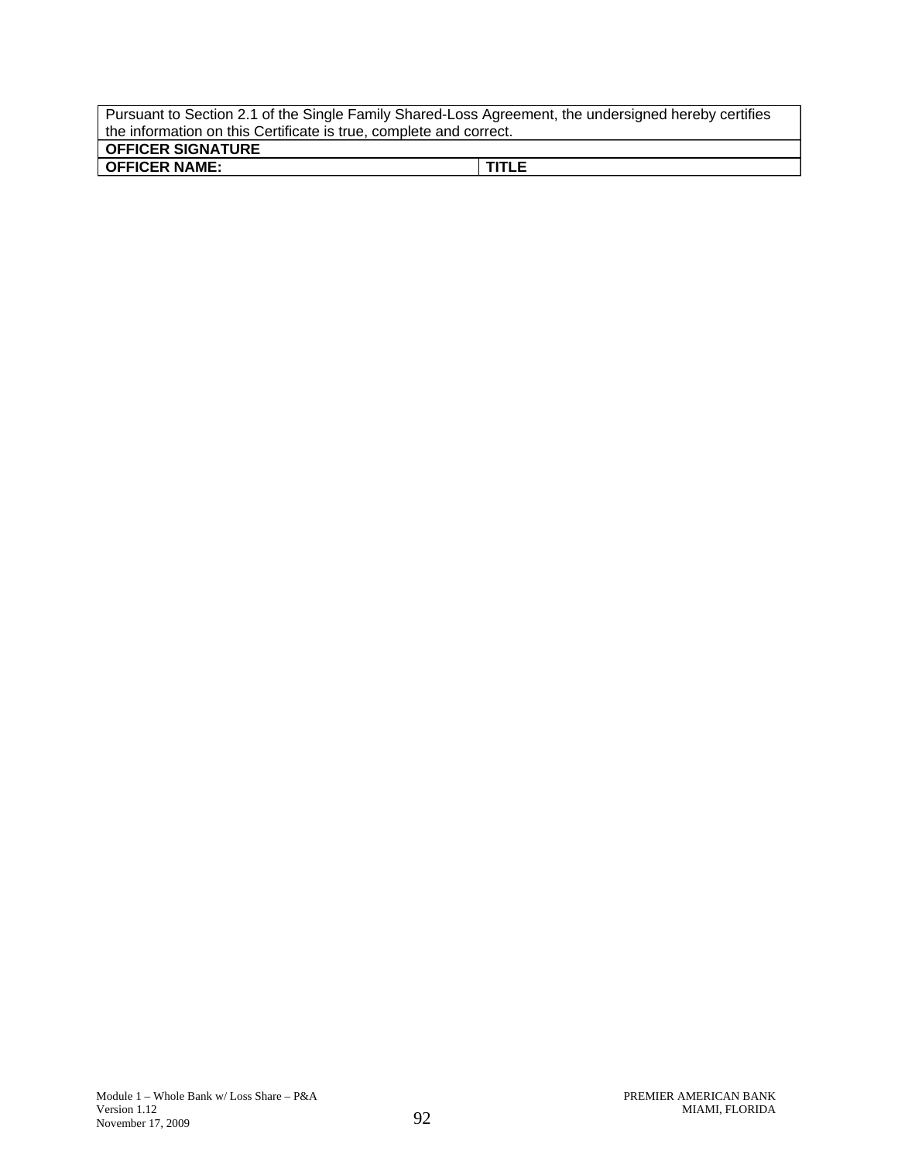| Pursuant to Section 2.1 of the Single Family Shared-Loss Agreement, the undersigned hereby certifies |  |  |  |
|------------------------------------------------------------------------------------------------------|--|--|--|
| the information on this Certificate is true, complete and correct.                                   |  |  |  |
| <b>OFFICER SIGNATURE</b>                                                                             |  |  |  |
| <b>TITLE</b><br><b>OFFICER NAME:</b>                                                                 |  |  |  |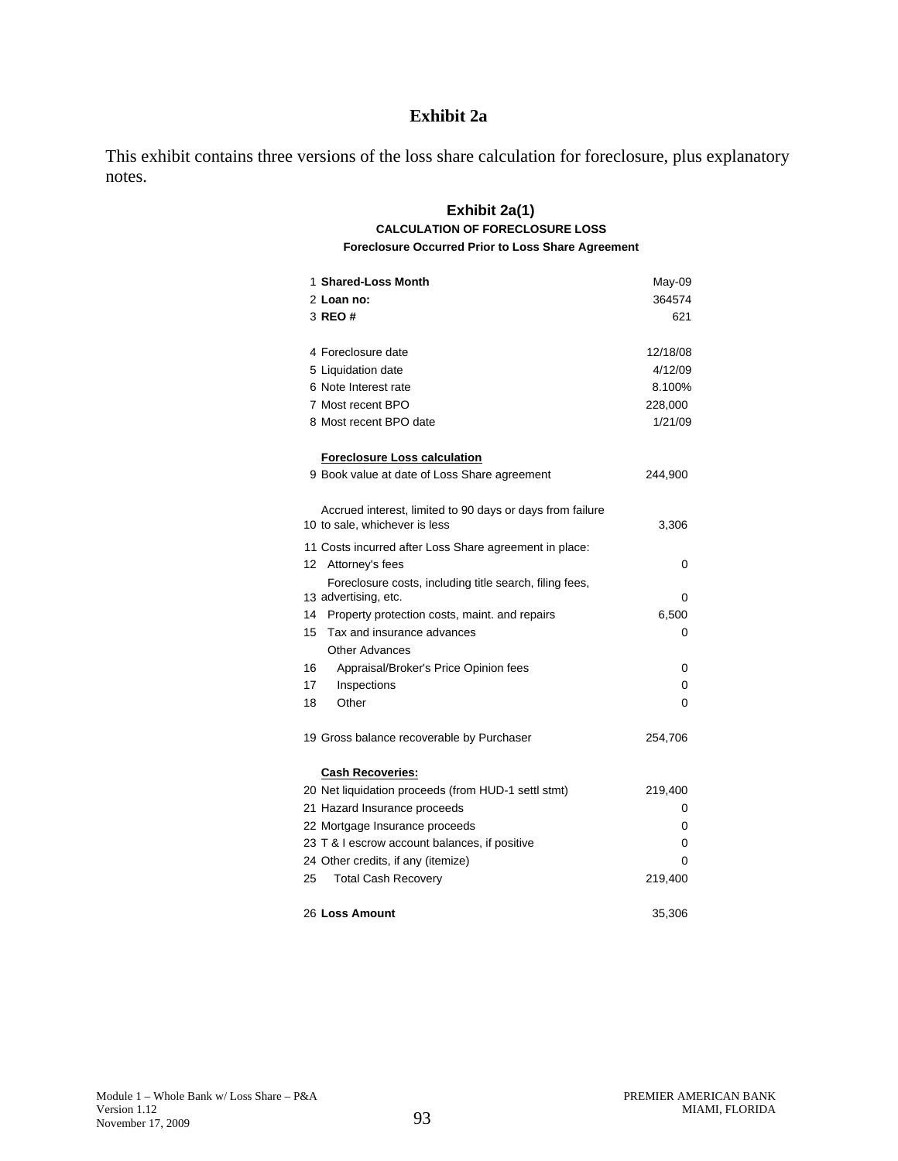### **Exhibit 2a**

This exhibit contains three versions of the loss share calculation for foreclosure, plus explanatory notes.

#### **Exhibit 2a(1) CALCULATION OF FORECLOSURE LOSS Foreclosure Occurred Prior to Loss Share Agreement**

|    | 1 Shared-Loss Month<br>2 Loan no:<br>3 REO #              | May-09<br>364574<br>621 |
|----|-----------------------------------------------------------|-------------------------|
|    |                                                           |                         |
|    | 4 Foreclosure date                                        | 12/18/08                |
|    | 5 Liquidation date                                        | 4/12/09                 |
|    | 6 Note Interest rate                                      | 8.100%                  |
|    | 7 Most recent BPO                                         | 228,000                 |
|    | 8 Most recent BPO date                                    | 1/21/09                 |
|    | <b>Foreclosure Loss calculation</b>                       |                         |
|    | 9 Book value at date of Loss Share agreement              | 244,900                 |
|    | Accrued interest, limited to 90 days or days from failure |                         |
|    | 10 to sale, whichever is less                             | 3,306                   |
|    | 11 Costs incurred after Loss Share agreement in place:    |                         |
| 12 | Attorney's fees                                           | 0                       |
|    | Foreclosure costs, including title search, filing fees,   |                         |
|    | 13 advertising, etc.                                      | 0                       |
| 14 | Property protection costs, maint. and repairs             | 6,500                   |
| 15 | Tax and insurance advances                                | 0                       |
|    | <b>Other Advances</b>                                     |                         |
| 16 | Appraisal/Broker's Price Opinion fees                     | 0                       |
| 17 | Inspections                                               | 0                       |
| 18 | Other                                                     | 0                       |
|    | 19 Gross balance recoverable by Purchaser                 | 254,706                 |
|    | <b>Cash Recoveries:</b>                                   |                         |
|    | 20 Net liquidation proceeds (from HUD-1 settl stmt)       | 219,400                 |
|    | 21 Hazard Insurance proceeds                              | 0                       |
|    | 22 Mortgage Insurance proceeds                            | 0                       |
|    | 23 T & I escrow account balances, if positive             | 0                       |
|    | 24 Other credits, if any (itemize)                        | 0                       |
| 25 | <b>Total Cash Recovery</b>                                | 219,400                 |
|    | 26 Loss Amount                                            | 35,306                  |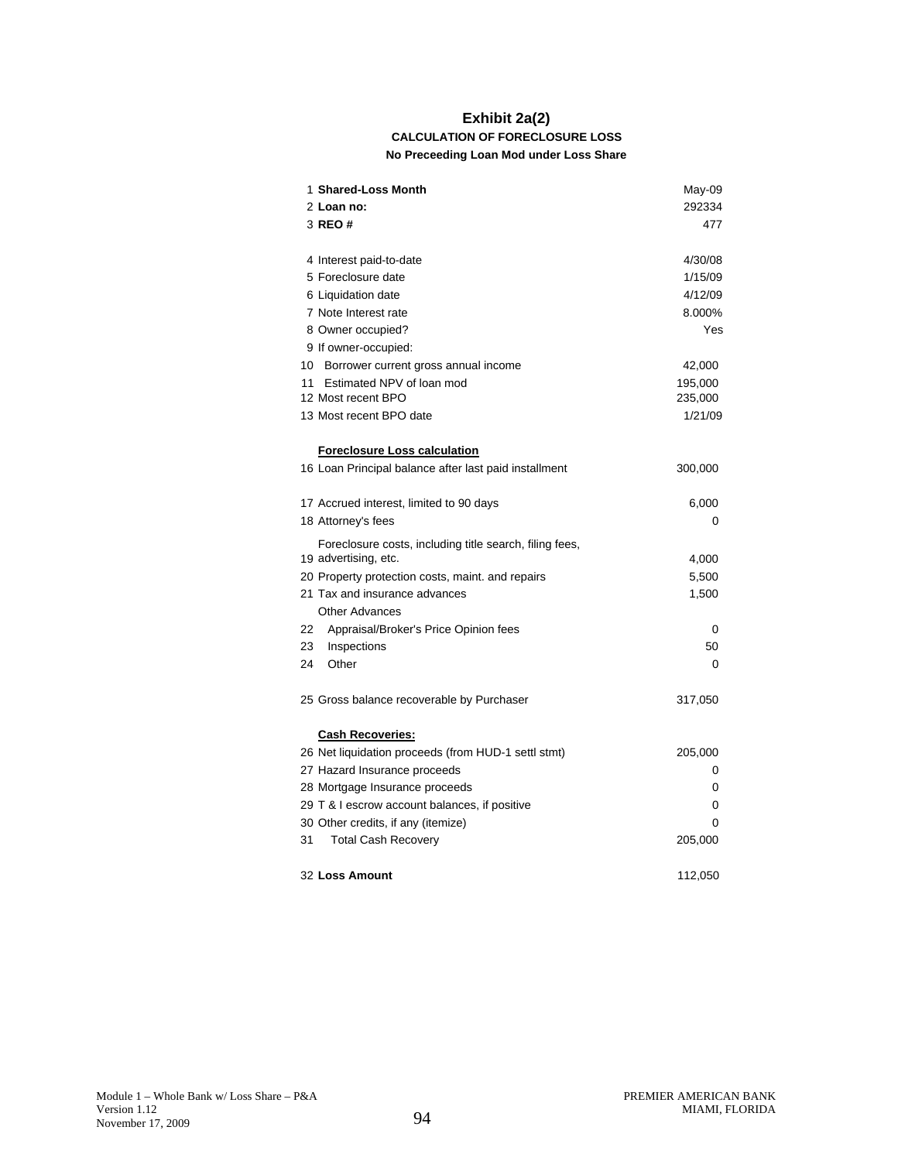#### **Exhibit 2a(2)**

#### **CALCULATION OF FORECLOSURE LOSS**

#### **No Preceeding Loan Mod under Loss Share**

| 1 Shared-Loss Month                                                             | May-09         |
|---------------------------------------------------------------------------------|----------------|
| 2 Loan no:                                                                      | 292334         |
| 3 REO #                                                                         | 477            |
| 4 Interest paid-to-date                                                         | 4/30/08        |
| 5 Foreclosure date                                                              | 1/15/09        |
| 6 Liquidation date                                                              | 4/12/09        |
| 7 Note Interest rate                                                            | 8.000%         |
| 8 Owner occupied?                                                               | Yes            |
| 9 If owner-occupied:                                                            |                |
| 10<br>Borrower current gross annual income                                      | 42,000         |
| Estimated NPV of loan mod<br>11                                                 | 195,000        |
| 12 Most recent BPO                                                              | 235,000        |
| 13 Most recent BPO date                                                         | 1/21/09        |
| <b>Foreclosure Loss calculation</b>                                             |                |
| 16 Loan Principal balance after last paid installment                           | 300,000        |
| 17 Accrued interest, limited to 90 days                                         | 6,000          |
| 18 Attorney's fees                                                              | 0              |
| Foreclosure costs, including title search, filing fees,<br>19 advertising, etc. |                |
| 20 Property protection costs, maint. and repairs                                | 4,000<br>5,500 |
| 21 Tax and insurance advances                                                   | 1,500          |
| <b>Other Advances</b>                                                           |                |
| 22<br>Appraisal/Broker's Price Opinion fees                                     | 0              |
| 23<br>Inspections                                                               | 50             |
| 24<br>Other                                                                     | 0              |
| 25 Gross balance recoverable by Purchaser                                       | 317,050        |
| <b>Cash Recoveries:</b>                                                         |                |
| 26 Net liquidation proceeds (from HUD-1 settl stmt)                             | 205,000        |
| 27 Hazard Insurance proceeds                                                    | 0              |
| 28 Mortgage Insurance proceeds                                                  | 0              |
| 29 T & I escrow account balances, if positive                                   | 0              |
| 30 Other credits, if any (itemize)                                              | 0              |
| 31<br><b>Total Cash Recovery</b>                                                | 205,000        |
| 32 Loss Amount                                                                  | 112,050        |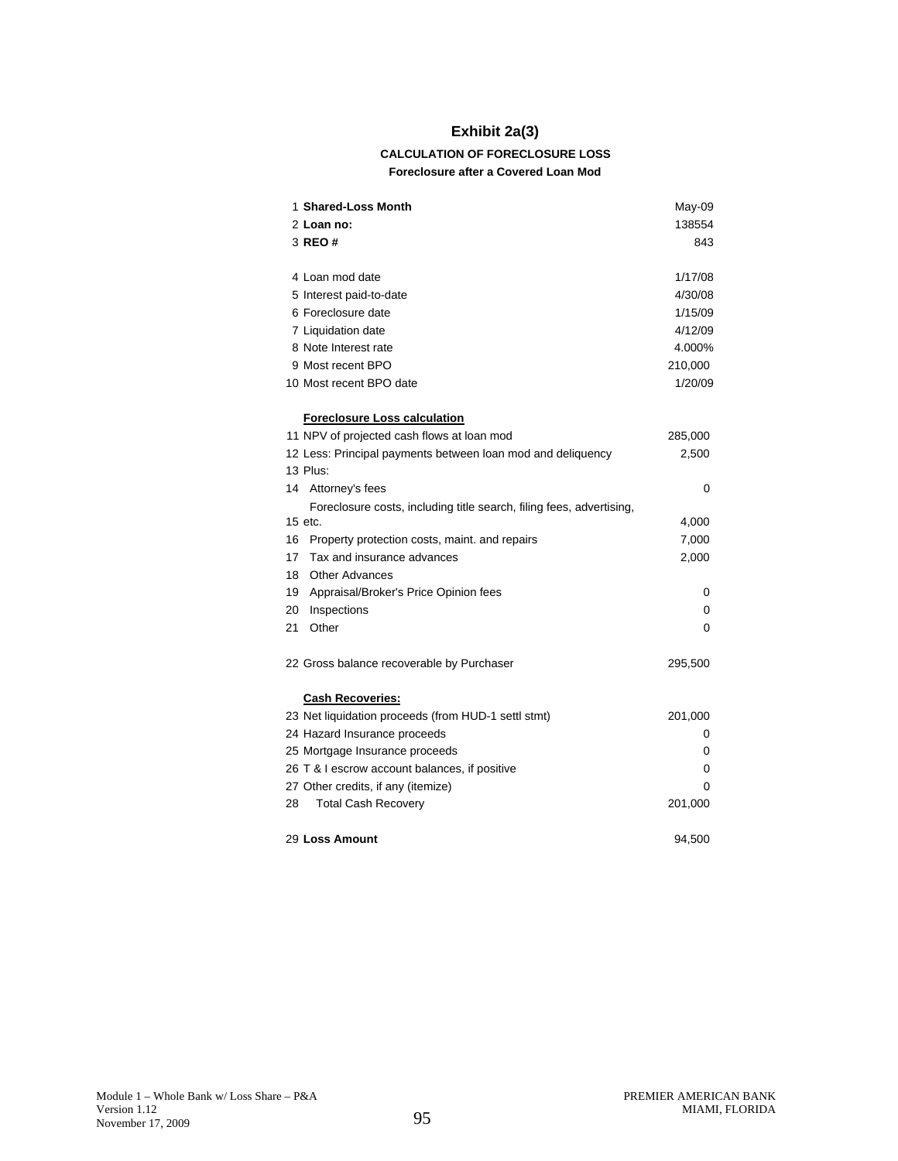# **Exhibit 2a(3)**

#### **CALCULATION OF FORECLOSURE LOSS Foreclosure after a Covered Loan Mod**

| 1 Shared-Loss Month                                                  | May-09  |
|----------------------------------------------------------------------|---------|
| 2 Loan no:                                                           | 138554  |
| 3 REO #                                                              | 843     |
|                                                                      |         |
| 4 Loan mod date                                                      | 1/17/08 |
| 5 Interest paid-to-date                                              | 4/30/08 |
| 6 Foreclosure date                                                   | 1/15/09 |
| 7 Liquidation date                                                   | 4/12/09 |
| 8 Note Interest rate                                                 | 4.000%  |
| 9 Most recent BPO                                                    | 210,000 |
| 10 Most recent BPO date                                              | 1/20/09 |
|                                                                      |         |
| <b>Foreclosure Loss calculation</b>                                  |         |
| 11 NPV of projected cash flows at loan mod                           | 285,000 |
| 12 Less: Principal payments between loan mod and deliquency          | 2,500   |
| 13 Plus:                                                             |         |
| 14<br>Attorney's fees                                                | 0       |
| Foreclosure costs, including title search, filing fees, advertising, |         |
| 15 etc.                                                              | 4,000   |
| 16<br>Property protection costs, maint. and repairs                  | 7,000   |
| 17<br>Tax and insurance advances                                     | 2,000   |
| 18<br><b>Other Advances</b>                                          |         |
| 19<br>Appraisal/Broker's Price Opinion fees                          | 0       |
| 20<br>Inspections                                                    | 0       |
| 21<br>Other                                                          | 0       |
|                                                                      |         |
| 22 Gross balance recoverable by Purchaser                            | 295,500 |
|                                                                      |         |
| <b>Cash Recoveries:</b>                                              |         |
| 23 Net liquidation proceeds (from HUD-1 settl stmt)                  | 201,000 |
| 24 Hazard Insurance proceeds                                         | 0       |
| 25 Mortgage Insurance proceeds                                       | 0       |
| 26 T & I escrow account balances, if positive                        | 0       |
| 27 Other credits, if any (itemize)                                   | 0       |
| 28<br><b>Total Cash Recovery</b>                                     | 201,000 |
|                                                                      |         |
| 29 Loss Amount                                                       | 94,500  |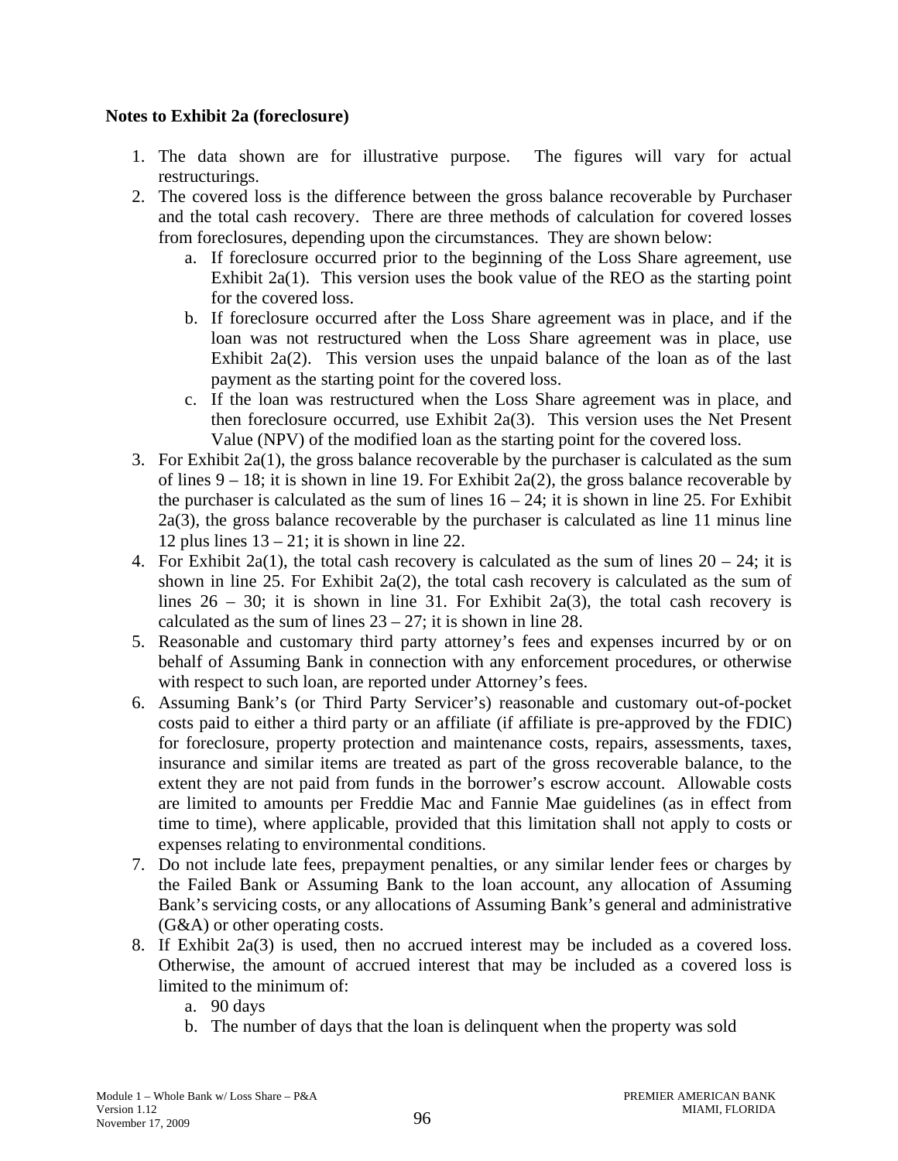## **Notes to Exhibit 2a (foreclosure)**

- 1. The data shown are for illustrative purpose. The figures will vary for actual restructurings.
- 2. The covered loss is the difference between the gross balance recoverable by Purchaser and the total cash recovery. There are three methods of calculation for covered losses from foreclosures, depending upon the circumstances. They are shown below:
	- a. If foreclosure occurred prior to the beginning of the Loss Share agreement, use Exhibit  $2a(1)$ . This version uses the book value of the REO as the starting point for the covered loss.
	- b. If foreclosure occurred after the Loss Share agreement was in place, and if the loan was not restructured when the Loss Share agreement was in place, use Exhibit 2a(2). This version uses the unpaid balance of the loan as of the last payment as the starting point for the covered loss.
	- c. If the loan was restructured when the Loss Share agreement was in place, and then foreclosure occurred, use Exhibit 2a(3). This version uses the Net Present Value (NPV) of the modified loan as the starting point for the covered loss.
- 3. For Exhibit  $2a(1)$ , the gross balance recoverable by the purchaser is calculated as the sum of lines  $9 - 18$ ; it is shown in line 19. For Exhibit 2a(2), the gross balance recoverable by the purchaser is calculated as the sum of lines  $16 - 24$ ; it is shown in line 25. For Exhibit 2a(3), the gross balance recoverable by the purchaser is calculated as line 11 minus line 12 plus lines  $13 - 21$ ; it is shown in line 22.
- 4. For Exhibit 2a(1), the total cash recovery is calculated as the sum of lines  $20 24$ ; it is shown in line 25. For Exhibit 2a(2), the total cash recovery is calculated as the sum of lines  $26 - 30$ ; it is shown in line 31. For Exhibit 2a(3), the total cash recovery is calculated as the sum of lines  $23 - 27$ ; it is shown in line 28.
- 5. Reasonable and customary third party attorney's fees and expenses incurred by or on behalf of Assuming Bank in connection with any enforcement procedures, or otherwise with respect to such loan, are reported under Attorney's fees.
- 6. Assuming Bank's (or Third Party Servicer's) reasonable and customary out-of-pocket costs paid to either a third party or an affiliate (if affiliate is pre-approved by the FDIC) for foreclosure, property protection and maintenance costs, repairs, assessments, taxes, insurance and similar items are treated as part of the gross recoverable balance, to the extent they are not paid from funds in the borrower's escrow account. Allowable costs are limited to amounts per Freddie Mac and Fannie Mae guidelines (as in effect from time to time), where applicable, provided that this limitation shall not apply to costs or expenses relating to environmental conditions.
- 7. Do not include late fees, prepayment penalties, or any similar lender fees or charges by the Failed Bank or Assuming Bank to the loan account, any allocation of Assuming Bank's servicing costs, or any allocations of Assuming Bank's general and administrative (G&A) or other operating costs.
- 8. If Exhibit  $2a(3)$  is used, then no accrued interest may be included as a covered loss. Otherwise, the amount of accrued interest that may be included as a covered loss is limited to the minimum of:
	- a. 90 days
	- b. The number of days that the loan is delinguent when the property was sold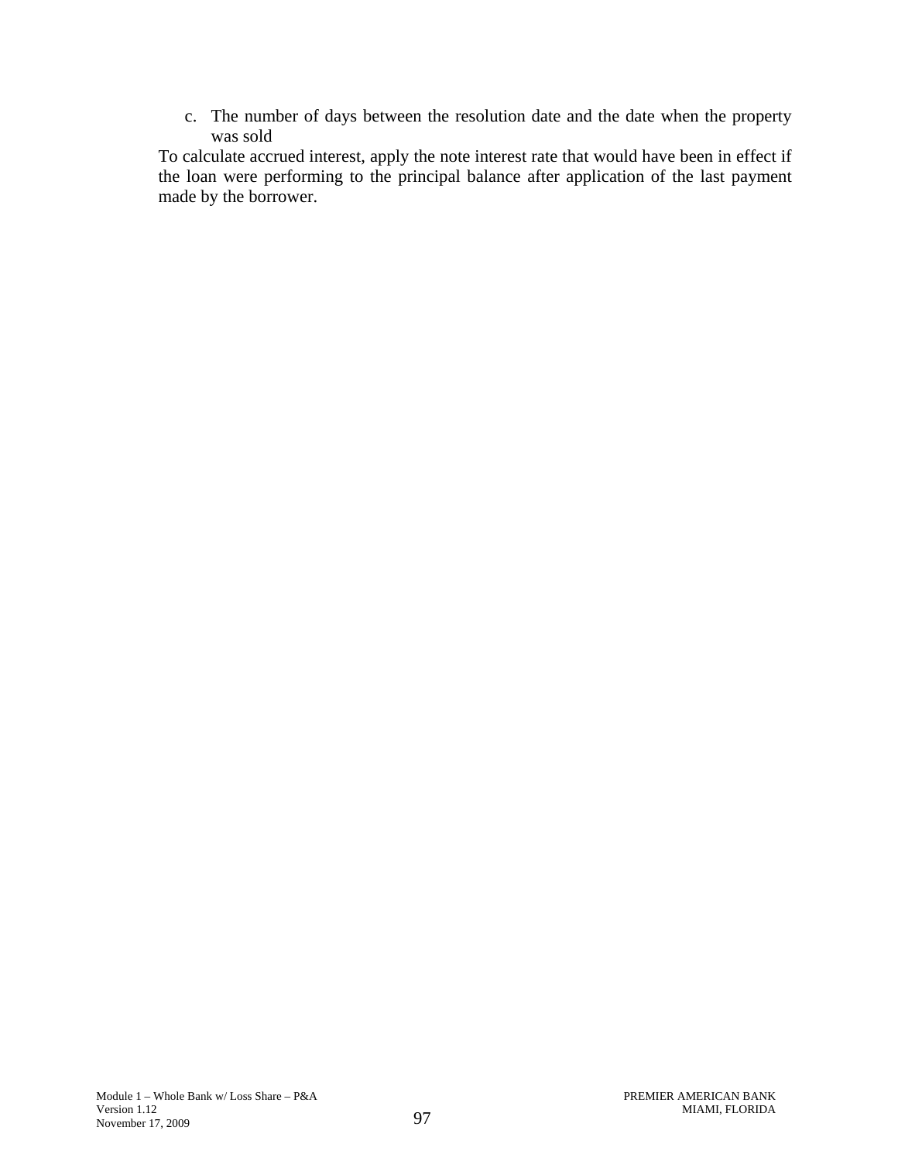c. The number of days between the resolution date and the date when the property was sold

To calculate accrued interest, apply the note interest rate that would have been in effect if the loan were performing to the principal balance after application of the last payment made by the borrower.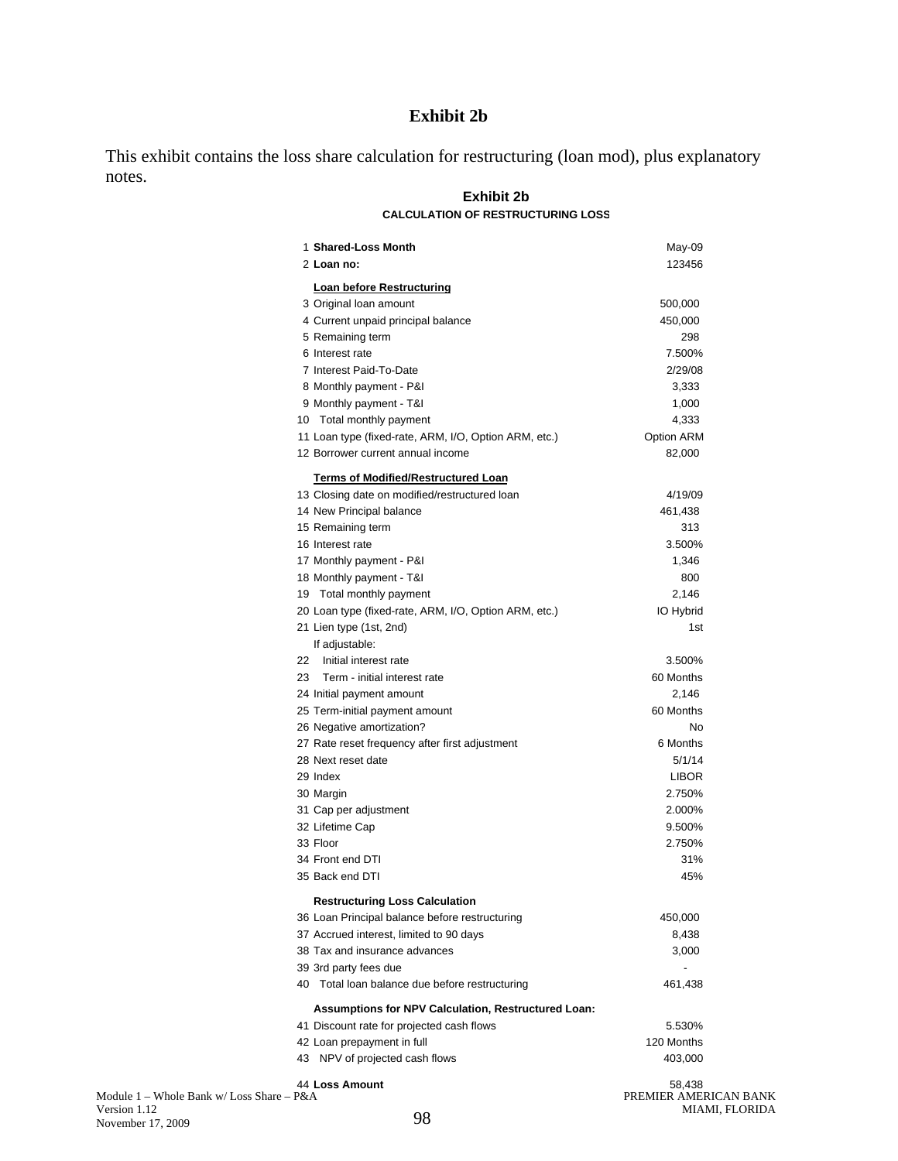# **Exhibit 2b**

This exhibit contains the loss share calculation for restructuring (loan mod), plus explanatory notes.

#### **Exhibit 2b CALCULATION OF RESTRUCTURING LOSS**

| 1 Shared-Loss Month                                   | May-09                                            |
|-------------------------------------------------------|---------------------------------------------------|
| 2 Loan no:                                            | 123456                                            |
|                                                       |                                                   |
| <b>Loan before Restructuring</b>                      |                                                   |
| 3 Original loan amount                                | 500,000                                           |
| 4 Current unpaid principal balance                    | 450,000                                           |
| 5 Remaining term                                      | 298                                               |
| 6 Interest rate                                       | 7.500%                                            |
| 7 Interest Paid-To-Date                               | 2/29/08                                           |
| 8 Monthly payment - P&I                               | 3,333                                             |
| 9 Monthly payment - T&I                               | 1,000                                             |
| 10 Total monthly payment                              | 4,333                                             |
| 11 Loan type (fixed-rate, ARM, I/O, Option ARM, etc.) | Option ARM                                        |
| 12 Borrower current annual income                     | 82,000                                            |
| <b>Terms of Modified/Restructured Loan</b>            |                                                   |
| 13 Closing date on modified/restructured loan         | 4/19/09                                           |
| 14 New Principal balance                              | 461,438                                           |
| 15 Remaining term                                     | 313                                               |
| 16 Interest rate                                      | 3.500%                                            |
| 17 Monthly payment - P&I                              | 1,346                                             |
| 18 Monthly payment - T&I                              | 800                                               |
| 19 Total monthly payment                              | 2,146                                             |
| 20 Loan type (fixed-rate, ARM, I/O, Option ARM, etc.) | IO Hybrid                                         |
| 21 Lien type (1st, 2nd)                               | 1st                                               |
| If adjustable:                                        |                                                   |
| 22<br>Initial interest rate                           | 3.500%                                            |
| 23<br>Term - initial interest rate                    | 60 Months                                         |
| 24 Initial payment amount                             | 2,146                                             |
|                                                       | 60 Months                                         |
| 25 Term-initial payment amount                        | No                                                |
| 26 Negative amortization?                             |                                                   |
| 27 Rate reset frequency after first adjustment        | 6 Months                                          |
| 28 Next reset date                                    | 5/1/14                                            |
| 29 Index                                              | <b>LIBOR</b>                                      |
| 30 Margin                                             | 2.750%                                            |
| 31 Cap per adjustment                                 | 2.000%                                            |
| 32 Lifetime Cap                                       | 9.500%                                            |
| 33 Floor                                              | 2.750%                                            |
| 34 Front end DTI                                      | 31%                                               |
| 35 Back end DTI                                       | 45%                                               |
| <b>Restructuring Loss Calculation</b>                 |                                                   |
| 36 Loan Principal balance before restructuring        | 450,000                                           |
| 37 Accrued interest, limited to 90 days               | 8,438                                             |
| 38 Tax and insurance advances                         | 3,000                                             |
| 39 3rd party fees due                                 |                                                   |
| 40 Total loan balance due before restructuring        | 461,438                                           |
| Assumptions for NPV Calculation, Restructured Loan:   |                                                   |
| 41 Discount rate for projected cash flows             | 5.530%                                            |
| 42 Loan prepayment in full                            | 120 Months                                        |
| NPV of projected cash flows<br>43                     | 403,000                                           |
| 44 Loss Amount<br>- P&A<br>ഹ                          | 58,438<br>PREMIER AMERICAN BANK<br>MIAMI, FLORIDA |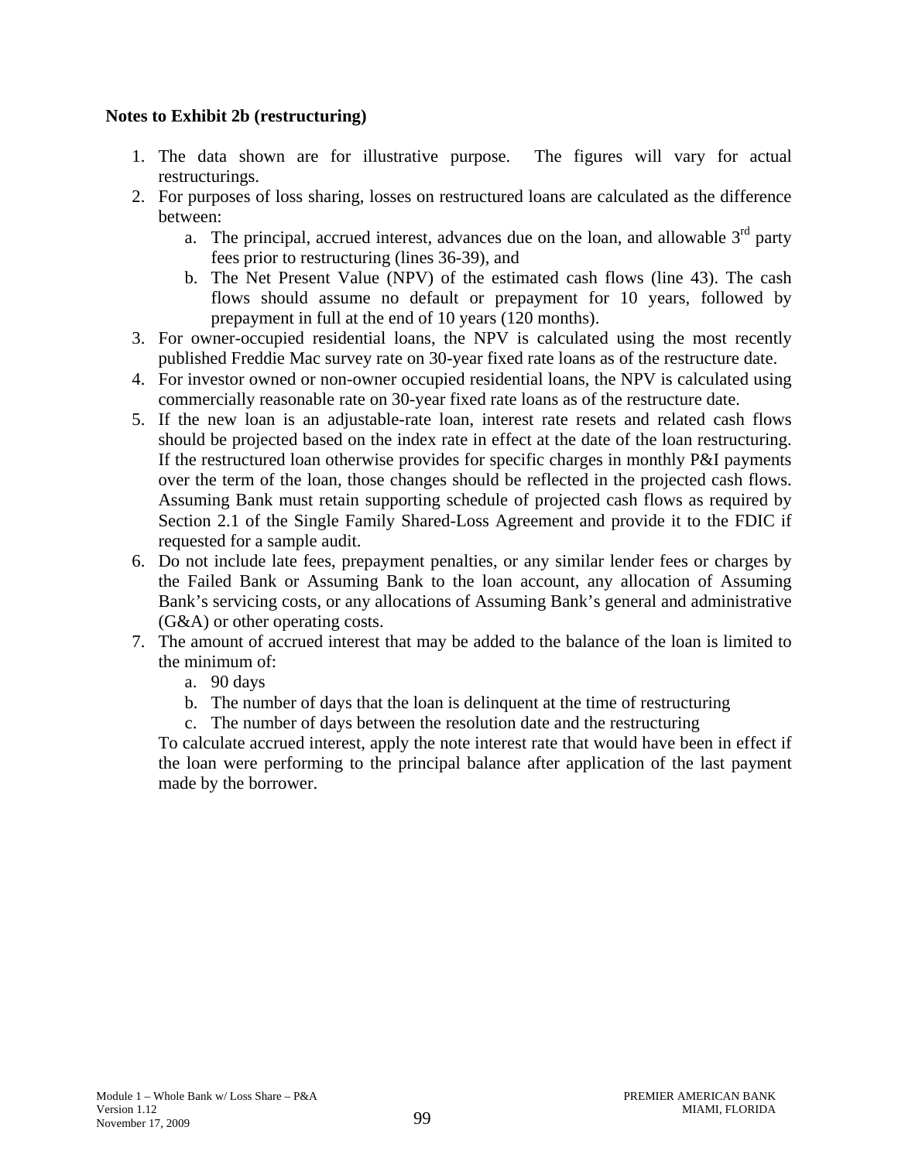## **Notes to Exhibit 2b (restructuring)**

- 1. The data shown are for illustrative purpose. The figures will vary for actual restructurings.
- 2. For purposes of loss sharing, losses on restructured loans are calculated as the difference between:
	- a. The principal, accrued interest, advances due on the loan, and allowable  $3<sup>rd</sup>$  party fees prior to restructuring (lines 36-39), and
	- b. The Net Present Value (NPV) of the estimated cash flows (line 43). The cash flows should assume no default or prepayment for 10 years, followed by prepayment in full at the end of 10 years (120 months).
- 3. For owner-occupied residential loans, the NPV is calculated using the most recently published Freddie Mac survey rate on 30-year fixed rate loans as of the restructure date.
- 4. For investor owned or non-owner occupied residential loans, the NPV is calculated using commercially reasonable rate on 30-year fixed rate loans as of the restructure date.
- 5. If the new loan is an adjustable-rate loan, interest rate resets and related cash flows should be projected based on the index rate in effect at the date of the loan restructuring. If the restructured loan otherwise provides for specific charges in monthly P&I payments over the term of the loan, those changes should be reflected in the projected cash flows. Assuming Bank must retain supporting schedule of projected cash flows as required by Section 2.1 of the Single Family Shared-Loss Agreement and provide it to the FDIC if requested for a sample audit.
- 6. Do not include late fees, prepayment penalties, or any similar lender fees or charges by the Failed Bank or Assuming Bank to the loan account, any allocation of Assuming Bank's servicing costs, or any allocations of Assuming Bank's general and administrative (G&A) or other operating costs.
- 7. The amount of accrued interest that may be added to the balance of the loan is limited to the minimum of:
	- a. 90 days
	- b. The number of days that the loan is delinquent at the time of restructuring
	- c. The number of days between the resolution date and the restructuring

To calculate accrued interest, apply the note interest rate that would have been in effect if the loan were performing to the principal balance after application of the last payment made by the borrower.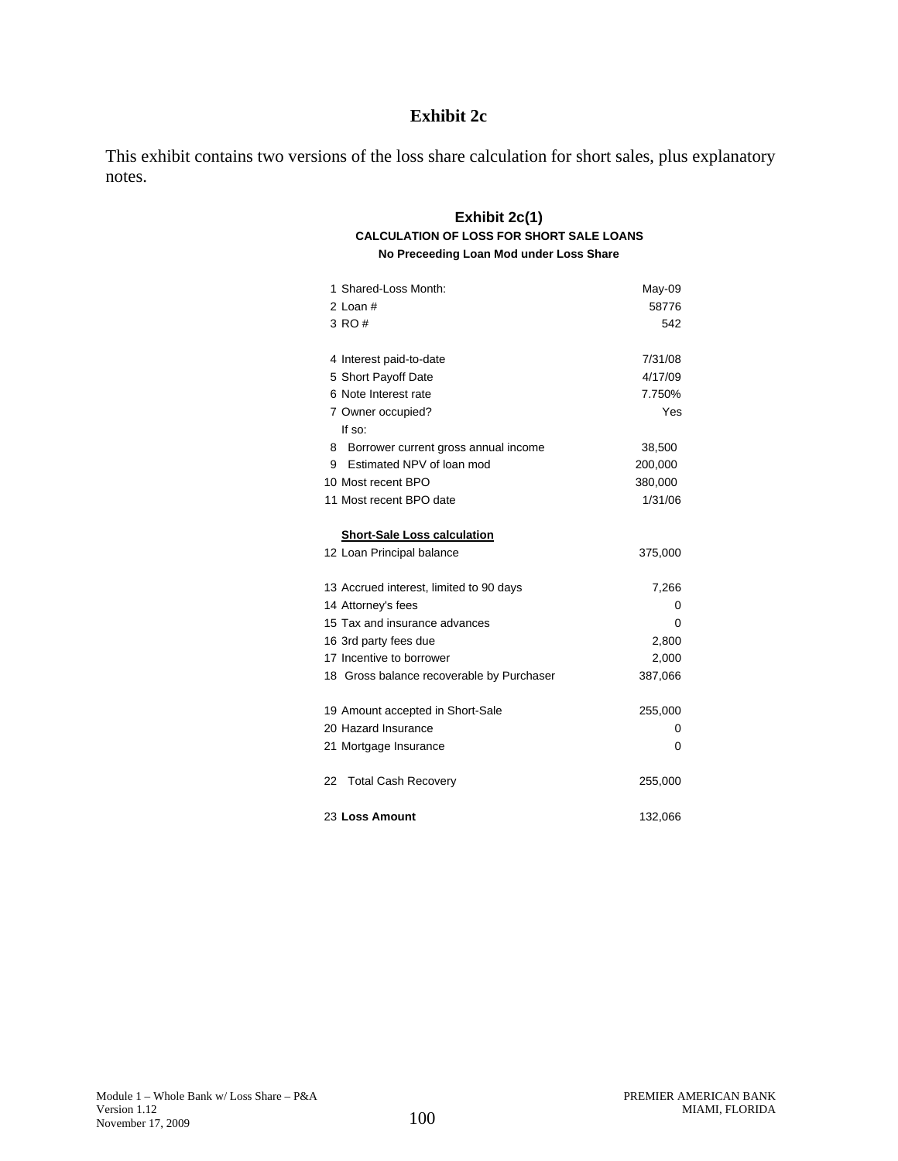### **Exhibit 2c**

This exhibit contains two versions of the loss share calculation for short sales, plus explanatory notes.

#### **Exhibit 2c(1) CALCULATION OF LOSS FOR SHORT SALE LOANS No Preceeding Loan Mod under Loss Share**

| 1 Shared-Loss Month:                      | May-09  |
|-------------------------------------------|---------|
| 2 Loan #                                  | 58776   |
| 3 RO #                                    | 542     |
|                                           |         |
| 4 Interest paid-to-date                   | 7/31/08 |
| 5 Short Payoff Date                       | 4/17/09 |
| 6 Note Interest rate                      | 7.750%  |
| 7 Owner occupied?                         | Yes     |
| If so:                                    |         |
| Borrower current gross annual income<br>8 | 38,500  |
| Estimated NPV of loan mod<br>9            | 200,000 |
| 10 Most recent BPO                        | 380,000 |
| 11 Most recent BPO date                   | 1/31/06 |
|                                           |         |
| <b>Short-Sale Loss calculation</b>        |         |
| 12 Loan Principal balance                 | 375,000 |
|                                           |         |
| 13 Accrued interest, limited to 90 days   | 7,266   |
| 14 Attorney's fees                        | 0       |
| 15 Tax and insurance advances             | 0       |
| 16 3rd party fees due                     | 2,800   |
| 17 Incentive to borrower                  | 2,000   |
| 18 Gross balance recoverable by Purchaser | 387,066 |
|                                           |         |
| 19 Amount accepted in Short-Sale          | 255,000 |
| 20 Hazard Insurance                       | 0       |
| 21 Mortgage Insurance                     | 0       |
|                                           |         |
| 22 Total Cash Recovery                    | 255,000 |
|                                           |         |
| 23 Loss Amount                            | 132,066 |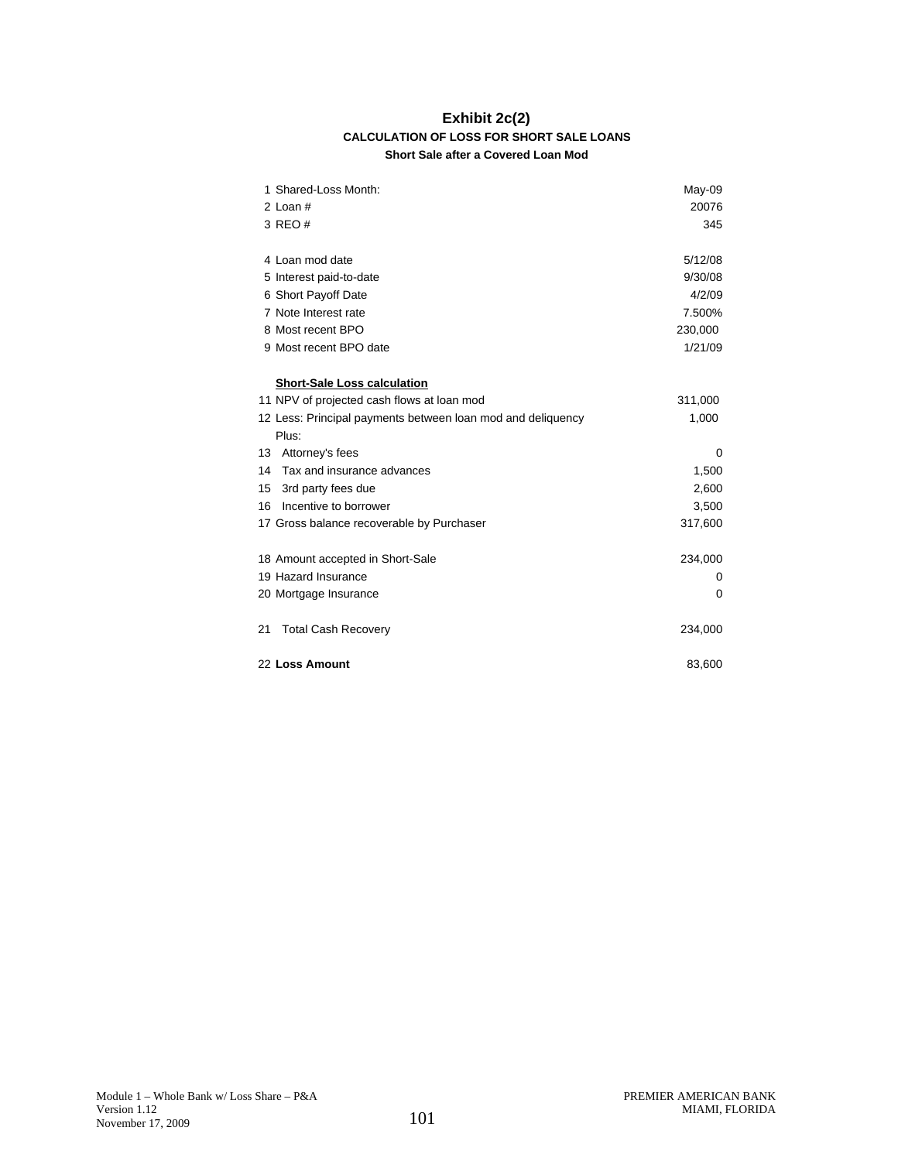#### **Exhibit 2c(2) CALCULATION OF LOSS FOR SHORT SALE LOANS Short Sale after a Covered Loan Mod**

| 1 Shared-Loss Month:                                        | May-09   |
|-------------------------------------------------------------|----------|
| 2 Loan $#$                                                  | 20076    |
| 3 REO #                                                     | 345      |
|                                                             |          |
| 4 Loan mod date                                             | 5/12/08  |
| 5 Interest paid-to-date                                     | 9/30/08  |
| 6 Short Payoff Date                                         | 4/2/09   |
| 7 Note Interest rate                                        | 7.500%   |
| 8 Most recent BPO                                           | 230,000  |
| 9 Most recent BPO date                                      | 1/21/09  |
|                                                             |          |
| <b>Short-Sale Loss calculation</b>                          |          |
| 11 NPV of projected cash flows at loan mod                  | 311,000  |
| 12 Less: Principal payments between loan mod and deliquency | 1,000    |
| Plus:                                                       |          |
| Attorney's fees<br>13                                       | $\Omega$ |
| Tax and insurance advances<br>14                            | 1,500    |
| 3rd party fees due<br>15                                    | 2,600    |
| Incentive to borrower<br>16                                 | 3,500    |
| 17 Gross balance recoverable by Purchaser                   | 317,600  |
|                                                             |          |
| 18 Amount accepted in Short-Sale                            | 234,000  |
| 19 Hazard Insurance                                         | 0        |
| 20 Mortgage Insurance                                       | 0        |
|                                                             |          |
| <b>Total Cash Recovery</b><br>21                            | 234,000  |
|                                                             |          |
| 22 Loss Amount                                              | 83,600   |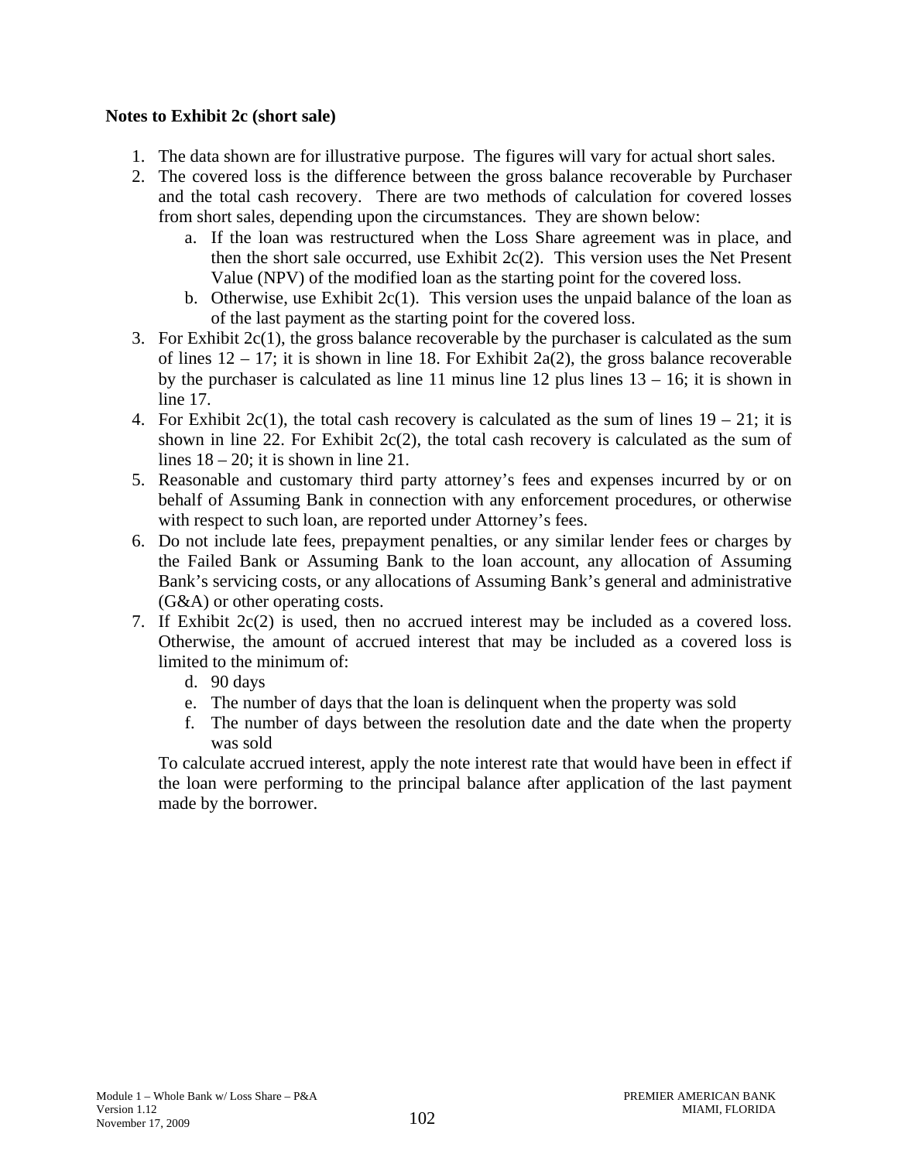## **Notes to Exhibit 2c (short sale)**

- 1. The data shown are for illustrative purpose. The figures will vary for actual short sales.
- 2. The covered loss is the difference between the gross balance recoverable by Purchaser and the total cash recovery. There are two methods of calculation for covered losses from short sales, depending upon the circumstances. They are shown below:
	- a. If the loan was restructured when the Loss Share agreement was in place, and then the short sale occurred, use Exhibit  $2c(2)$ . This version uses the Net Present Value (NPV) of the modified loan as the starting point for the covered loss.
	- b. Otherwise, use Exhibit  $2c(1)$ . This version uses the unpaid balance of the loan as of the last payment as the starting point for the covered loss.
- 3. For Exhibit  $2c(1)$ , the gross balance recoverable by the purchaser is calculated as the sum of lines  $12 - 17$ ; it is shown in line 18. For Exhibit 2a(2), the gross balance recoverable by the purchaser is calculated as line 11 minus line  $12$  plus lines  $13 - 16$ ; it is shown in line 17.
- 4. For Exhibit 2c(1), the total cash recovery is calculated as the sum of lines  $19 21$ ; it is shown in line 22. For Exhibit  $2c(2)$ , the total cash recovery is calculated as the sum of lines  $18 - 20$ ; it is shown in line 21.
- 5. Reasonable and customary third party attorney's fees and expenses incurred by or on behalf of Assuming Bank in connection with any enforcement procedures, or otherwise with respect to such loan, are reported under Attorney's fees.
- 6. Do not include late fees, prepayment penalties, or any similar lender fees or charges by the Failed Bank or Assuming Bank to the loan account, any allocation of Assuming Bank's servicing costs, or any allocations of Assuming Bank's general and administrative (G&A) or other operating costs.
- 7. If Exhibit  $2c(2)$  is used, then no accrued interest may be included as a covered loss. Otherwise, the amount of accrued interest that may be included as a covered loss is limited to the minimum of:
	- d. 90 days
	- e. The number of days that the loan is delinquent when the property was sold
	- f. The number of days between the resolution date and the date when the property was sold

To calculate accrued interest, apply the note interest rate that would have been in effect if the loan were performing to the principal balance after application of the last payment made by the borrower.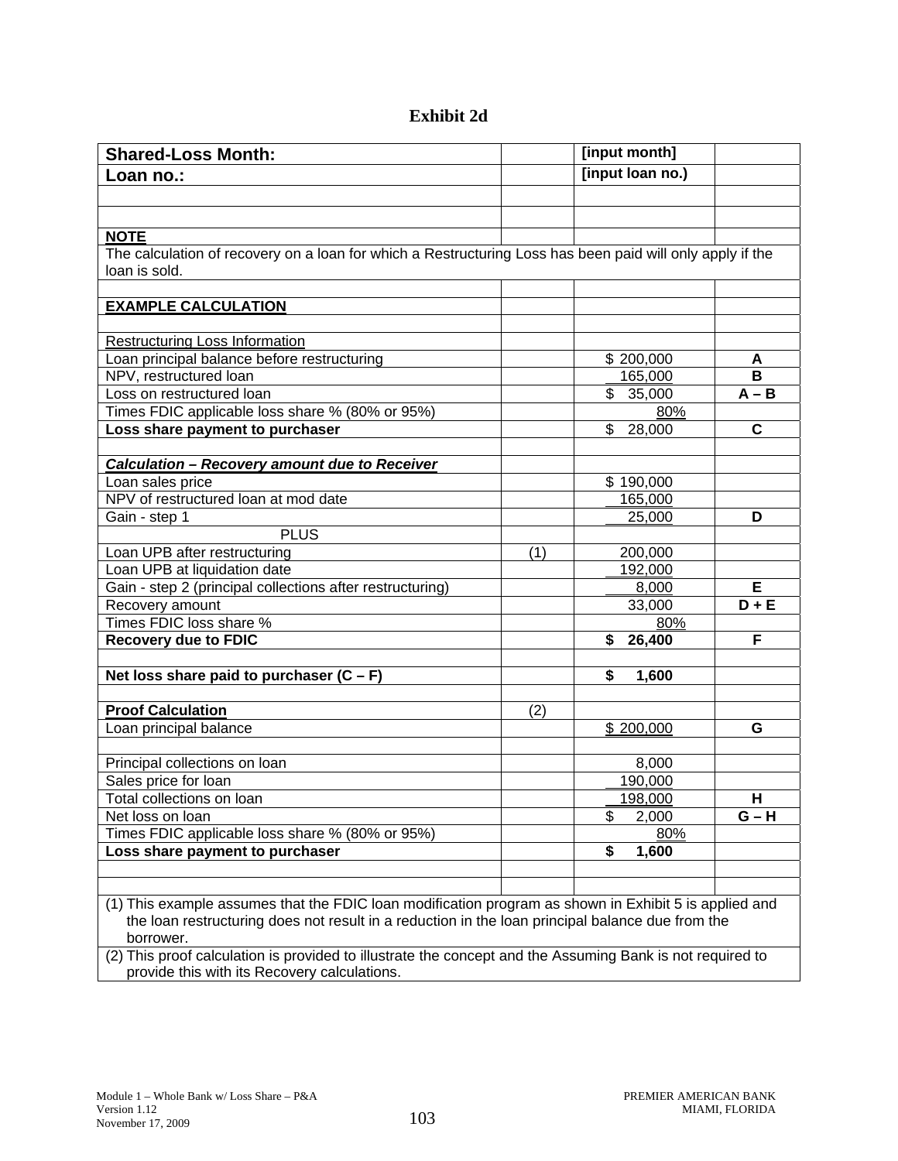# **Exhibit 2d**

| <b>Shared-Loss Month:</b>                                                                                                                                 |     | [input month]    |         |
|-----------------------------------------------------------------------------------------------------------------------------------------------------------|-----|------------------|---------|
| Loan no.:                                                                                                                                                 |     | [input loan no.) |         |
|                                                                                                                                                           |     |                  |         |
|                                                                                                                                                           |     |                  |         |
| <b>NOTE</b>                                                                                                                                               |     |                  |         |
| The calculation of recovery on a loan for which a Restructuring Loss has been paid will only apply if the                                                 |     |                  |         |
| loan is sold.                                                                                                                                             |     |                  |         |
|                                                                                                                                                           |     |                  |         |
| <b>EXAMPLE CALCULATION</b>                                                                                                                                |     |                  |         |
|                                                                                                                                                           |     |                  |         |
| <b>Restructuring Loss Information</b>                                                                                                                     |     |                  |         |
| Loan principal balance before restructuring                                                                                                               |     | \$200,000        | A       |
| NPV, restructured loan                                                                                                                                    |     | 165,000          | B       |
| Loss on restructured loan                                                                                                                                 |     | \$35,000         | $A - B$ |
| Times FDIC applicable loss share % (80% or 95%)                                                                                                           |     | 80%              |         |
| Loss share payment to purchaser                                                                                                                           |     | \$28,000         | C       |
|                                                                                                                                                           |     |                  |         |
| Calculation - Recovery amount due to Receiver                                                                                                             |     |                  |         |
| Loan sales price                                                                                                                                          |     | \$190,000        |         |
| NPV of restructured loan at mod date                                                                                                                      |     | 165,000          |         |
| Gain - step 1                                                                                                                                             |     | 25,000           | D       |
| <b>PLUS</b>                                                                                                                                               |     |                  |         |
| Loan UPB after restructuring                                                                                                                              | (1) | 200,000          |         |
| Loan UPB at liquidation date                                                                                                                              |     | 192,000          | Е       |
| Gain - step 2 (principal collections after restructuring)<br>Recovery amount                                                                              |     | 8,000<br>33,000  | $D + E$ |
| Times FDIC loss share %                                                                                                                                   |     | 80%              |         |
| <b>Recovery due to FDIC</b>                                                                                                                               |     | \$26,400         | F       |
|                                                                                                                                                           |     |                  |         |
| Net loss share paid to purchaser $(C - F)$                                                                                                                |     | \$<br>1,600      |         |
|                                                                                                                                                           |     |                  |         |
| <b>Proof Calculation</b>                                                                                                                                  | (2) |                  |         |
| Loan principal balance                                                                                                                                    |     | \$200,000        | G       |
|                                                                                                                                                           |     |                  |         |
| Principal collections on loan                                                                                                                             |     | 8,000            |         |
| Sales price for loan                                                                                                                                      |     | 190,000          |         |
| Total collections on loan                                                                                                                                 |     | 198,000          | H       |
| Net loss on loan                                                                                                                                          |     | \$<br>2,000      | G – H   |
| Times FDIC applicable loss share % (80% or 95%)                                                                                                           |     | 80%              |         |
| Loss share payment to purchaser                                                                                                                           |     | 1,600<br>\$      |         |
|                                                                                                                                                           |     |                  |         |
|                                                                                                                                                           |     |                  |         |
| (1) This example assumes that the FDIC loan modification program as shown in Exhibit 5 is applied and                                                     |     |                  |         |
| the loan restructuring does not result in a reduction in the loan principal balance due from the                                                          |     |                  |         |
| borrower.                                                                                                                                                 |     |                  |         |
| (2) This proof calculation is provided to illustrate the concept and the Assuming Bank is not required to<br>provide this with its Recovery calculations. |     |                  |         |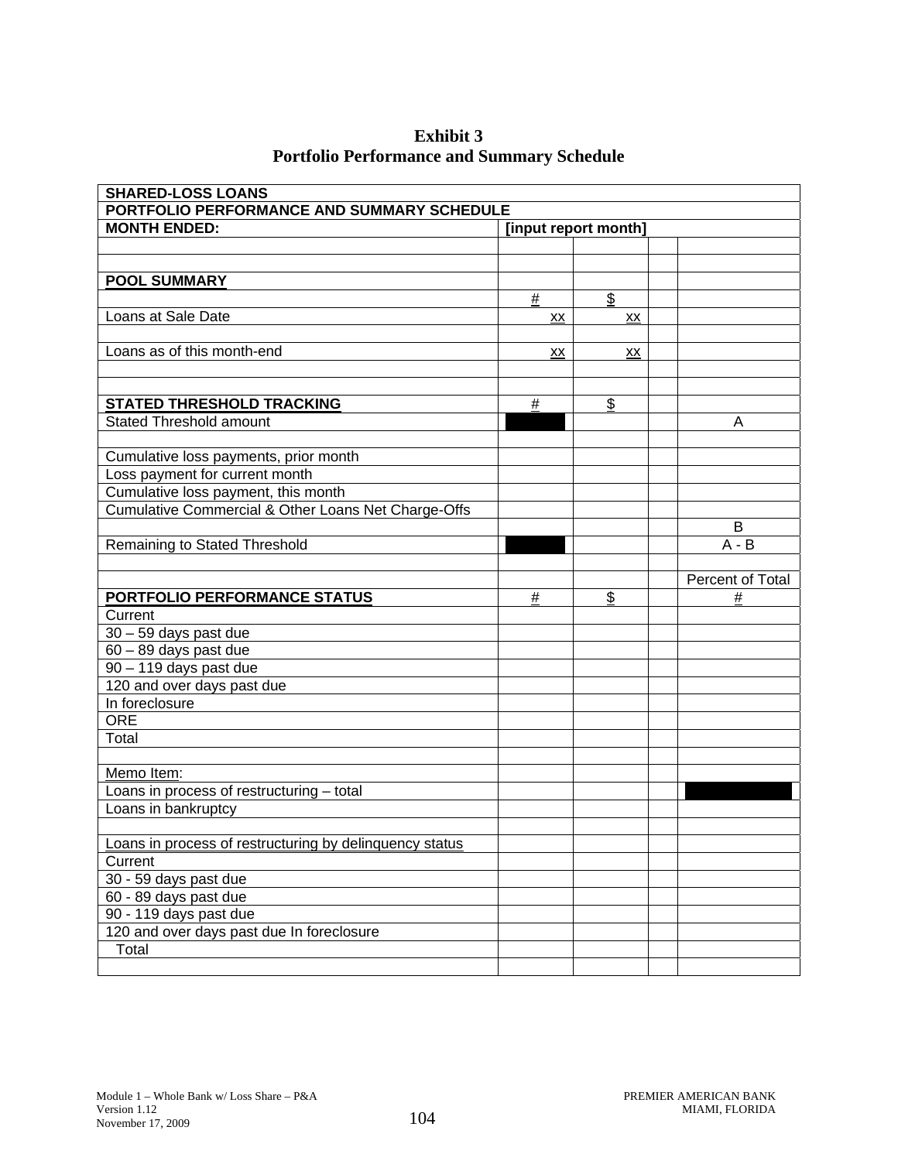| <b>SHARED-LOSS LOANS</b><br>PORTFOLIO PERFORMANCE AND SUMMARY SCHEDULE |                      |    |                  |
|------------------------------------------------------------------------|----------------------|----|------------------|
| <b>MONTH ENDED:</b>                                                    | [input report month] |    |                  |
|                                                                        |                      |    |                  |
|                                                                        |                      |    |                  |
| <b>POOL SUMMARY</b>                                                    |                      |    |                  |
|                                                                        | $\#$                 | \$ |                  |
| Loans at Sale Date                                                     | XX                   | XX |                  |
|                                                                        |                      |    |                  |
| Loans as of this month-end                                             | XX                   | XX |                  |
| <b>STATED THRESHOLD TRACKING</b>                                       | $\#$                 | \$ |                  |
| <b>Stated Threshold amount</b>                                         |                      |    | A                |
|                                                                        |                      |    |                  |
| Cumulative loss payments, prior month                                  |                      |    |                  |
| Loss payment for current month                                         |                      |    |                  |
| Cumulative loss payment, this month                                    |                      |    |                  |
| Cumulative Commercial & Other Loans Net Charge-Offs                    |                      |    |                  |
|                                                                        |                      |    | B                |
| Remaining to Stated Threshold                                          |                      |    | $A - B$          |
|                                                                        |                      |    |                  |
|                                                                        |                      |    | Percent of Total |
| <b>PORTFOLIO PERFORMANCE STATUS</b>                                    | $\#$                 | \$ | $\#$             |
| Current                                                                |                      |    |                  |
| $30 - 59$ days past due                                                |                      |    |                  |
| $60 - 89$ days past due                                                |                      |    |                  |
| $90 - 119$ days past due                                               |                      |    |                  |
| 120 and over days past due                                             |                      |    |                  |
| In foreclosure                                                         |                      |    |                  |
| <b>ORE</b>                                                             |                      |    |                  |
| Total                                                                  |                      |    |                  |
|                                                                        |                      |    |                  |
| Memo Item:                                                             |                      |    |                  |
| Loans in process of restructuring - total                              |                      |    |                  |
| Loans in bankruptcy                                                    |                      |    |                  |
|                                                                        |                      |    |                  |
| Loans in process of restructuring by delinguency status                |                      |    |                  |
| Current                                                                |                      |    |                  |
| 30 - 59 days past due                                                  |                      |    |                  |
| 60 - 89 days past due                                                  |                      |    |                  |
| 90 - 119 days past due                                                 |                      |    |                  |
| 120 and over days past due In foreclosure                              |                      |    |                  |
| Total                                                                  |                      |    |                  |
|                                                                        |                      |    |                  |

**Exhibit 3 Portfolio Performance and Summary Schedule**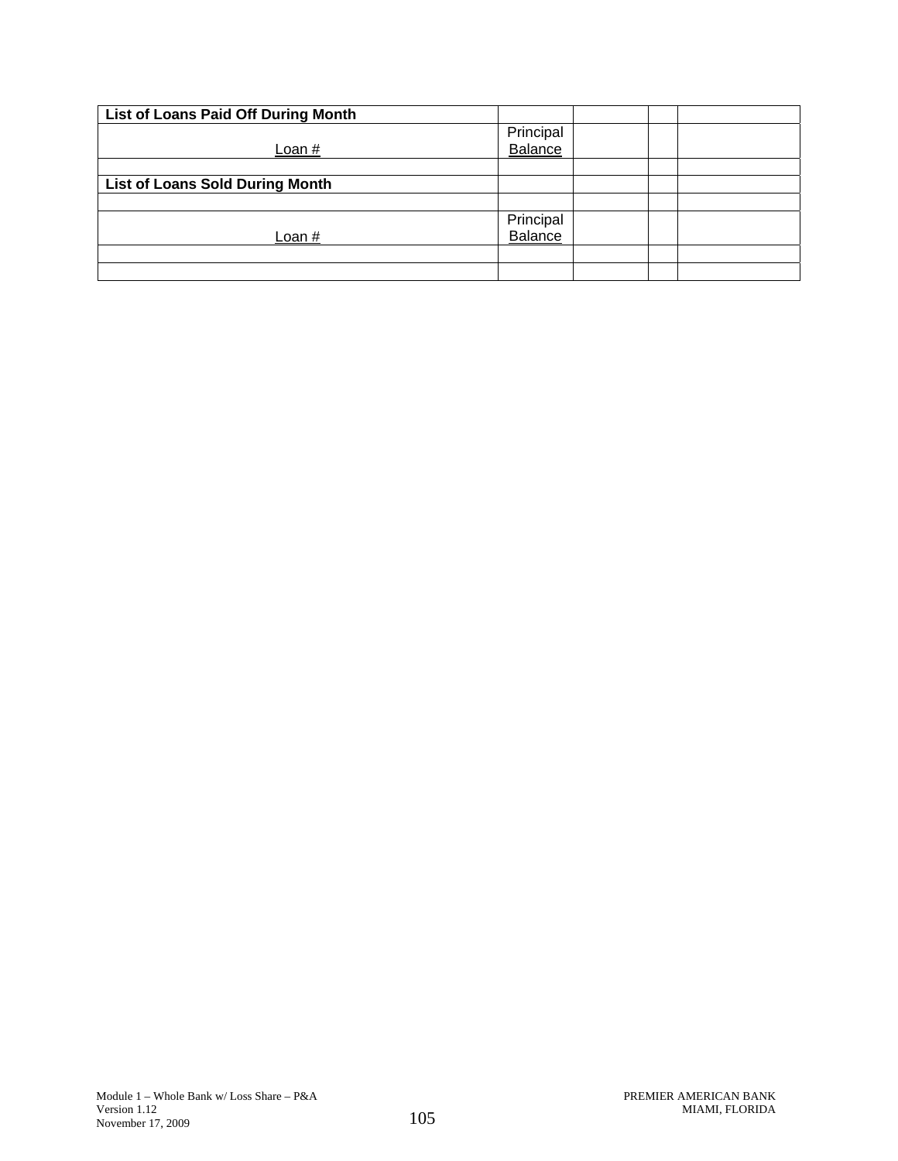| List of Loans Paid Off During Month    |                      |  |  |
|----------------------------------------|----------------------|--|--|
|                                        | Principal            |  |  |
| Loan #                                 | Balance              |  |  |
|                                        |                      |  |  |
| <b>List of Loans Sold During Month</b> |                      |  |  |
|                                        |                      |  |  |
|                                        | Principal<br>Balance |  |  |
| Loan #                                 |                      |  |  |
|                                        |                      |  |  |
|                                        |                      |  |  |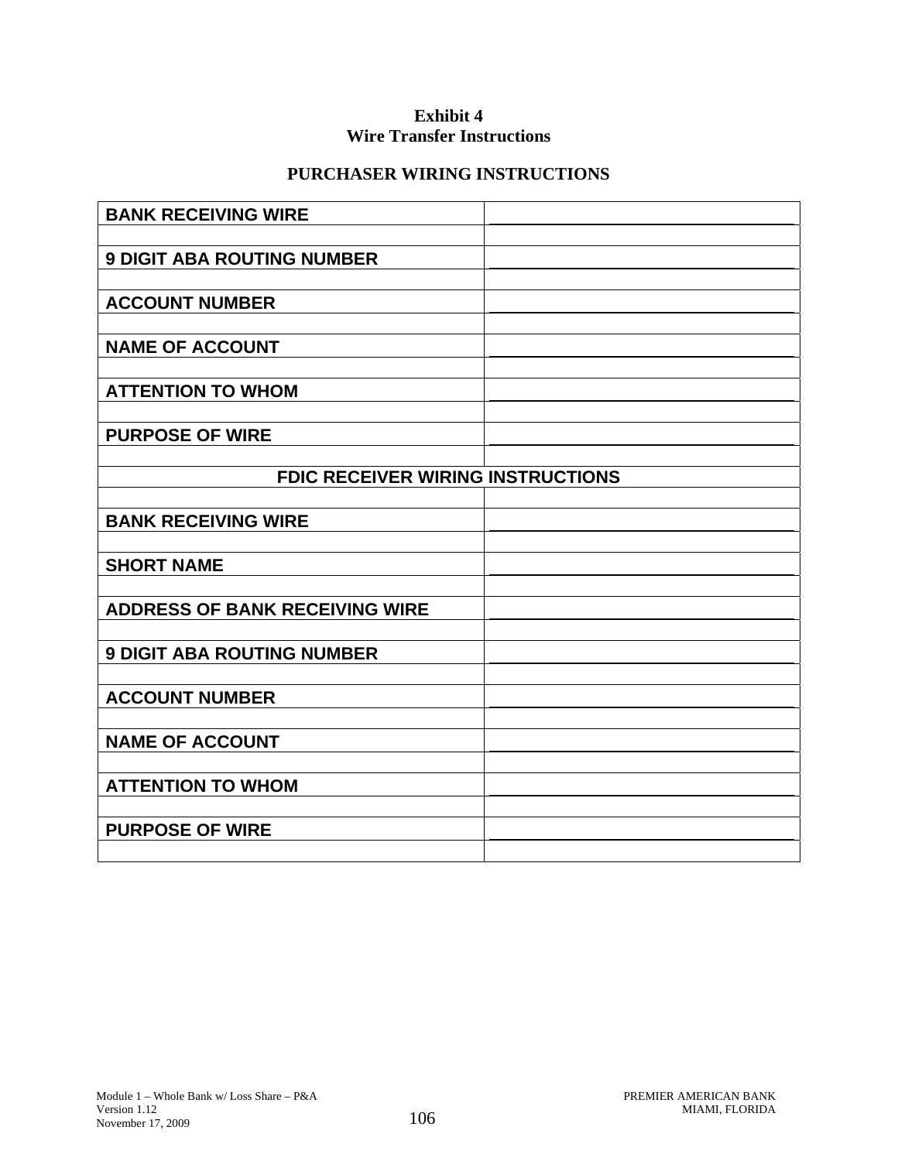#### **Exhibit 4 Wire Transfer Instructions**

# **PURCHASER WIRING INSTRUCTIONS**

| <b>BANK RECEIVING WIRE</b>               |  |
|------------------------------------------|--|
|                                          |  |
| <b>9 DIGIT ABA ROUTING NUMBER</b>        |  |
|                                          |  |
| <b>ACCOUNT NUMBER</b>                    |  |
|                                          |  |
| <b>NAME OF ACCOUNT</b>                   |  |
|                                          |  |
| <b>ATTENTION TO WHOM</b>                 |  |
| <b>PURPOSE OF WIRE</b>                   |  |
|                                          |  |
| <b>FDIC RECEIVER WIRING INSTRUCTIONS</b> |  |
|                                          |  |
| <b>BANK RECEIVING WIRE</b>               |  |
|                                          |  |
| <b>SHORT NAME</b>                        |  |
|                                          |  |
| <b>ADDRESS OF BANK RECEIVING WIRE</b>    |  |
|                                          |  |
| <b>9 DIGIT ABA ROUTING NUMBER</b>        |  |
|                                          |  |
| <b>ACCOUNT NUMBER</b>                    |  |
|                                          |  |
| <b>NAME OF ACCOUNT</b>                   |  |
| <b>ATTENTION TO WHOM</b>                 |  |
|                                          |  |
| <b>PURPOSE OF WIRE</b>                   |  |
|                                          |  |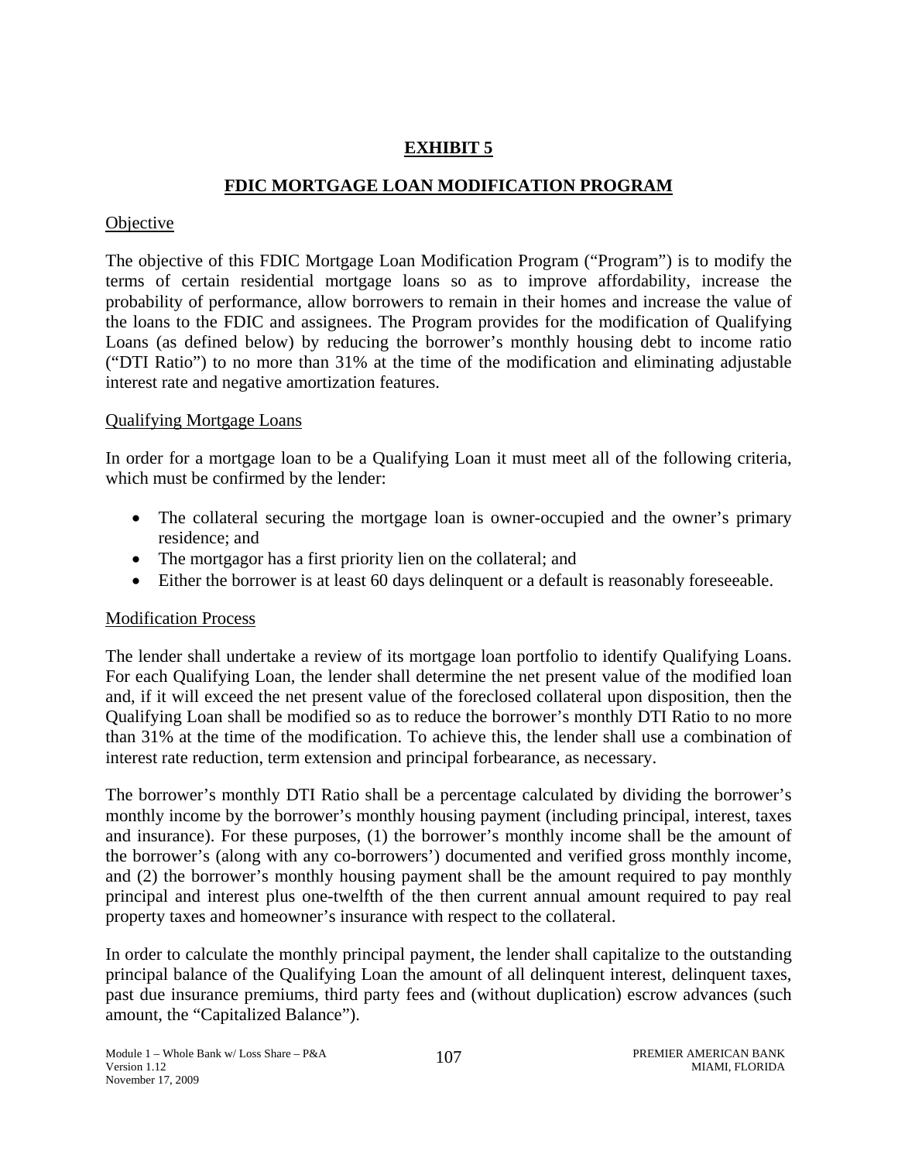## **EXHIBIT 5**

# **FDIC MORTGAGE LOAN MODIFICATION PROGRAM**

### **Objective**

The objective of this FDIC Mortgage Loan Modification Program ("Program") is to modify the terms of certain residential mortgage loans so as to improve affordability, increase the probability of performance, allow borrowers to remain in their homes and increase the value of the loans to the FDIC and assignees. The Program provides for the modification of Qualifying Loans (as defined below) by reducing the borrower's monthly housing debt to income ratio ("DTI Ratio") to no more than 31% at the time of the modification and eliminating adjustable interest rate and negative amortization features.

### Qualifying Mortgage Loans

In order for a mortgage loan to be a Qualifying Loan it must meet all of the following criteria, which must be confirmed by the lender:

- The collateral securing the mortgage loan is owner-occupied and the owner's primary residence; and
- The mortgagor has a first priority lien on the collateral; and
- Either the borrower is at least 60 days delinquent or a default is reasonably foreseeable.

#### Modification Process

The lender shall undertake a review of its mortgage loan portfolio to identify Qualifying Loans. For each Qualifying Loan, the lender shall determine the net present value of the modified loan and, if it will exceed the net present value of the foreclosed collateral upon disposition, then the Qualifying Loan shall be modified so as to reduce the borrower's monthly DTI Ratio to no more than 31% at the time of the modification. To achieve this, the lender shall use a combination of interest rate reduction, term extension and principal forbearance, as necessary.

The borrower's monthly DTI Ratio shall be a percentage calculated by dividing the borrower's monthly income by the borrower's monthly housing payment (including principal, interest, taxes and insurance). For these purposes, (1) the borrower's monthly income shall be the amount of the borrower's (along with any co-borrowers') documented and verified gross monthly income, and (2) the borrower's monthly housing payment shall be the amount required to pay monthly principal and interest plus one-twelfth of the then current annual amount required to pay real property taxes and homeowner's insurance with respect to the collateral.

In order to calculate the monthly principal payment, the lender shall capitalize to the outstanding principal balance of the Qualifying Loan the amount of all delinquent interest, delinquent taxes, past due insurance premiums, third party fees and (without duplication) escrow advances (such amount, the "Capitalized Balance").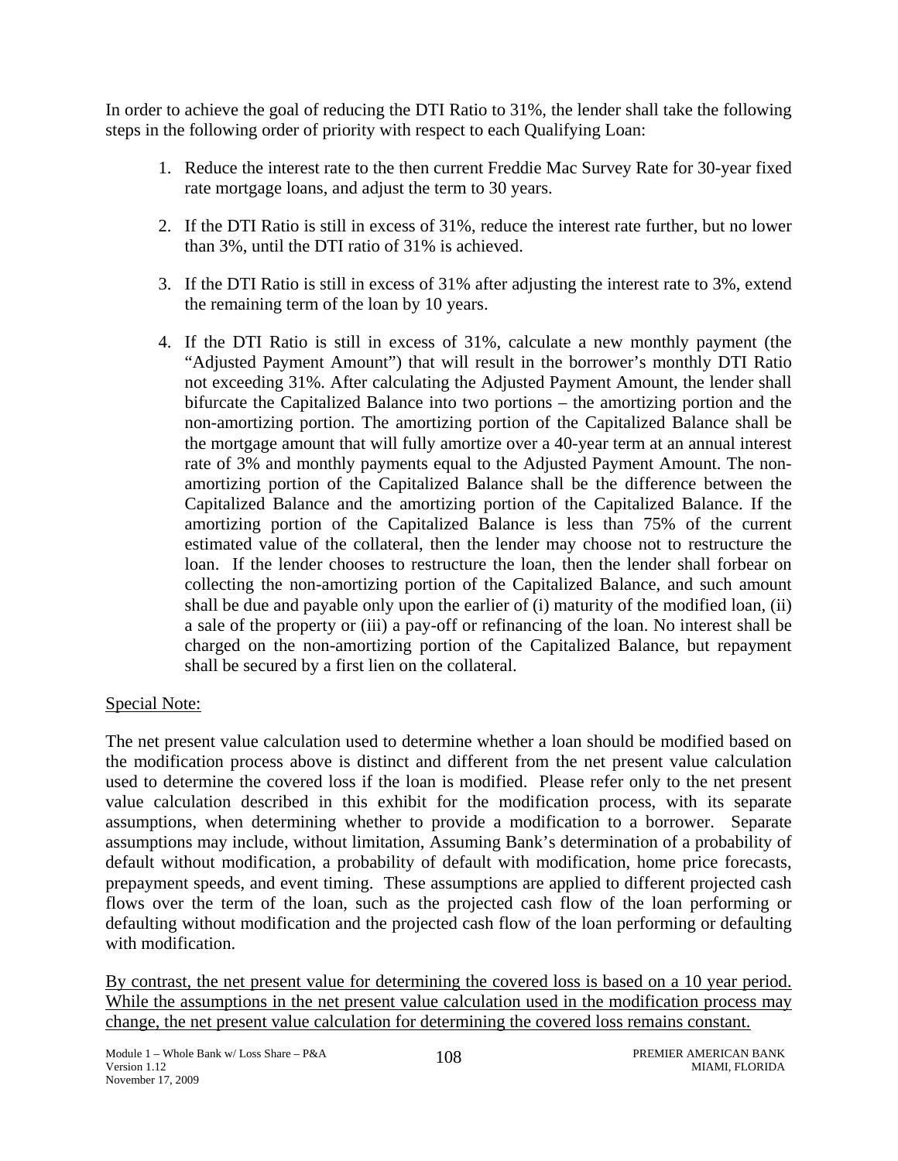In order to achieve the goal of reducing the DTI Ratio to 31%, the lender shall take the following steps in the following order of priority with respect to each Qualifying Loan:

- 1. Reduce the interest rate to the then current Freddie Mac Survey Rate for 30-year fixed rate mortgage loans, and adjust the term to 30 years.
- 2. If the DTI Ratio is still in excess of 31%, reduce the interest rate further, but no lower than 3%, until the DTI ratio of 31% is achieved.
- 3. If the DTI Ratio is still in excess of 31% after adjusting the interest rate to 3%, extend the remaining term of the loan by 10 years.
- 4. If the DTI Ratio is still in excess of 31%, calculate a new monthly payment (the "Adjusted Payment Amount") that will result in the borrower's monthly DTI Ratio not exceeding 31%. After calculating the Adjusted Payment Amount, the lender shall bifurcate the Capitalized Balance into two portions – the amortizing portion and the non-amortizing portion. The amortizing portion of the Capitalized Balance shall be the mortgage amount that will fully amortize over a 40-year term at an annual interest rate of 3% and monthly payments equal to the Adjusted Payment Amount. The nonamortizing portion of the Capitalized Balance shall be the difference between the Capitalized Balance and the amortizing portion of the Capitalized Balance. If the amortizing portion of the Capitalized Balance is less than 75% of the current estimated value of the collateral, then the lender may choose not to restructure the loan. If the lender chooses to restructure the loan, then the lender shall forbear on collecting the non-amortizing portion of the Capitalized Balance, and such amount shall be due and payable only upon the earlier of (i) maturity of the modified loan, (ii) a sale of the property or (iii) a pay-off or refinancing of the loan. No interest shall be charged on the non-amortizing portion of the Capitalized Balance, but repayment shall be secured by a first lien on the collateral.

#### Special Note:

The net present value calculation used to determine whether a loan should be modified based on the modification process above is distinct and different from the net present value calculation used to determine the covered loss if the loan is modified. Please refer only to the net present value calculation described in this exhibit for the modification process, with its separate assumptions, when determining whether to provide a modification to a borrower. Separate assumptions may include, without limitation, Assuming Bank's determination of a probability of default without modification, a probability of default with modification, home price forecasts, prepayment speeds, and event timing. These assumptions are applied to different projected cash flows over the term of the loan, such as the projected cash flow of the loan performing or defaulting without modification and the projected cash flow of the loan performing or defaulting with modification.

change, the net present value calculation for determining the covered loss remains constant.<br>
Module 1 – Whole Bank w/ Loss Share – P&A PREMIER AMERICAN BANK PREMIER AMERICAN BANK Version 1.12 By contrast, the net present value for determining the covered loss is based on a 10 year period. While the assumptions in the net present value calculation used in the modification process may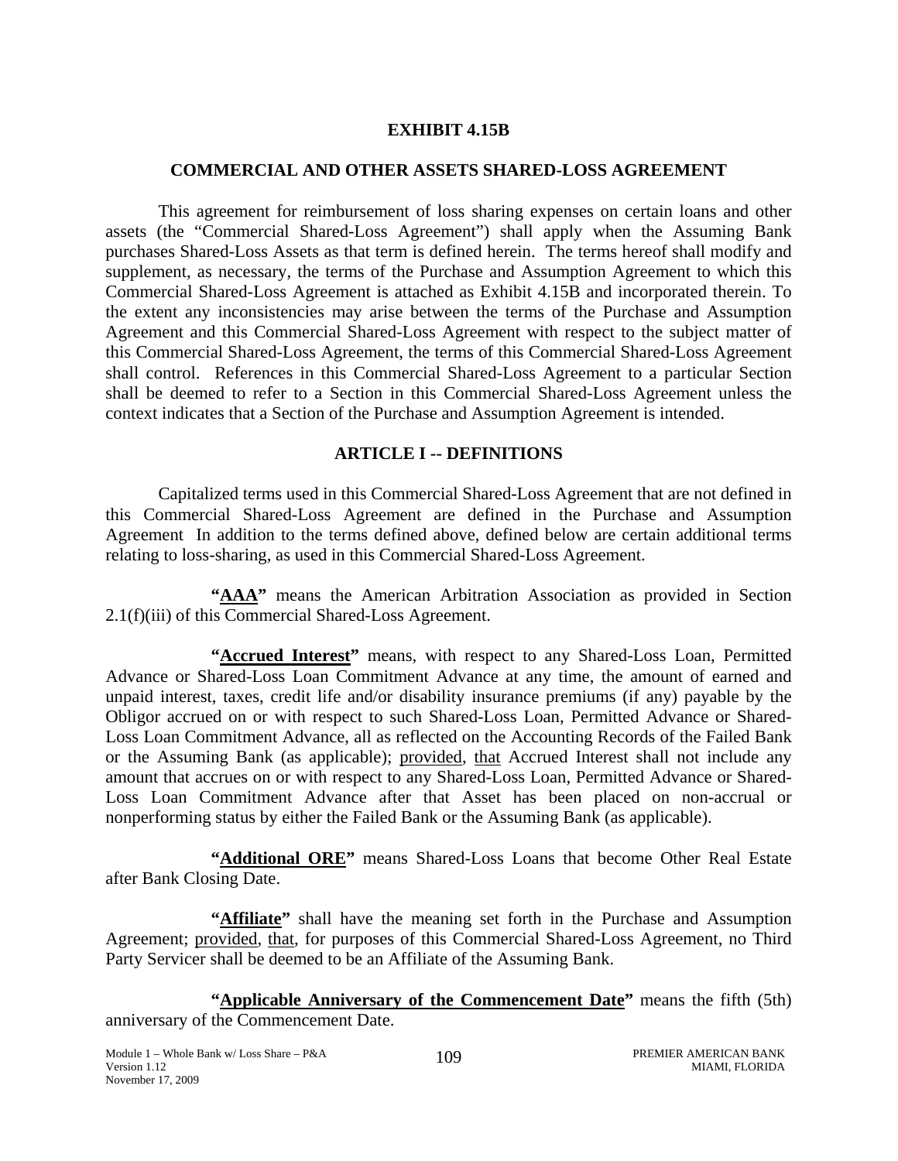#### **EXHIBIT 4.15B**

#### **COMMERCIAL AND OTHER ASSETS SHARED-LOSS AGREEMENT**

This agreement for reimbursement of loss sharing expenses on certain loans and other assets (the "Commercial Shared-Loss Agreement") shall apply when the Assuming Bank purchases Shared-Loss Assets as that term is defined herein. The terms hereof shall modify and supplement, as necessary, the terms of the Purchase and Assumption Agreement to which this Commercial Shared-Loss Agreement is attached as Exhibit 4.15B and incorporated therein. To the extent any inconsistencies may arise between the terms of the Purchase and Assumption Agreement and this Commercial Shared-Loss Agreement with respect to the subject matter of this Commercial Shared-Loss Agreement, the terms of this Commercial Shared-Loss Agreement shall control. References in this Commercial Shared-Loss Agreement to a particular Section shall be deemed to refer to a Section in this Commercial Shared-Loss Agreement unless the context indicates that a Section of the Purchase and Assumption Agreement is intended.

#### **ARTICLE I -- DEFINITIONS**

Capitalized terms used in this Commercial Shared-Loss Agreement that are not defined in this Commercial Shared-Loss Agreement are defined in the Purchase and Assumption Agreement In addition to the terms defined above, defined below are certain additional terms relating to loss-sharing, as used in this Commercial Shared-Loss Agreement.

"AAA" means the American Arbitration Association as provided in Section 2.1(f)(iii) of this Commercial Shared-Loss Agreement.

**"Accrued Interest"** means, with respect to any Shared-Loss Loan, Permitted Advance or Shared-Loss Loan Commitment Advance at any time, the amount of earned and unpaid interest, taxes, credit life and/or disability insurance premiums (if any) payable by the Obligor accrued on or with respect to such Shared-Loss Loan, Permitted Advance or Shared-Loss Loan Commitment Advance, all as reflected on the Accounting Records of the Failed Bank or the Assuming Bank (as applicable); provided, that Accrued Interest shall not include any amount that accrues on or with respect to any Shared-Loss Loan, Permitted Advance or Shared-Loss Loan Commitment Advance after that Asset has been placed on non-accrual or nonperforming status by either the Failed Bank or the Assuming Bank (as applicable).

"**Additional ORE**" means Shared-Loss Loans that become Other Real Estate after Bank Closing Date.

"**Affiliate**" shall have the meaning set forth in the Purchase and Assumption Agreement; provided, that, for purposes of this Commercial Shared-Loss Agreement, no Third Party Servicer shall be deemed to be an Affiliate of the Assuming Bank.

**Examplicable Anniversary of the Commencement Date**" means the fifth (5th) anniversary of the Commencement Date.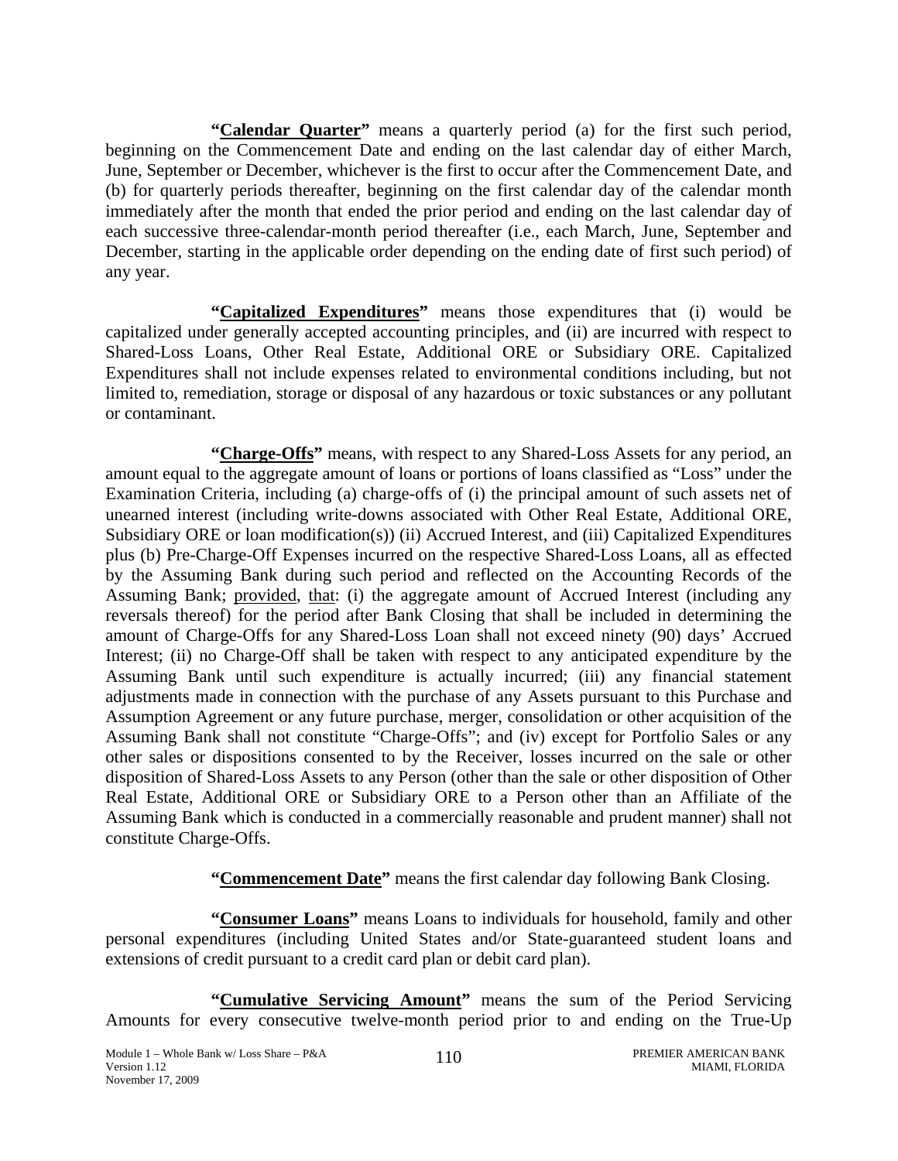"Calendar Quarter" means a quarterly period (a) for the first such period, beginning on the Commencement Date and ending on the last calendar day of either March, June, September or December, whichever is the first to occur after the Commencement Date, and (b) for quarterly periods thereafter, beginning on the first calendar day of the calendar month immediately after the month that ended the prior period and ending on the last calendar day of each successive three-calendar-month period thereafter (i.e., each March, June, September and December, starting in the applicable order depending on the ending date of first such period) of any year.

**"Capitalized Expenditures"** means those expenditures that (i) would be capitalized under generally accepted accounting principles, and (ii) are incurred with respect to Shared-Loss Loans, Other Real Estate, Additional ORE or Subsidiary ORE. Capitalized Expenditures shall not include expenses related to environmental conditions including, but not limited to, remediation, storage or disposal of any hazardous or toxic substances or any pollutant or contaminant.

**"Charge-Offs"** means, with respect to any Shared-Loss Assets for any period, an amount equal to the aggregate amount of loans or portions of loans classified as "Loss" under the Examination Criteria, including (a) charge-offs of (i) the principal amount of such assets net of unearned interest (including write-downs associated with Other Real Estate, Additional ORE, Subsidiary ORE or loan modification(s)) (ii) Accrued Interest, and (iii) Capitalized Expenditures plus (b) Pre-Charge-Off Expenses incurred on the respective Shared-Loss Loans, all as effected by the Assuming Bank during such period and reflected on the Accounting Records of the Assuming Bank; provided, that: (i) the aggregate amount of Accrued Interest (including any reversals thereof) for the period after Bank Closing that shall be included in determining the amount of Charge-Offs for any Shared-Loss Loan shall not exceed ninety (90) days' Accrued Interest; (ii) no Charge-Off shall be taken with respect to any anticipated expenditure by the Assuming Bank until such expenditure is actually incurred; (iii) any financial statement adjustments made in connection with the purchase of any Assets pursuant to this Purchase and Assumption Agreement or any future purchase, merger, consolidation or other acquisition of the Assuming Bank shall not constitute "Charge-Offs"; and (iv) except for Portfolio Sales or any other sales or dispositions consented to by the Receiver, losses incurred on the sale or other disposition of Shared-Loss Assets to any Person (other than the sale or other disposition of Other Real Estate, Additional ORE or Subsidiary ORE to a Person other than an Affiliate of the Assuming Bank which is conducted in a commercially reasonable and prudent manner) shall not constitute Charge-Offs.

**"Commencement Date"** means the first calendar day following Bank Closing.

**"Consumer Loans"** means Loans to individuals for household, family and other personal expenditures (including United States and/or State-guaranteed student loans and extensions of credit pursuant to a credit card plan or debit card plan).

**"Cumulative Servicing Amount"** means the sum of the Period Servicing Amounts for every consecutive twelve-month period prior to and ending on the True-Up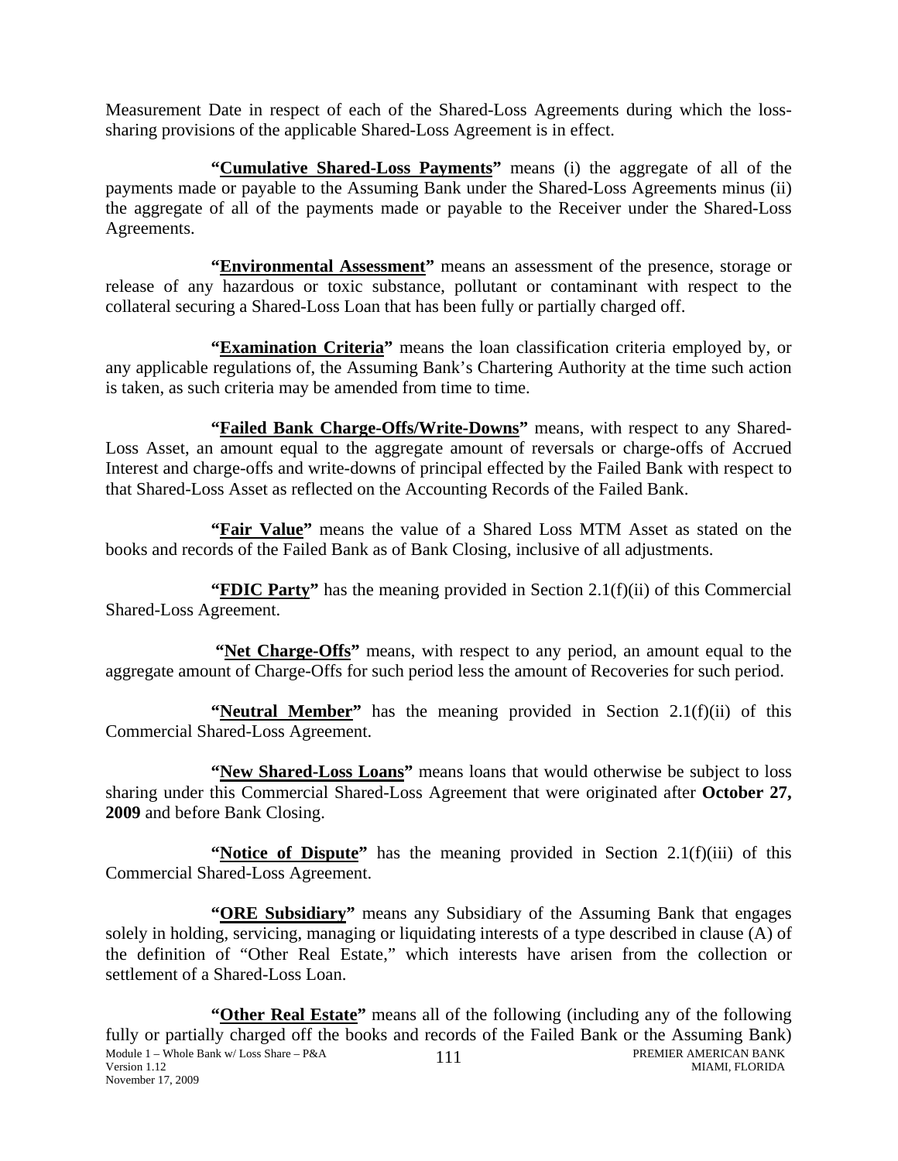Measurement Date in respect of each of the Shared-Loss Agreements during which the losssharing provisions of the applicable Shared-Loss Agreement is in effect.

**"Cumulative Shared-Loss Payments"** means (i) the aggregate of all of the payments made or payable to the Assuming Bank under the Shared-Loss Agreements minus (ii) the aggregate of all of the payments made or payable to the Receiver under the Shared-Loss Agreements.

**"Environmental Assessment"** means an assessment of the presence, storage or release of any hazardous or toxic substance, pollutant or contaminant with respect to the collateral securing a Shared-Loss Loan that has been fully or partially charged off.

**"Examination Criteria"** means the loan classification criteria employed by, or any applicable regulations of, the Assuming Bank's Chartering Authority at the time such action is taken, as such criteria may be amended from time to time.

**"Failed Bank Charge-Offs/Write-Downs"** means, with respect to any Shared-Loss Asset, an amount equal to the aggregate amount of reversals or charge-offs of Accrued Interest and charge-offs and write-downs of principal effected by the Failed Bank with respect to that Shared-Loss Asset as reflected on the Accounting Records of the Failed Bank.

**"Fair Value"** means the value of a Shared Loss MTM Asset as stated on the books and records of the Failed Bank as of Bank Closing, inclusive of all adjustments.

**"FDIC Party"** has the meaning provided in Section 2.1(f)(ii) of this Commercial Shared-Loss Agreement.

**"Net Charge-Offs"** means, with respect to any period, an amount equal to the aggregate amount of Charge-Offs for such period less the amount of Recoveries for such period.

 Commercial Shared-Loss Agreement. "Neutral Member" has the meaning provided in Section 2.1(f)(ii) of this

**"New Shared-Loss Loans"** means loans that would otherwise be subject to loss sharing under this Commercial Shared-Loss Agreement that were originated after **October 27, 2009** and before Bank Closing.

**"Notice of Dispute"** has the meaning provided in Section 2.1(f)(iii) of this Commercial Shared-Loss Agreement.

**"ORE Subsidiary"** means any Subsidiary of the Assuming Bank that engages solely in holding, servicing, managing or liquidating interests of a type described in clause (A) of the definition of "Other Real Estate," which interests have arisen from the collection or settlement of a Shared-Loss Loan.

**"Other Real Estate"** means all of the following (including any of the following fully or partially charged off the books and records of the Failed Bank or the Assuming Bank)<br>Module 1 – Whole Bank w/Loss Share – P&A<br>111 Module 1 – Whole Bank w/ Loss Share – P&A  $111$  PREMIER AMERICAN BANK MIAMI, FLORIDA November 17, 2009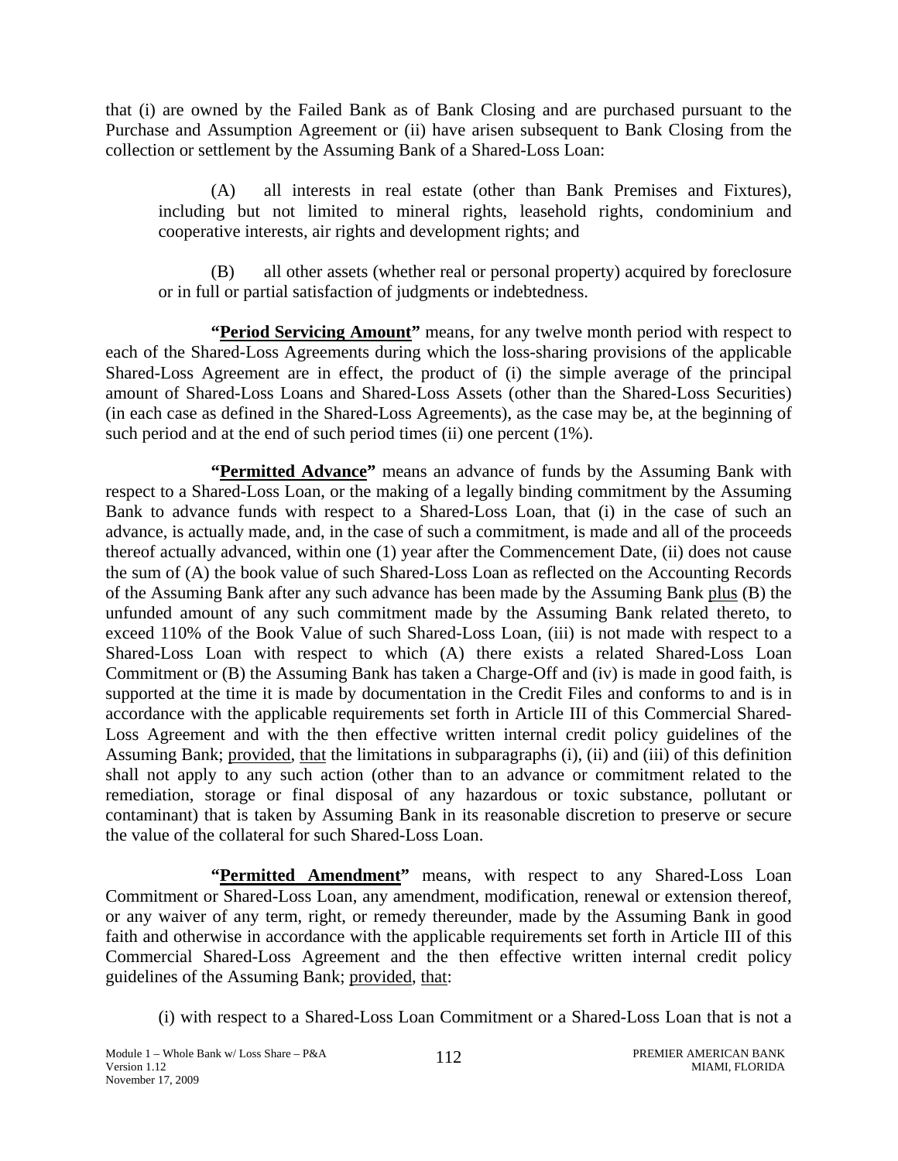that (i) are owned by the Failed Bank as of Bank Closing and are purchased pursuant to the Purchase and Assumption Agreement or (ii) have arisen subsequent to Bank Closing from the collection or settlement by the Assuming Bank of a Shared-Loss Loan:

(A) all interests in real estate (other than Bank Premises and Fixtures), including but not limited to mineral rights, leasehold rights, condominium and cooperative interests, air rights and development rights; and

(B) all other assets (whether real or personal property) acquired by foreclosure or in full or partial satisfaction of judgments or indebtedness.

**"Period Servicing Amount"** means, for any twelve month period with respect to each of the Shared-Loss Agreements during which the loss-sharing provisions of the applicable Shared-Loss Agreement are in effect, the product of (i) the simple average of the principal amount of Shared-Loss Loans and Shared-Loss Assets (other than the Shared-Loss Securities) (in each case as defined in the Shared-Loss Agreements), as the case may be, at the beginning of such period and at the end of such period times (ii) one percent (1%).

**"Permitted Advance"** means an advance of funds by the Assuming Bank with respect to a Shared-Loss Loan, or the making of a legally binding commitment by the Assuming Bank to advance funds with respect to a Shared-Loss Loan, that (i) in the case of such an advance, is actually made, and, in the case of such a commitment, is made and all of the proceeds thereof actually advanced, within one (1) year after the Commencement Date, (ii) does not cause the sum of (A) the book value of such Shared-Loss Loan as reflected on the Accounting Records of the Assuming Bank after any such advance has been made by the Assuming Bank plus (B) the unfunded amount of any such commitment made by the Assuming Bank related thereto, to exceed 110% of the Book Value of such Shared-Loss Loan, (iii) is not made with respect to a Shared-Loss Loan with respect to which (A) there exists a related Shared-Loss Loan Commitment or (B) the Assuming Bank has taken a Charge-Off and (iv) is made in good faith, is supported at the time it is made by documentation in the Credit Files and conforms to and is in accordance with the applicable requirements set forth in Article III of this Commercial Shared-Loss Agreement and with the then effective written internal credit policy guidelines of the Assuming Bank; provided, that the limitations in subparagraphs (i), (ii) and (iii) of this definition shall not apply to any such action (other than to an advance or commitment related to the remediation, storage or final disposal of any hazardous or toxic substance, pollutant or contaminant) that is taken by Assuming Bank in its reasonable discretion to preserve or secure the value of the collateral for such Shared-Loss Loan.

"Permitted Amendment" means, with respect to any Shared-Loss Loan Commitment or Shared-Loss Loan, any amendment, modification, renewal or extension thereof, or any waiver of any term, right, or remedy thereunder, made by the Assuming Bank in good faith and otherwise in accordance with the applicable requirements set forth in Article III of this Commercial Shared-Loss Agreement and the then effective written internal credit policy guidelines of the Assuming Bank; provided, that:

(i) with respect to a Shared-Loss Loan Commitment or a Shared-Loss Loan that is not a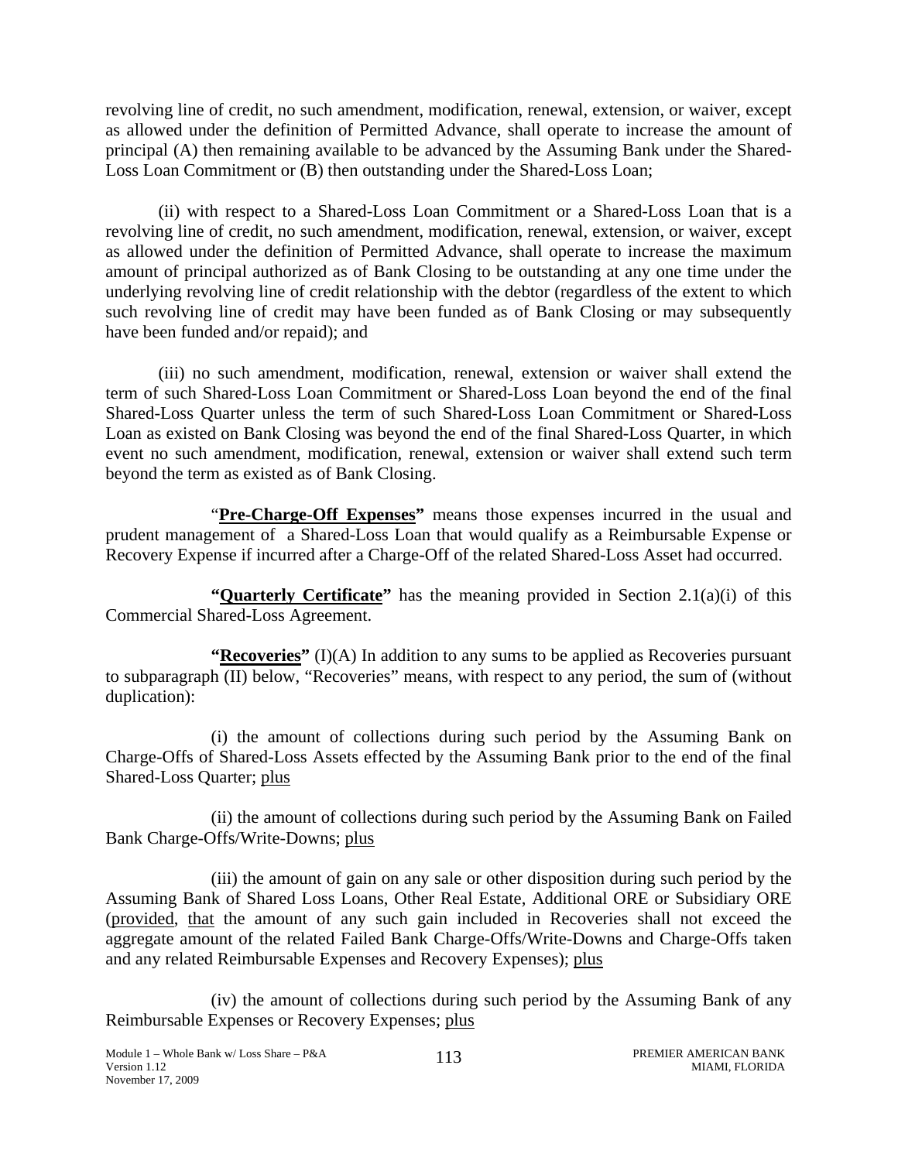revolving line of credit, no such amendment, modification, renewal, extension, or waiver, except as allowed under the definition of Permitted Advance, shall operate to increase the amount of principal (A) then remaining available to be advanced by the Assuming Bank under the Shared-Loss Loan Commitment or (B) then outstanding under the Shared-Loss Loan;

(ii) with respect to a Shared-Loss Loan Commitment or a Shared-Loss Loan that is a revolving line of credit, no such amendment, modification, renewal, extension, or waiver, except as allowed under the definition of Permitted Advance, shall operate to increase the maximum amount of principal authorized as of Bank Closing to be outstanding at any one time under the underlying revolving line of credit relationship with the debtor (regardless of the extent to which such revolving line of credit may have been funded as of Bank Closing or may subsequently have been funded and/or repaid); and

(iii) no such amendment, modification, renewal, extension or waiver shall extend the term of such Shared-Loss Loan Commitment or Shared-Loss Loan beyond the end of the final Shared-Loss Quarter unless the term of such Shared-Loss Loan Commitment or Shared-Loss Loan as existed on Bank Closing was beyond the end of the final Shared-Loss Quarter, in which event no such amendment, modification, renewal, extension or waiver shall extend such term beyond the term as existed as of Bank Closing.

"**Pre-Charge-Off Expenses"** means those expenses incurred in the usual and prudent management of a Shared-Loss Loan that would qualify as a Reimbursable Expense or Recovery Expense if incurred after a Charge-Off of the related Shared-Loss Asset had occurred.

**"Quarterly Certificate"** has the meaning provided in Section 2.1(a)(i) of this Commercial Shared-Loss Agreement.

**"Recoveries"** (I)(A) In addition to any sums to be applied as Recoveries pursuant to subparagraph (II) below, "Recoveries" means, with respect to any period, the sum of (without duplication):

**Shared-Loss Quarter; plus** (i) the amount of collections during such period by the Assuming Bank on Charge-Offs of Shared-Loss Assets effected by the Assuming Bank prior to the end of the final

(ii) the amount of collections during such period by the Assuming Bank on Failed Bank Charge-Offs/Write-Downs; plus

(iii) the amount of gain on any sale or other disposition during such period by the Assuming Bank of Shared Loss Loans, Other Real Estate, Additional ORE or Subsidiary ORE (provided, that the amount of any such gain included in Recoveries shall not exceed the aggregate amount of the related Failed Bank Charge-Offs/Write-Downs and Charge-Offs taken and any related Reimbursable Expenses and Recovery Expenses); plus

(iv) the amount of collections during such period by the Assuming Bank of any Reimbursable Expenses or Recovery Expenses; plus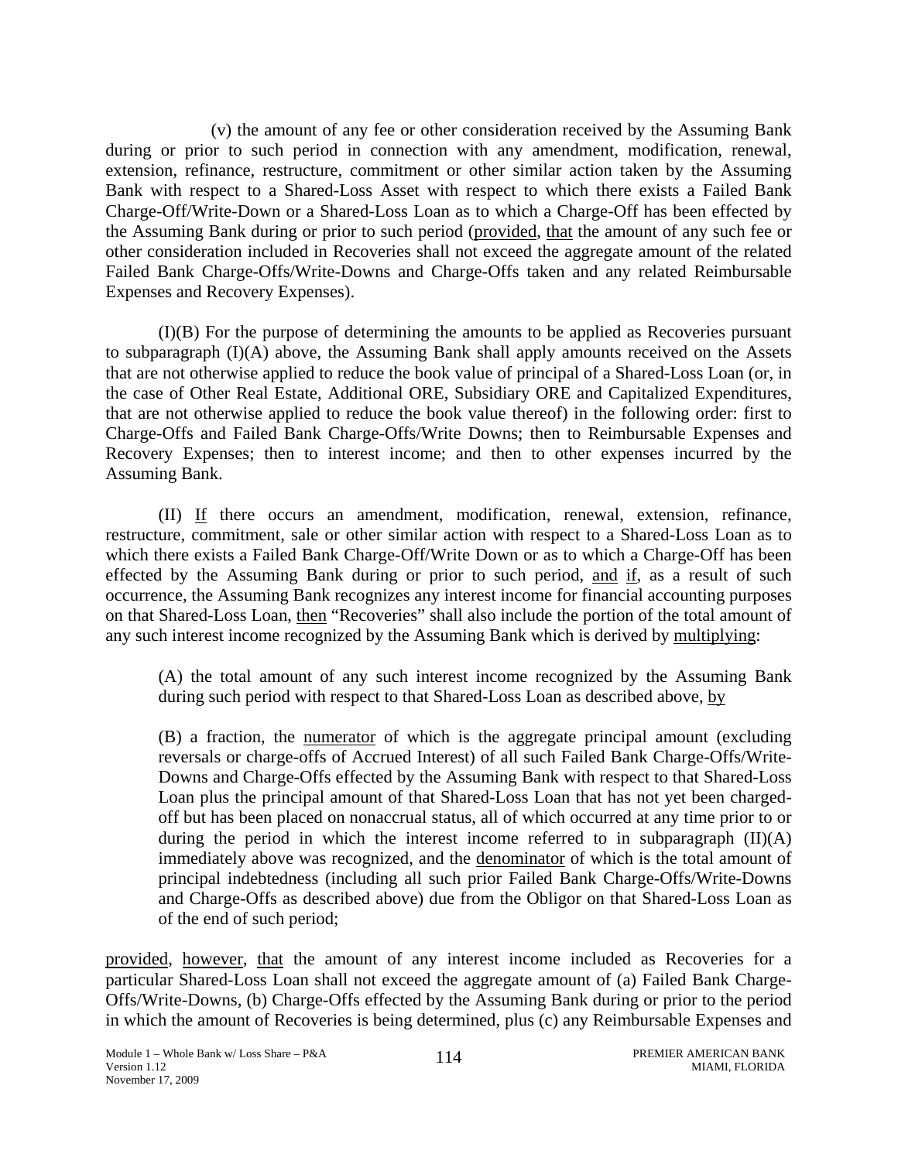(v) the amount of any fee or other consideration received by the Assuming Bank during or prior to such period in connection with any amendment, modification, renewal, extension, refinance, restructure, commitment or other similar action taken by the Assuming Bank with respect to a Shared-Loss Asset with respect to which there exists a Failed Bank Charge-Off/Write-Down or a Shared-Loss Loan as to which a Charge-Off has been effected by the Assuming Bank during or prior to such period (provided, that the amount of any such fee or other consideration included in Recoveries shall not exceed the aggregate amount of the related Failed Bank Charge-Offs/Write-Downs and Charge-Offs taken and any related Reimbursable Expenses and Recovery Expenses).

(I)(B) For the purpose of determining the amounts to be applied as Recoveries pursuant to subparagraph (I)(A) above, the Assuming Bank shall apply amounts received on the Assets that are not otherwise applied to reduce the book value of principal of a Shared-Loss Loan (or, in the case of Other Real Estate, Additional ORE, Subsidiary ORE and Capitalized Expenditures, that are not otherwise applied to reduce the book value thereof) in the following order: first to Charge-Offs and Failed Bank Charge-Offs/Write Downs; then to Reimbursable Expenses and Recovery Expenses; then to interest income; and then to other expenses incurred by the Assuming Bank.

(II) If there occurs an amendment, modification, renewal, extension, refinance, restructure, commitment, sale or other similar action with respect to a Shared-Loss Loan as to which there exists a Failed Bank Charge-Off/Write Down or as to which a Charge-Off has been effected by the Assuming Bank during or prior to such period, and if, as a result of such occurrence, the Assuming Bank recognizes any interest income for financial accounting purposes on that Shared-Loss Loan, then "Recoveries" shall also include the portion of the total amount of any such interest income recognized by the Assuming Bank which is derived by multiplying:

(A) the total amount of any such interest income recognized by the Assuming Bank during such period with respect to that Shared-Loss Loan as described above, by

(B) a fraction, the numerator of which is the aggregate principal amount (excluding reversals or charge-offs of Accrued Interest) of all such Failed Bank Charge-Offs/Write-Downs and Charge-Offs effected by the Assuming Bank with respect to that Shared-Loss Loan plus the principal amount of that Shared-Loss Loan that has not yet been chargedoff but has been placed on nonaccrual status, all of which occurred at any time prior to or during the period in which the interest income referred to in subparagraph (II)(A) immediately above was recognized, and the denominator of which is the total amount of principal indebtedness (including all such prior Failed Bank Charge-Offs/Write-Downs and Charge-Offs as described above) due from the Obligor on that Shared-Loss Loan as of the end of such period;

provided, however, that the amount of any interest income included as Recoveries for a particular Shared-Loss Loan shall not exceed the aggregate amount of (a) Failed Bank Charge-Offs/Write-Downs, (b) Charge-Offs effected by the Assuming Bank during or prior to the period in which the amount of Recoveries is being determined, plus (c) any Reimbursable Expenses and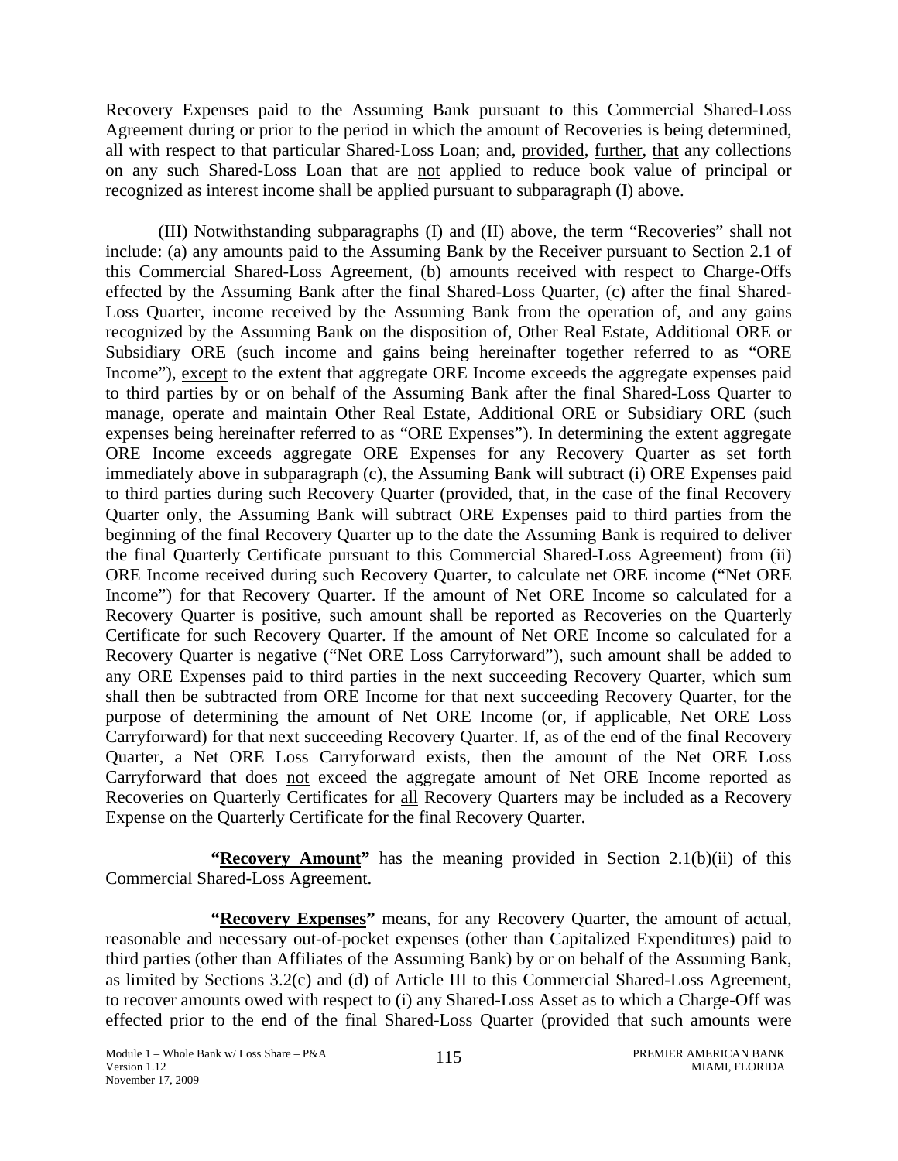Recovery Expenses paid to the Assuming Bank pursuant to this Commercial Shared-Loss Agreement during or prior to the period in which the amount of Recoveries is being determined, all with respect to that particular Shared-Loss Loan; and, provided, further, that any collections on any such Shared-Loss Loan that are not applied to reduce book value of principal or recognized as interest income shall be applied pursuant to subparagraph (I) above.

(III) Notwithstanding subparagraphs (I) and (II) above, the term "Recoveries" shall not include: (a) any amounts paid to the Assuming Bank by the Receiver pursuant to Section 2.1 of this Commercial Shared-Loss Agreement, (b) amounts received with respect to Charge-Offs effected by the Assuming Bank after the final Shared-Loss Quarter, (c) after the final Shared-Loss Quarter, income received by the Assuming Bank from the operation of, and any gains recognized by the Assuming Bank on the disposition of, Other Real Estate, Additional ORE or Subsidiary ORE (such income and gains being hereinafter together referred to as "ORE Income"), except to the extent that aggregate ORE Income exceeds the aggregate expenses paid to third parties by or on behalf of the Assuming Bank after the final Shared-Loss Quarter to manage, operate and maintain Other Real Estate, Additional ORE or Subsidiary ORE (such expenses being hereinafter referred to as "ORE Expenses"). In determining the extent aggregate ORE Income exceeds aggregate ORE Expenses for any Recovery Quarter as set forth immediately above in subparagraph (c), the Assuming Bank will subtract (i) ORE Expenses paid to third parties during such Recovery Quarter (provided, that, in the case of the final Recovery Quarter only, the Assuming Bank will subtract ORE Expenses paid to third parties from the beginning of the final Recovery Quarter up to the date the Assuming Bank is required to deliver the final Quarterly Certificate pursuant to this Commercial Shared-Loss Agreement) from (ii) ORE Income received during such Recovery Quarter, to calculate net ORE income ("Net ORE Income") for that Recovery Quarter. If the amount of Net ORE Income so calculated for a Recovery Quarter is positive, such amount shall be reported as Recoveries on the Quarterly Certificate for such Recovery Quarter. If the amount of Net ORE Income so calculated for a Recovery Quarter is negative ("Net ORE Loss Carryforward"), such amount shall be added to any ORE Expenses paid to third parties in the next succeeding Recovery Quarter, which sum shall then be subtracted from ORE Income for that next succeeding Recovery Quarter, for the purpose of determining the amount of Net ORE Income (or, if applicable, Net ORE Loss Carryforward) for that next succeeding Recovery Quarter. If, as of the end of the final Recovery Quarter, a Net ORE Loss Carryforward exists, then the amount of the Net ORE Loss Carryforward that does not exceed the aggregate amount of Net ORE Income reported as Recoveries on Quarterly Certificates for all Recovery Quarters may be included as a Recovery Expense on the Quarterly Certificate for the final Recovery Quarter.

**"Recovery Amount"** has the meaning provided in Section 2.1(b)(ii) of this Commercial Shared-Loss Agreement.

**"Recovery Expenses"** means, for any Recovery Quarter, the amount of actual, reasonable and necessary out-of-pocket expenses (other than Capitalized Expenditures) paid to third parties (other than Affiliates of the Assuming Bank) by or on behalf of the Assuming Bank, as limited by Sections 3.2(c) and (d) of Article III to this Commercial Shared-Loss Agreement, to recover amounts owed with respect to (i) any Shared-Loss Asset as to which a Charge-Off was effected prior to the end of the final Shared-Loss Quarter (provided that such amounts were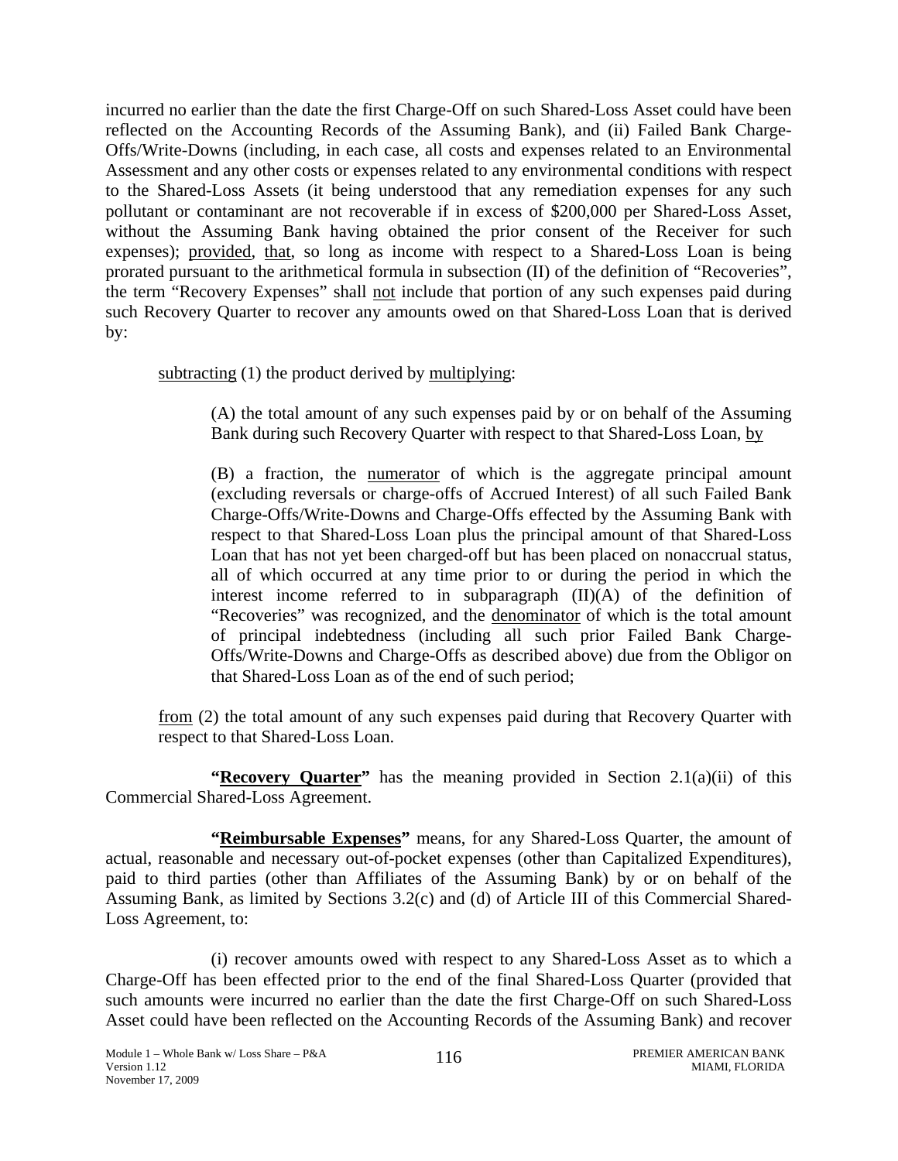incurred no earlier than the date the first Charge-Off on such Shared-Loss Asset could have been reflected on the Accounting Records of the Assuming Bank), and (ii) Failed Bank Charge-Offs/Write-Downs (including, in each case, all costs and expenses related to an Environmental Assessment and any other costs or expenses related to any environmental conditions with respect to the Shared-Loss Assets (it being understood that any remediation expenses for any such pollutant or contaminant are not recoverable if in excess of \$200,000 per Shared-Loss Asset, without the Assuming Bank having obtained the prior consent of the Receiver for such expenses); provided, that, so long as income with respect to a Shared-Loss Loan is being prorated pursuant to the arithmetical formula in subsection (II) of the definition of "Recoveries", the term "Recovery Expenses" shall not include that portion of any such expenses paid during such Recovery Quarter to recover any amounts owed on that Shared-Loss Loan that is derived by:

subtracting (1) the product derived by multiplying:

(A) the total amount of any such expenses paid by or on behalf of the Assuming Bank during such Recovery Quarter with respect to that Shared-Loss Loan, by

(B) a fraction, the numerator of which is the aggregate principal amount (excluding reversals or charge-offs of Accrued Interest) of all such Failed Bank Charge-Offs/Write-Downs and Charge-Offs effected by the Assuming Bank with respect to that Shared-Loss Loan plus the principal amount of that Shared-Loss Loan that has not yet been charged-off but has been placed on nonaccrual status, all of which occurred at any time prior to or during the period in which the interest income referred to in subparagraph (II)(A) of the definition of "Recoveries" was recognized, and the denominator of which is the total amount of principal indebtedness (including all such prior Failed Bank Charge-Offs/Write-Downs and Charge-Offs as described above) due from the Obligor on that Shared-Loss Loan as of the end of such period;

from (2) the total amount of any such expenses paid during that Recovery Quarter with respect to that Shared-Loss Loan.

**"Recovery Quarter"** has the meaning provided in Section 2.1(a)(ii) of this Commercial Shared-Loss Agreement.

**"Reimbursable Expenses"** means, for any Shared-Loss Quarter, the amount of actual, reasonable and necessary out-of-pocket expenses (other than Capitalized Expenditures), paid to third parties (other than Affiliates of the Assuming Bank) by or on behalf of the Assuming Bank, as limited by Sections 3.2(c) and (d) of Article III of this Commercial Shared-Loss Agreement, to:

(i) recover amounts owed with respect to any Shared-Loss Asset as to which a Charge-Off has been effected prior to the end of the final Shared-Loss Quarter (provided that such amounts were incurred no earlier than the date the first Charge-Off on such Shared-Loss Asset could have been reflected on the Accounting Records of the Assuming Bank) and recover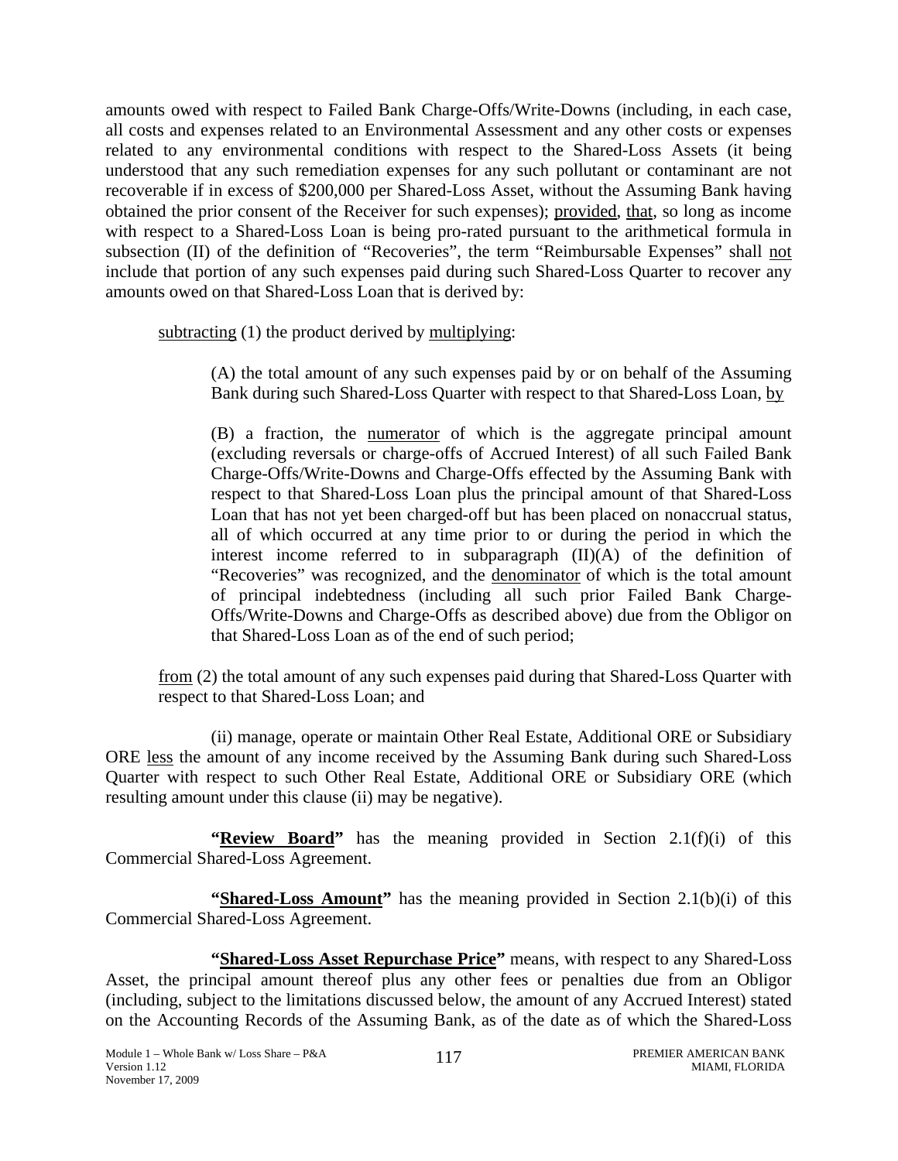amounts owed with respect to Failed Bank Charge-Offs/Write-Downs (including, in each case, all costs and expenses related to an Environmental Assessment and any other costs or expenses related to any environmental conditions with respect to the Shared-Loss Assets (it being understood that any such remediation expenses for any such pollutant or contaminant are not recoverable if in excess of \$200,000 per Shared-Loss Asset, without the Assuming Bank having obtained the prior consent of the Receiver for such expenses); provided, that, so long as income with respect to a Shared-Loss Loan is being pro-rated pursuant to the arithmetical formula in subsection (II) of the definition of "Recoveries", the term "Reimbursable Expenses" shall not include that portion of any such expenses paid during such Shared-Loss Quarter to recover any amounts owed on that Shared-Loss Loan that is derived by:

subtracting (1) the product derived by multiplying:

(A) the total amount of any such expenses paid by or on behalf of the Assuming Bank during such Shared-Loss Quarter with respect to that Shared-Loss Loan, by

(B) a fraction, the numerator of which is the aggregate principal amount (excluding reversals or charge-offs of Accrued Interest) of all such Failed Bank Charge-Offs/Write-Downs and Charge-Offs effected by the Assuming Bank with respect to that Shared-Loss Loan plus the principal amount of that Shared-Loss Loan that has not yet been charged-off but has been placed on nonaccrual status, all of which occurred at any time prior to or during the period in which the interest income referred to in subparagraph (II)(A) of the definition of "Recoveries" was recognized, and the denominator of which is the total amount of principal indebtedness (including all such prior Failed Bank Charge-Offs/Write-Downs and Charge-Offs as described above) due from the Obligor on that Shared-Loss Loan as of the end of such period;

from (2) the total amount of any such expenses paid during that Shared-Loss Quarter with respect to that Shared-Loss Loan; and

(ii) manage, operate or maintain Other Real Estate, Additional ORE or Subsidiary ORE less the amount of any income received by the Assuming Bank during such Shared-Loss Quarter with respect to such Other Real Estate, Additional ORE or Subsidiary ORE (which resulting amount under this clause (ii) may be negative).

**"Review Board"** has the meaning provided in Section 2.1(f)(i) of this Commercial Shared-Loss Agreement.

**"Shared-Loss Amount"** has the meaning provided in Section 2.1(b)(i) of this Commercial Shared-Loss Agreement.

**"Shared-Loss Asset Repurchase Price"** means, with respect to any Shared-Loss Asset, the principal amount thereof plus any other fees or penalties due from an Obligor (including, subject to the limitations discussed below, the amount of any Accrued Interest) stated on the Accounting Records of the Assuming Bank, as of the date as of which the Shared-Loss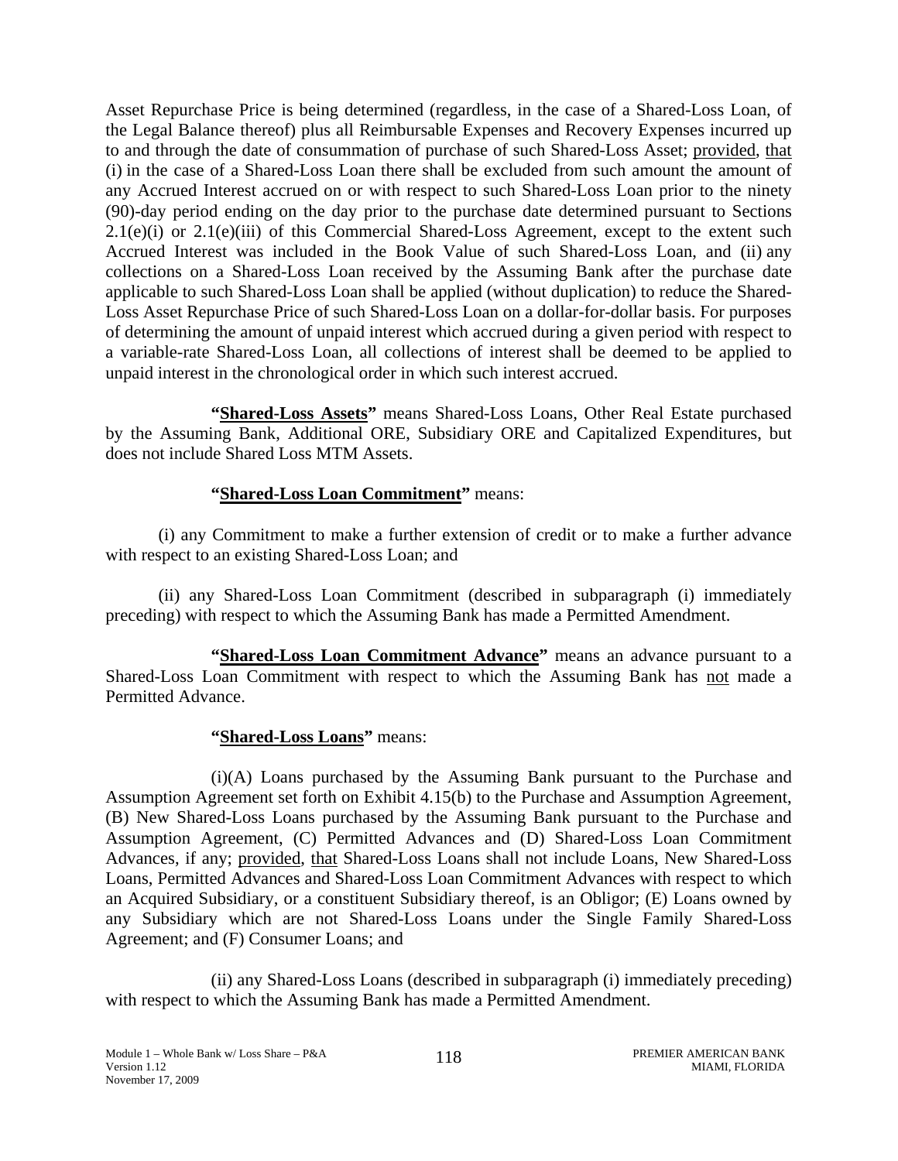Asset Repurchase Price is being determined (regardless, in the case of a Shared-Loss Loan, of the Legal Balance thereof) plus all Reimbursable Expenses and Recovery Expenses incurred up to and through the date of consummation of purchase of such Shared-Loss Asset; provided, that (i) in the case of a Shared-Loss Loan there shall be excluded from such amount the amount of any Accrued Interest accrued on or with respect to such Shared-Loss Loan prior to the ninety (90)-day period ending on the day prior to the purchase date determined pursuant to Sections  $2.1(e)(i)$  or  $2.1(e)(iii)$  of this Commercial Shared-Loss Agreement, except to the extent such Accrued Interest was included in the Book Value of such Shared-Loss Loan, and (ii) any collections on a Shared-Loss Loan received by the Assuming Bank after the purchase date applicable to such Shared-Loss Loan shall be applied (without duplication) to reduce the Shared-Loss Asset Repurchase Price of such Shared-Loss Loan on a dollar-for-dollar basis. For purposes of determining the amount of unpaid interest which accrued during a given period with respect to a variable-rate Shared-Loss Loan, all collections of interest shall be deemed to be applied to unpaid interest in the chronological order in which such interest accrued.

**"Shared-Loss Assets"** means Shared-Loss Loans, Other Real Estate purchased by the Assuming Bank, Additional ORE, Subsidiary ORE and Capitalized Expenditures, but does not include Shared Loss MTM Assets.

#### "Shared-Loss Loan Commitment" means:

(i) any Commitment to make a further extension of credit or to make a further advance with respect to an existing Shared-Loss Loan; and

(ii) any Shared-Loss Loan Commitment (described in subparagraph (i) immediately preceding) with respect to which the Assuming Bank has made a Permitted Amendment.

"Shared-Loss Loan Commitment Advance" means an advance pursuant to a Shared-Loss Loan Commitment with respect to which the Assuming Bank has not made a Permitted Advance.

## **"Shared-Loss Loans"** means:

(i)(A) Loans purchased by the Assuming Bank pursuant to the Purchase and Assumption Agreement set forth on Exhibit 4.15(b) to the Purchase and Assumption Agreement, (B) New Shared-Loss Loans purchased by the Assuming Bank pursuant to the Purchase and Assumption Agreement, (C) Permitted Advances and (D) Shared-Loss Loan Commitment Advances, if any; provided, that Shared-Loss Loans shall not include Loans, New Shared-Loss Loans, Permitted Advances and Shared-Loss Loan Commitment Advances with respect to which an Acquired Subsidiary, or a constituent Subsidiary thereof, is an Obligor; (E) Loans owned by any Subsidiary which are not Shared-Loss Loans under the Single Family Shared-Loss Agreement; and (F) Consumer Loans; and

(ii) any Shared-Loss Loans (described in subparagraph (i) immediately preceding) with respect to which the Assuming Bank has made a Permitted Amendment.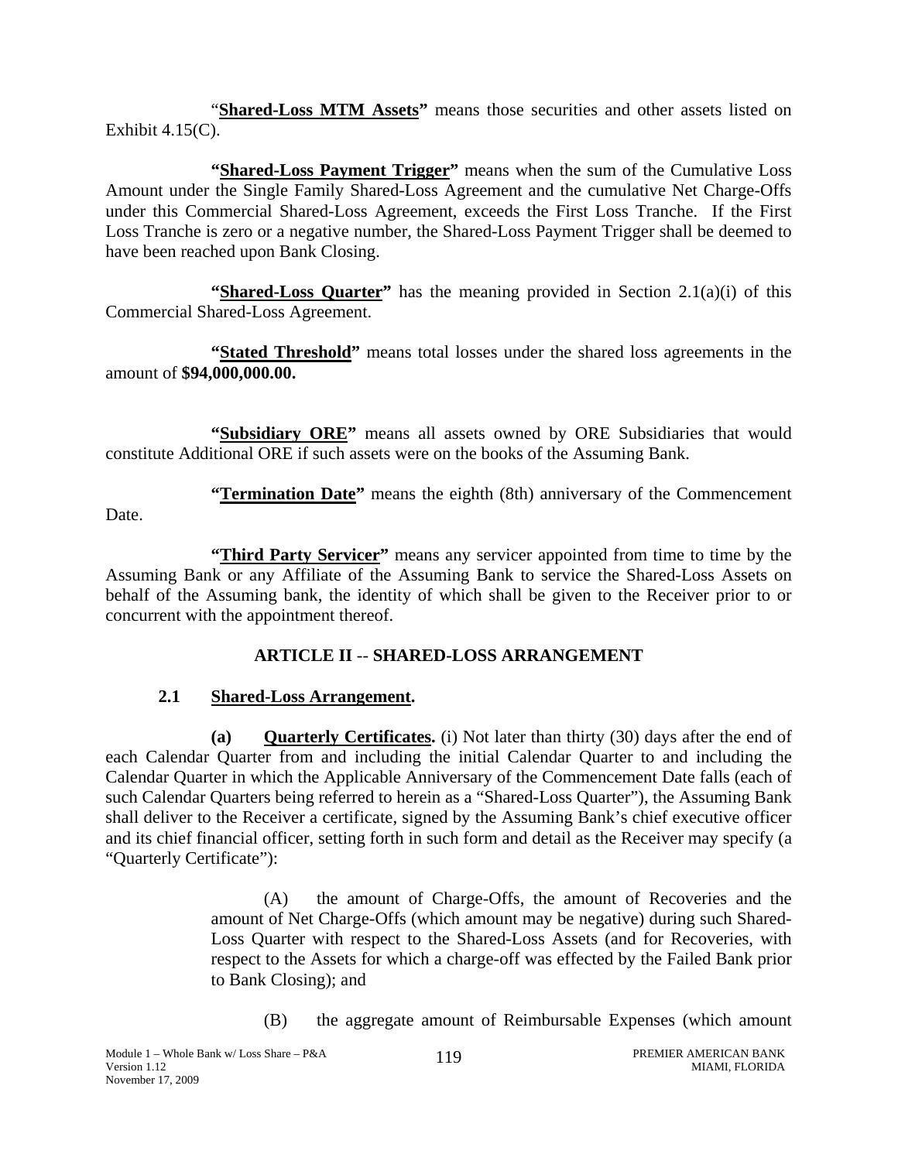"**Shared-Loss MTM Assets"** means those securities and other assets listed on Exhibit  $4.15(C)$ .

**"Shared-Loss Payment Trigger"** means when the sum of the Cumulative Loss Amount under the Single Family Shared-Loss Agreement and the cumulative Net Charge-Offs under this Commercial Shared-Loss Agreement, exceeds the First Loss Tranche. If the First Loss Tranche is zero or a negative number, the Shared-Loss Payment Trigger shall be deemed to have been reached upon Bank Closing.

**"Shared-Loss Quarter"** has the meaning provided in Section 2.1(a)(i) of this Commercial Shared-Loss Agreement.

**"Stated Threshold"** means total losses under the shared loss agreements in the amount of **\$94,000,000.00.** 

"Subsidiary ORE" means all assets owned by ORE Subsidiaries that would constitute Additional ORE if such assets were on the books of the Assuming Bank.

**"Termination Date"** means the eighth (8th) anniversary of the Commencement Date.

**"Third Party Servicer"** means any servicer appointed from time to time by the Assuming Bank or any Affiliate of the Assuming Bank to service the Shared-Loss Assets on behalf of the Assuming bank, the identity of which shall be given to the Receiver prior to or concurrent with the appointment thereof.

#### **ARTICLE II** -- **SHARED-LOSS ARRANGEMENT**

#### **2.1 Shared-Loss Arrangement.**

**(a) Quarterly Certificates.** (i) Not later than thirty (30) days after the end of each Calendar Quarter from and including the initial Calendar Quarter to and including the Calendar Quarter in which the Applicable Anniversary of the Commencement Date falls (each of such Calendar Quarters being referred to herein as a "Shared-Loss Quarter"), the Assuming Bank shall deliver to the Receiver a certificate, signed by the Assuming Bank's chief executive officer and its chief financial officer, setting forth in such form and detail as the Receiver may specify (a "Quarterly Certificate"):

> (A) the amount of Charge-Offs, the amount of Recoveries and the amount of Net Charge-Offs (which amount may be negative) during such Shared-Loss Quarter with respect to the Shared-Loss Assets (and for Recoveries, with respect to the Assets for which a charge-off was effected by the Failed Bank prior to Bank Closing); and

(B) the aggregate amount of Reimbursable Expenses (which amount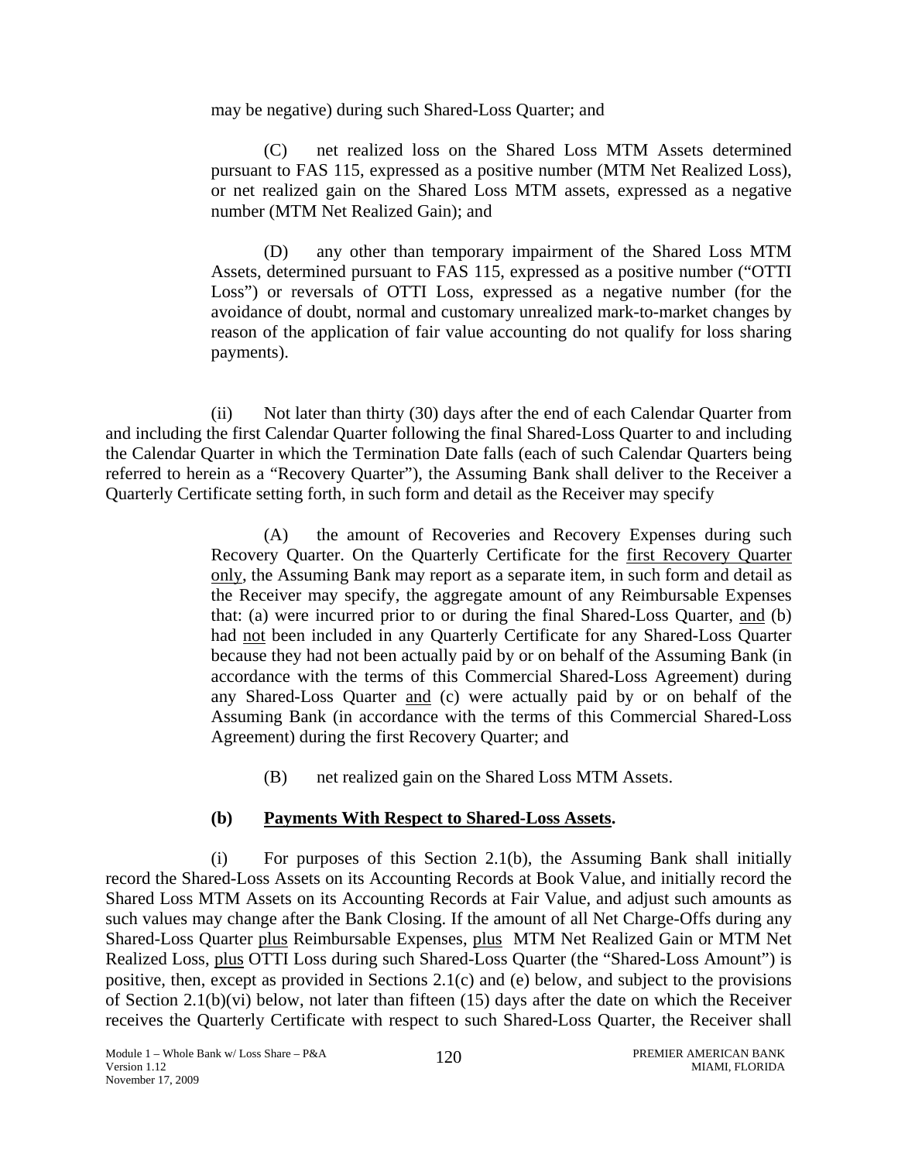may be negative) during such Shared-Loss Quarter; and

(C) net realized loss on the Shared Loss MTM Assets determined pursuant to FAS 115, expressed as a positive number (MTM Net Realized Loss), or net realized gain on the Shared Loss MTM assets, expressed as a negative number (MTM Net Realized Gain); and

(D) any other than temporary impairment of the Shared Loss MTM Assets, determined pursuant to FAS 115, expressed as a positive number ("OTTI Loss") or reversals of OTTI Loss, expressed as a negative number (for the avoidance of doubt, normal and customary unrealized mark-to-market changes by reason of the application of fair value accounting do not qualify for loss sharing payments).

(ii) Not later than thirty (30) days after the end of each Calendar Quarter from and including the first Calendar Quarter following the final Shared-Loss Quarter to and including the Calendar Quarter in which the Termination Date falls (each of such Calendar Quarters being referred to herein as a "Recovery Quarter"), the Assuming Bank shall deliver to the Receiver a Quarterly Certificate setting forth, in such form and detail as the Receiver may specify

> (A) the amount of Recoveries and Recovery Expenses during such Recovery Quarter. On the Quarterly Certificate for the first Recovery Quarter only, the Assuming Bank may report as a separate item, in such form and detail as the Receiver may specify, the aggregate amount of any Reimbursable Expenses that: (a) were incurred prior to or during the final Shared-Loss Quarter, and (b) had not been included in any Quarterly Certificate for any Shared-Loss Quarter because they had not been actually paid by or on behalf of the Assuming Bank (in accordance with the terms of this Commercial Shared-Loss Agreement) during any Shared-Loss Quarter and (c) were actually paid by or on behalf of the Assuming Bank (in accordance with the terms of this Commercial Shared-Loss Agreement) during the first Recovery Quarter; and

(B) net realized gain on the Shared Loss MTM Assets.

## **(b) Payments With Respect to Shared-Loss Assets.**

(i) For purposes of this Section 2.1(b), the Assuming Bank shall initially record the Shared-Loss Assets on its Accounting Records at Book Value, and initially record the Shared Loss MTM Assets on its Accounting Records at Fair Value, and adjust such amounts as such values may change after the Bank Closing. If the amount of all Net Charge-Offs during any Shared-Loss Quarter plus Reimbursable Expenses, plus MTM Net Realized Gain or MTM Net Realized Loss, plus OTTI Loss during such Shared-Loss Quarter (the "Shared-Loss Amount") is positive, then, except as provided in Sections 2.1(c) and (e) below, and subject to the provisions of Section 2.1(b)(vi) below, not later than fifteen (15) days after the date on which the Receiver receives the Quarterly Certificate with respect to such Shared-Loss Quarter, the Receiver shall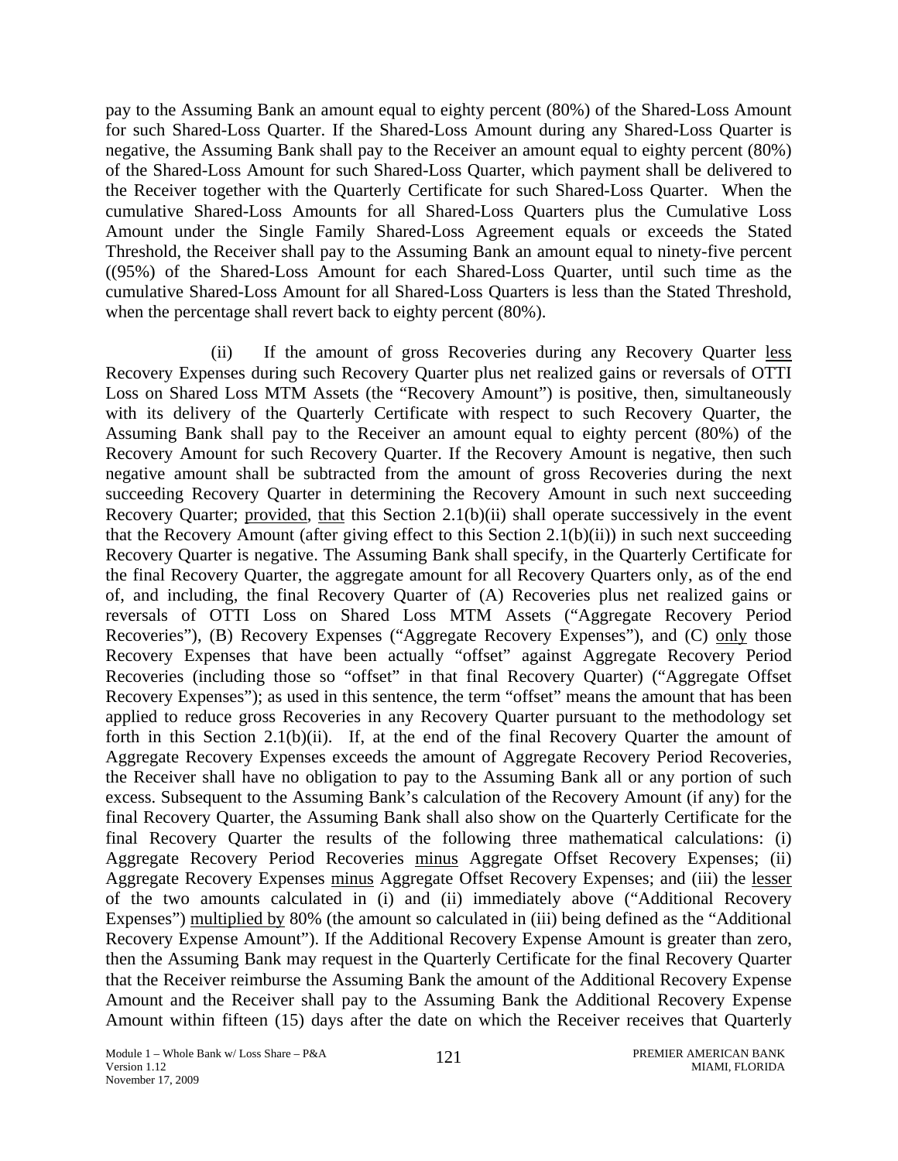pay to the Assuming Bank an amount equal to eighty percent (80%) of the Shared-Loss Amount for such Shared-Loss Quarter. If the Shared-Loss Amount during any Shared-Loss Quarter is negative, the Assuming Bank shall pay to the Receiver an amount equal to eighty percent (80%) of the Shared-Loss Amount for such Shared-Loss Quarter, which payment shall be delivered to the Receiver together with the Quarterly Certificate for such Shared-Loss Quarter. When the cumulative Shared-Loss Amounts for all Shared-Loss Quarters plus the Cumulative Loss Amount under the Single Family Shared-Loss Agreement equals or exceeds the Stated Threshold, the Receiver shall pay to the Assuming Bank an amount equal to ninety-five percent ((95%) of the Shared-Loss Amount for each Shared-Loss Quarter, until such time as the cumulative Shared-Loss Amount for all Shared-Loss Quarters is less than the Stated Threshold, when the percentage shall revert back to eighty percent (80%).

(ii) If the amount of gross Recoveries during any Recovery Quarter less Recovery Expenses during such Recovery Quarter plus net realized gains or reversals of OTTI Loss on Shared Loss MTM Assets (the "Recovery Amount") is positive, then, simultaneously with its delivery of the Quarterly Certificate with respect to such Recovery Quarter, the Assuming Bank shall pay to the Receiver an amount equal to eighty percent (80%) of the Recovery Amount for such Recovery Quarter. If the Recovery Amount is negative, then such negative amount shall be subtracted from the amount of gross Recoveries during the next succeeding Recovery Quarter in determining the Recovery Amount in such next succeeding Recovery Quarter; provided, that this Section 2.1(b)(ii) shall operate successively in the event that the Recovery Amount (after giving effect to this Section 2.1(b)(ii)) in such next succeeding Recovery Quarter is negative. The Assuming Bank shall specify, in the Quarterly Certificate for the final Recovery Quarter, the aggregate amount for all Recovery Quarters only, as of the end of, and including, the final Recovery Quarter of (A) Recoveries plus net realized gains or reversals of OTTI Loss on Shared Loss MTM Assets ("Aggregate Recovery Period Recoveries"), (B) Recovery Expenses ("Aggregate Recovery Expenses"), and (C) only those Recovery Expenses that have been actually "offset" against Aggregate Recovery Period Recoveries (including those so "offset" in that final Recovery Quarter) ("Aggregate Offset Recovery Expenses"); as used in this sentence, the term "offset" means the amount that has been applied to reduce gross Recoveries in any Recovery Quarter pursuant to the methodology set forth in this Section 2.1(b)(ii). If, at the end of the final Recovery Quarter the amount of Aggregate Recovery Expenses exceeds the amount of Aggregate Recovery Period Recoveries, the Receiver shall have no obligation to pay to the Assuming Bank all or any portion of such excess. Subsequent to the Assuming Bank's calculation of the Recovery Amount (if any) for the final Recovery Quarter, the Assuming Bank shall also show on the Quarterly Certificate for the final Recovery Quarter the results of the following three mathematical calculations: (i) Aggregate Recovery Period Recoveries minus Aggregate Offset Recovery Expenses; (ii) Aggregate Recovery Expenses minus Aggregate Offset Recovery Expenses; and (iii) the lesser of the two amounts calculated in (i) and (ii) immediately above ("Additional Recovery Expenses") multiplied by 80% (the amount so calculated in (iii) being defined as the "Additional Recovery Expense Amount"). If the Additional Recovery Expense Amount is greater than zero, then the Assuming Bank may request in the Quarterly Certificate for the final Recovery Quarter that the Receiver reimburse the Assuming Bank the amount of the Additional Recovery Expense Amount and the Receiver shall pay to the Assuming Bank the Additional Recovery Expense Amount within fifteen (15) days after the date on which the Receiver receives that Quarterly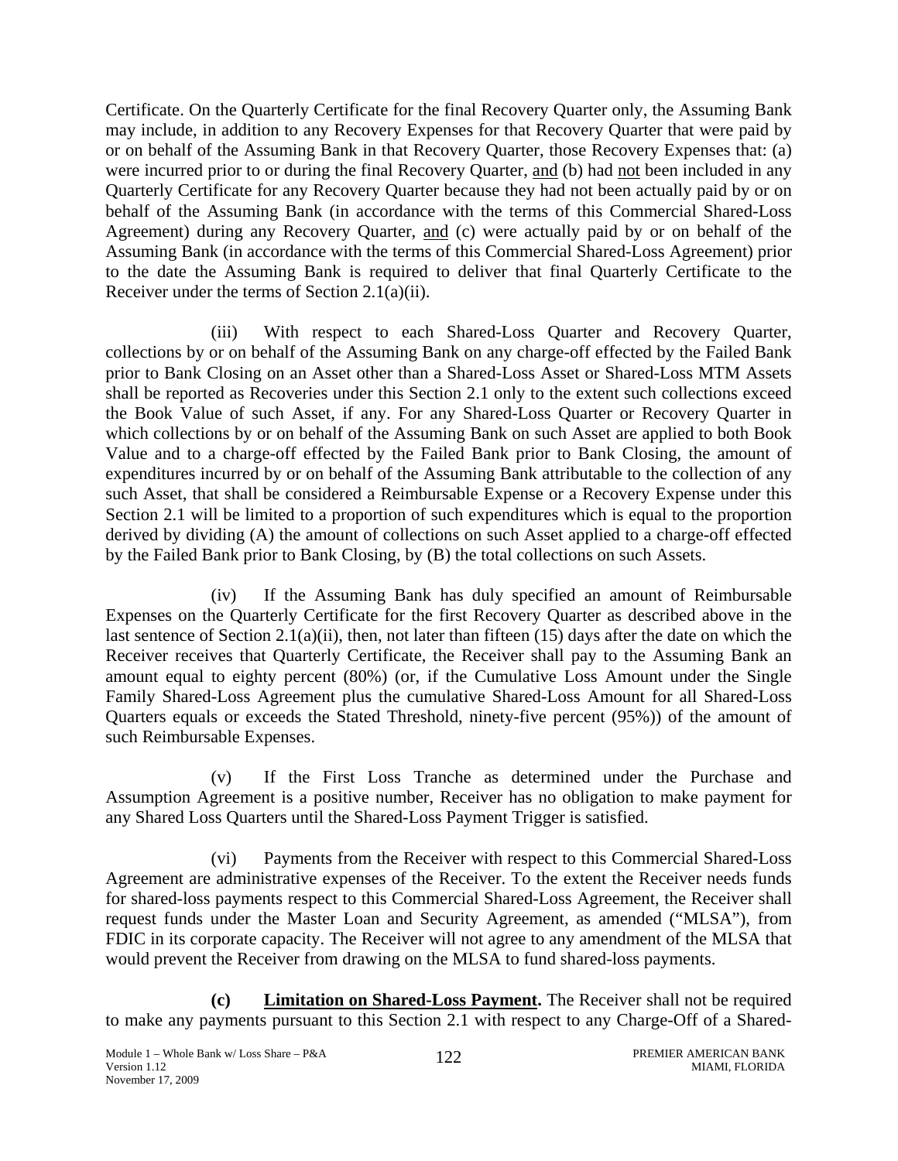Certificate. On the Quarterly Certificate for the final Recovery Quarter only, the Assuming Bank may include, in addition to any Recovery Expenses for that Recovery Quarter that were paid by or on behalf of the Assuming Bank in that Recovery Quarter, those Recovery Expenses that: (a) were incurred prior to or during the final Recovery Quarter, and (b) had not been included in any Quarterly Certificate for any Recovery Quarter because they had not been actually paid by or on behalf of the Assuming Bank (in accordance with the terms of this Commercial Shared-Loss Agreement) during any Recovery Quarter, and (c) were actually paid by or on behalf of the Assuming Bank (in accordance with the terms of this Commercial Shared-Loss Agreement) prior to the date the Assuming Bank is required to deliver that final Quarterly Certificate to the Receiver under the terms of Section 2.1(a)(ii).

(iii) With respect to each Shared-Loss Quarter and Recovery Quarter, collections by or on behalf of the Assuming Bank on any charge-off effected by the Failed Bank prior to Bank Closing on an Asset other than a Shared-Loss Asset or Shared-Loss MTM Assets shall be reported as Recoveries under this Section 2.1 only to the extent such collections exceed the Book Value of such Asset, if any. For any Shared-Loss Quarter or Recovery Quarter in which collections by or on behalf of the Assuming Bank on such Asset are applied to both Book Value and to a charge-off effected by the Failed Bank prior to Bank Closing, the amount of expenditures incurred by or on behalf of the Assuming Bank attributable to the collection of any such Asset, that shall be considered a Reimbursable Expense or a Recovery Expense under this Section 2.1 will be limited to a proportion of such expenditures which is equal to the proportion derived by dividing (A) the amount of collections on such Asset applied to a charge-off effected by the Failed Bank prior to Bank Closing, by (B) the total collections on such Assets.

(iv) If the Assuming Bank has duly specified an amount of Reimbursable Expenses on the Quarterly Certificate for the first Recovery Quarter as described above in the last sentence of Section 2.1(a)(ii), then, not later than fifteen (15) days after the date on which the Receiver receives that Quarterly Certificate, the Receiver shall pay to the Assuming Bank an amount equal to eighty percent (80%) (or, if the Cumulative Loss Amount under the Single Family Shared-Loss Agreement plus the cumulative Shared-Loss Amount for all Shared-Loss Quarters equals or exceeds the Stated Threshold, ninety-five percent (95%)) of the amount of such Reimbursable Expenses.

(v) If the First Loss Tranche as determined under the Purchase and Assumption Agreement is a positive number, Receiver has no obligation to make payment for any Shared Loss Quarters until the Shared-Loss Payment Trigger is satisfied.

(vi) Payments from the Receiver with respect to this Commercial Shared-Loss Agreement are administrative expenses of the Receiver. To the extent the Receiver needs funds for shared-loss payments respect to this Commercial Shared-Loss Agreement, the Receiver shall request funds under the Master Loan and Security Agreement, as amended ("MLSA"), from FDIC in its corporate capacity. The Receiver will not agree to any amendment of the MLSA that would prevent the Receiver from drawing on the MLSA to fund shared-loss payments.

**(c) Limitation on Shared-Loss Payment.** The Receiver shall not be required to make any payments pursuant to this Section 2.1 with respect to any Charge-Off of a Shared-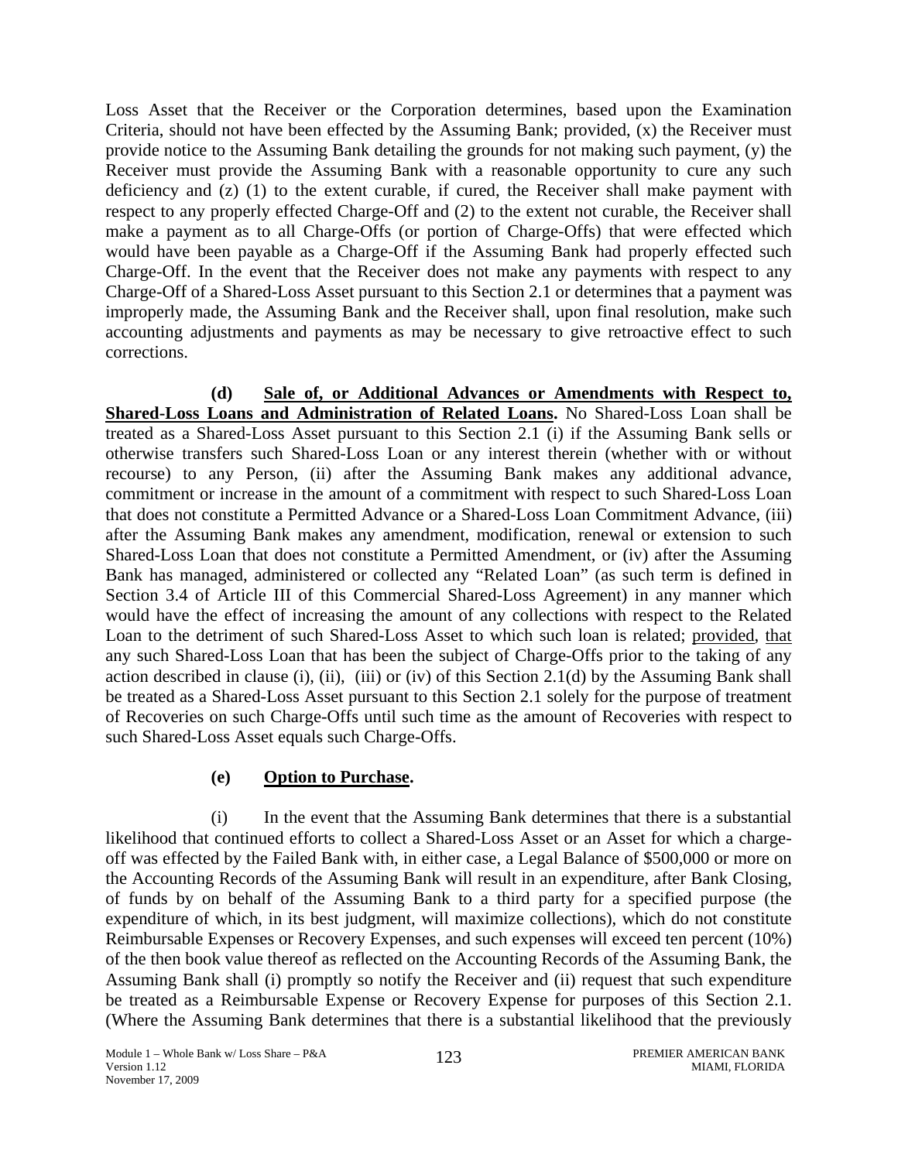Loss Asset that the Receiver or the Corporation determines, based upon the Examination Criteria, should not have been effected by the Assuming Bank; provided, (x) the Receiver must provide notice to the Assuming Bank detailing the grounds for not making such payment, (y) the Receiver must provide the Assuming Bank with a reasonable opportunity to cure any such deficiency and (z) (1) to the extent curable, if cured, the Receiver shall make payment with respect to any properly effected Charge-Off and (2) to the extent not curable, the Receiver shall make a payment as to all Charge-Offs (or portion of Charge-Offs) that were effected which would have been payable as a Charge-Off if the Assuming Bank had properly effected such Charge-Off. In the event that the Receiver does not make any payments with respect to any Charge-Off of a Shared-Loss Asset pursuant to this Section 2.1 or determines that a payment was improperly made, the Assuming Bank and the Receiver shall, upon final resolution, make such accounting adjustments and payments as may be necessary to give retroactive effect to such corrections.

Loan to the detriment of such Shared-Loss Asset to which such loan is related; provided, that **(d) Sale of, or Additional Advances or Amendments with Respect to, Shared-Loss Loans and Administration of Related Loans.** No Shared-Loss Loan shall be treated as a Shared-Loss Asset pursuant to this Section 2.1 (i) if the Assuming Bank sells or otherwise transfers such Shared-Loss Loan or any interest therein (whether with or without recourse) to any Person, (ii) after the Assuming Bank makes any additional advance, commitment or increase in the amount of a commitment with respect to such Shared-Loss Loan that does not constitute a Permitted Advance or a Shared-Loss Loan Commitment Advance, (iii) after the Assuming Bank makes any amendment, modification, renewal or extension to such Shared-Loss Loan that does not constitute a Permitted Amendment, or (iv) after the Assuming Bank has managed, administered or collected any "Related Loan" (as such term is defined in Section 3.4 of Article III of this Commercial Shared-Loss Agreement) in any manner which would have the effect of increasing the amount of any collections with respect to the Related any such Shared-Loss Loan that has been the subject of Charge-Offs prior to the taking of any action described in clause (i), (ii), (iii) or (iv) of this Section 2.1(d) by the Assuming Bank shall be treated as a Shared-Loss Asset pursuant to this Section 2.1 solely for the purpose of treatment of Recoveries on such Charge-Offs until such time as the amount of Recoveries with respect to such Shared-Loss Asset equals such Charge-Offs.

#### **(e) Option to Purchase.**

(i) In the event that the Assuming Bank determines that there is a substantial likelihood that continued efforts to collect a Shared-Loss Asset or an Asset for which a chargeoff was effected by the Failed Bank with, in either case, a Legal Balance of \$500,000 or more on the Accounting Records of the Assuming Bank will result in an expenditure, after Bank Closing, of funds by on behalf of the Assuming Bank to a third party for a specified purpose (the expenditure of which, in its best judgment, will maximize collections), which do not constitute Reimbursable Expenses or Recovery Expenses, and such expenses will exceed ten percent (10%) of the then book value thereof as reflected on the Accounting Records of the Assuming Bank, the Assuming Bank shall (i) promptly so notify the Receiver and (ii) request that such expenditure be treated as a Reimbursable Expense or Recovery Expense for purposes of this Section 2.1. (Where the Assuming Bank determines that there is a substantial likelihood that the previously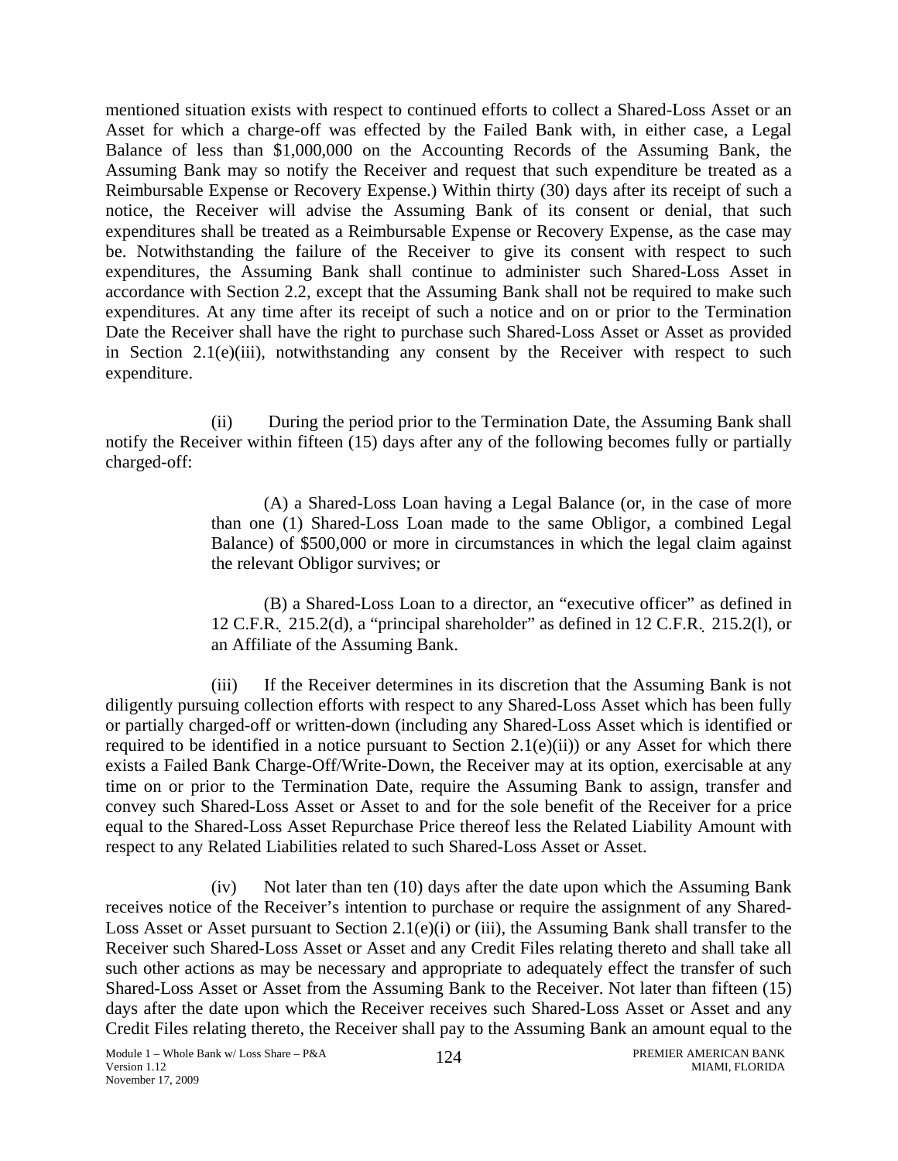mentioned situation exists with respect to continued efforts to collect a Shared-Loss Asset or an Asset for which a charge-off was effected by the Failed Bank with, in either case, a Legal Balance of less than \$1,000,000 on the Accounting Records of the Assuming Bank, the Assuming Bank may so notify the Receiver and request that such expenditure be treated as a Reimbursable Expense or Recovery Expense.) Within thirty (30) days after its receipt of such a notice, the Receiver will advise the Assuming Bank of its consent or denial, that such expenditures shall be treated as a Reimbursable Expense or Recovery Expense, as the case may be. Notwithstanding the failure of the Receiver to give its consent with respect to such expenditures, the Assuming Bank shall continue to administer such Shared-Loss Asset in accordance with Section 2.2, except that the Assuming Bank shall not be required to make such expenditures. At any time after its receipt of such a notice and on or prior to the Termination Date the Receiver shall have the right to purchase such Shared-Loss Asset or Asset as provided in Section 2.1(e)(iii), notwithstanding any consent by the Receiver with respect to such expenditure.

(ii) During the period prior to the Termination Date, the Assuming Bank shall notify the Receiver within fifteen (15) days after any of the following becomes fully or partially charged-off:

> (A) a Shared-Loss Loan having a Legal Balance (or, in the case of more than one (1) Shared-Loss Loan made to the same Obligor, a combined Legal Balance) of \$500,000 or more in circumstances in which the legal claim against the relevant Obligor survives; or

> (B) a Shared-Loss Loan to a director, an "executive officer" as defined in 12 C.F.R. 215.2(d), a "principal shareholder" as defined in 12 C.F.R. 215.2(l), or an Affiliate of the Assuming Bank.

(iii) If the Receiver determines in its discretion that the Assuming Bank is not diligently pursuing collection efforts with respect to any Shared-Loss Asset which has been fully or partially charged-off or written-down (including any Shared-Loss Asset which is identified or required to be identified in a notice pursuant to Section 2.1(e)(ii)) or any Asset for which there exists a Failed Bank Charge-Off/Write-Down, the Receiver may at its option, exercisable at any time on or prior to the Termination Date, require the Assuming Bank to assign, transfer and convey such Shared-Loss Asset or Asset to and for the sole benefit of the Receiver for a price equal to the Shared-Loss Asset Repurchase Price thereof less the Related Liability Amount with respect to any Related Liabilities related to such Shared-Loss Asset or Asset.

(iv) Not later than ten (10) days after the date upon which the Assuming Bank receives notice of the Receiver's intention to purchase or require the assignment of any Shared-Loss Asset or Asset pursuant to Section 2.1(e)(i) or (iii), the Assuming Bank shall transfer to the Receiver such Shared-Loss Asset or Asset and any Credit Files relating thereto and shall take all such other actions as may be necessary and appropriate to adequately effect the transfer of such Shared-Loss Asset or Asset from the Assuming Bank to the Receiver. Not later than fifteen (15) days after the date upon which the Receiver receives such Shared-Loss Asset or Asset and any Credit Files relating thereto, the Receiver shall pay to the Assuming Bank an amount equal to the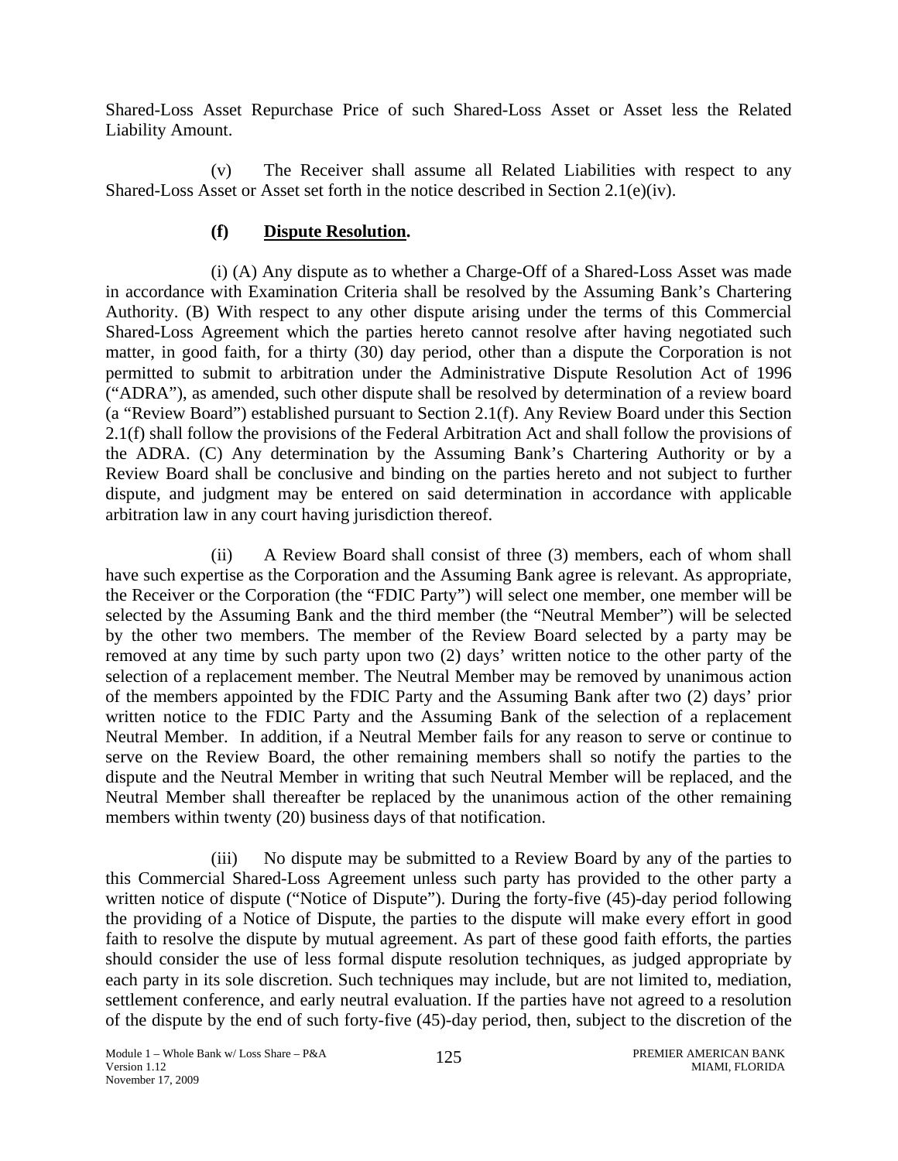Shared-Loss Asset Repurchase Price of such Shared-Loss Asset or Asset less the Related Liability Amount.

(v) The Receiver shall assume all Related Liabilities with respect to any Shared-Loss Asset or Asset set forth in the notice described in Section 2.1(e)(iv).

#### **(f) Dispute Resolution.**

(i) (A) Any dispute as to whether a Charge-Off of a Shared-Loss Asset was made in accordance with Examination Criteria shall be resolved by the Assuming Bank's Chartering Authority. (B) With respect to any other dispute arising under the terms of this Commercial Shared-Loss Agreement which the parties hereto cannot resolve after having negotiated such matter, in good faith, for a thirty (30) day period, other than a dispute the Corporation is not permitted to submit to arbitration under the Administrative Dispute Resolution Act of 1996 ("ADRA"), as amended, such other dispute shall be resolved by determination of a review board (a "Review Board") established pursuant to Section 2.1(f). Any Review Board under this Section 2.1(f) shall follow the provisions of the Federal Arbitration Act and shall follow the provisions of the ADRA. (C) Any determination by the Assuming Bank's Chartering Authority or by a Review Board shall be conclusive and binding on the parties hereto and not subject to further dispute, and judgment may be entered on said determination in accordance with applicable arbitration law in any court having jurisdiction thereof.

(ii) A Review Board shall consist of three (3) members, each of whom shall have such expertise as the Corporation and the Assuming Bank agree is relevant. As appropriate, the Receiver or the Corporation (the "FDIC Party") will select one member, one member will be selected by the Assuming Bank and the third member (the "Neutral Member") will be selected by the other two members. The member of the Review Board selected by a party may be removed at any time by such party upon two (2) days' written notice to the other party of the selection of a replacement member. The Neutral Member may be removed by unanimous action of the members appointed by the FDIC Party and the Assuming Bank after two (2) days' prior written notice to the FDIC Party and the Assuming Bank of the selection of a replacement Neutral Member. In addition, if a Neutral Member fails for any reason to serve or continue to serve on the Review Board, the other remaining members shall so notify the parties to the dispute and the Neutral Member in writing that such Neutral Member will be replaced, and the Neutral Member shall thereafter be replaced by the unanimous action of the other remaining members within twenty (20) business days of that notification.

(iii) No dispute may be submitted to a Review Board by any of the parties to this Commercial Shared-Loss Agreement unless such party has provided to the other party a written notice of dispute ("Notice of Dispute"). During the forty-five (45)-day period following the providing of a Notice of Dispute, the parties to the dispute will make every effort in good faith to resolve the dispute by mutual agreement. As part of these good faith efforts, the parties should consider the use of less formal dispute resolution techniques, as judged appropriate by each party in its sole discretion. Such techniques may include, but are not limited to, mediation, settlement conference, and early neutral evaluation. If the parties have not agreed to a resolution of the dispute by the end of such forty-five (45)-day period, then, subject to the discretion of the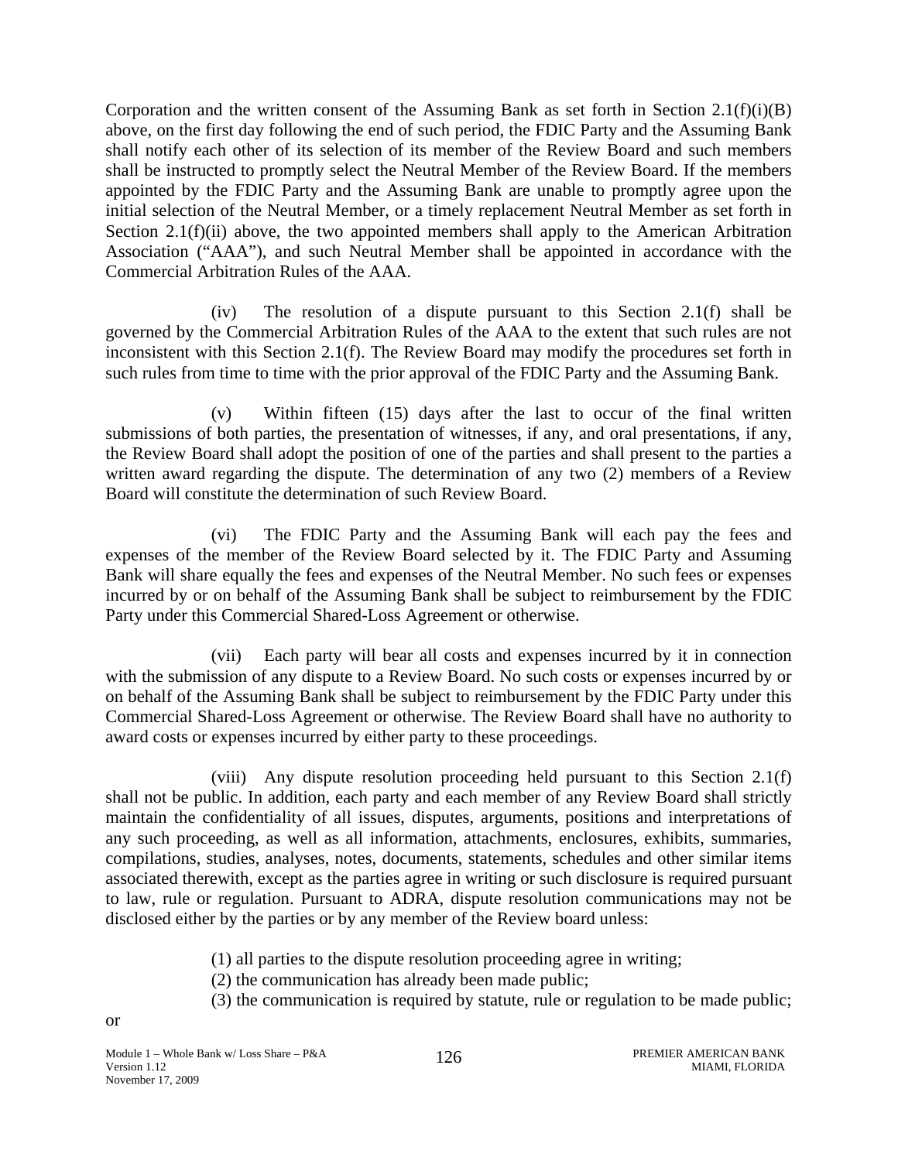Corporation and the written consent of the Assuming Bank as set forth in Section  $2.1(f)(i)(B)$ above, on the first day following the end of such period, the FDIC Party and the Assuming Bank shall notify each other of its selection of its member of the Review Board and such members shall be instructed to promptly select the Neutral Member of the Review Board. If the members appointed by the FDIC Party and the Assuming Bank are unable to promptly agree upon the initial selection of the Neutral Member, or a timely replacement Neutral Member as set forth in Section 2.1(f)(ii) above, the two appointed members shall apply to the American Arbitration Association ("AAA"), and such Neutral Member shall be appointed in accordance with the Commercial Arbitration Rules of the AAA.

(iv) The resolution of a dispute pursuant to this Section 2.1(f) shall be governed by the Commercial Arbitration Rules of the AAA to the extent that such rules are not inconsistent with this Section 2.1(f). The Review Board may modify the procedures set forth in such rules from time to time with the prior approval of the FDIC Party and the Assuming Bank.

(v) Within fifteen (15) days after the last to occur of the final written submissions of both parties, the presentation of witnesses, if any, and oral presentations, if any, the Review Board shall adopt the position of one of the parties and shall present to the parties a written award regarding the dispute. The determination of any two (2) members of a Review Board will constitute the determination of such Review Board.

(vi) The FDIC Party and the Assuming Bank will each pay the fees and expenses of the member of the Review Board selected by it. The FDIC Party and Assuming Bank will share equally the fees and expenses of the Neutral Member. No such fees or expenses incurred by or on behalf of the Assuming Bank shall be subject to reimbursement by the FDIC Party under this Commercial Shared-Loss Agreement or otherwise.

(vii) Each party will bear all costs and expenses incurred by it in connection with the submission of any dispute to a Review Board. No such costs or expenses incurred by or on behalf of the Assuming Bank shall be subject to reimbursement by the FDIC Party under this Commercial Shared-Loss Agreement or otherwise. The Review Board shall have no authority to award costs or expenses incurred by either party to these proceedings.

(viii) Any dispute resolution proceeding held pursuant to this Section 2.1(f) shall not be public. In addition, each party and each member of any Review Board shall strictly maintain the confidentiality of all issues, disputes, arguments, positions and interpretations of any such proceeding, as well as all information, attachments, enclosures, exhibits, summaries, compilations, studies, analyses, notes, documents, statements, schedules and other similar items associated therewith, except as the parties agree in writing or such disclosure is required pursuant to law, rule or regulation. Pursuant to ADRA, dispute resolution communications may not be disclosed either by the parties or by any member of the Review board unless:

(1) all parties to the dispute resolution proceeding agree in writing;

- (2) the communication has already been made public;
- (3) the communication is required by statute, rule or regulation to be made public;

or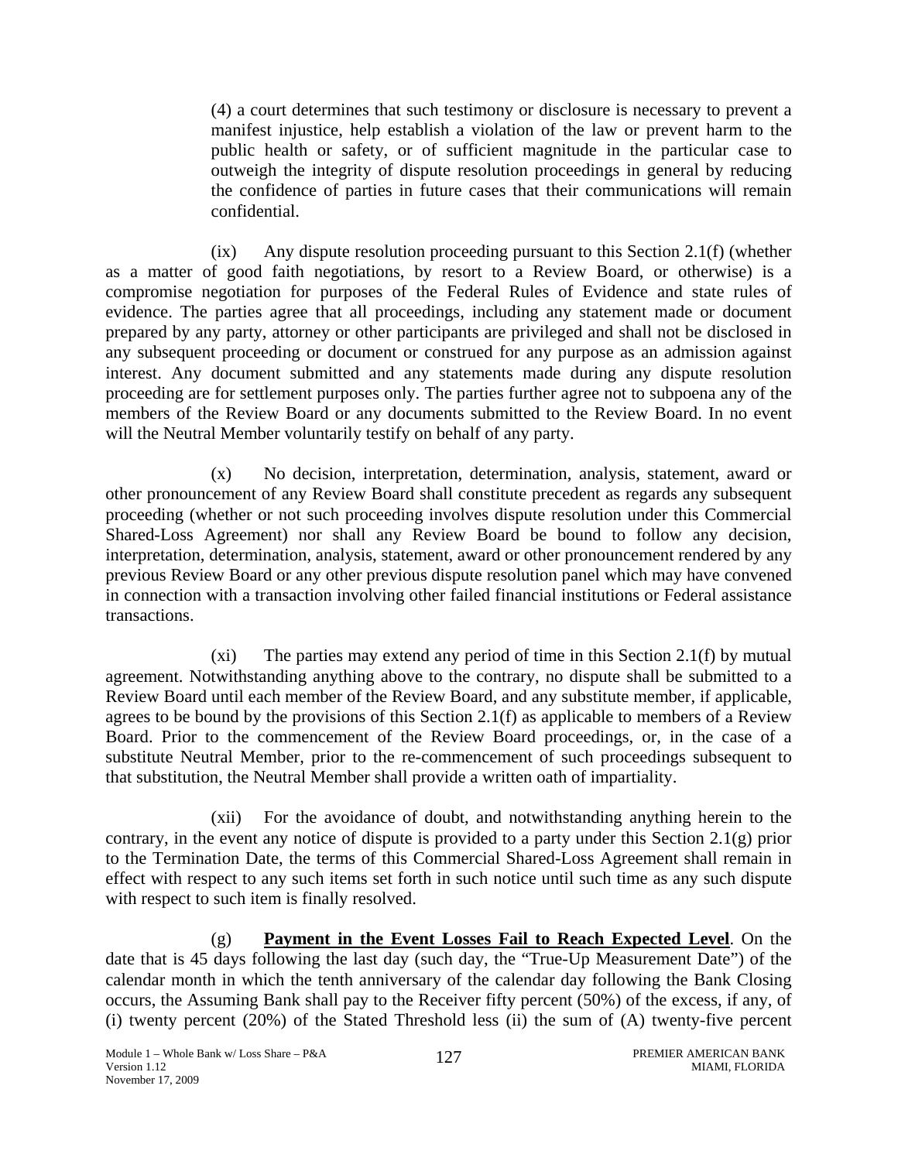(4) a court determines that such testimony or disclosure is necessary to prevent a manifest injustice, help establish a violation of the law or prevent harm to the public health or safety, or of sufficient magnitude in the particular case to outweigh the integrity of dispute resolution proceedings in general by reducing the confidence of parties in future cases that their communications will remain confidential.

(ix) Any dispute resolution proceeding pursuant to this Section 2.1(f) (whether as a matter of good faith negotiations, by resort to a Review Board, or otherwise) is a compromise negotiation for purposes of the Federal Rules of Evidence and state rules of evidence. The parties agree that all proceedings, including any statement made or document prepared by any party, attorney or other participants are privileged and shall not be disclosed in any subsequent proceeding or document or construed for any purpose as an admission against interest. Any document submitted and any statements made during any dispute resolution proceeding are for settlement purposes only. The parties further agree not to subpoena any of the members of the Review Board or any documents submitted to the Review Board. In no event will the Neutral Member voluntarily testify on behalf of any party.

(x) No decision, interpretation, determination, analysis, statement, award or other pronouncement of any Review Board shall constitute precedent as regards any subsequent proceeding (whether or not such proceeding involves dispute resolution under this Commercial Shared-Loss Agreement) nor shall any Review Board be bound to follow any decision, interpretation, determination, analysis, statement, award or other pronouncement rendered by any previous Review Board or any other previous dispute resolution panel which may have convened in connection with a transaction involving other failed financial institutions or Federal assistance transactions.

(xi) The parties may extend any period of time in this Section 2.1(f) by mutual agreement. Notwithstanding anything above to the contrary, no dispute shall be submitted to a Review Board until each member of the Review Board, and any substitute member, if applicable, agrees to be bound by the provisions of this Section 2.1(f) as applicable to members of a Review Board. Prior to the commencement of the Review Board proceedings, or, in the case of a substitute Neutral Member, prior to the re-commencement of such proceedings subsequent to that substitution, the Neutral Member shall provide a written oath of impartiality.

(xii) For the avoidance of doubt, and notwithstanding anything herein to the contrary, in the event any notice of dispute is provided to a party under this Section 2.1(g) prior to the Termination Date, the terms of this Commercial Shared-Loss Agreement shall remain in effect with respect to any such items set forth in such notice until such time as any such dispute with respect to such item is finally resolved.

 (g) **Payment in the Event Losses Fail to Reach Expected Level**. On the date that is 45 days following the last day (such day, the "True-Up Measurement Date") of the calendar month in which the tenth anniversary of the calendar day following the Bank Closing occurs, the Assuming Bank shall pay to the Receiver fifty percent (50%) of the excess, if any, of (i) twenty percent (20%) of the Stated Threshold less (ii) the sum of (A) twenty-five percent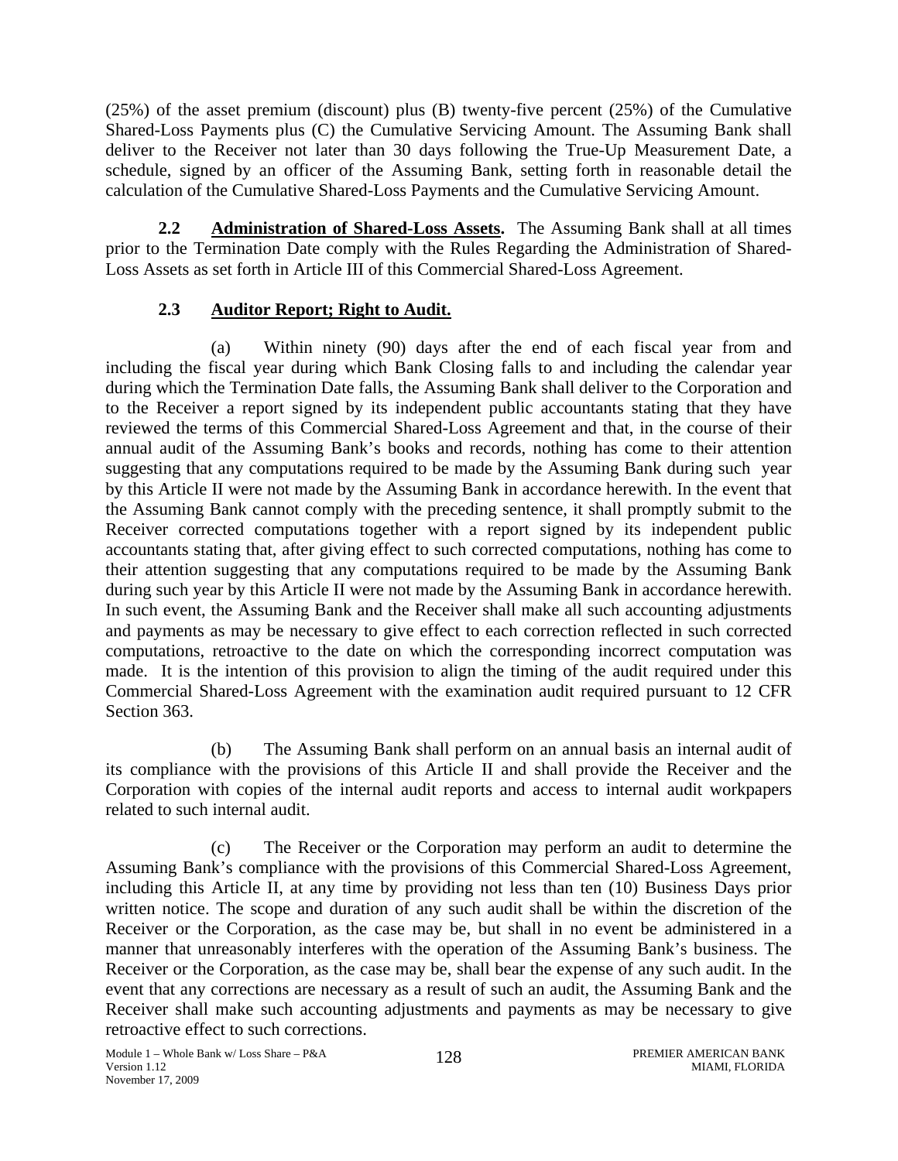(25%) of the asset premium (discount) plus (B) twenty-five percent (25%) of the Cumulative Shared-Loss Payments plus (C) the Cumulative Servicing Amount. The Assuming Bank shall deliver to the Receiver not later than 30 days following the True-Up Measurement Date, a schedule, signed by an officer of the Assuming Bank, setting forth in reasonable detail the calculation of the Cumulative Shared-Loss Payments and the Cumulative Servicing Amount.

**2.2 Administration of Shared-Loss Assets.** The Assuming Bank shall at all times prior to the Termination Date comply with the Rules Regarding the Administration of Shared-Loss Assets as set forth in Article III of this Commercial Shared-Loss Agreement.

## **2.3 Auditor Report; Right to Audit.**

(a) Within ninety (90) days after the end of each fiscal year from and including the fiscal year during which Bank Closing falls to and including the calendar year during which the Termination Date falls, the Assuming Bank shall deliver to the Corporation and to the Receiver a report signed by its independent public accountants stating that they have reviewed the terms of this Commercial Shared-Loss Agreement and that, in the course of their annual audit of the Assuming Bank's books and records, nothing has come to their attention suggesting that any computations required to be made by the Assuming Bank during such year by this Article II were not made by the Assuming Bank in accordance herewith. In the event that the Assuming Bank cannot comply with the preceding sentence, it shall promptly submit to the Receiver corrected computations together with a report signed by its independent public accountants stating that, after giving effect to such corrected computations, nothing has come to their attention suggesting that any computations required to be made by the Assuming Bank during such year by this Article II were not made by the Assuming Bank in accordance herewith. In such event, the Assuming Bank and the Receiver shall make all such accounting adjustments and payments as may be necessary to give effect to each correction reflected in such corrected computations, retroactive to the date on which the corresponding incorrect computation was made. It is the intention of this provision to align the timing of the audit required under this Commercial Shared-Loss Agreement with the examination audit required pursuant to 12 CFR Section 363.

(b) The Assuming Bank shall perform on an annual basis an internal audit of its compliance with the provisions of this Article II and shall provide the Receiver and the Corporation with copies of the internal audit reports and access to internal audit workpapers related to such internal audit.

(c) The Receiver or the Corporation may perform an audit to determine the Assuming Bank's compliance with the provisions of this Commercial Shared-Loss Agreement, including this Article II, at any time by providing not less than ten (10) Business Days prior written notice. The scope and duration of any such audit shall be within the discretion of the Receiver or the Corporation, as the case may be, but shall in no event be administered in a manner that unreasonably interferes with the operation of the Assuming Bank's business. The Receiver or the Corporation, as the case may be, shall bear the expense of any such audit. In the event that any corrections are necessary as a result of such an audit, the Assuming Bank and the Receiver shall make such accounting adjustments and payments as may be necessary to give retroactive effect to such corrections.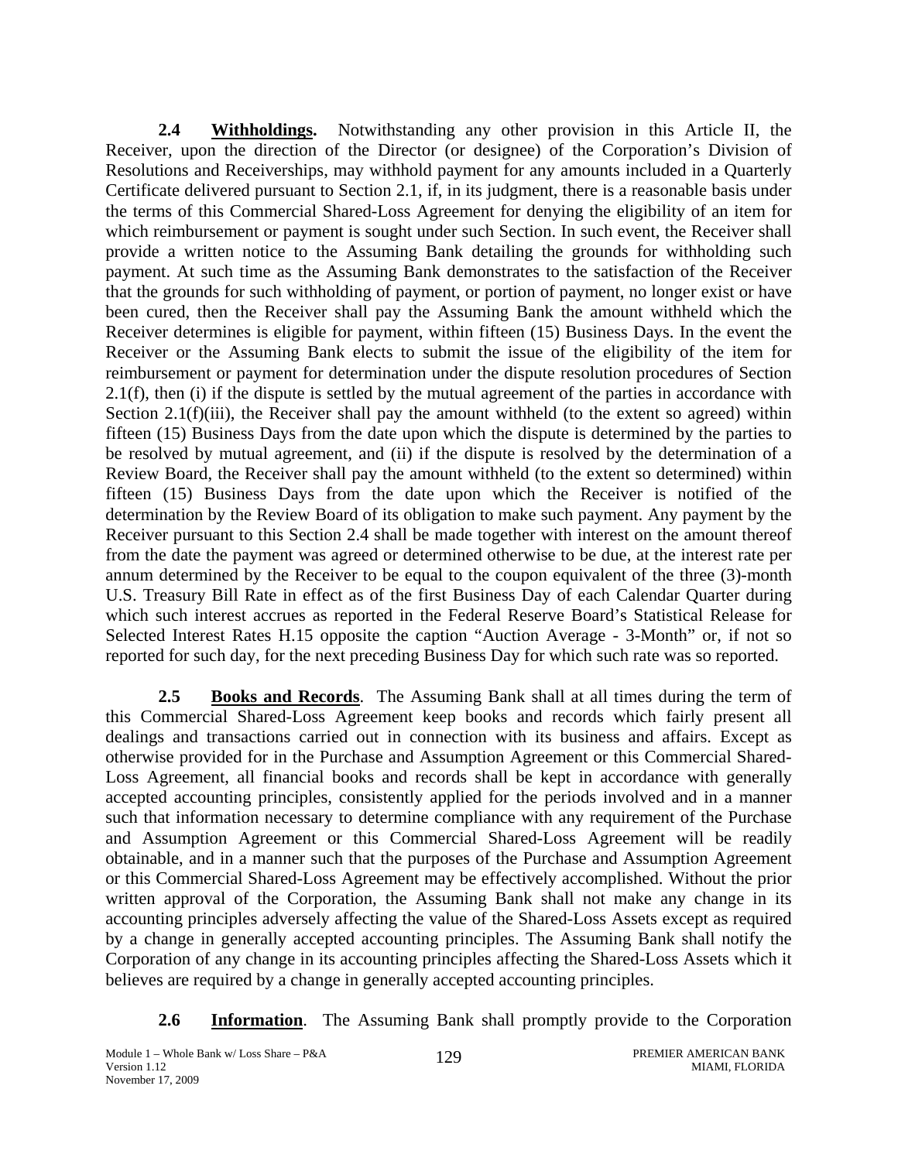**2.4 Withholdings.** Notwithstanding any other provision in this Article II, the Receiver, upon the direction of the Director (or designee) of the Corporation's Division of Resolutions and Receiverships, may withhold payment for any amounts included in a Quarterly Certificate delivered pursuant to Section 2.1, if, in its judgment, there is a reasonable basis under the terms of this Commercial Shared-Loss Agreement for denying the eligibility of an item for which reimbursement or payment is sought under such Section. In such event, the Receiver shall provide a written notice to the Assuming Bank detailing the grounds for withholding such payment. At such time as the Assuming Bank demonstrates to the satisfaction of the Receiver that the grounds for such withholding of payment, or portion of payment, no longer exist or have been cured, then the Receiver shall pay the Assuming Bank the amount withheld which the Receiver determines is eligible for payment, within fifteen (15) Business Days. In the event the Receiver or the Assuming Bank elects to submit the issue of the eligibility of the item for reimbursement or payment for determination under the dispute resolution procedures of Section 2.1(f), then (i) if the dispute is settled by the mutual agreement of the parties in accordance with Section 2.1(f)(iii), the Receiver shall pay the amount withheld (to the extent so agreed) within fifteen (15) Business Days from the date upon which the dispute is determined by the parties to be resolved by mutual agreement, and (ii) if the dispute is resolved by the determination of a Review Board, the Receiver shall pay the amount withheld (to the extent so determined) within fifteen (15) Business Days from the date upon which the Receiver is notified of the determination by the Review Board of its obligation to make such payment. Any payment by the Receiver pursuant to this Section 2.4 shall be made together with interest on the amount thereof from the date the payment was agreed or determined otherwise to be due, at the interest rate per annum determined by the Receiver to be equal to the coupon equivalent of the three (3)-month U.S. Treasury Bill Rate in effect as of the first Business Day of each Calendar Quarter during which such interest accrues as reported in the Federal Reserve Board's Statistical Release for Selected Interest Rates H.15 opposite the caption "Auction Average - 3-Month" or, if not so reported for such day, for the next preceding Business Day for which such rate was so reported.

**2.5 Books and Records**. The Assuming Bank shall at all times during the term of this Commercial Shared-Loss Agreement keep books and records which fairly present all dealings and transactions carried out in connection with its business and affairs. Except as otherwise provided for in the Purchase and Assumption Agreement or this Commercial Shared-Loss Agreement, all financial books and records shall be kept in accordance with generally accepted accounting principles, consistently applied for the periods involved and in a manner such that information necessary to determine compliance with any requirement of the Purchase and Assumption Agreement or this Commercial Shared-Loss Agreement will be readily obtainable, and in a manner such that the purposes of the Purchase and Assumption Agreement or this Commercial Shared-Loss Agreement may be effectively accomplished. Without the prior written approval of the Corporation, the Assuming Bank shall not make any change in its accounting principles adversely affecting the value of the Shared-Loss Assets except as required by a change in generally accepted accounting principles. The Assuming Bank shall notify the Corporation of any change in its accounting principles affecting the Shared-Loss Assets which it believes are required by a change in generally accepted accounting principles.

**2.6 Information**. The Assuming Bank shall promptly provide to the Corporation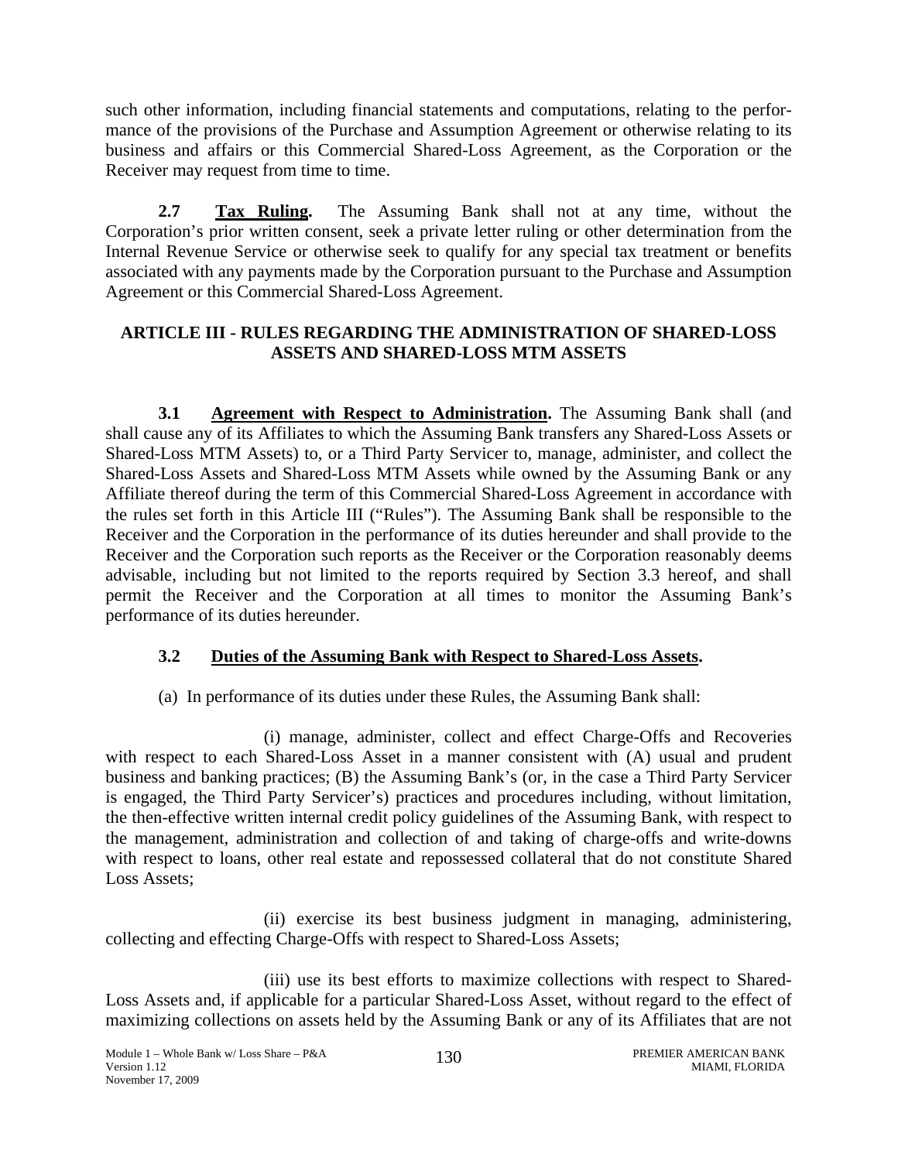such other information, including financial statements and computations, relating to the performance of the provisions of the Purchase and Assumption Agreement or otherwise relating to its business and affairs or this Commercial Shared-Loss Agreement, as the Corporation or the Receiver may request from time to time.

**2.7 Tax Ruling.** The Assuming Bank shall not at any time, without the Corporation's prior written consent, seek a private letter ruling or other determination from the Internal Revenue Service or otherwise seek to qualify for any special tax treatment or benefits associated with any payments made by the Corporation pursuant to the Purchase and Assumption Agreement or this Commercial Shared-Loss Agreement.

### **ARTICLE III - RULES REGARDING THE ADMINISTRATION OF SHARED-LOSS ASSETS AND SHARED-LOSS MTM ASSETS**

**3.1 Agreement with Respect to Administration.** The Assuming Bank shall (and shall cause any of its Affiliates to which the Assuming Bank transfers any Shared-Loss Assets or Shared-Loss MTM Assets) to, or a Third Party Servicer to, manage, administer, and collect the Shared-Loss Assets and Shared-Loss MTM Assets while owned by the Assuming Bank or any Affiliate thereof during the term of this Commercial Shared-Loss Agreement in accordance with the rules set forth in this Article III ("Rules"). The Assuming Bank shall be responsible to the Receiver and the Corporation in the performance of its duties hereunder and shall provide to the Receiver and the Corporation such reports as the Receiver or the Corporation reasonably deems advisable, including but not limited to the reports required by Section 3.3 hereof, and shall permit the Receiver and the Corporation at all times to monitor the Assuming Bank's performance of its duties hereunder.

## **3.2 Duties of the Assuming Bank with Respect to Shared-Loss Assets.**

(a) In performance of its duties under these Rules, the Assuming Bank shall:

(i) manage, administer, collect and effect Charge-Offs and Recoveries with respect to each Shared-Loss Asset in a manner consistent with (A) usual and prudent business and banking practices; (B) the Assuming Bank's (or, in the case a Third Party Servicer is engaged, the Third Party Servicer's) practices and procedures including, without limitation, the then-effective written internal credit policy guidelines of the Assuming Bank, with respect to the management, administration and collection of and taking of charge-offs and write-downs with respect to loans, other real estate and repossessed collateral that do not constitute Shared Loss Assets;

(ii) exercise its best business judgment in managing, administering, collecting and effecting Charge-Offs with respect to Shared-Loss Assets;

(iii) use its best efforts to maximize collections with respect to Shared-Loss Assets and, if applicable for a particular Shared-Loss Asset, without regard to the effect of maximizing collections on assets held by the Assuming Bank or any of its Affiliates that are not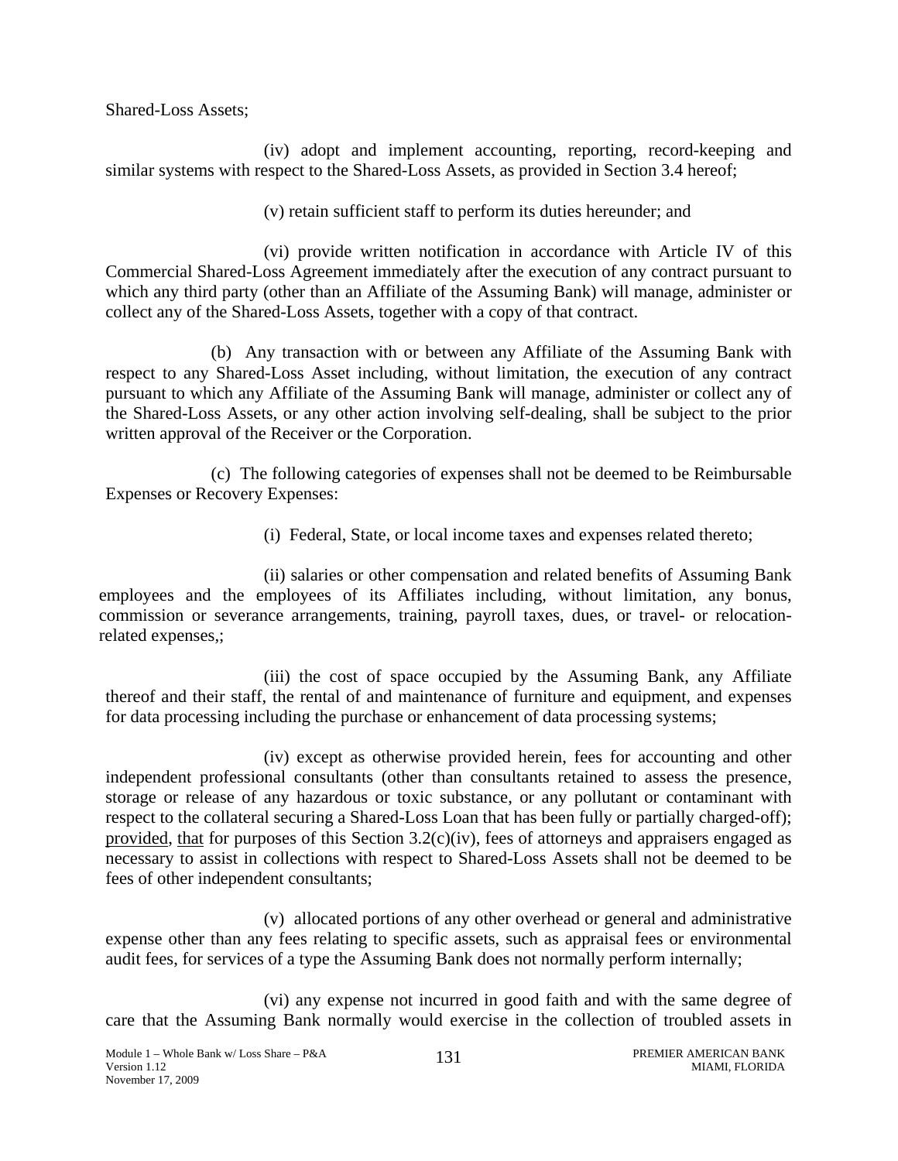Shared-Loss Assets;

(iv) adopt and implement accounting, reporting, record-keeping and similar systems with respect to the Shared-Loss Assets, as provided in Section 3.4 hereof;

(v) retain sufficient staff to perform its duties hereunder; and

(vi) provide written notification in accordance with Article IV of this Commercial Shared-Loss Agreement immediately after the execution of any contract pursuant to which any third party (other than an Affiliate of the Assuming Bank) will manage, administer or collect any of the Shared-Loss Assets, together with a copy of that contract.

(b) Any transaction with or between any Affiliate of the Assuming Bank with respect to any Shared-Loss Asset including, without limitation, the execution of any contract pursuant to which any Affiliate of the Assuming Bank will manage, administer or collect any of the Shared-Loss Assets, or any other action involving self-dealing, shall be subject to the prior written approval of the Receiver or the Corporation.

(c) The following categories of expenses shall not be deemed to be Reimbursable Expenses or Recovery Expenses:

(i) Federal, State, or local income taxes and expenses related thereto;

(ii) salaries or other compensation and related benefits of Assuming Bank employees and the employees of its Affiliates including, without limitation, any bonus, commission or severance arrangements, training, payroll taxes, dues, or travel- or relocationrelated expenses,;

(iii) the cost of space occupied by the Assuming Bank, any Affiliate thereof and their staff, the rental of and maintenance of furniture and equipment, and expenses for data processing including the purchase or enhancement of data processing systems;

(iv) except as otherwise provided herein, fees for accounting and other independent professional consultants (other than consultants retained to assess the presence, storage or release of any hazardous or toxic substance, or any pollutant or contaminant with respect to the collateral securing a Shared-Loss Loan that has been fully or partially charged-off); provided, that for purposes of this Section 3.2(c)(iv), fees of attorneys and appraisers engaged as necessary to assist in collections with respect to Shared-Loss Assets shall not be deemed to be fees of other independent consultants;

(v) allocated portions of any other overhead or general and administrative expense other than any fees relating to specific assets, such as appraisal fees or environmental audit fees, for services of a type the Assuming Bank does not normally perform internally;

(vi) any expense not incurred in good faith and with the same degree of care that the Assuming Bank normally would exercise in the collection of troubled assets in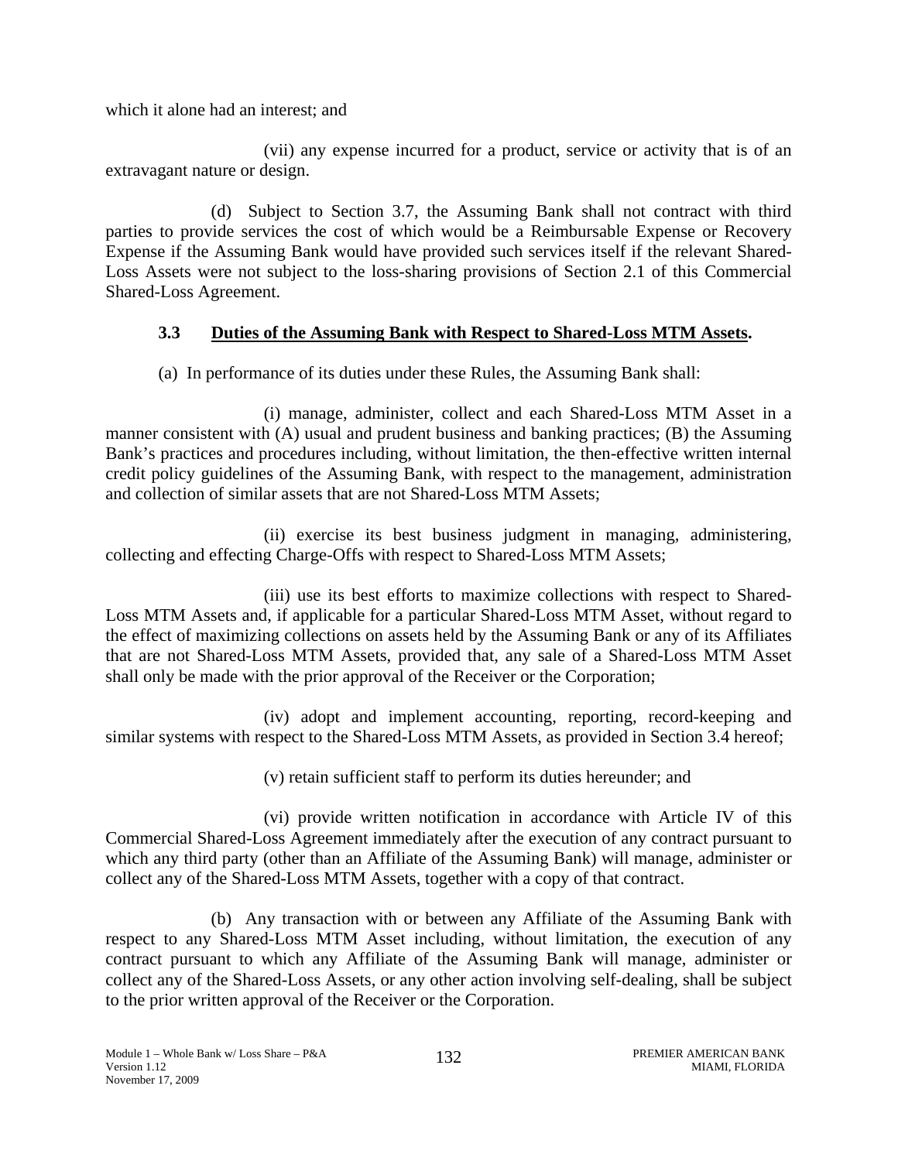which it alone had an interest; and

(vii) any expense incurred for a product, service or activity that is of an extravagant nature or design.

(d) Subject to Section 3.7, the Assuming Bank shall not contract with third parties to provide services the cost of which would be a Reimbursable Expense or Recovery Expense if the Assuming Bank would have provided such services itself if the relevant Shared-Loss Assets were not subject to the loss-sharing provisions of Section 2.1 of this Commercial Shared-Loss Agreement.

### **3.3 Duties of the Assuming Bank with Respect to Shared-Loss MTM Assets.**

(a) In performance of its duties under these Rules, the Assuming Bank shall:

(i) manage, administer, collect and each Shared-Loss MTM Asset in a manner consistent with  $(A)$  usual and prudent business and banking practices;  $(B)$  the Assuming Bank's practices and procedures including, without limitation, the then-effective written internal credit policy guidelines of the Assuming Bank, with respect to the management, administration and collection of similar assets that are not Shared-Loss MTM Assets;

(ii) exercise its best business judgment in managing, administering, collecting and effecting Charge-Offs with respect to Shared-Loss MTM Assets;

(iii) use its best efforts to maximize collections with respect to Shared-Loss MTM Assets and, if applicable for a particular Shared-Loss MTM Asset, without regard to the effect of maximizing collections on assets held by the Assuming Bank or any of its Affiliates that are not Shared-Loss MTM Assets, provided that, any sale of a Shared-Loss MTM Asset shall only be made with the prior approval of the Receiver or the Corporation;

(iv) adopt and implement accounting, reporting, record-keeping and similar systems with respect to the Shared-Loss MTM Assets, as provided in Section 3.4 hereof;

(v) retain sufficient staff to perform its duties hereunder; and

(vi) provide written notification in accordance with Article IV of this Commercial Shared-Loss Agreement immediately after the execution of any contract pursuant to which any third party (other than an Affiliate of the Assuming Bank) will manage, administer or collect any of the Shared-Loss MTM Assets, together with a copy of that contract.

(b) Any transaction with or between any Affiliate of the Assuming Bank with respect to any Shared-Loss MTM Asset including, without limitation, the execution of any contract pursuant to which any Affiliate of the Assuming Bank will manage, administer or collect any of the Shared-Loss Assets, or any other action involving self-dealing, shall be subject to the prior written approval of the Receiver or the Corporation.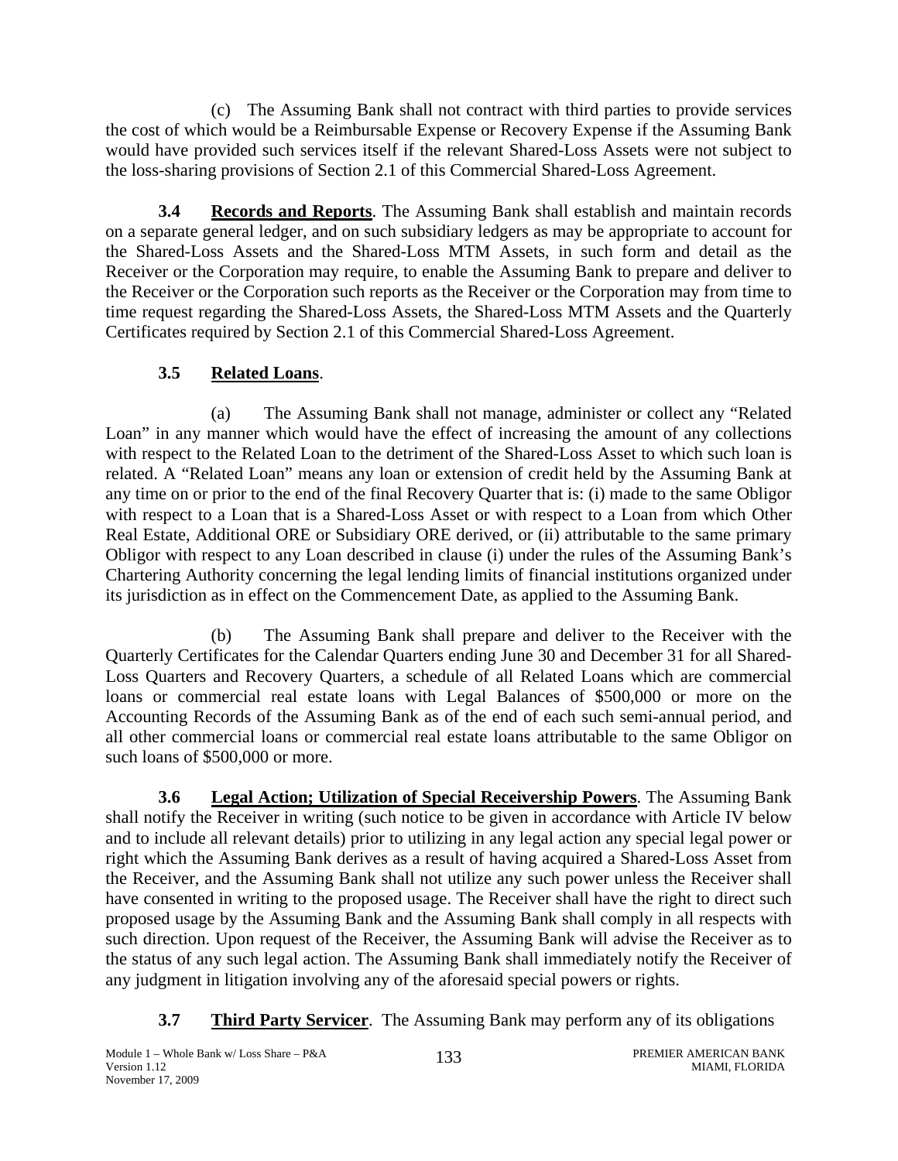(c) The Assuming Bank shall not contract with third parties to provide services the cost of which would be a Reimbursable Expense or Recovery Expense if the Assuming Bank would have provided such services itself if the relevant Shared-Loss Assets were not subject to the loss-sharing provisions of Section 2.1 of this Commercial Shared-Loss Agreement.

**3.4 Records and Reports**. The Assuming Bank shall establish and maintain records on a separate general ledger, and on such subsidiary ledgers as may be appropriate to account for the Shared-Loss Assets and the Shared-Loss MTM Assets, in such form and detail as the Receiver or the Corporation may require, to enable the Assuming Bank to prepare and deliver to the Receiver or the Corporation such reports as the Receiver or the Corporation may from time to time request regarding the Shared-Loss Assets, the Shared-Loss MTM Assets and the Quarterly Certificates required by Section 2.1 of this Commercial Shared-Loss Agreement.

# **3.5 Related Loans**.

(a) The Assuming Bank shall not manage, administer or collect any "Related Loan" in any manner which would have the effect of increasing the amount of any collections with respect to the Related Loan to the detriment of the Shared-Loss Asset to which such loan is related. A "Related Loan" means any loan or extension of credit held by the Assuming Bank at any time on or prior to the end of the final Recovery Quarter that is: (i) made to the same Obligor with respect to a Loan that is a Shared-Loss Asset or with respect to a Loan from which Other Real Estate, Additional ORE or Subsidiary ORE derived, or (ii) attributable to the same primary Obligor with respect to any Loan described in clause (i) under the rules of the Assuming Bank's Chartering Authority concerning the legal lending limits of financial institutions organized under its jurisdiction as in effect on the Commencement Date, as applied to the Assuming Bank.

(b) The Assuming Bank shall prepare and deliver to the Receiver with the Quarterly Certificates for the Calendar Quarters ending June 30 and December 31 for all Shared-Loss Quarters and Recovery Quarters, a schedule of all Related Loans which are commercial loans or commercial real estate loans with Legal Balances of \$500,000 or more on the Accounting Records of the Assuming Bank as of the end of each such semi-annual period, and all other commercial loans or commercial real estate loans attributable to the same Obligor on such loans of \$500,000 or more.

**3.6 Legal Action; Utilization of Special Receivership Powers**. The Assuming Bank shall notify the Receiver in writing (such notice to be given in accordance with Article IV below and to include all relevant details) prior to utilizing in any legal action any special legal power or right which the Assuming Bank derives as a result of having acquired a Shared-Loss Asset from the Receiver, and the Assuming Bank shall not utilize any such power unless the Receiver shall have consented in writing to the proposed usage. The Receiver shall have the right to direct such proposed usage by the Assuming Bank and the Assuming Bank shall comply in all respects with such direction. Upon request of the Receiver, the Assuming Bank will advise the Receiver as to the status of any such legal action. The Assuming Bank shall immediately notify the Receiver of any judgment in litigation involving any of the aforesaid special powers or rights.

**3.7 Third Party Servicer**. The Assuming Bank may perform any of its obligations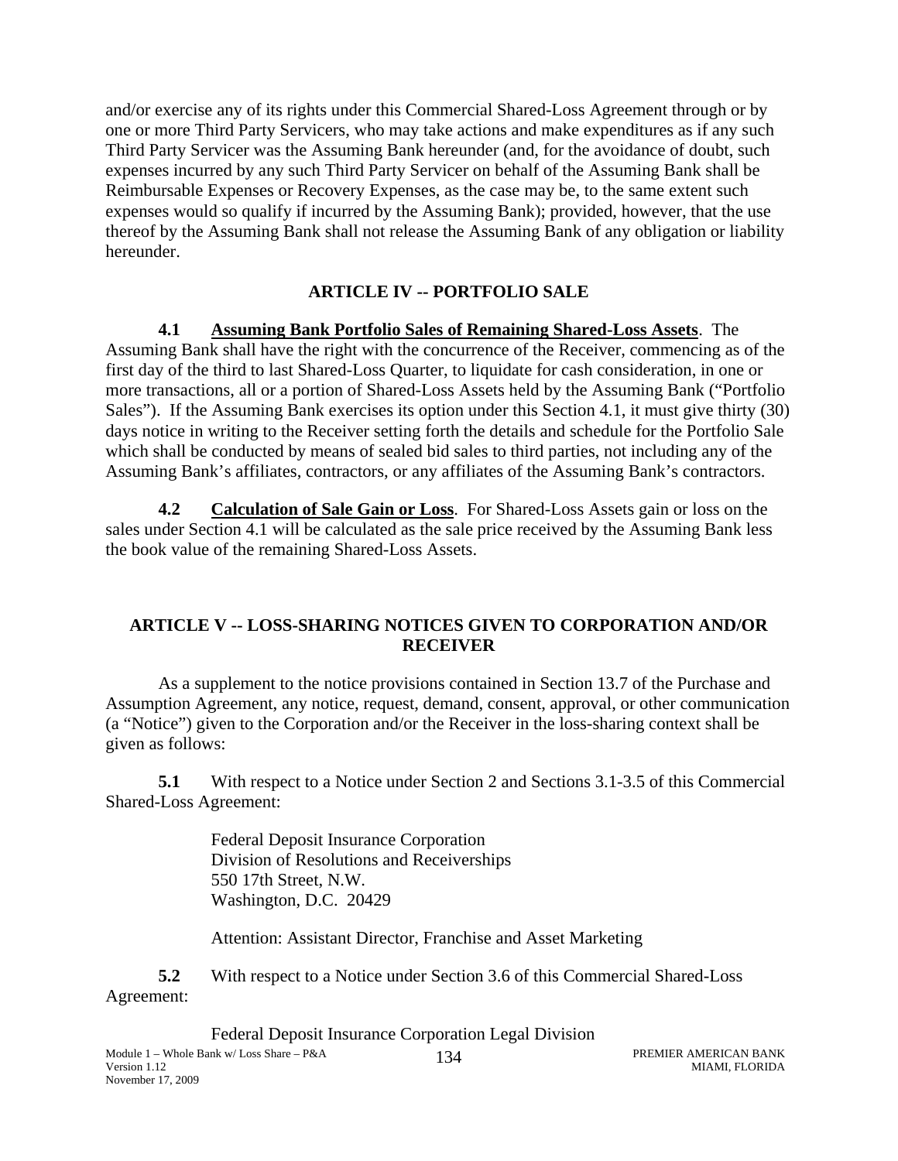and/or exercise any of its rights under this Commercial Shared-Loss Agreement through or by one or more Third Party Servicers, who may take actions and make expenditures as if any such Third Party Servicer was the Assuming Bank hereunder (and, for the avoidance of doubt, such expenses incurred by any such Third Party Servicer on behalf of the Assuming Bank shall be Reimbursable Expenses or Recovery Expenses, as the case may be, to the same extent such expenses would so qualify if incurred by the Assuming Bank); provided, however, that the use thereof by the Assuming Bank shall not release the Assuming Bank of any obligation or liability hereunder.

### **ARTICLE IV -- PORTFOLIO SALE**

**4.1 Assuming Bank Portfolio Sales of Remaining Shared-Loss Assets**. The Assuming Bank shall have the right with the concurrence of the Receiver, commencing as of the first day of the third to last Shared-Loss Quarter, to liquidate for cash consideration, in one or more transactions, all or a portion of Shared-Loss Assets held by the Assuming Bank ("Portfolio Sales"). If the Assuming Bank exercises its option under this Section 4.1, it must give thirty (30) days notice in writing to the Receiver setting forth the details and schedule for the Portfolio Sale which shall be conducted by means of sealed bid sales to third parties, not including any of the Assuming Bank's affiliates, contractors, or any affiliates of the Assuming Bank's contractors.

**4.2 Calculation of Sale Gain or Loss**. For Shared-Loss Assets gain or loss on the sales under Section 4.1 will be calculated as the sale price received by the Assuming Bank less the book value of the remaining Shared-Loss Assets.

#### **ARTICLE V -- LOSS-SHARING NOTICES GIVEN TO CORPORATION AND/OR RECEIVER**

As a supplement to the notice provisions contained in Section 13.7 of the Purchase and Assumption Agreement, any notice, request, demand, consent, approval, or other communication (a "Notice") given to the Corporation and/or the Receiver in the loss-sharing context shall be given as follows:

**5.1** With respect to a Notice under Section 2 and Sections 3.1-3.5 of this Commercial Shared-Loss Agreement:

> Federal Deposit Insurance Corporation Division of Resolutions and Receiverships 550 17th Street, N.W. Washington, D.C. 20429

Attention: Assistant Director, Franchise and Asset Marketing

**5.2** With respect to a Notice under Section 3.6 of this Commercial Shared-Loss Agreement:

Federal Deposit Insurance Corporation Legal Division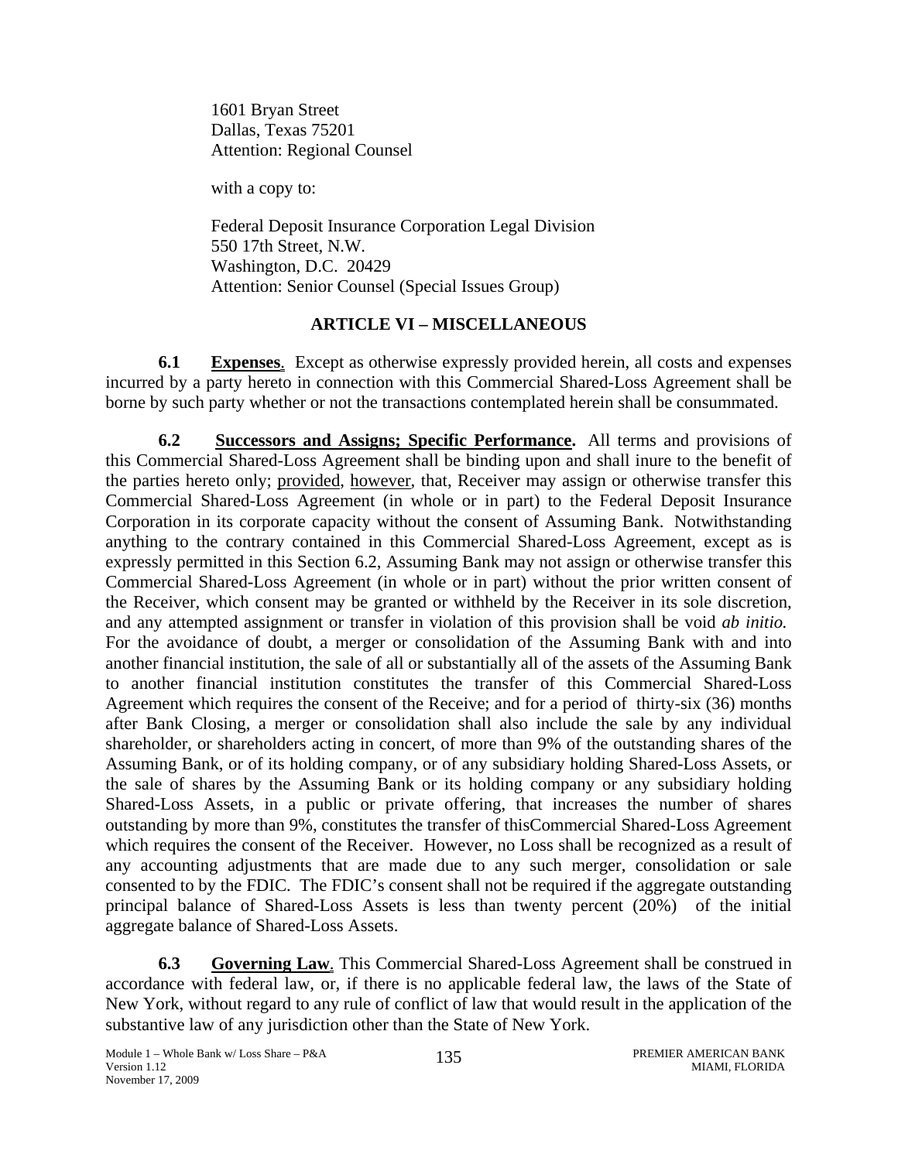1601 Bryan Street Dallas, Texas 75201 Attention: Regional Counsel

with a copy to:

Federal Deposit Insurance Corporation Legal Division 550 17th Street, N.W. Washington, D.C. 20429 Attention: Senior Counsel (Special Issues Group)

## **ARTICLE VI – MISCELLANEOUS**

**6.1** Expenses. Except as otherwise expressly provided herein, all costs and expenses incurred by a party hereto in connection with this Commercial Shared-Loss Agreement shall be borne by such party whether or not the transactions contemplated herein shall be consummated.

**6.2 Successors and Assigns; Specific Performance.** All terms and provisions of this Commercial Shared-Loss Agreement shall be binding upon and shall inure to the benefit of the parties hereto only; provided, however, that, Receiver may assign or otherwise transfer this Commercial Shared-Loss Agreement (in whole or in part) to the Federal Deposit Insurance Corporation in its corporate capacity without the consent of Assuming Bank. Notwithstanding anything to the contrary contained in this Commercial Shared-Loss Agreement, except as is expressly permitted in this Section 6.2, Assuming Bank may not assign or otherwise transfer this Commercial Shared-Loss Agreement (in whole or in part) without the prior written consent of the Receiver, which consent may be granted or withheld by the Receiver in its sole discretion, and any attempted assignment or transfer in violation of this provision shall be void *ab initio.*  For the avoidance of doubt, a merger or consolidation of the Assuming Bank with and into another financial institution, the sale of all or substantially all of the assets of the Assuming Bank to another financial institution constitutes the transfer of this Commercial Shared-Loss Agreement which requires the consent of the Receive; and for a period of thirty-six (36) months after Bank Closing, a merger or consolidation shall also include the sale by any individual shareholder, or shareholders acting in concert, of more than 9% of the outstanding shares of the Assuming Bank, or of its holding company, or of any subsidiary holding Shared-Loss Assets, or the sale of shares by the Assuming Bank or its holding company or any subsidiary holding Shared-Loss Assets, in a public or private offering, that increases the number of shares outstanding by more than 9%, constitutes the transfer of thisCommercial Shared-Loss Agreement which requires the consent of the Receiver. However, no Loss shall be recognized as a result of any accounting adjustments that are made due to any such merger, consolidation or sale consented to by the FDIC. The FDIC's consent shall not be required if the aggregate outstanding principal balance of Shared-Loss Assets is less than twenty percent (20%) of the initial aggregate balance of Shared-Loss Assets.

**6.3** Governing Law. This Commercial Shared-Loss Agreement shall be construed in accordance with federal law, or, if there is no applicable federal law, the laws of the State of New York, without regard to any rule of conflict of law that would result in the application of the substantive law of any jurisdiction other than the State of New York.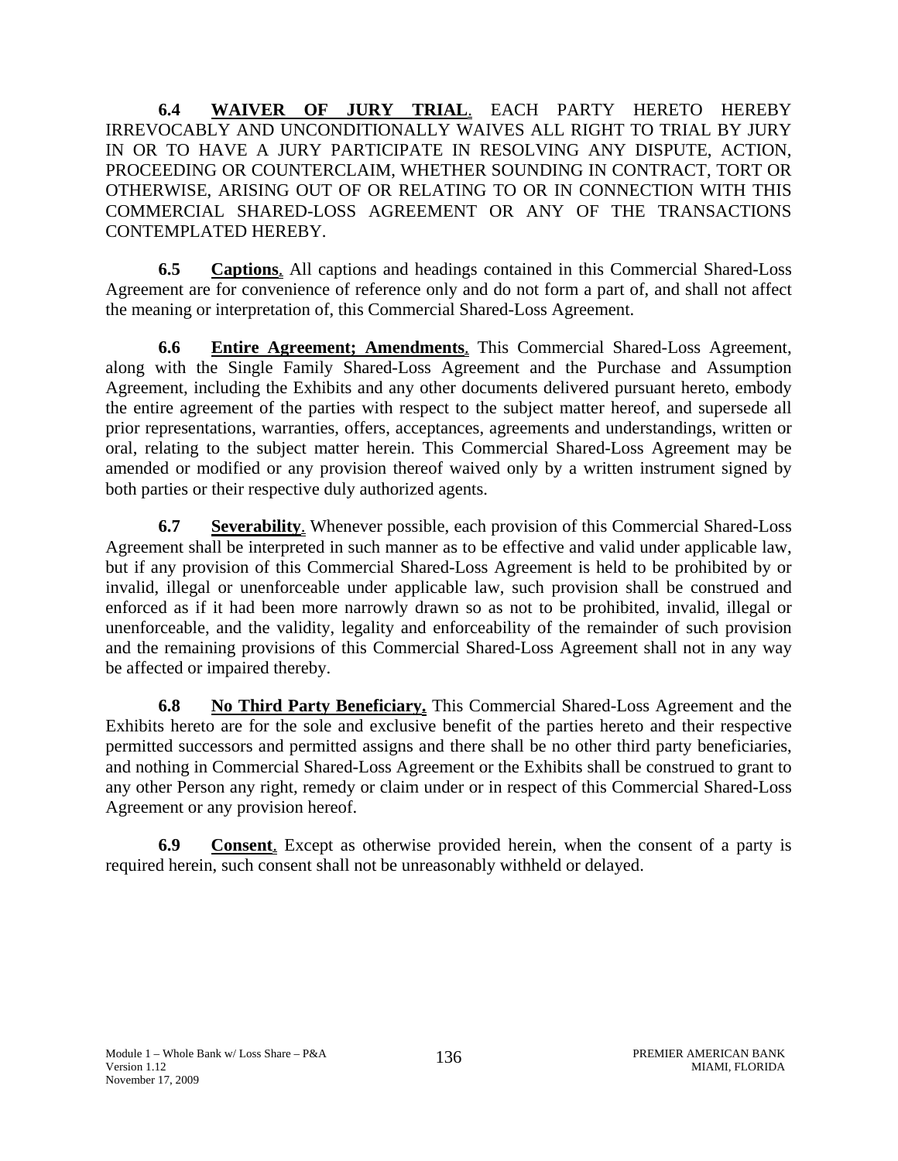**6.4 WAIVER OF JURY TRIAL**. EACH PARTY HERETO HEREBY IRREVOCABLY AND UNCONDITIONALLY WAIVES ALL RIGHT TO TRIAL BY JURY IN OR TO HAVE A JURY PARTICIPATE IN RESOLVING ANY DISPUTE, ACTION, PROCEEDING OR COUNTERCLAIM, WHETHER SOUNDING IN CONTRACT, TORT OR OTHERWISE, ARISING OUT OF OR RELATING TO OR IN CONNECTION WITH THIS COMMERCIAL SHARED-LOSS AGREEMENT OR ANY OF THE TRANSACTIONS CONTEMPLATED HEREBY.

**6.5 Captions**. All captions and headings contained in this Commercial Shared-Loss Agreement are for convenience of reference only and do not form a part of, and shall not affect the meaning or interpretation of, this Commercial Shared-Loss Agreement.

**6.6 Entire Agreement; Amendments**. This Commercial Shared-Loss Agreement, along with the Single Family Shared-Loss Agreement and the Purchase and Assumption Agreement, including the Exhibits and any other documents delivered pursuant hereto, embody the entire agreement of the parties with respect to the subject matter hereof, and supersede all prior representations, warranties, offers, acceptances, agreements and understandings, written or oral, relating to the subject matter herein. This Commercial Shared-Loss Agreement may be amended or modified or any provision thereof waived only by a written instrument signed by both parties or their respective duly authorized agents.

**6.7 Severability**. Whenever possible, each provision of this Commercial Shared-Loss Agreement shall be interpreted in such manner as to be effective and valid under applicable law, but if any provision of this Commercial Shared-Loss Agreement is held to be prohibited by or invalid, illegal or unenforceable under applicable law, such provision shall be construed and enforced as if it had been more narrowly drawn so as not to be prohibited, invalid, illegal or unenforceable, and the validity, legality and enforceability of the remainder of such provision and the remaining provisions of this Commercial Shared-Loss Agreement shall not in any way be affected or impaired thereby.

**6.8 No Third Party Beneficiary.** This Commercial Shared-Loss Agreement and the Exhibits hereto are for the sole and exclusive benefit of the parties hereto and their respective permitted successors and permitted assigns and there shall be no other third party beneficiaries, and nothing in Commercial Shared-Loss Agreement or the Exhibits shall be construed to grant to any other Person any right, remedy or claim under or in respect of this Commercial Shared-Loss Agreement or any provision hereof.

**6.9** Consent. Except as otherwise provided herein, when the consent of a party is required herein, such consent shall not be unreasonably withheld or delayed.